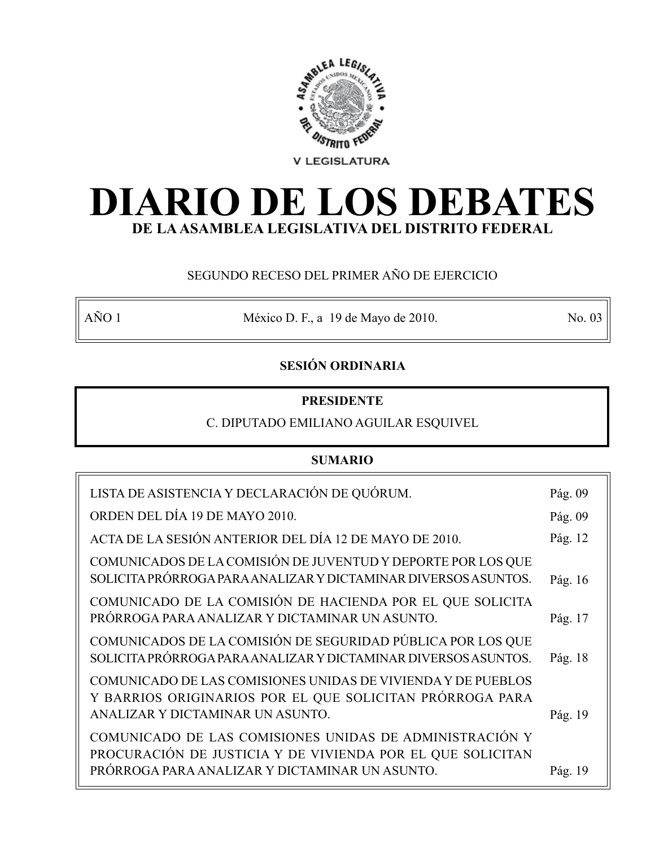

# **DIARIO DE LOS DEBATES DE LA ASAMBLEA LEGISLATIVA DEL DISTRITO FEDERAL**

## SEGUNDO RECESO DEL PRIMER AÑO DE EJERCICIO

AÑO 1 México D. F., a 19 de Mayo de 2010. No. 03

## **SESIÓN ORDINARIA**

### **PRESIDENTE**

### C. DIPUTADO EMILIANO AGUILAR ESQUIVEL

### **SUMARIO**

| LISTA DE ASISTENCIA Y DECLARACIÓN DE QUÓRUM.                                                                                                                            | Pág. 09 |
|-------------------------------------------------------------------------------------------------------------------------------------------------------------------------|---------|
| ORDEN DEL DÍA 19 DE MAYO 2010.                                                                                                                                          | Pág. 09 |
| ACTA DE LA SESIÓN ANTERIOR DEL DÍA 12 DE MAYO DE 2010.                                                                                                                  | Pág. 12 |
| COMUNICADOS DE LA COMISIÓN DE JUVENTUD Y DEPORTE POR LOS QUE<br>SOLICITA PRÓRROGA PARA ANALIZAR Y DICTAMINAR DIVERSOS ASUNTOS.                                          | Pág. 16 |
| COMUNICADO DE LA COMISIÓN DE HACIENDA POR EL QUE SOLICITA<br>PRÓRROGA PARA ANALIZAR Y DICTAMINAR UN ASUNTO.                                                             | Pág. 17 |
| COMUNICADOS DE LA COMISIÓN DE SEGURIDAD PÚBLICA POR LOS QUE<br>SOLICITA PRÓRROGA PARA ANALIZAR Y DICTAMINAR DIVERSOS ASUNTOS.                                           | Pág. 18 |
| COMUNICADO DE LAS COMISIONES UNIDAS DE VIVIENDA Y DE PUEBLOS<br>Y BARRIOS ORIGINARIOS POR EL QUE SOLICITAN PRÓRROGA PARA<br>ANALIZAR Y DICTAMINAR UN ASUNTO.            | Pág. 19 |
| COMUNICADO DE LAS COMISIONES UNIDAS DE ADMINISTRACIÓN Y<br>PROCURACIÓN DE JUSTICIA Y DE VIVIENDA POR EL QUE SOLICITAN<br>PRÓRROGA PARA ANALIZAR Y DICTAMINAR UN ASUNTO. | Pág. 19 |
|                                                                                                                                                                         |         |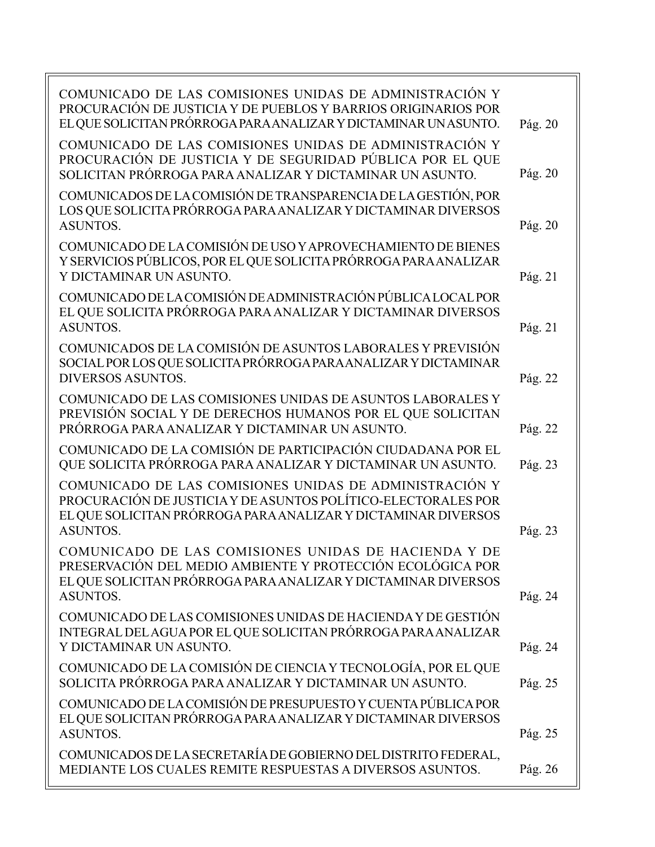| COMUNICADO DE LAS COMISIONES UNIDAS DE ADMINISTRACIÓN Y<br>PROCURACIÓN DE JUSTICIA Y DE PUEBLOS Y BARRIOS ORIGINARIOS POR<br>EL QUE SOLICITAN PRÓRROGA PARA ANALIZAR Y DICTAMINAR UN ASUNTO.                 | Pág. 20            |
|--------------------------------------------------------------------------------------------------------------------------------------------------------------------------------------------------------------|--------------------|
| COMUNICADO DE LAS COMISIONES UNIDAS DE ADMINISTRACIÓN Y<br>PROCURACIÓN DE JUSTICIA Y DE SEGURIDAD PÚBLICA POR EL QUE<br>SOLICITAN PRÓRROGA PARA ANALIZAR Y DICTAMINAR UN ASUNTO.                             | Pág. 20            |
| COMUNICADOS DE LA COMISIÓN DE TRANSPARENCIA DE LA GESTIÓN, POR<br>LOS QUE SOLICITA PRÓRROGA PARA ANALIZAR Y DICTAMINAR DIVERSOS<br><b>ASUNTOS.</b>                                                           | Pág. 20            |
| COMUNICADO DE LA COMISIÓN DE USO Y APROVECHAMIENTO DE BIENES<br>Y SERVICIOS PÚBLICOS, POR EL QUE SOLICITA PRÓRROGA PARA ANALIZAR<br>Y DICTAMINAR UN ASUNTO.                                                  | Pág. 21            |
| COMUNICADO DE LA COMISIÓN DE ADMINISTRACIÓN PÚBLICA LOCAL POR<br>EL QUE SOLICITA PRÓRROGA PARA ANALIZAR Y DICTAMINAR DIVERSOS<br><b>ASUNTOS.</b>                                                             | Pág. 21            |
| COMUNICADOS DE LA COMISIÓN DE ASUNTOS LABORALES Y PREVISIÓN<br>SOCIAL POR LOS QUE SOLICITA PRÓRROGA PARA ANALIZAR Y DICTAMINAR<br><b>DIVERSOS ASUNTOS.</b>                                                   | Pág. 22            |
| COMUNICADO DE LAS COMISIONES UNIDAS DE ASUNTOS LABORALES Y<br>PREVISIÓN SOCIAL Y DE DERECHOS HUMANOS POR EL QUE SOLICITAN<br>PRÓRROGA PARA ANALIZAR Y DICTAMINAR UN ASUNTO.                                  | Pág. 22            |
| COMUNICADO DE LA COMISIÓN DE PARTICIPACIÓN CIUDADANA POR EL<br>QUE SOLICITA PRÓRROGA PARA ANALIZAR Y DICTAMINAR UN ASUNTO.                                                                                   | Pág. 23            |
| COMUNICADO DE LAS COMISIONES UNIDAS DE ADMINISTRACIÓN Y<br>PROCURACIÓN DE JUSTICIA Y DE ASUNTOS POLÍTICO-ELECTORALES POR<br>EL QUE SOLICITAN PRÓRROGA PARA ANALIZAR Y DICTAMINAR DIVERSOS<br><b>ASUNTOS.</b> | Pág. 23            |
| COMUNICADO DE LAS COMISIONES UNIDAS DE HACIENDA Y DE<br>PRESERVACIÓN DEL MEDIO AMBIENTE Y PROTECCIÓN ECOLÓGICA POR<br>EL QUE SOLICITAN PRÓRROGA PARA ANALIZAR Y DICTAMINAR DIVERSOS                          |                    |
| <b>ASUNTOS.</b><br>COMUNICADO DE LAS COMISIONES UNIDAS DE HACIENDA Y DE GESTIÓN<br>INTEGRAL DEL AGUA POR EL QUE SOLICITAN PRÓRROGA PARA ANALIZAR                                                             | Pág. 24            |
| Y DICTAMINAR UN ASUNTO.<br>COMUNICADO DE LA COMISIÓN DE CIENCIA Y TECNOLOGÍA, POR EL QUE<br>SOLICITA PRÓRROGA PARA ANALIZAR Y DICTAMINAR UN ASUNTO.                                                          | Pág. 24<br>Pág. 25 |
| COMUNICADO DE LA COMISIÓN DE PRESUPUESTO Y CUENTA PÚBLICA POR<br>EL QUE SOLICITAN PRÓRROGA PARA ANALIZAR Y DICTAMINAR DIVERSOS<br><b>ASUNTOS.</b>                                                            | Pág. 25            |
| COMUNICADOS DE LA SECRETARÍA DE GOBIERNO DEL DISTRITO FEDERAL,<br>MEDIANTE LOS CUALES REMITE RESPUESTAS A DIVERSOS ASUNTOS.                                                                                  | Pág. 26            |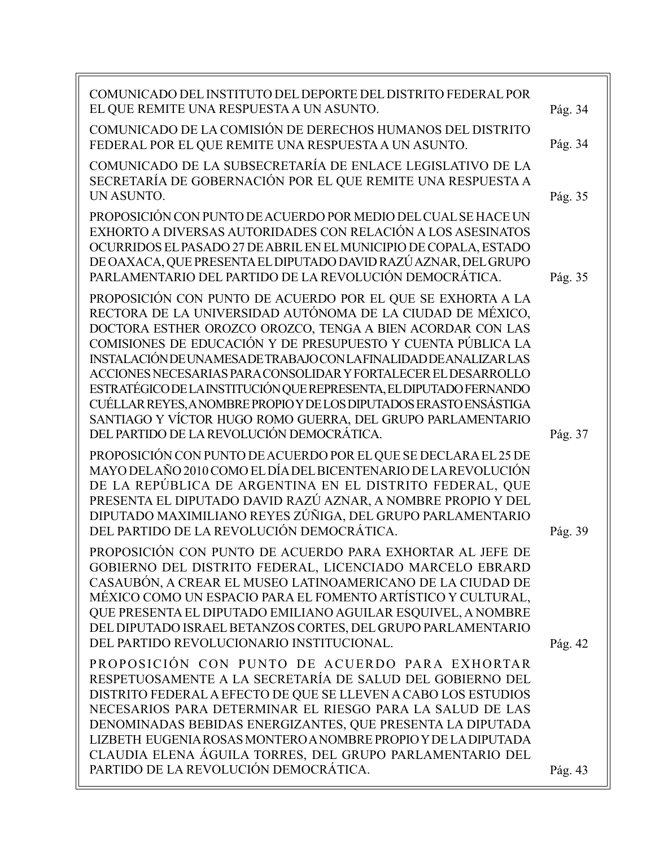| COMUNICADO DEL INSTITUTO DEL DEPORTE DEL DISTRITO FEDERAL POR<br>EL QUE REMITE UNA RESPUESTA A UN ASUNTO.                                                                                                                                                                                                                                                                                                                                                                                                                                                                                                                                              | Pág. 34 |
|--------------------------------------------------------------------------------------------------------------------------------------------------------------------------------------------------------------------------------------------------------------------------------------------------------------------------------------------------------------------------------------------------------------------------------------------------------------------------------------------------------------------------------------------------------------------------------------------------------------------------------------------------------|---------|
| COMUNICADO DE LA COMISIÓN DE DERECHOS HUMANOS DEL DISTRITO<br>FEDERAL POR EL QUE REMITE UNA RESPUESTA A UN ASUNTO.                                                                                                                                                                                                                                                                                                                                                                                                                                                                                                                                     | Pág. 34 |
| COMUNICADO DE LA SUBSECRETARÍA DE ENLACE LEGISLATIVO DE LA<br>SECRETARÍA DE GOBERNACIÓN POR EL QUE REMITE UNA RESPUESTA A<br>UN ASUNTO.                                                                                                                                                                                                                                                                                                                                                                                                                                                                                                                | Pág. 35 |
| PROPOSICIÓN CON PUNTO DE ACUERDO POR MEDIO DEL CUAL SE HACE UN<br>EXHORTO A DIVERSAS AUTORIDADES CON RELACIÓN A LOS ASESINATOS<br>OCURRIDOS EL PASADO 27 DE ABRIL EN EL MUNICIPIO DE COPALA, ESTADO<br>DE OAXACA, QUE PRESENTA EL DIPUTADO DAVID RAZÚ AZNAR, DEL GRUPO<br>PARLAMENTARIO DEL PARTIDO DE LA REVOLUCIÓN DEMOCRÁTICA.                                                                                                                                                                                                                                                                                                                      | Pág. 35 |
| PROPOSICIÓN CON PUNTO DE ACUERDO POR EL QUE SE EXHORTA A LA<br>RECTORA DE LA UNIVERSIDAD AUTÓNOMA DE LA CIUDAD DE MÉXICO,<br>DOCTORA ESTHER OROZCO OROZCO, TENGA A BIEN ACORDAR CON LAS<br>COMISIONES DE EDUCACIÓN Y DE PRESUPUESTO Y CUENTA PÚBLICA LA<br>INSTALACIÓN DE UNAMESA DE TRABAJO CON LA FINALIDAD DE ANALIZAR LAS<br>ACCIONES NECESARIAS PARA CONSOLIDAR Y FORTALECER EL DESARROLLO<br>ESTRATÉGICO DE LA INSTITUCIÓN QUE REPRESENTA, EL DIPUTADO FERNANDO<br>CUÉLLAR REYES, ANOMBRE PROPIO Y DE LOS DIPUTADOS ERASTO ENSÁSTIGA<br>SANTIAGO Y VÍCTOR HUGO ROMO GUERRA, DEL GRUPO PARLAMENTARIO<br>DEL PARTIDO DE LA REVOLUCIÓN DEMOCRÁTICA. | Pág. 37 |
| PROPOSICIÓN CON PUNTO DE ACUERDO POR EL QUE SE DECLARA EL 25 DE<br>MAYO DELAÑO 2010 COMO EL DÍA DEL BICENTENARIO DE LA REVOLUCIÓN<br>DE LA REPÚBLICA DE ARGENTINA EN EL DISTRITO FEDERAL, QUE<br>PRESENTA EL DIPUTADO DAVID RAZÚ AZNAR, A NOMBRE PROPIO Y DEL<br>DIPUTADO MAXIMILIANO REYES ZÚÑIGA, DEL GRUPO PARLAMENTARIO<br>DEL PARTIDO DE LA REVOLUCIÓN DEMOCRÁTICA.                                                                                                                                                                                                                                                                               | Pág. 39 |
| PROPOSICIÓN CON PUNTO DE ACUERDO PARA EXHORTAR AL JEFE DE<br>GOBIERNO DEL DISTRITO FEDERAL, LICENCIADO MARCELO EBRARD<br>CASAUBÓN, A CREAR EL MUSEO LATINOAMERICANO DE LA CIUDAD DE<br>MÉXICO COMO UN ESPACIO PARA EL FOMENTO ARTÍSTICO Y CULTURAL,<br>QUE PRESENTA EL DIPUTADO EMILIANO AGUILAR ESQUIVEL, A NOMBRE<br>DEL DIPUTADO ISRAEL BETANZOS CORTES, DEL GRUPO PARLAMENTARIO<br>DEL PARTIDO REVOLUCIONARIO INSTITUCIONAL.                                                                                                                                                                                                                       | Pág. 42 |
| PROPOSICIÓN CON PUNTO DE ACUERDO PARA EXHORTAR<br>RESPETUOSAMENTE A LA SECRETARÍA DE SALUD DEL GOBIERNO DEL<br>DISTRITO FEDERAL A EFECTO DE QUE SE LLEVEN A CABO LOS ESTUDIOS<br>NECESARIOS PARA DETERMINAR EL RIESGO PARA LA SALUD DE LAS<br>DENOMINADAS BEBIDAS ENERGIZANTES, QUE PRESENTA LA DIPUTADA<br>LIZBETH EUGENIA ROSAS MONTERO A NOMBRE PROPIO Y DE LA DIPUTADA<br>CLAUDIA ELENA ÁGUILA TORRES, DEL GRUPO PARLAMENTARIO DEL<br>PARTIDO DE LA REVOLUCIÓN DEMOCRÁTICA.                                                                                                                                                                        | Pág. 43 |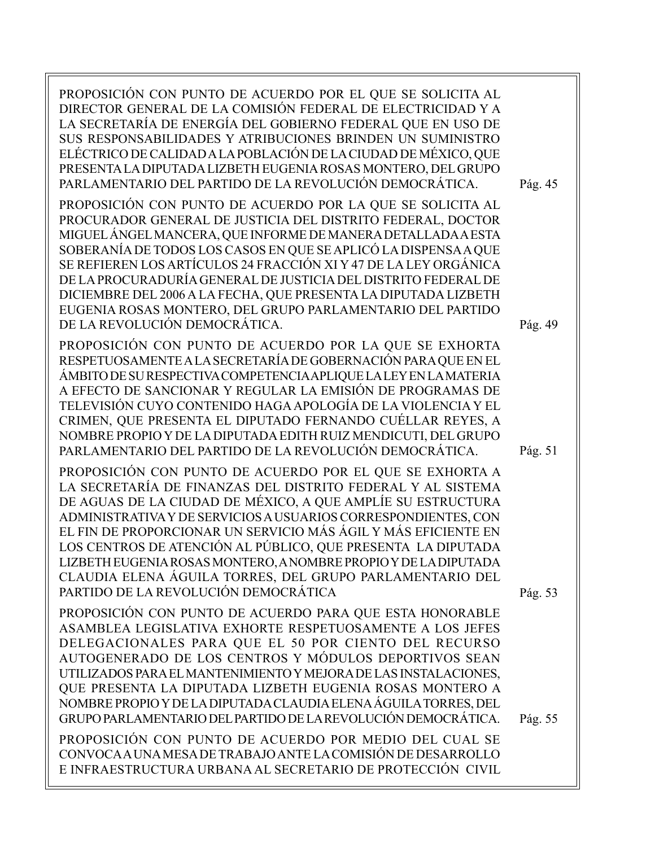| PROPOSICIÓN CON PUNTO DE ACUERDO POR EL QUE SE SOLICITA AL<br>DIRECTOR GENERAL DE LA COMISIÓN FEDERAL DE ELECTRICIDAD Y A<br>LA SECRETARÍA DE ENERGÍA DEL GOBIERNO FEDERAL QUE EN USO DE<br>SUS RESPONSABILIDADES Y ATRIBUCIONES BRINDEN UN SUMINISTRO<br>ELÉCTRICO DE CALIDAD A LA POBLACIÓN DE LA CIUDAD DE MÉXICO, QUE<br>PRESENTA LA DIPUTADA LIZBETH EUGENIA ROSAS MONTERO, DEL GRUPO<br>PARLAMENTARIO DEL PARTIDO DE LA REVOLUCIÓN DEMOCRÁTICA.<br>PROPOSICIÓN CON PUNTO DE ACUERDO POR LA QUE SE SOLICITA AL<br>PROCURADOR GENERAL DE JUSTICIA DEL DISTRITO FEDERAL, DOCTOR<br>MIGUEL ÁNGEL MANCERA, QUE INFORME DE MANERA DETALLADA A ESTA<br>SOBERANÍA DE TODOS LOS CASOS EN QUE SE APLICÓ LA DISPENSA A QUE<br>SE REFIEREN LOS ARTÍCULOS 24 FRACCIÓN XI Y 47 DE LA LEY ORGÁNICA<br>DE LA PROCURADURÍA GENERAL DE JUSTICIA DEL DISTRITO FEDERAL DE<br>DICIEMBRE DEL 2006 A LA FECHA, QUE PRESENTA LA DIPUTADA LIZBETH<br>EUGENIA ROSAS MONTERO, DEL GRUPO PARLAMENTARIO DEL PARTIDO<br>DE LA REVOLUCIÓN DEMOCRÁTICA. | Pág. 45<br>Pág. 49 |
|-------------------------------------------------------------------------------------------------------------------------------------------------------------------------------------------------------------------------------------------------------------------------------------------------------------------------------------------------------------------------------------------------------------------------------------------------------------------------------------------------------------------------------------------------------------------------------------------------------------------------------------------------------------------------------------------------------------------------------------------------------------------------------------------------------------------------------------------------------------------------------------------------------------------------------------------------------------------------------------------------------------------------------|--------------------|
| PROPOSICIÓN CON PUNTO DE ACUERDO POR LA QUE SE EXHORTA<br>RESPETUOSAMENTE A LA SECRETARÍA DE GOBERNACIÓN PARA QUE EN EL<br>ÁMBITO DE SU RESPECTIVA COMPETENCIA APLIQUE LA LEY EN LA MATERIA<br>A EFECTO DE SANCIONAR Y REGULAR LA EMISIÓN DE PROGRAMAS DE<br>TELEVISIÓN CUYO CONTENIDO HAGA APOLOGÍA DE LA VIOLENCIA Y EL<br>CRIMEN, QUE PRESENTA EL DIPUTADO FERNANDO CUÉLLAR REYES, A<br>NOMBRE PROPIO Y DE LA DIPUTADA EDITH RUIZ MENDICUTI, DEL GRUPO<br>PARLAMENTARIO DEL PARTIDO DE LA REVOLUCIÓN DEMOCRÁTICA.                                                                                                                                                                                                                                                                                                                                                                                                                                                                                                          | Pág. 51            |
| PROPOSICIÓN CON PUNTO DE ACUERDO POR EL QUE SE EXHORTA A<br>LA SECRETARÍA DE FINANZAS DEL DISTRITO FEDERAL Y AL SISTEMA<br>DE AGUAS DE LA CIUDAD DE MÉXICO, A QUE AMPLÍE SU ESTRUCTURA<br>ADMINISTRATIVA Y DE SERVICIOS A USUARIOS CORRESPONDIENTES, CON<br>EL FIN DE PROPORCIONAR UN SERVICIO MÁS ÁGIL Y MÁS EFICIENTE EN<br>LOS CENTROS DE ATENCIÓN AL PÚBLICO, QUE PRESENTA LA DIPUTADA<br>LIZBETH EUGENIA ROSAS MONTERO, A NOMBRE PROPIO Y DE LA DIPUTADA<br>CLAUDIA ELENA ÁGUILA TORRES, DEL GRUPO PARLAMENTARIO DEL<br>PARTIDO DE LA REVOLUCIÓN DEMOCRÁTICA                                                                                                                                                                                                                                                                                                                                                                                                                                                             | Pág. 53            |
| PROPOSICIÓN CON PUNTO DE ACUERDO PARA QUE ESTA HONORABLE<br>ASAMBLEA LEGISLATIVA EXHORTE RESPETUOSAMENTE A LOS JEFES<br>DELEGACIONALES PARA QUE EL 50 POR CIENTO DEL RECURSO<br>AUTOGENERADO DE LOS CENTROS Y MÓDULOS DEPORTIVOS SEAN<br>UTILIZADOS PARA EL MANTENIMIENTO Y MEJORA DE LAS INSTALACIONES,<br>QUE PRESENTA LA DIPUTADA LIZBETH EUGENIA ROSAS MONTERO A<br>NOMBRE PROPIO Y DE LA DIPUTADA CLAUDIA ELENA ÁGUILA TORRES, DEL<br>GRUPO PARLAMENTARIO DEL PARTIDO DE LA REVOLUCIÓN DEMOCRÁTICA.<br>PROPOSICIÓN CON PUNTO DE ACUERDO POR MEDIO DEL CUAL SE<br>CONVOCA A UNA MESA DE TRABAJO ANTE LA COMISIÓN DE DESARROLLO<br>E INFRAESTRUCTURA URBANA AL SECRETARIO DE PROTECCIÓN CIVIL                                                                                                                                                                                                                                                                                                                              | Pág. 55            |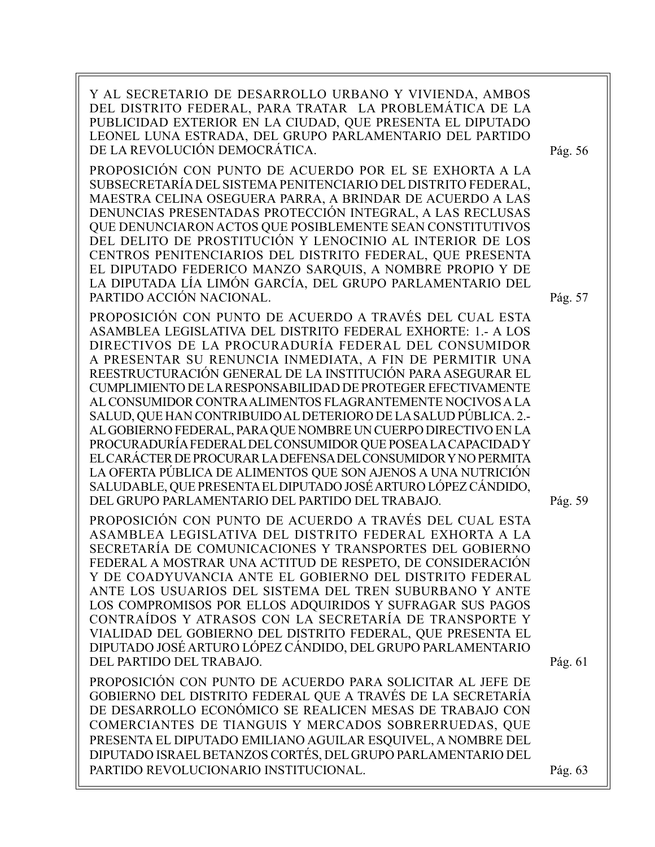Y AL SECRETARIO DE DESARROLLO URBANO Y VIVIENDA, AMBOS DEL DISTRITO FEDERAL, PARA TRATAR LA PROBLEMÁTICA DE LA PUBLICIDAD EXTERIOR EN LA CIUDAD, QUE PRESENTA EL DIPUTADO LEONEL LUNA ESTRADA, DEL GRUPO PARLAMENTARIO DEL PARTIDO DE LA REVOLUCIÓN DEMOCRÁTICA.

PROPOSICIÓN CON PUNTO DE ACUERDO POR EL SE EXHORTA A LA SUBSECRETARÍA DEL SISTEMA PENITENCIARIO DEL DISTRITO FEDERAL, MAESTRA CELINA OSEGUERA PARRA, A BRINDAR DE ACUERDO A LAS DENUNCIAS PRESENTADAS PROTECCIÓN INTEGRAL, A LAS RECLUSAS QUE DENUNCIARON ACTOS QUE POSIBLEMENTE SEAN CONSTITUTIVOS DEL DELITO DE PROSTITUCIÓN Y LENOCINIO AL INTERIOR DE LOS CENTROS PENITENCIARIOS DEL DISTRITO FEDERAL, QUE PRESENTA EL DIPUTADO FEDERICO MANZO SARQUIS, A NOMBRE PROPIO Y DE LA DIPUTADA LÍA LIMÓN GARCÍA, DEL GRUPO PARLAMENTARIO DEL PARTIDO ACCIÓN NACIONAL.

PROPOSICIÓN CON PUNTO DE ACUERDO A TRAVÉS DEL CUAL ESTA ASAMBLEA LEGISLATIVA DEL DISTRITO FEDERAL EXHORTE: 1.- A LOS DIRECTIVOS DE LA PROCURADURÍA FEDERAL DEL CONSUMIDOR A PRESENTAR SU RENUNCIA INMEDIATA, A FIN DE PERMITIR UNA REESTRUCTURACIÓN GENERAL DE LA INSTITUCIÓN PARA ASEGURAR EL CUMPLIMIENTO DE LA RESPONSABILIDAD DE PROTEGER EFECTIVAMENTE AL CONSUMIDOR CONTRA ALIMENTOS FLAGRANTEMENTE NOCIVOS A LA SALUD, QUE HAN CONTRIBUIDO AL DETERIORO DE LA SALUD PÚBLICA. 2.- AL GOBIERNO FEDERAL, PARA QUE NOMBRE UN CUERPO DIRECTIVO EN LA PROCURADURÍA FEDERAL DEL CONSUMIDOR QUE POSEA LA CAPACIDAD Y EL CARÁCTER DE PROCURAR LA DEFENSA DEL CONSUMIDOR Y NO PERMITA LA OFERTA PÚBLICA DE ALIMENTOS QUE SON AJENOS A UNA NUTRICIÓN SALUDABLE, QUE PRESENTA EL DIPUTADO JOSÉ ARTURO LÓPEZ CÁNDIDO, DEL GRUPO PARLAMENTARIO DEL PARTIDO DEL TRABAJO.

PROPOSICIÓN CON PUNTO DE ACUERDO A TRAVÉS DEL CUAL ESTA ASAMBLEA LEGISLATIVA DEL DISTRITO FEDERAL EXHORTA A LA SECRETARÍA DE COMUNICACIONES Y TRANSPORTES DEL GOBIERNO FEDERAL A MOSTRAR UNA ACTITUD DE RESPETO, DE CONSIDERACIÓN Y DE COADYUVANCIA ANTE EL GOBIERNO DEL DISTRITO FEDERAL ANTE LOS USUARIOS DEL SISTEMA DEL TREN SUBURBANO Y ANTE LOS COMPROMISOS POR ELLOS ADQUIRIDOS Y SUFRAGAR SUS PAGOS CONTRAÍDOS Y ATRASOS CON LA SECRETARÍA DE TRANSPORTE Y VIALIDAD DEL GOBIERNO DEL DISTRITO FEDERAL, QUE PRESENTA EL DIPUTADO JOSÉ ARTURO LÓPEZ CÁNDIDO, DEL GRUPO PARLAMENTARIO DEL PARTIDO DEL TRABAJO.

PROPOSICIÓN CON PUNTO DE ACUERDO PARA SOLICITAR AL JEFE DE GOBIERNO DEL DISTRITO FEDERAL QUE A TRAVÉS DE LA SECRETARÍA DE DESARROLLO ECONÓMICO SE REALICEN MESAS DE TRABAJO CON COMERCIANTES DE TIANGUIS Y MERCADOS SOBRERRUEDAS, QUE PRESENTA EL DIPUTADO EMILIANO AGUILAR ESQUIVEL, A NOMBRE DEL DIPUTADO ISRAEL BETANZOS CORTÉS, DEL GRUPO PARLAMENTARIO DEL PARTIDO REVOLUCIONARIO INSTITUCIONAL.

Pág. 56

Pág. 57

Pág. 59

Pág. 61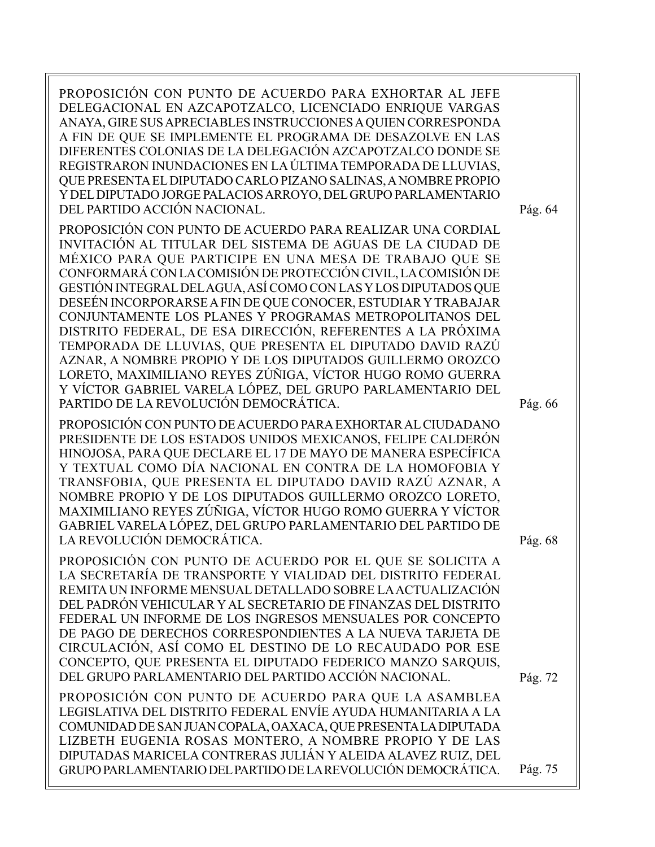PROPOSICIÓN CON PUNTO DE ACUERDO PARA EXHORTAR AL JEFE DELEGACIONAL EN AZCAPOTZALCO, LICENCIADO ENRIQUE VARGAS ANAYA, GIRE SUS APRECIABLES INSTRUCCIONES A QUIEN CORRESPONDA A FIN DE QUE SE IMPLEMENTE EL PROGRAMA DE DESAZOLVE EN LAS DIFERENTES COLONIAS DE LA DELEGACIÓN AZCAPOTZALCO DONDE SE REGISTRARON INUNDACIONES EN LA ÚLTIMA TEMPORADA DE LLUVIAS, QUE PRESENTA EL DIPUTADO CARLO PIZANO SALINAS, A NOMBRE PROPIO Y DEL DIPUTADO JORGE PALACIOS ARROYO, DEL GRUPO PARLAMENTARIO DEL PARTIDO ACCIÓN NACIONAL.

PROPOSICIÓN CON PUNTO DE ACUERDO PARA REALIZAR UNA CORDIAL INVITACIÓN AL TITULAR DEL SISTEMA DE AGUAS DE LA CIUDAD DE MÉXICO PARA QUE PARTICIPE EN UNA MESA DE TRABAJO QUE SE CONFORMARÁ CON LA COMISIÓN DE PROTECCIÓN CIVIL, LA COMISIÓN DE GESTIÓN INTEGRAL DEL AGUA, ASÍ COMO CON LAS Y LOS DIPUTADOS QUE DESEÉN INCORPORARSE A FIN DE QUE CONOCER, ESTUDIAR Y TRABAJAR CONJUNTAMENTE LOS PLANES Y PROGRAMAS METROPOLITANOS DEL DISTRITO FEDERAL, DE ESA DIRECCIÓN, REFERENTES A LA PRÓXIMA TEMPORADA DE LLUVIAS, QUE PRESENTA EL DIPUTADO DAVID RAZÚ AZNAR, A NOMBRE PROPIO Y DE LOS DIPUTADOS GUILLERMO OROZCO LORETO, MAXIMILIANO REYES ZÚÑIGA, VÍCTOR HUGO ROMO GUERRA Y VÍCTOR GABRIEL VARELA LÓPEZ, DEL GRUPO PARLAMENTARIO DEL PARTIDO DE LA REVOLUCIÓN DEMOCRÁTICA.

PROPOSICIÓN CON PUNTO DE ACUERDO PARA EXHORTAR AL CIUDADANO PRESIDENTE DE LOS ESTADOS UNIDOS MEXICANOS, FELIPE CALDERÓN HINOJOSA, PARA QUE DECLARE EL 17 DE MAYO DE MANERA ESPECÍFICA Y TEXTUAL COMO DÍA NACIONAL EN CONTRA DE LA HOMOFOBIA Y TRANSFOBIA, QUE PRESENTA EL DIPUTADO DAVID RAZÚ AZNAR, A NOMBRE PROPIO Y DE LOS DIPUTADOS GUILLERMO OROZCO LORETO, MAXIMILIANO REYES ZÚÑIGA, VÍCTOR HUGO ROMO GUERRA Y VÍCTOR GABRIEL VARELA LÓPEZ, DEL GRUPO PARLAMENTARIO DEL PARTIDO DE LA REVOLUCIÓN DEMOCRÁTICA.

PROPOSICIÓN CON PUNTO DE ACUERDO POR EL QUE SE SOLICITA A LA SECRETARÍA DE TRANSPORTE Y VIALIDAD DEL DISTRITO FEDERAL REMITA UN INFORME MENSUAL DETALLADO SOBRE LA ACTUALIZACIÓN DEL PADRÓN VEHICULAR Y AL SECRETARIO DE FINANZAS DEL DISTRITO FEDERAL UN INFORME DE LOS INGRESOS MENSUALES POR CONCEPTO DE PAGO DE DERECHOS CORRESPONDIENTES A LA NUEVA TARJETA DE CIRCULACIÓN, ASÍ COMO EL DESTINO DE LO RECAUDADO POR ESE CONCEPTO, QUE PRESENTA EL DIPUTADO FEDERICO MANZO SARQUIS, DEL GRUPO PARLAMENTARIO DEL PARTIDO ACCIÓN NACIONAL.

PROPOSICIÓN CON PUNTO DE ACUERDO PARA QUE LA ASAMBLEA LEGISLATIVA DEL DISTRITO FEDERAL ENVÍE AYUDA HUMANITARIA A LA COMUNIDAD DE SAN JUAN COPALA, OAXACA, QUE PRESENTA LA DIPUTADA LIZBETH EUGENIA ROSAS MONTERO, A NOMBRE PROPIO Y DE LAS DIPUTADAS MARICELA CONTRERAS JULIÁN Y ALEIDA ALAVEZ RUIZ, DEL GRUPO PARLAMENTARIO DEL PARTIDO DE LA REVOLUCIÓN DEMOCRÁTICA.

Pág. 66

Pág. 64

Pág. 68

Pág. 72

Pág. 75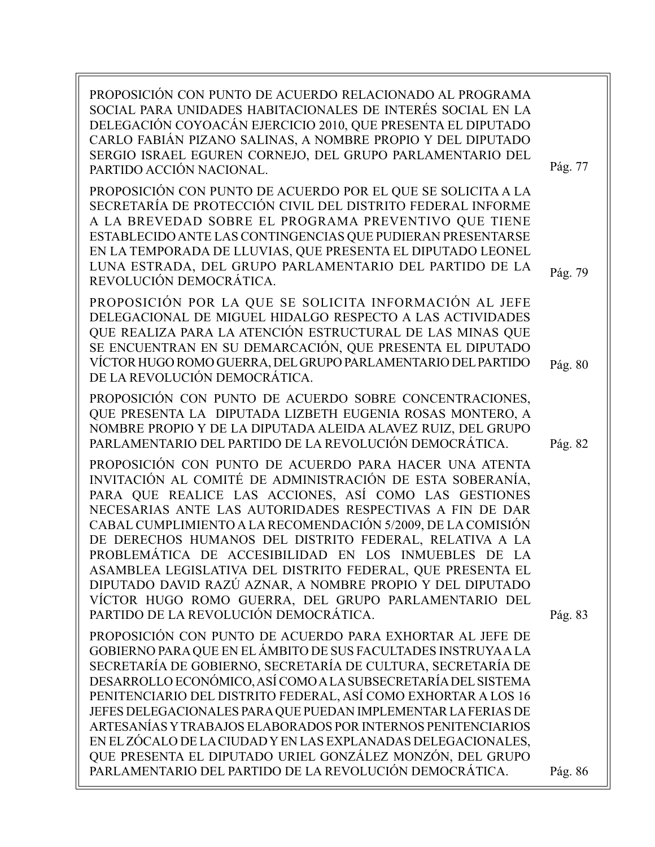PROPOSICIÓN CON PUNTO DE ACUERDO RELACIONADO AL PROGRAMA SOCIAL PARA UNIDADES HABITACIONALES DE INTERÉS SOCIAL EN LA DELEGACIÓN COYOACÁN EJERCICIO 2010, QUE PRESENTA EL DIPUTADO CARLO FABIÁN PIZANO SALINAS, A NOMBRE PROPIO Y DEL DIPUTADO SERGIO ISRAEL EGUREN CORNEJO, DEL GRUPO PARLAMENTARIO DEL PARTIDO ACCIÓN NACIONAL. PROPOSICIÓN CON PUNTO DE ACUERDO POR EL QUE SE SOLICITA A LA SECRETARÍA DE PROTECCIÓN CIVIL DEL DISTRITO FEDERAL INFORME A LA BREVEDAD SOBRE EL PROGRAMA PREVENTIVO QUE TIENE ESTABLECIDO ANTE LAS CONTINGENCIAS QUE PUDIERAN PRESENTARSE EN LA TEMPORADA DE LLUVIAS, QUE PRESENTA EL DIPUTADO LEONEL LUNA ESTRADA, DEL GRUPO PARLAMENTARIO DEL PARTIDO DE LA REVOLUCIÓN DEMOCRÁTICA. PROPOSICIÓN POR LA QUE SE SOLICITA INFORMACIÓN AL JEFE DELEGACIONAL DE MIGUEL HIDALGO RESPECTO A LAS ACTIVIDADES QUE REALIZA PARA LA ATENCIÓN ESTRUCTURAL DE LAS MINAS QUE SE ENCUENTRAN EN SU DEMARCACIÓN, QUE PRESENTA EL DIPUTADO VÍCTOR HUGO ROMO GUERRA, DEL GRUPO PARLAMENTARIO DEL PARTIDO DE LA REVOLUCIÓN DEMOCRÁTICA. PROPOSICIÓN CON PUNTO DE ACUERDO SOBRE CONCENTRACIONES, QUE PRESENTA LA DIPUTADA LIZBETH EUGENIA ROSAS MONTERO, A NOMBRE PROPIO Y DE LA DIPUTADA ALEIDA ALAVEZ RUIZ, DEL GRUPO PARLAMENTARIO DEL PARTIDO DE LA REVOLUCIÓN DEMOCRÁTICA. PROPOSICIÓN CON PUNTO DE ACUERDO PARA HACER UNA ATENTA INVITACIÓN AL COMITÉ DE ADMINISTRACIÓN DE ESTA SOBERANÍA, PARA QUE REALICE LAS ACCIONES, ASÍ COMO LAS GESTIONES NECESARIAS ANTE LAS AUTORIDADES RESPECTIVAS A FIN DE DAR CABAL CUMPLIMIENTO A LA RECOMENDACIÓN 5/2009, DE LA COMISIÓN DE DERECHOS HUMANOS DEL DISTRITO FEDERAL, RELATIVA A LA PROBLEMÁTICA DE ACCESIBILIDAD EN LOS INMUEBLES DE LA ASAMBLEA LEGISLATIVA DEL DISTRITO FEDERAL, QUE PRESENTA EL DIPUTADO DAVID RAZÚ AZNAR, A NOMBRE PROPIO Y DEL DIPUTADO VÍCTOR HUGO ROMO GUERRA, DEL GRUPO PARLAMENTARIO DEL PARTIDO DE LA REVOLUCIÓN DEMOCRÁTICA. PROPOSICIÓN CON PUNTO DE ACUERDO PARA EXHORTAR AL JEFE DE GOBIERNO PARA QUE EN EL ÁMBITO DE SUS FACULTADES INSTRUYA A LA SECRETARÍA DE GOBIERNO, SECRETARÍA DE CULTURA, SECRETARÍA DE DESARROLLO ECONÓMICO, ASÍ COMO A LA SUBSECRETARÍA DEL SISTEMA PENITENCIARIO DEL DISTRITO FEDERAL, ASÍ COMO EXHORTAR A LOS 16 JEFES DELEGACIONALES PARA QUE PUEDAN IMPLEMENTAR LA FERIAS DE ARTESANÍAS Y TRABAJOS ELABORADOS POR INTERNOS PENITENCIARIOS EN EL ZÓCALO DE LA CIUDAD Y EN LAS EXPLANADAS DELEGACIONALES, QUE PRESENTA EL DIPUTADO URIEL GONZÁLEZ MONZÓN, DEL GRUPO PARLAMENTARIO DEL PARTIDO DE LA REVOLUCIÓN DEMOCRÁTICA. Pág. 79 Pág. 77 Pág. 80 Pág. 82 Pág. 83 Pág. 86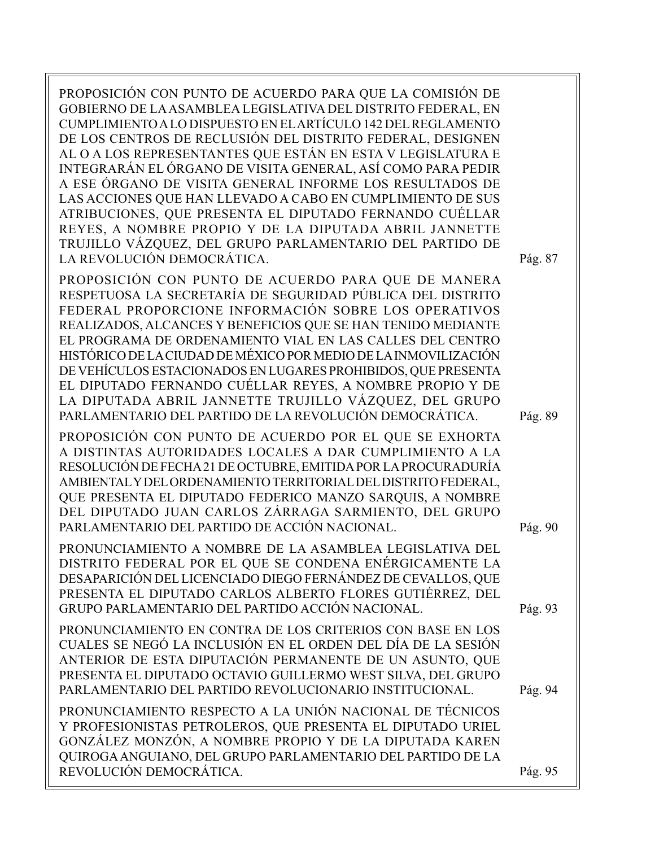PROPOSICIÓN CON PUNTO DE ACUERDO PARA QUE LA COMISIÓN DE GOBIERNO DE LA ASAMBLEA LEGISLATIVA DEL DISTRITO FEDERAL, EN CUMPLIMIENTO A LO DISPUESTO EN EL ARTÍCULO 142 DEL REGLAMENTO DE LOS CENTROS DE RECLUSIÓN DEL DISTRITO FEDERAL, DESIGNEN AL O A LOS REPRESENTANTES QUE ESTÁN EN ESTA V LEGISLATURA E INTEGRARÁN EL ÓRGANO DE VISITA GENERAL, ASÍ COMO PARA PEDIR A ESE ÓRGANO DE VISITA GENERAL INFORME LOS RESULTADOS DE LAS ACCIONES QUE HAN LLEVADO A CABO EN CUMPLIMIENTO DE SUS ATRIBUCIONES, QUE PRESENTA EL DIPUTADO FERNANDO CUÉLLAR REYES, A NOMBRE PROPIO Y DE LA DIPUTADA ABRIL JANNETTE TRUJILLO VÁZQUEZ, DEL GRUPO PARLAMENTARIO DEL PARTIDO DE LA REVOLUCIÓN DEMOCRÁTICA.

PROPOSICIÓN CON PUNTO DE ACUERDO PARA QUE DE MANERA RESPETUOSA LA SECRETARÍA DE SEGURIDAD PÚBLICA DEL DISTRITO FEDERAL PROPORCIONE INFORMACIÓN SOBRE LOS OPERATIVOS REALIZADOS, ALCANCES Y BENEFICIOS QUE SE HAN TENIDO MEDIANTE EL PROGRAMA DE ORDENAMIENTO VIAL EN LAS CALLES DEL CENTRO HISTÓRICO DE LA CIUDAD DE MÉXICO POR MEDIO DE LA INMOVILIZACIÓN DE VEHÍCULOS ESTACIONADOS EN LUGARES PROHIBIDOS, QUE PRESENTA EL DIPUTADO FERNANDO CUÉLLAR REYES, A NOMBRE PROPIO Y DE LA DIPUTADA ABRIL JANNETTE TRUJILLO VÁZQUEZ, DEL GRUPO PARLAMENTARIO DEL PARTIDO DE LA REVOLUCIÓN DEMOCRÁTICA.

PROPOSICIÓN CON PUNTO DE ACUERDO POR EL QUE SE EXHORTA A DISTINTAS AUTORIDADES LOCALES A DAR CUMPLIMIENTO A LA RESOLUCIÓN DE FECHA 21 DE OCTUBRE, EMITIDA POR LA PROCURADURÍA AMBIENTAL Y DEL ORDENAMIENTO TERRITORIAL DEL DISTRITO FEDERAL, QUE PRESENTA EL DIPUTADO FEDERICO MANZO SARQUIS, A NOMBRE DEL DIPUTADO JUAN CARLOS ZÁRRAGA SARMIENTO, DEL GRUPO PARLAMENTARIO DEL PARTIDO DE ACCIÓN NACIONAL.

PRONUNCIAMIENTO A NOMBRE DE LA ASAMBLEA LEGISLATIVA DEL DISTRITO FEDERAL POR EL QUE SE CONDENA ENÉRGICAMENTE LA DESAPARICIÓN DEL LICENCIADO DIEGO FERNÁNDEZ DE CEVALLOS, QUE PRESENTA EL DIPUTADO CARLOS ALBERTO FLORES GUTIÉRREZ, DEL GRUPO PARLAMENTARIO DEL PARTIDO ACCIÓN NACIONAL.

PRONUNCIAMIENTO EN CONTRA DE LOS CRITERIOS CON BASE EN LOS CUALES SE NEGÓ LA INCLUSIÓN EN EL ORDEN DEL DÍA DE LA SESIÓN ANTERIOR DE ESTA DIPUTACIÓN PERMANENTE DE UN ASUNTO, QUE PRESENTA EL DIPUTADO OCTAVIO GUILLERMO WEST SILVA, DEL GRUPO PARLAMENTARIO DEL PARTIDO REVOLUCIONARIO INSTITUCIONAL.

PRONUNCIAMIENTO RESPECTO A LA UNIÓN NACIONAL DE TÉCNICOS Y PROFESIONISTAS PETROLEROS, QUE PRESENTA EL DIPUTADO URIEL GONZÁLEZ MONZÓN, A NOMBRE PROPIO Y DE LA DIPUTADA KAREN QUIROGA ANGUIANO, DEL GRUPO PARLAMENTARIO DEL PARTIDO DE LA REVOLUCIÓN DEMOCRÁTICA.

Pág. 87

Pág. 89

Pág. 93

Pág. 90

Pág. 95

Pág. 94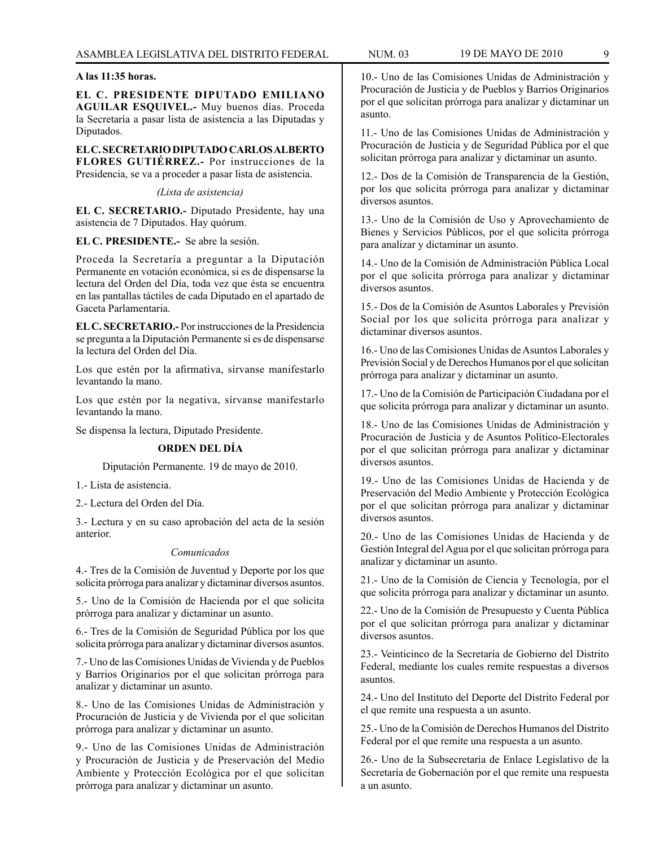#### **A las 11:35 horas.**

**EL C. PRESIDENTE DIPUTADO EMILIANO AGUILAR ESQUIVEL.-** Muy buenos días. Proceda la Secretaría a pasar lista de asistencia a las Diputadas y Diputados.

**EL C. SECRETARIO DIPUTADO CARLOS ALBERTO FLORES GUTIÉRREZ.-** Por instrucciones de la Presidencia, se va a proceder a pasar lista de asistencia.

*(Lista de asistencia)*

**EL C. SECRETARIO.-** Diputado Presidente, hay una asistencia de 7 Diputados. Hay quórum.

**EL C. PRESIDENTE.-** Se abre la sesión.

Proceda la Secretaría a preguntar a la Diputación Permanente en votación económica, si es de dispensarse la lectura del Orden del Día, toda vez que ésta se encuentra en las pantallas táctiles de cada Diputado en el apartado de Gaceta Parlamentaria.

**EL C. SECRETARIO.-** Por instrucciones de la Presidencia se pregunta a la Diputación Permanente si es de dispensarse la lectura del Orden del Día.

Los que estén por la afirmativa, sírvanse manifestarlo levantando la mano.

Los que estén por la negativa, sírvanse manifestarlo levantando la mano.

Se dispensa la lectura, Diputado Presidente.

### **ORDEN DEL DÍA**

Diputación Permanente. 19 de mayo de 2010.

1.- Lista de asistencia.

2.- Lectura del Orden del Día.

3.- Lectura y en su caso aprobación del acta de la sesión anterior.

#### *Comunicados*

4.- Tres de la Comisión de Juventud y Deporte por los que solicita prórroga para analizar y dictaminar diversos asuntos.

5.- Uno de la Comisión de Hacienda por el que solicita prórroga para analizar y dictaminar un asunto.

6.- Tres de la Comisión de Seguridad Pública por los que solicita prórroga para analizar y dictaminar diversos asuntos.

7.- Uno de las Comisiones Unidas de Vivienda y de Pueblos y Barrios Originarios por el que solicitan prórroga para analizar y dictaminar un asunto.

8.- Uno de las Comisiones Unidas de Administración y Procuración de Justicia y de Vivienda por el que solicitan prórroga para analizar y dictaminar un asunto.

9.- Uno de las Comisiones Unidas de Administración y Procuración de Justicia y de Preservación del Medio Ambiente y Protección Ecológica por el que solicitan prórroga para analizar y dictaminar un asunto.

10.- Uno de las Comisiones Unidas de Administración y Procuración de Justicia y de Pueblos y Barrios Originarios por el que solicitan prórroga para analizar y dictaminar un asunto.

11.- Uno de las Comisiones Unidas de Administración y Procuración de Justicia y de Seguridad Pública por el que solicitan prórroga para analizar y dictaminar un asunto.

12.- Dos de la Comisión de Transparencia de la Gestión, por los que solicita prórroga para analizar y dictaminar diversos asuntos.

13.- Uno de la Comisión de Uso y Aprovechamiento de Bienes y Servicios Públicos, por el que solicita prórroga para analizar y dictaminar un asunto.

14.- Uno de la Comisión de Administración Pública Local por el que solicita prórroga para analizar y dictaminar diversos asuntos.

15.- Dos de la Comisión de Asuntos Laborales y Previsión Social por los que solicita prórroga para analizar y dictaminar diversos asuntos.

16.- Uno de las Comisiones Unidas de Asuntos Laborales y Previsión Social y de Derechos Humanos por el que solicitan prórroga para analizar y dictaminar un asunto.

17.- Uno de la Comisión de Participación Ciudadana por el que solicita prórroga para analizar y dictaminar un asunto.

18.- Uno de las Comisiones Unidas de Administración y Procuración de Justicia y de Asuntos Político-Electorales por el que solicitan prórroga para analizar y dictaminar diversos asuntos.

19.- Uno de las Comisiones Unidas de Hacienda y de Preservación del Medio Ambiente y Protección Ecológica por el que solicitan prórroga para analizar y dictaminar diversos asuntos.

20.- Uno de las Comisiones Unidas de Hacienda y de Gestión Integral del Agua por el que solicitan prórroga para analizar y dictaminar un asunto.

21.- Uno de la Comisión de Ciencia y Tecnología, por el que solicita prórroga para analizar y dictaminar un asunto.

22.- Uno de la Comisión de Presupuesto y Cuenta Pública por el que solicitan prórroga para analizar y dictaminar diversos asuntos.

23.- Veinticinco de la Secretaría de Gobierno del Distrito Federal, mediante los cuales remite respuestas a diversos asuntos.

24.- Uno del Instituto del Deporte del Distrito Federal por el que remite una respuesta a un asunto.

25.- Uno de la Comisión de Derechos Humanos del Distrito Federal por el que remite una respuesta a un asunto.

26.- Uno de la Subsecretaría de Enlace Legislativo de la Secretaría de Gobernación por el que remite una respuesta a un asunto.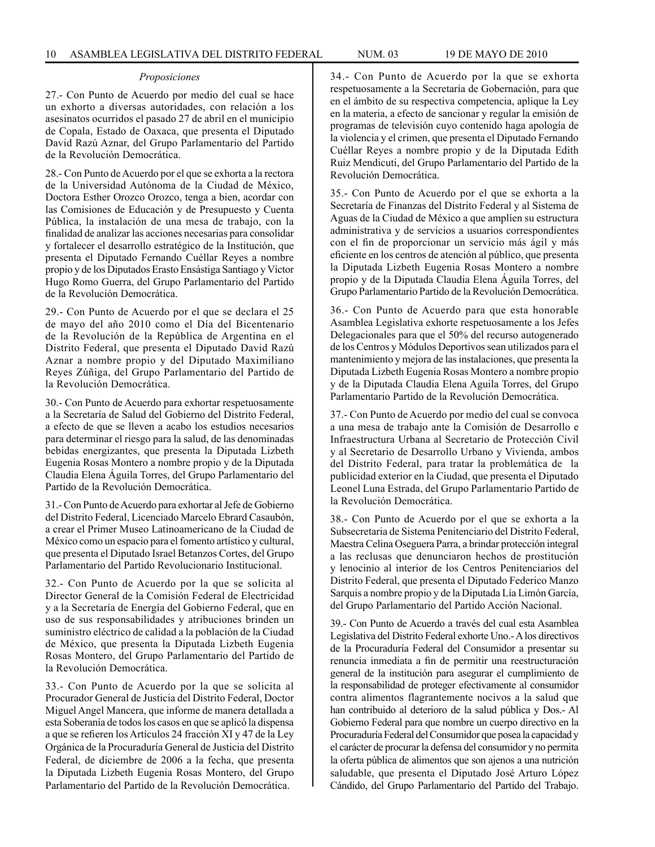#### *Proposiciones*

27.- Con Punto de Acuerdo por medio del cual se hace un exhorto a diversas autoridades, con relación a los asesinatos ocurridos el pasado 27 de abril en el municipio de Copala, Estado de Oaxaca, que presenta el Diputado David Razú Aznar, del Grupo Parlamentario del Partido de la Revolución Democrática.

28.- Con Punto de Acuerdo por el que se exhorta a la rectora de la Universidad Autónoma de la Ciudad de México, Doctora Esther Orozco Orozco, tenga a bien, acordar con las Comisiones de Educación y de Presupuesto y Cuenta Pública, la instalación de una mesa de trabajo, con la finalidad de analizar las acciones necesarias para consolidar y fortalecer el desarrollo estratégico de la Institución, que presenta el Diputado Fernando Cuéllar Reyes a nombre propio y de los Diputados Erasto Ensástiga Santiago y Víctor Hugo Romo Guerra, del Grupo Parlamentario del Partido de la Revolución Democrática.

29.- Con Punto de Acuerdo por el que se declara el 25 de mayo del año 2010 como el Día del Bicentenario de la Revolución de la República de Argentina en el Distrito Federal, que presenta el Diputado David Razú Aznar a nombre propio y del Diputado Maximiliano Reyes Zúñiga, del Grupo Parlamentario del Partido de la Revolución Democrática.

30.- Con Punto de Acuerdo para exhortar respetuosamente a la Secretaría de Salud del Gobierno del Distrito Federal, a efecto de que se lleven a acabo los estudios necesarios para determinar el riesgo para la salud, de las denominadas bebidas energizantes, que presenta la Diputada Lizbeth Eugenia Rosas Montero a nombre propio y de la Diputada Claudia Elena Águila Torres, del Grupo Parlamentario del Partido de la Revolución Democrática.

31.- Con Punto de Acuerdo para exhortar al Jefe de Gobierno del Distrito Federal, Licenciado Marcelo Ebrard Casaubón, a crear el Primer Museo Latinoamericano de la Ciudad de México como un espacio para el fomento artístico y cultural, que presenta el Diputado Israel Betanzos Cortes, del Grupo Parlamentario del Partido Revolucionario Institucional.

32.- Con Punto de Acuerdo por la que se solicita al Director General de la Comisión Federal de Electricidad y a la Secretaría de Energía del Gobierno Federal, que en uso de sus responsabilidades y atribuciones brinden un suministro eléctrico de calidad a la población de la Ciudad de México, que presenta la Diputada Lizbeth Eugenia Rosas Montero, del Grupo Parlamentario del Partido de la Revolución Democrática.

33.- Con Punto de Acuerdo por la que se solicita al Procurador General de Justicia del Distrito Federal, Doctor Miguel Angel Mancera, que informe de manera detallada a esta Soberanía de todos los casos en que se aplicó la dispensa a que se refieren los Artículos 24 fracción XI y 47 de la Ley Orgánica de la Procuraduría General de Justicia del Distrito Federal, de diciembre de 2006 a la fecha, que presenta la Diputada Lizbeth Eugenia Rosas Montero, del Grupo Parlamentario del Partido de la Revolución Democrática.

34.- Con Punto de Acuerdo por la que se exhorta respetuosamente a la Secretaría de Gobernación, para que en el ámbito de su respectiva competencia, aplique la Ley en la materia, a efecto de sancionar y regular la emisión de programas de televisión cuyo contenido haga apología de la violencia y el crimen, que presenta el Diputado Fernando Cuéllar Reyes a nombre propio y de la Diputada Edith Ruiz Mendicuti, del Grupo Parlamentario del Partido de la Revolución Democrática.

35.- Con Punto de Acuerdo por el que se exhorta a la Secretaría de Finanzas del Distrito Federal y al Sistema de Aguas de la Ciudad de México a que amplíen su estructura administrativa y de servicios a usuarios correspondientes con el fin de proporcionar un servicio más ágil y más eficiente en los centros de atención al público, que presenta la Diputada Lizbeth Eugenia Rosas Montero a nombre propio y de la Diputada Claudia Elena Águila Torres, del Grupo Parlamentario Partido de la Revolución Democrática.

36.- Con Punto de Acuerdo para que esta honorable Asamblea Legislativa exhorte respetuosamente a los Jefes Delegacionales para que el 50% del recurso autogenerado de los Centros y Módulos Deportivos sean utilizados para el mantenimiento y mejora de las instalaciones, que presenta la Diputada Lizbeth Eugenia Rosas Montero a nombre propio y de la Diputada Claudia Elena Aguila Torres, del Grupo Parlamentario Partido de la Revolución Democrática.

37.- Con Punto de Acuerdo por medio del cual se convoca a una mesa de trabajo ante la Comisión de Desarrollo e Infraestructura Urbana al Secretario de Protección Civil y al Secretario de Desarrollo Urbano y Vivienda, ambos del Distrito Federal, para tratar la problemática de la publicidad exterior en la Ciudad, que presenta el Diputado Leonel Luna Estrada, del Grupo Parlamentario Partido de la Revolución Democrática.

38.- Con Punto de Acuerdo por el que se exhorta a la Subsecretaria de Sistema Penitenciario del Distrito Federal, Maestra Celina Oseguera Parra, a brindar protección integral a las reclusas que denunciaron hechos de prostitución y lenocinio al interior de los Centros Penitenciarios del Distrito Federal, que presenta el Diputado Federico Manzo Sarquis a nombre propio y de la Diputada Lía Limón García, del Grupo Parlamentario del Partido Acción Nacional.

39.- Con Punto de Acuerdo a través del cual esta Asamblea Legislativa del Distrito Federal exhorte Uno.- A los directivos de la Procuraduría Federal del Consumidor a presentar su renuncia inmediata a fin de permitir una reestructuración general de la institución para asegurar el cumplimiento de la responsabilidad de proteger efectivamente al consumidor contra alimentos flagrantemente nocivos a la salud que han contribuido al deterioro de la salud pública y Dos.- Al Gobierno Federal para que nombre un cuerpo directivo en la Procuraduría Federal del Consumidor que posea la capacidad y el carácter de procurar la defensa del consumidor y no permita la oferta pública de alimentos que son ajenos a una nutrición saludable, que presenta el Diputado José Arturo López Cándido, del Grupo Parlamentario del Partido del Trabajo.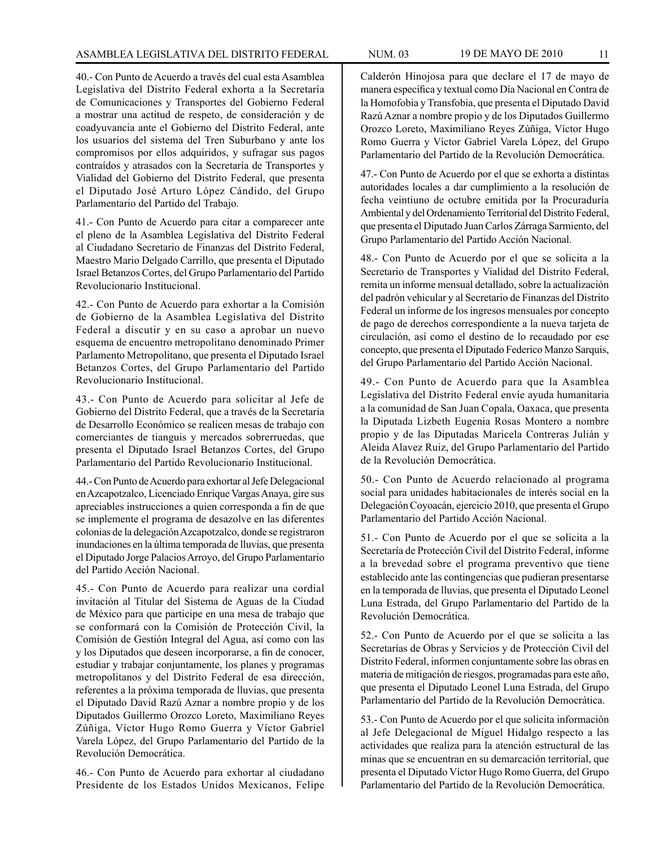40.- Con Punto de Acuerdo a través del cual esta Asamblea Legislativa del Distrito Federal exhorta a la Secretaría de Comunicaciones y Transportes del Gobierno Federal a mostrar una actitud de respeto, de consideración y de coadyuvancia ante el Gobierno del Distrito Federal, ante los usuarios del sistema del Tren Suburbano y ante los compromisos por ellos adquiridos, y sufragar sus pagos contraídos y atrasados con la Secretaría de Transportes y Vialidad del Gobierno del Distrito Federal, que presenta el Diputado José Arturo López Cándido, del Grupo Parlamentario del Partido del Trabajo.

41.- Con Punto de Acuerdo para citar a comparecer ante el pleno de la Asamblea Legislativa del Distrito Federal al Ciudadano Secretario de Finanzas del Distrito Federal, Maestro Mario Delgado Carrillo, que presenta el Diputado Israel Betanzos Cortes, del Grupo Parlamentario del Partido Revolucionario Institucional.

42.- Con Punto de Acuerdo para exhortar a la Comisión de Gobierno de la Asamblea Legislativa del Distrito Federal a discutir y en su caso a aprobar un nuevo esquema de encuentro metropolitano denominado Primer Parlamento Metropolitano, que presenta el Diputado Israel Betanzos Cortes, del Grupo Parlamentario del Partido Revolucionario Institucional.

43.- Con Punto de Acuerdo para solicitar al Jefe de Gobierno del Distrito Federal, que a través de la Secretaría de Desarrollo Económico se realicen mesas de trabajo con comerciantes de tianguis y mercados sobrerruedas, que presenta el Diputado Israel Betanzos Cortes, del Grupo Parlamentario del Partido Revolucionario Institucional.

44.- Con Punto de Acuerdo para exhortar al Jefe Delegacional en Azcapotzalco, Licenciado Enrique Vargas Anaya, gire sus apreciables instrucciones a quien corresponda a fin de que se implemente el programa de desazolve en las diferentes colonias de la delegación Azcapotzalco, donde se registraron inundaciones en la última temporada de lluvias, que presenta el Diputado Jorge Palacios Arroyo, del Grupo Parlamentario del Partido Acción Nacional.

45.- Con Punto de Acuerdo para realizar una cordial invitación al Titular del Sistema de Aguas de la Ciudad de México para que participe en una mesa de trabajo que se conformará con la Comisión de Protección Civil, la Comisión de Gestión Integral del Agua, así como con las y los Diputados que deseen incorporarse, a fin de conocer, estudiar y trabajar conjuntamente, los planes y programas metropolitanos y del Distrito Federal de esa dirección, referentes a la próxima temporada de lluvias, que presenta el Diputado David Razú Aznar a nombre propio y de los Diputados Guillermo Orozco Loreto, Maximiliano Reyes Zúñiga, Víctor Hugo Romo Guerra y Víctor Gabriel Varela López, del Grupo Parlamentario del Partido de la Revolución Democrática.

46.- Con Punto de Acuerdo para exhortar al ciudadano Presidente de los Estados Unidos Mexicanos, Felipe Calderón Hinojosa para que declare el 17 de mayo de manera específica y textual como Día Nacional en Contra de la Homofobia y Transfobia, que presenta el Diputado David Razú Aznar a nombre propio y de los Diputados Guillermo Orozco Loreto, Maximiliano Reyes Zúñiga, Víctor Hugo Romo Guerra y Víctor Gabriel Varela López, del Grupo Parlamentario del Partido de la Revolución Democrática.

47.- Con Punto de Acuerdo por el que se exhorta a distintas autoridades locales a dar cumplimiento a la resolución de fecha veintiuno de octubre emitida por la Procuraduría Ambiental y del Ordenamiento Territorial del Distrito Federal, que presenta el Diputado Juan Carlos Zárraga Sarmiento, del Grupo Parlamentario del Partido Acción Nacional.

48.- Con Punto de Acuerdo por el que se solicita a la Secretario de Transportes y Vialidad del Distrito Federal, remita un informe mensual detallado, sobre la actualización del padrón vehicular y al Secretario de Finanzas del Distrito Federal un informe de los ingresos mensuales por concepto de pago de derechos correspondiente a la nueva tarjeta de circulación, así como el destino de lo recaudado por ese concepto, que presenta el Diputado Federico Manzo Sarquis, del Grupo Parlamentario del Partido Acción Nacional.

49.- Con Punto de Acuerdo para que la Asamblea Legislativa del Distrito Federal envíe ayuda humanitaria a la comunidad de San Juan Copala, Oaxaca, que presenta la Diputada Lizbeth Eugenia Rosas Montero a nombre propio y de las Diputadas Maricela Contreras Julián y Aleida Alavez Ruiz, del Grupo Parlamentario del Partido de la Revolución Democrática.

50.- Con Punto de Acuerdo relacionado al programa social para unidades habitacionales de interés social en la Delegación Coyoacán, ejercicio 2010, que presenta el Grupo Parlamentario del Partido Acción Nacional.

51.- Con Punto de Acuerdo por el que se solicita a la Secretaría de Protección Civil del Distrito Federal, informe a la brevedad sobre el programa preventivo que tiene establecido ante las contingencias que pudieran presentarse en la temporada de lluvias, que presenta el Diputado Leonel Luna Estrada, del Grupo Parlamentario del Partido de la Revolución Democrática.

52.- Con Punto de Acuerdo por el que se solicita a las Secretarías de Obras y Servicios y de Protección Civil del Distrito Federal, informen conjuntamente sobre las obras en materia de mitigación de riesgos, programadas para este año, que presenta el Diputado Leonel Luna Estrada, del Grupo Parlamentario del Partido de la Revolución Democrática.

53.- Con Punto de Acuerdo por el que solicita información al Jefe Delegacional de Miguel Hidalgo respecto a las actividades que realiza para la atención estructural de las minas que se encuentran en su demarcación territorial, que presenta el Diputado Víctor Hugo Romo Guerra, del Grupo Parlamentario del Partido de la Revolución Democrática.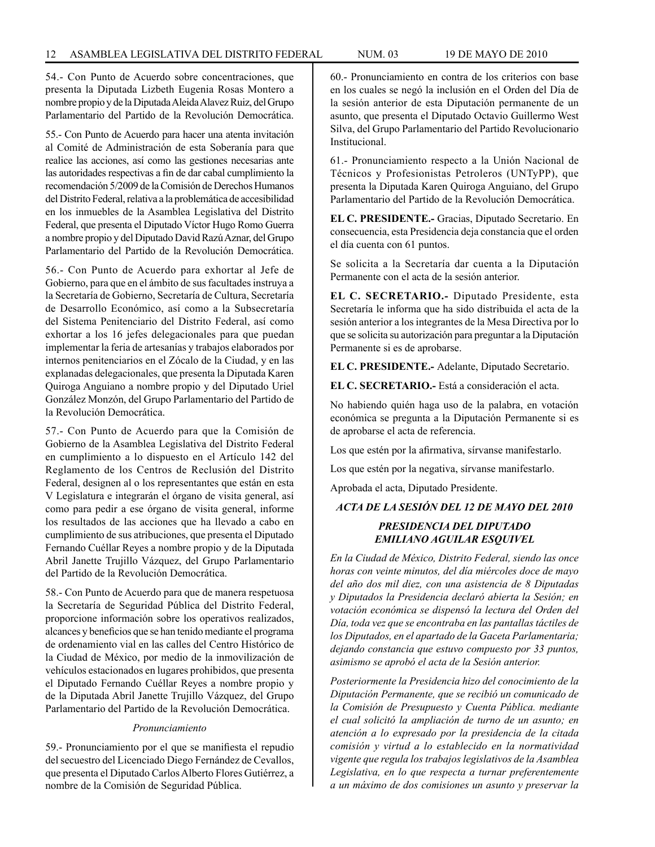54.- Con Punto de Acuerdo sobre concentraciones, que presenta la Diputada Lizbeth Eugenia Rosas Montero a nombre propio y de la Diputada Aleida Alavez Ruiz, del Grupo Parlamentario del Partido de la Revolución Democrática.

55.- Con Punto de Acuerdo para hacer una atenta invitación al Comité de Administración de esta Soberanía para que realice las acciones, así como las gestiones necesarias ante las autoridades respectivas a fin de dar cabal cumplimiento la recomendación 5/2009 de la Comisión de Derechos Humanos del Distrito Federal, relativa a la problemática de accesibilidad en los inmuebles de la Asamblea Legislativa del Distrito Federal, que presenta el Diputado Víctor Hugo Romo Guerra a nombre propio y del Diputado David Razú Aznar, del Grupo Parlamentario del Partido de la Revolución Democrática.

56.- Con Punto de Acuerdo para exhortar al Jefe de Gobierno, para que en el ámbito de sus facultades instruya a la Secretaría de Gobierno, Secretaría de Cultura, Secretaría de Desarrollo Económico, así como a la Subsecretaría del Sistema Penitenciario del Distrito Federal, así como exhortar a los 16 jefes delegacionales para que puedan implementar la feria de artesanías y trabajos elaborados por internos penitenciarios en el Zócalo de la Ciudad, y en las explanadas delegacionales, que presenta la Diputada Karen Quiroga Anguiano a nombre propio y del Diputado Uriel González Monzón, del Grupo Parlamentario del Partido de la Revolución Democrática.

57.- Con Punto de Acuerdo para que la Comisión de Gobierno de la Asamblea Legislativa del Distrito Federal en cumplimiento a lo dispuesto en el Artículo 142 del Reglamento de los Centros de Reclusión del Distrito Federal, designen al o los representantes que están en esta V Legislatura e integrarán el órgano de visita general, así como para pedir a ese órgano de visita general, informe los resultados de las acciones que ha llevado a cabo en cumplimiento de sus atribuciones, que presenta el Diputado Fernando Cuéllar Reyes a nombre propio y de la Diputada Abril Janette Trujillo Vázquez, del Grupo Parlamentario del Partido de la Revolución Democrática.

58.- Con Punto de Acuerdo para que de manera respetuosa la Secretaría de Seguridad Pública del Distrito Federal, proporcione información sobre los operativos realizados, alcances y beneficios que se han tenido mediante el programa de ordenamiento vial en las calles del Centro Histórico de la Ciudad de México, por medio de la inmovilización de vehículos estacionados en lugares prohibidos, que presenta el Diputado Fernando Cuéllar Reyes a nombre propio y de la Diputada Abril Janette Trujillo Vázquez, del Grupo Parlamentario del Partido de la Revolución Democrática.

### *Pronunciamiento*

59.- Pronunciamiento por el que se manifiesta el repudio del secuestro del Licenciado Diego Fernández de Cevallos, que presenta el Diputado Carlos Alberto Flores Gutiérrez, a nombre de la Comisión de Seguridad Pública.

60.- Pronunciamiento en contra de los criterios con base en los cuales se negó la inclusión en el Orden del Día de la sesión anterior de esta Diputación permanente de un asunto, que presenta el Diputado Octavio Guillermo West Silva, del Grupo Parlamentario del Partido Revolucionario Institucional.

61.- Pronunciamiento respecto a la Unión Nacional de Técnicos y Profesionistas Petroleros (UNTyPP), que presenta la Diputada Karen Quiroga Anguiano, del Grupo Parlamentario del Partido de la Revolución Democrática.

**EL C. PRESIDENTE.-** Gracias, Diputado Secretario. En consecuencia, esta Presidencia deja constancia que el orden el día cuenta con 61 puntos.

Se solicita a la Secretaría dar cuenta a la Diputación Permanente con el acta de la sesión anterior.

**EL C. SECRETARIO.-** Diputado Presidente, esta Secretaría le informa que ha sido distribuida el acta de la sesión anterior a los integrantes de la Mesa Directiva por lo que se solicita su autorización para preguntar a la Diputación Permanente si es de aprobarse.

**EL C. PRESIDENTE.-** Adelante, Diputado Secretario.

**EL C. SECRETARIO.-** Está a consideración el acta.

No habiendo quién haga uso de la palabra, en votación económica se pregunta a la Diputación Permanente si es de aprobarse el acta de referencia.

Los que estén por la afirmativa, sírvanse manifestarlo.

Los que estén por la negativa, sírvanse manifestarlo.

Aprobada el acta, Diputado Presidente.

### *ACTA DE LA SESIÓN DEL 12 DE MAYO DEL 2010 PRESIDENCIA DEL DIPUTADO EMILIANO AGUILAR ESQUIVEL*

*En la Ciudad de México, Distrito Federal, siendo las once horas con veinte minutos, del día miércoles doce de mayo del año dos mil diez, con una asistencia de 8 Diputadas y Diputados la Presidencia declaró abierta la Sesión; en votación económica se dispensó la lectura del Orden del Día, toda vez que se encontraba en las pantallas táctiles de los Diputados, en el apartado de la Gaceta Parlamentaria; dejando constancia que estuvo compuesto por 33 puntos, asimismo se aprobó el acta de la Sesión anterior.*

*Posteriormente la Presidencia hizo del conocimiento de la Diputación Permanente, que se recibió un comunicado de la Comisión de Presupuesto y Cuenta Pública. mediante el cual solicitó la ampliación de turno de un asunto; en atención a lo expresado por la presidencia de la citada comisión y virtud a lo establecido en la normatividad vigente que regula los trabajos legislativos de la Asamblea Legislativa, en lo que respecta a turnar preferentemente a un máximo de dos comisiones un asunto y preservar la*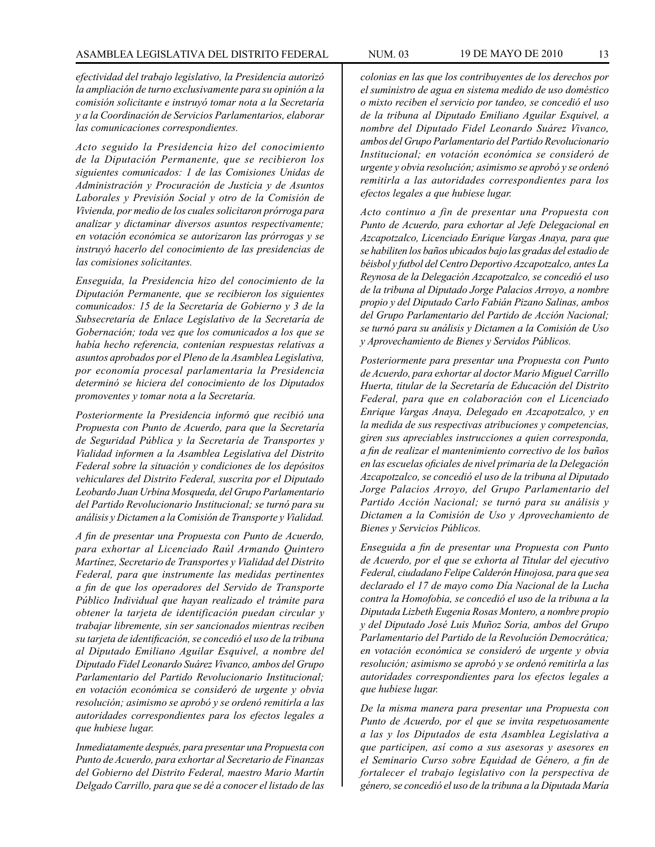*efectividad del trabajo legislativo, la Presidencia autorizó la ampliación de turno exclusivamente para su opinión a la comisión solicitante e instruyó tomar nota a la Secretaría y a la Coordinación de Servicios Parlamentarios, elaborar las comunicaciones correspondientes.*

*Acto seguido la Presidencia hizo del conocimiento de la Diputación Permanente, que se recibieron los siguientes comunicados: 1 de las Comisiones Unidas de Administración y Procuración de Justicia y de Asuntos Laborales y Previsión Social y otro de la Comisión de Vivienda, por medio de los cuales solicitaron prórroga para analizar y dictaminar diversos asuntos respectivamente; en votación económica se autorizaron las prórrogas y se instruyó hacerlo del conocimiento de las presidencias de las comisiones solicitantes.*

*Enseguida, la Presidencia hizo del conocimiento de la Diputación Permanente, que se recibieron los siguientes comunicados: 15 de la Secretaría de Gobierno y 3 de la Subsecretaría de Enlace Legislativo de la Secretaría de Gobernación; toda vez que los comunicados a los que se había hecho referencia, contenían respuestas relativas a asuntos aprobados por el Pleno de la Asamblea Legislativa, por economía procesal parlamentaria la Presidencia determinó se hiciera del conocimiento de los Diputados promoventes y tomar nota a la Secretaría.*

*Posteriormente la Presidencia informó que recibió una Propuesta con Punto de Acuerdo, para que la Secretaría de Seguridad Pública y la Secretaría de Transportes y Vialidad informen a la Asamblea Legislativa del Distrito Federal sobre la situación y condiciones de los depósitos vehiculares del Distrito Federal, suscrita por el Diputado Leobardo Juan Urbina Mosqueda, del Grupo Parlamentario del Partido Revolucionario Institucional; se turnó para su análisis y Dictamen a la Comisión de Transporte y Vialidad.*

*A fin de presentar una Propuesta con Punto de Acuerdo, para exhortar al Licenciado Raúl Armando Quintero Martínez, Secretario de Transportes y Vialidad del Distrito Federal, para que instrumente las medidas pertinentes a fin de que los operadores del Servido de Transporte Público Individual que hayan realizado el trámite para obtener la tarjeta de identificación puedan circular y trabajar libremente, sin ser sancionados mientras reciben su tarjeta de identificación, se concedió el uso de la tribuna al Diputado Emiliano Aguilar Esquivel, a nombre del Diputado Fidel Leonardo Suárez Vivanco, ambos del Grupo Parlamentario del Partido Revolucionario Institucional; en votación económica se consideró de urgente y obvia resolución; asimismo se aprobó y se ordenó remitirla a las autoridades correspondientes para los efectos legales a que hubiese lugar.*

*Inmediatamente después, para presentar una Propuesta con Punto de Acuerdo, para exhortar al Secretario de Finanzas del Gobierno del Distrito Federal, maestro Mario Martín Delgado Carrillo, para que se dé a conocer el listado de las* 

*colonias en las que los contribuyentes de los derechos por el suministro de agua en sistema medido de uso doméstico o mixto reciben el servicio por tandeo, se concedió el uso de la tribuna al Diputado Emiliano Aguilar Esquivel, a nombre del Diputado Fidel Leonardo Suárez Vivanco, ambos del Grupo Parlamentario del Partido Revolucionario Institucional; en votación económica se consideró de urgente y obvia resolución; asimismo se aprobó y se ordenó remitirla a las autoridades correspondientes para los efectos legales a que hubiese lugar.*

*Acto continuo a fin de presentar una Propuesta con Punto de Acuerdo, para exhortar al Jefe Delegacional en Azcapotzalco, Licenciado Enrique Vargas Anaya, para que se habiliten los baños ubicados bajo las gradas del estadio de béisbol y futbol del Centro Deportivo Azcapotzalco, antes La Reynosa de la Delegación Azcapotzalco, se concedió el uso de la tribuna al Diputado Jorge Palacios Arroyo, a nombre propio y del Diputado Carlo Fabián Pizano Salinas, ambos del Grupo Parlamentario del Partido de Acción Nacional; se turnó para su análisis y Dictamen a la Comisión de Uso y Aprovechamiento de Bienes y Servidos Públicos.*

*Posteriormente para presentar una Propuesta con Punto de Acuerdo, para exhortar al doctor Mario Miguel Carrillo Huerta, titular de la Secretaría de Educación del Distrito Federal, para que en colaboración con el Licenciado Enrique Vargas Anaya, Delegado en Azcapotzalco, y en la medida de sus respectivas atribuciones y competencias, giren sus apreciables instrucciones a quien corresponda, a fin de realizar el mantenimiento correctivo de los baños en las escuelas oficiales de nivel primaria de la Delegación Azcapotzalco, se concedió el uso de la tribuna al Diputado Jorge Palacios Arroyo, del Grupo Parlamentario del Partido Acción Nacional; se turnó para su análisis y Dictamen a la Comisión de Uso y Aprovechamiento de Bienes y Servicios Públicos.* 

*Enseguida a fin de presentar una Propuesta con Punto de Acuerdo, por el que se exhorta al Titular del ejecutivo Federal, ciudadano Felipe Calderón Hinojosa, para que sea declarado el 17 de mayo como Día Nacional de la Lucha contra la Homofobia, se concedió el uso de la tribuna a la Diputada Lizbeth Eugenia Rosas Montero, a nombre propio y del Diputado José Luis Muñoz Soria, ambos del Grupo Parlamentario del Partido de la Revolución Democrática; en votación económica se consideró de urgente y obvia resolución; asimismo se aprobó y se ordenó remitirla a las autoridades correspondientes para los efectos legales a que hubiese lugar.*

*De la misma manera para presentar una Propuesta con Punto de Acuerdo, por el que se invita respetuosamente a las y los Diputados de esta Asamblea Legislativa a que participen, así como a sus asesoras y asesores en el Seminario Curso sobre Equidad de Género, a fin de fortalecer el trabajo legislativo con la perspectiva de género, se concedió el uso de la tribuna a la Diputada María*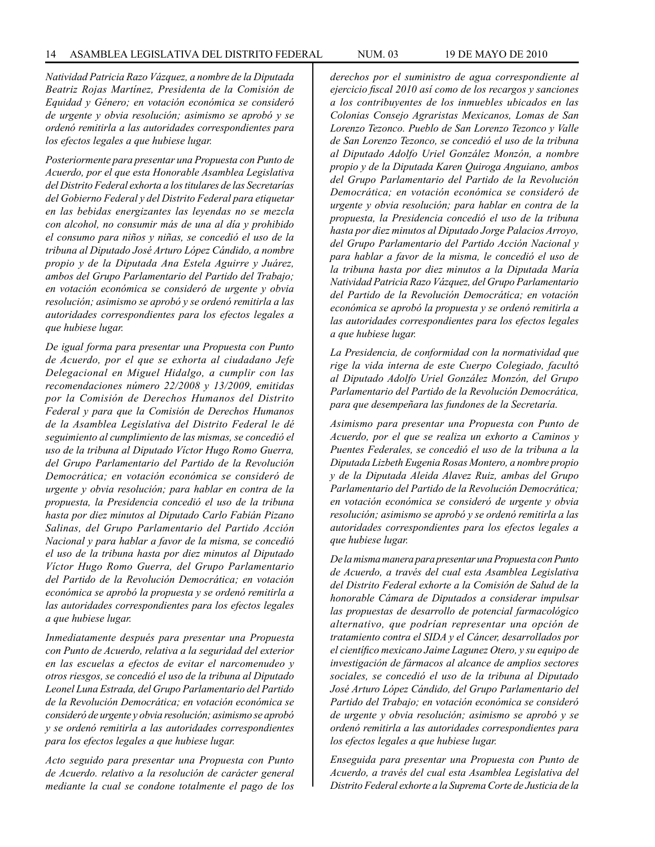*Natividad Patricia Razo Vázquez, a nombre de la Diputada Beatriz Rojas Martínez, Presidenta de la Comisión de Equidad y Género; en votación económica se consideró de urgente y obvia resolución; asimismo se aprobó y se ordenó remitirla a las autoridades correspondientes para los efectos legales a que hubiese lugar.*

*Posteriormente para presentar una Propuesta con Punto de Acuerdo, por el que esta Honorable Asamblea Legislativa del Distrito Federal exhorta a los titulares de las Secretarías del Gobierno Federal y del Distrito Federal para etiquetar en las bebidas energizantes las leyendas no se mezcla con alcohol, no consumir más de una al día y prohibido el consumo para niños y niñas, se concedió el uso de la tribuna al Diputado José Arturo López Cándido, a nombre propio y de la Diputada Ana Estela Aguirre y Juárez, ambos del Grupo Parlamentario del Partido del Trabajo; en votación económica se consideró de urgente y obvia resolución; asimismo se aprobó y se ordenó remitirla a las autoridades correspondientes para los efectos legales a que hubiese lugar.*

*De igual forma para presentar una Propuesta con Punto de Acuerdo, por el que se exhorta al ciudadano Jefe Delegacional en Miguel Hidalgo, a cumplir con las recomendaciones número 22/2008 y 13/2009, emitidas por la Comisión de Derechos Humanos del Distrito Federal y para que la Comisión de Derechos Humanos de la Asamblea Legislativa del Distrito Federal le dé seguimiento al cumplimiento de las mismas, se concedió el uso de la tribuna al Diputado Víctor Hugo Romo Guerra, del Grupo Parlamentario del Partido de la Revolución Democrática; en votación económica se consideró de urgente y obvia resolución; para hablar en contra de la propuesta, la Presidencia concedió el uso de la tribuna hasta por diez minutos al Diputado Carlo Fabián Pizano Salinas, del Grupo Parlamentario del Partido Acción Nacional y para hablar a favor de la misma, se concedió el uso de la tribuna hasta por diez minutos al Diputado Víctor Hugo Romo Guerra, del Grupo Parlamentario del Partido de la Revolución Democrática; en votación económica se aprobó la propuesta y se ordenó remitirla a las autoridades correspondientes para los efectos legales a que hubiese lugar.*

*Inmediatamente después para presentar una Propuesta con Punto de Acuerdo, relativa a la seguridad del exterior en las escuelas a efectos de evitar el narcomenudeo y otros riesgos, se concedió el uso de la tribuna al Diputado Leonel Luna Estrada, del Grupo Parlamentario del Partido de la Revolución Democrática; en votación económica se consideró de urgente y obvia resolución; asimismo se aprobó y se ordenó remitirla a las autoridades correspondientes para los efectos legales a que hubiese lugar.*

*Acto seguido para presentar una Propuesta con Punto de Acuerdo. relativo a la resolución de carácter general mediante la cual se condone totalmente el pago de los* 

*derechos por el suministro de agua correspondiente al ejercicio fiscal 2010 así como de los recargos y sanciones a los contribuyentes de los inmuebles ubicados en las Colonias Consejo Agraristas Mexicanos, Lomas de San Lorenzo Tezonco. Pueblo de San Lorenzo Tezonco y Valle de San Lorenzo Tezonco, se concedió el uso de la tribuna al Diputado Adolfo Uriel González Monzón, a nombre propio y de la Diputada Karen Quiroga Anguiano, ambos del Grupo Parlamentario del Partido de la Revolución Democrática; en votación económica se consideró de urgente y obvia resolución; para hablar en contra de la propuesta, la Presidencia concedió el uso de la tribuna hasta por diez minutos al Diputado Jorge Palacios Arroyo, del Grupo Parlamentario del Partido Acción Nacional y para hablar a favor de la misma, le concedió el uso de la tribuna hasta por diez minutos a la Diputada María Natividad Patricia Razo Vázquez, del Grupo Parlamentario del Partido de la Revolución Democrática; en votación económica se aprobó la propuesta y se ordenó remitirla a las autoridades correspondientes para los efectos legales a que hubiese lugar.*

*La Presidencia, de conformidad con la normatividad que rige la vida interna de este Cuerpo Colegiado, facultó al Diputado Adolfo Uriel González Monzón, del Grupo Parlamentario del Partido de la Revolución Democrática, para que desempeñara las fundones de la Secretaría.*

*Asimismo para presentar una Propuesta con Punto de Acuerdo, por el que se realiza un exhorto a Caminos y Puentes Federales, se concedió el uso de la tribuna a la Diputada Lizbeth Eugenia Rosas Montero, a nombre propio y de la Diputada Aleida Alavez Ruiz, ambas del Grupo Parlamentario del Partido de la Revolución Democrática; en votación económica se consideró de urgente y obvia resolución; asimismo se aprobó y se ordenó remitirla a las autoridades correspondientes para los efectos legales a que hubiese lugar.*

*De la misma manera para presentar una Propuesta con Punto de Acuerdo, a través del cual esta Asamblea Legislativa del Distrito Federal exhorte a la Comisión de Salud de la honorable Cámara de Diputados a considerar impulsar las propuestas de desarrollo de potencial farmacológico alternativo, que podrían representar una opción de tratamiento contra el SIDA y el Cáncer, desarrollados por el científico mexicano Jaime Lagunez Otero, y su equipo de investigación de fármacos al alcance de amplios sectores sociales, se concedió el uso de la tribuna al Diputado José Arturo López Cándido, del Grupo Parlamentario del Partido del Trabajo; en votación económica se consideró de urgente y obvia resolución; asimismo se aprobó y se ordenó remitirla a las autoridades correspondientes para los efectos legales a que hubiese lugar.*

*Enseguida para presentar una Propuesta con Punto de Acuerdo, a través del cual esta Asamblea Legislativa del Distrito Federal exhorte a la Suprema Corte de Justicia de la*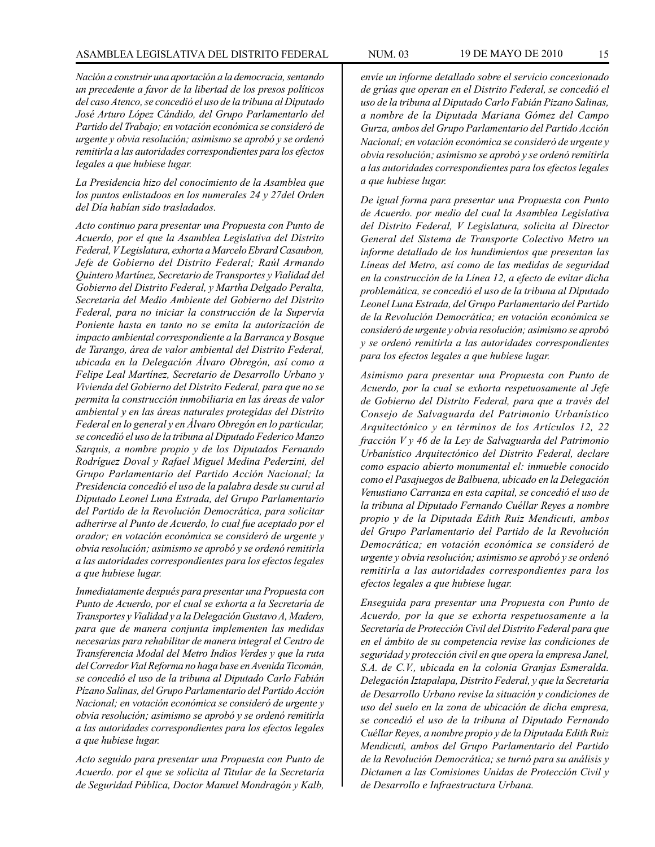*Nación a construir una aportación a la democracia, sentando un precedente a favor de la libertad de los presos políticos del caso Atenco, se concedió el uso de la tribuna al Diputado José Arturo López Cándido, del Grupo Parlamentarlo del Partido del Trabajo; en votación económica se consideró de urgente y obvia resolución; asimismo se aprobó y se ordenó remitirla a las autoridades correspondientes para los efectos legales a que hubiese lugar.*

*La Presidencia hizo del conocimiento de la Asamblea que los puntos enlistadoos en los numerales 24 y 27del Orden del Día habían sido trasladados.*

*Acto continuo para presentar una Propuesta con Punto de Acuerdo, por el que la Asamblea Legislativa del Distrito Federal, V Legislatura, exhorta a Marcelo Ebrard Casaubon, Jefe de Gobierno del Distrito Federal; Raúl Armando Quintero Martínez, Secretario de Transportes y Vialidad del Gobierno del Distrito Federal, y Martha Delgado Peralta, Secretaria del Medio Ambiente del Gobierno del Distrito Federal, para no iniciar la construcción de la Supervía Poniente hasta en tanto no se emita la autorización de impacto ambiental correspondiente a la Barranca y Bosque de Tarango, área de valor ambiental del Distrito Federal, ubicada en la Delegación Álvaro Obregón, así como a Felipe Leal Martínez, Secretario de Desarrollo Urbano y Vivienda del Gobierno del Distrito Federal, para que no se permita la construcción inmobiliaria en las áreas de valor ambiental y en las áreas naturales protegidas del Distrito Federal en lo general y en Álvaro Obregón en lo particular, se concedió el uso de la tribuna al Diputado Federico Manzo Sarquis, a nombre propio y de los Diputados Fernando Rodríguez Doval y Rafael Miguel Medina Pederzini, del Grupo Parlamentario del Partido Acción Nacional; la Presidencia concedió el uso de la palabra desde su curul al Diputado Leonel Luna Estrada, del Grupo Parlamentario del Partido de la Revolución Democrática, para solicitar adherirse al Punto de Acuerdo, lo cual fue aceptado por el orador; en votación económica se consideró de urgente y obvia resolución; asimismo se aprobó y se ordenó remitirla a las autoridades correspondientes para los efectos legales a que hubiese lugar.*

*Inmediatamente después para presentar una Propuesta con Punto de Acuerdo, por el cual se exhorta a la Secretaría de Transportes y Vialidad y a la Delegación Gustavo A, Madero, para que de manera conjunta implementen las medidas necesarias para rehabilitar de manera integral el Centro de Transferencia Modal del Metro Indios Verdes y que la ruta del Corredor Vial Reforma no haga base en Avenida Ticomán, se concedió el uso de la tribuna al Diputado Carlo Fabián Pízano Salinas, del Grupo Parlamentario del Partido Acción Nacional; en votación económica se consideró de urgente y obvia resolución; asimismo se aprobó y se ordenó remitirla a las autoridades correspondientes para los efectos legales a que hubiese lugar.*

*Acto seguido para presentar una Propuesta con Punto de Acuerdo. por el que se solicita al Titular de la Secretaría de Seguridad Pública, Doctor Manuel Mondragón y Kalb,*  *envíe un informe detallado sobre el servicio concesionado de grúas que operan en el Distrito Federal, se concedió el uso de la tribuna al Diputado Carlo Fabián Pizano Salinas, a nombre de la Diputada Mariana Gómez del Campo Gurza, ambos del Grupo Parlamentario del Partido Acción Nacional; en votación económica se consideró de urgente y obvia resolución; asimismo se aprobó y se ordenó remitirla a las autoridades correspondientes para los efectos legales a que hubiese lugar.*

*De igual forma para presentar una Propuesta con Punto de Acuerdo. por medio del cual la Asamblea Legislativa del Distrito Federal, V Legislatura, solicita al Director General del Sistema de Transporte Colectivo Metro un informe detallado de los hundimientos que presentan las Líneas del Metro, así como de las medidas de seguridad en la construcción de la Línea 12, a efecto de evitar dicha problemática, se concedió el uso de la tribuna al Diputado Leonel Luna Estrada, del Grupo Parlamentario del Partido de la Revolución Democrática; en votación económica se consideró de urgente y obvia resolución; asimismo se aprobó y se ordenó remitirla a las autoridades correspondientes para los efectos legales a que hubiese lugar.*

*Asimismo para presentar una Propuesta con Punto de Acuerdo, por la cual se exhorta respetuosamente al Jefe de Gobierno del Distrito Federal, para que a través del Consejo de Salvaguarda del Patrimonio Urbanístico Arquitectónico y en términos de los Artículos 12, 22 fracción V y 46 de la Ley de Salvaguarda del Patrimonio Urbanístico Arquitectónico del Distrito Federal, declare como espacio abierto monumental el: inmueble conocido como el Pasajuegos de Balbuena, ubicado en la Delegación Venustiano Carranza en esta capital, se concedió el uso de la tribuna al Diputado Fernando Cuéllar Reyes a nombre propio y de la Diputada Edith Ruiz Mendicuti, ambos del Grupo Parlamentario del Partido de la Revolución Democrática; en votación económica se consideró de urgente y obvia resolución; asimismo se aprobó y se ordenó remitirla a las autoridades correspondientes para los efectos legales a que hubiese lugar.*

*Enseguida para presentar una Propuesta con Punto de Acuerdo, por la que se exhorta respetuosamente a la Secretaría de Protección Civil del Distrito Federal para que en el ámbito de su competencia revise las condiciones de seguridad y protección civil en que opera la empresa Janel, S.A. de C.V., ubicada en la colonia Granjas Esmeralda. Delegación Iztapalapa, Distrito Federal, y que la Secretaría de Desarrollo Urbano revise la situación y condiciones de uso del suelo en la zona de ubicación de dicha empresa, se concedió el uso de la tribuna al Diputado Fernando Cuéllar Reyes, a nombre propio y de la Diputada Edith Ruiz Mendicuti, ambos del Grupo Parlamentario del Partido de la Revolución Democrática; se turnó para su análisis y Dictamen a las Comisiones Unidas de Protección Civil y de Desarrollo e Infraestructura Urbana.*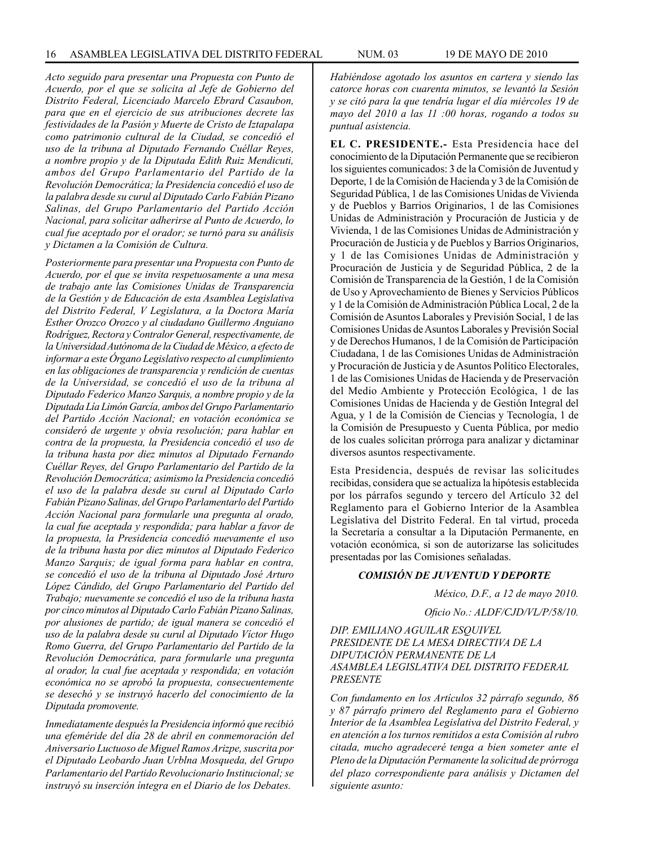*Acto seguido para presentar una Propuesta con Punto de Acuerdo, por el que se solicita al Jefe de Gobierno del Distrito Federal, Licenciado Marcelo Ebrard Casaubon, para que en el ejercicio de sus atribuciones decrete las festividades de la Pasión y Muerte de Cristo de Iztapalapa como patrimonio cultural de la Ciudad, se concedió el uso de la tribuna al Diputado Fernando Cuéllar Reyes, a nombre propio y de la Diputada Edith Ruiz Mendicuti, ambos del Grupo Parlamentario del Partido de la Revolución Democrática; la Presidencia concedió el uso de la palabra desde su curul al Diputado Carlo Fabián Pizano Salinas, del Grupo Parlamentario del Partido Acción Nacional, para solicitar adherirse al Punto de Acuerdo, lo cual fue aceptado por el orador; se turnó para su análisis y Dictamen a la Comisión de Cultura.*

*Posteriormente para presentar una Propuesta con Punto de Acuerdo, por el que se invita respetuosamente a una mesa de trabajo ante las Comisiones Unidas de Transparencia de la Gestión y de Educación de esta Asamblea Legislativa del Distrito Federal, V Legislatura, a la Doctora María Esther Orozco Orozco y al ciudadano Guillermo Anguiano Rodríguez, Rectora y Contralor General, respectivamente, de la Universidad Autónoma de la Ciudad de México, a efecto de informar a este Órgano Legislativo respecto al cumplimiento en las obligaciones de transparencia y rendición de cuentas de la Universidad, se concedió el uso de la tribuna al Diputado Federico Manzo Sarquis, a nombre propio y de la Diputada Lía Limón García, ambos del Grupo Parlamentario del Partido Acción Nacional; en votación económica se consideró de urgente y obvia resolución; para hablar en contra de la propuesta, la Presidencia concedió el uso de la tribuna hasta por diez minutos al Diputado Fernando Cuéllar Reyes, del Grupo Parlamentario del Partido de la Revolución Democrática; asimismo la Presidencia concedió el uso de la palabra desde su curul al Diputado Carlo Fabián Pizano Salinas, del Grupo Parlamentarlo del Partido Acción Nacional para formularle una pregunta al orado, la cual fue aceptada y respondida; para hablar a favor de la propuesta, la Presidencia concedió nuevamente el uso de la tribuna hasta por diez minutos al Diputado Federico Manzo Sarquis; de igual forma para hablar en contra, se concedió el uso de la tribuna al Diputado José Arturo López Cándido, del Grupo Parlamentario del Partido del Trabajo; nuevamente se concedió el uso de la tribuna hasta por cinco minutos al Diputado Carlo Fabián Pizano Salinas, por alusiones de partido; de igual manera se concedió el uso de la palabra desde su curul al Diputado Víctor Hugo Romo Guerra, del Grupo Parlamentario del Partido de la Revolución Democrática, para formularle una pregunta al orador, la cual fue aceptada y respondida; en votación económica no se aprobó la propuesta, consecuentemente se desechó y se instruyó hacerlo del conocimiento de la Diputada promovente.*

*Inmediatamente después la Presidencia informó que recibió una efeméride del día 28 de abril en conmemoración del Aniversario Luctuoso de Miguel Ramos Arizpe, suscrita por el Diputado Leobardo Juan Urblna Mosqueda, del Grupo Parlamentario del Partido Revolucionario Institucional; se instruyó su inserción íntegra en el Diario de los Debates.* 

*Habiéndose agotado los asuntos en cartera y siendo las catorce horas con cuarenta minutos, se levantó la Sesión y se citó para la que tendría lugar el día miércoles 19 de mayo del 2010 a las 11 :00 horas, rogando a todos su puntual asistencia.*

**EL C. PRESIDENTE.-** Esta Presidencia hace del conocimiento de la Diputación Permanente que se recibieron los siguientes comunicados: 3 de la Comisión de Juventud y Deporte, 1 de la Comisión de Hacienda y 3 de la Comisión de Seguridad Pública, 1 de las Comisiones Unidas de Vivienda y de Pueblos y Barrios Originarios, 1 de las Comisiones Unidas de Administración y Procuración de Justicia y de Vivienda, 1 de las Comisiones Unidas de Administración y Procuración de Justicia y de Pueblos y Barrios Originarios, y 1 de las Comisiones Unidas de Administración y Procuración de Justicia y de Seguridad Pública, 2 de la Comisión de Transparencia de la Gestión, 1 de la Comisión de Uso y Aprovechamiento de Bienes y Servicios Públicos y 1 de la Comisión de Administración Pública Local, 2 de la Comisión de Asuntos Laborales y Previsión Social, 1 de las Comisiones Unidas de Asuntos Laborales y Previsión Social y de Derechos Humanos, 1 de la Comisión de Participación Ciudadana, 1 de las Comisiones Unidas de Administración y Procuración de Justicia y de Asuntos Político Electorales, 1 de las Comisiones Unidas de Hacienda y de Preservación del Medio Ambiente y Protección Ecológica, 1 de las Comisiones Unidas de Hacienda y de Gestión Integral del Agua, y 1 de la Comisión de Ciencias y Tecnología, 1 de la Comisión de Presupuesto y Cuenta Pública, por medio de los cuales solicitan prórroga para analizar y dictaminar diversos asuntos respectivamente.

Esta Presidencia, después de revisar las solicitudes recibidas, considera que se actualiza la hipótesis establecida por los párrafos segundo y tercero del Artículo 32 del Reglamento para el Gobierno Interior de la Asamblea Legislativa del Distrito Federal. En tal virtud, proceda la Secretaría a consultar a la Diputación Permanente, en votación económica, si son de autorizarse las solicitudes presentadas por las Comisiones señaladas.

#### *COMISIÓN DE JUVENTUD Y DEPORTE*

*México, D.F., a 12 de mayo 2010.*

*Oficio No.: ALDF/CJD/VL/P/58/10.*

#### *DIP. EMILIANO AGUILAR ESQUIVEL PRESIDENTE DE LA MESA DIRECTIVA DE LA DIPUTACIÓN PERMANENTE DE LA ASAMBLEA LEGISLATIVA DEL DISTRITO FEDERAL PRESENTE*

*Con fundamento en los Artículos 32 párrafo segundo, 86 y 87 párrafo primero del Reglamento para el Gobierno Interior de la Asamblea Legislativa del Distrito Federal, y en atención a los turnos remitidos a esta Comisión al rubro citada, mucho agradeceré tenga a bien someter ante el Pleno de la Diputación Permanente la solicitud de prórroga del plazo correspondiente para análisis y Dictamen del siguiente asunto:*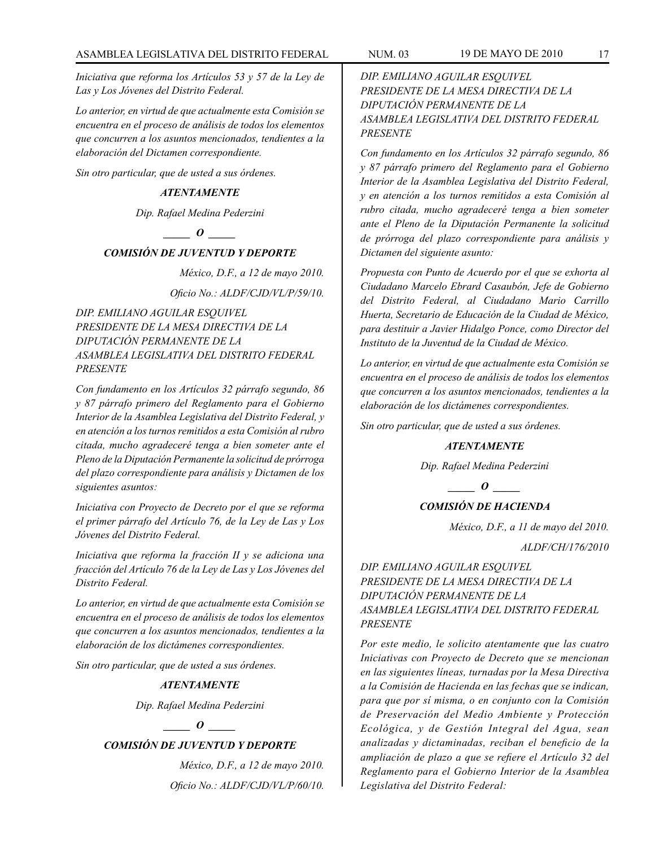*Iniciativa que reforma los Artículos 53 y 57 de la Ley de Las y Los Jóvenes del Distrito Federal.*

*Lo anterior, en virtud de que actualmente esta Comisión se encuentra en el proceso de análisis de todos los elementos que concurren a los asuntos mencionados, tendientes a la elaboración del Dictamen correspondiente.* 

*Sin otro particular, que de usted a sus órdenes.*

#### *ATENTAMENTE*

*Dip. Rafael Medina Pederzini*

### *\_\_\_\_\_ O \_\_\_\_\_*

### *COMISIÓN DE JUVENTUD Y DEPORTE*

*México, D.F., a 12 de mayo 2010. Oficio No.: ALDF/CJD/VL/P/59/10.*

*DIP. EMILIANO AGUILAR ESQUIVEL PRESIDENTE DE LA MESA DIRECTIVA DE LA DIPUTACIÓN PERMANENTE DE LA ASAMBLEA LEGISLATIVA DEL DISTRITO FEDERAL PRESENTE*

*Con fundamento en los Artículos 32 párrafo segundo, 86 y 87 párrafo primero del Reglamento para el Gobierno Interior de la Asamblea Legislativa del Distrito Federal, y en atención a los turnos remitidos a esta Comisión al rubro citada, mucho agradeceré tenga a bien someter ante el Pleno de la Diputación Permanente la solicitud de prórroga del plazo correspondiente para análisis y Dictamen de los siguientes asuntos:*

*Iniciativa con Proyecto de Decreto por el que se reforma el primer párrafo del Artículo 76, de la Ley de Las y Los Jóvenes del Distrito Federal.*

*Iniciativa que reforma la fracción II y se adiciona una fracción del Artículo 76 de la Ley de Las y Los Jóvenes del Distrito Federal.*

*Lo anterior, en virtud de que actualmente esta Comisión se encuentra en el proceso de análisis de todos los elementos que concurren a los asuntos mencionados, tendientes a la elaboración de los dictámenes correspondientes.*

*Sin otro particular, que de usted a sus órdenes.*

#### *ATENTAMENTE*

*Dip. Rafael Medina Pederzini*

#### *\_\_\_\_\_ O \_\_\_\_\_*

### *COMISIÓN DE JUVENTUD Y DEPORTE*

*México, D.F., a 12 de mayo 2010. Oficio No.: ALDF/CJD/VL/P/60/10.* 

### *DIP. EMILIANO AGUILAR ESQUIVEL PRESIDENTE DE LA MESA DIRECTIVA DE LA DIPUTACIÓN PERMANENTE DE LA ASAMBLEA LEGISLATIVA DEL DISTRITO FEDERAL PRESENTE*

*Con fundamento en los Artículos 32 párrafo segundo, 86 y 87 párrafo primero del Reglamento para el Gobierno Interior de la Asamblea Legislativa del Distrito Federal, y en atención a los turnos remitidos a esta Comisión al rubro citada, mucho agradeceré tenga a bien someter ante el Pleno de la Diputación Permanente la solicitud de prórroga del plazo correspondiente para análisis y Dictamen del siguiente asunto:*

*Propuesta con Punto de Acuerdo por el que se exhorta al Ciudadano Marcelo Ebrard Casaubón, Jefe de Gobierno del Distrito Federal, al Ciudadano Mario Carrillo Huerta, Secretario de Educación de la Ciudad de México, para destituir a Javier Hidalgo Ponce, como Director del Instituto de la Juventud de la Ciudad de México.* 

*Lo anterior, en virtud de que actualmente esta Comisión se encuentra en el proceso de análisis de todos los elementos que concurren a los asuntos mencionados, tendientes a la elaboración de los dictámenes correspondientes.* 

*Sin otro particular, que de usted a sus órdenes.* 

#### *ATENTAMENTE*

*Dip. Rafael Medina Pederzini*

*\_\_\_\_\_ O \_\_\_\_\_*

### *COMISIÓN DE HACIENDA*

*México, D.F., a 11 de mayo del 2010.*

*ALDF/CH/176/2010*

### *DIP. EMILIANO AGUILAR ESQUIVEL PRESIDENTE DE LA MESA DIRECTIVA DE LA DIPUTACIÓN PERMANENTE DE LA ASAMBLEA LEGISLATIVA DEL DISTRITO FEDERAL PRESENTE*

*Por este medio, le solicito atentamente que las cuatro Iniciativas con Proyecto de Decreto que se mencionan en las siguientes líneas, turnadas por la Mesa Directiva a la Comisión de Hacienda en las fechas que se indican, para que por sí misma, o en conjunto con la Comisión de Preservación del Medio Ambiente y Protección Ecológica, y de Gestión Integral del Agua, sean analizadas y dictaminadas, reciban el beneficio de la ampliación de plazo a que se refiere el Artículo 32 del Reglamento para el Gobierno Interior de la Asamblea Legislativa del Distrito Federal:*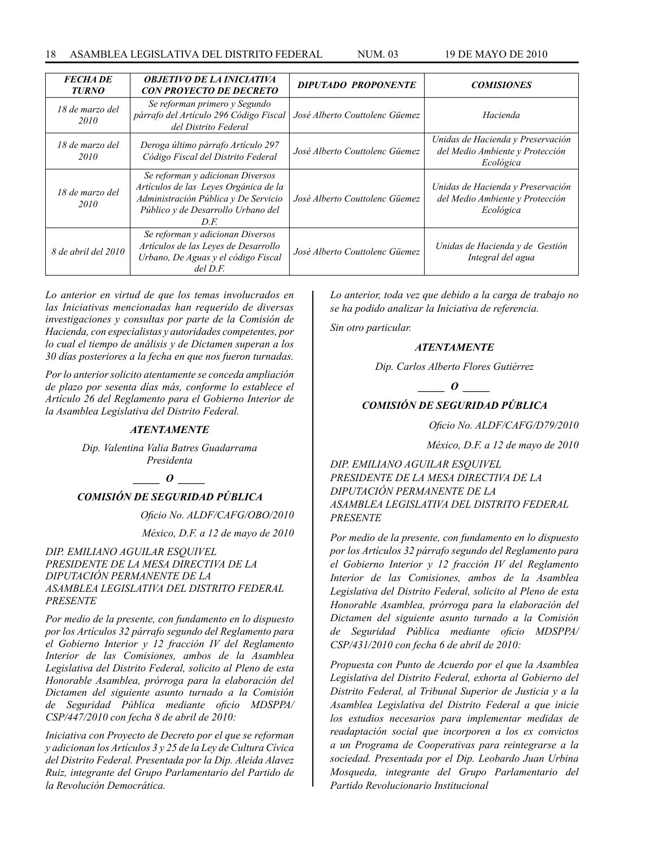| <b>FECHADE</b><br><b>TURNO</b> | <b>OBJETIVO DE LA INICIATIVA</b><br><b>CON PROYECTO DE DECRETO</b>                                                                                              | <b>DIPUTADO PROPONENTE</b>     | <b>COMISIONES</b>                                                                 |
|--------------------------------|-----------------------------------------------------------------------------------------------------------------------------------------------------------------|--------------------------------|-----------------------------------------------------------------------------------|
| 18 de marzo del<br>2010        | Se reforman primero y Segundo<br>párrafo del Artículo 296 Código Fiscal<br>del Distrito Federal                                                                 | José Alberto Couttolenc Güemez | Hacienda                                                                          |
| 18 de marzo del<br>2010        | Deroga último párrafo Artículo 297<br>Código Fiscal del Distrito Federal                                                                                        | José Alberto Couttolenc Güemez | Unidas de Hacienda y Preservación<br>del Medio Ambiente y Protección<br>Ecológica |
| 18 de marzo del<br>2010        | Se reforman y adicionan Diversos<br>Artículos de las Leves Orgánica de la<br>Administración Pública y De Servicio<br>Público y de Desarrollo Urbano del<br>D.E. | José Alberto Couttolenc Güemez | Unidas de Hacienda y Preservación<br>del Medio Ambiente y Protección<br>Ecológica |
| 8 de abril del 2010            | Se reforman y adicionan Diversos<br>Artículos de las Leyes de Desarrollo<br>Urbano, De Aguas y el código Fiscal<br>$del$ $D.F.$                                 | José Alberto Couttolenc Güemez | Unidas de Hacienda y de Gestión<br>Integral del agua                              |

*Lo anterior en virtud de que los temas involucrados en las Iniciativas mencionadas han requerido de diversas investigaciones y consultas por parte de la Comisión de Hacienda, con especialistas y autoridades competentes, por lo cual el tiempo de análisis y de Dictamen superan a los 30 días posteriores a la fecha en que nos fueron turnadas.*

*Por lo anterior solicito atentamente se conceda ampliación de plazo por sesenta días más, conforme lo establece el Artículo 26 del Reglamento para el Gobierno Interior de la Asamblea Legislativa del Distrito Federal.*

#### *ATENTAMENTE*

*Dip. Valentina Valia Batres Guadarrama Presidenta*

*\_\_\_\_\_ O \_\_\_\_\_*

### *COMISIÓN DE SEGURIDAD PÚBLICA*

*Oficio No. ALDF/CAFG/OBO/2010*

 *México, D.F. a 12 de mayo de 2010* 

*DIP. EMILIANO AGUILAR ESQUIVEL PRESIDENTE DE LA MESA DIRECTIVA DE LA DIPUTACIÓN PERMANENTE DE LA ASAMBLEA LEGISLATIVA DEL DISTRITO FEDERAL PRESENTE*

*Por medio de la presente, con fundamento en lo dispuesto por los Artículos 32 párrafo segundo del Reglamento para el Gobierno Interior y 12 fracción IV del Reglamento Interior de las Comisiones, ambos de la Asamblea Legislativa del Distrito Federal, solicito al Pleno de esta Honorable Asamblea, prórroga para la elaboración del Dictamen del siguiente asunto turnado a la Comisión de Seguridad Pública mediante oficio MDSPPA/ CSP/447/2010 con fecha 8 de abril de 2010:* 

*Iniciativa con Proyecto de Decreto por el que se reforman y adicionan los Artículos 3 y 25 de la Ley de Cultura Cívica del Distrito Federal. Presentada por la Dip. Aleida Alavez Ruiz, integrante del Grupo Parlamentario del Partido de la Revolución Democrática.* 

*Lo anterior, toda vez que debido a la carga de trabajo no se ha podido analizar la Iniciativa de referencia.* 

*Sin otro particular.* 

#### *ATENTAMENTE*

*Dip. Carlos Alberto Flores Gutiérrez*

*\_\_\_\_\_ O \_\_\_\_\_*

### *COMISIÓN DE SEGURIDAD PÚBLICA*

*Oficio No. ALDF/CAFG/D79/2010* 

*México, D.F. a 12 de mayo de 2010* 

*DIP. EMILIANO AGUILAR ESQUIVEL PRESIDENTE DE LA MESA DIRECTIVA DE LA DIPUTACIÓN PERMANENTE DE LA ASAMBLEA LEGISLATIVA DEL DISTRITO FEDERAL PRESENTE*

*Por medio de la presente, con fundamento en lo dispuesto por los Artículos 32 párrafo segundo del Reglamento para el Gobierno Interior y 12 fracción IV del Reglamento Interior de las Comisiones, ambos de la Asamblea Legislativa del Distrito Federal, solicito al Pleno de esta Honorable Asamblea, prórroga para la elaboración del Dictamen del siguiente asunto turnado a la Comisión de Seguridad Pública mediante oficio MDSPPA/ CSP/431/2010 con fecha 6 de abril de 2010:* 

*Propuesta con Punto de Acuerdo por el que la Asamblea Legislativa del Distrito Federal, exhorta al Gobierno del Distrito Federal, al Tribunal Superior de Justicia y a la Asamblea Legislativa del Distrito Federal a que inicie los estudios necesarios para implementar medidas de readaptación social que incorporen a los ex convictos a un Programa de Cooperativas para reintegrarse a la sociedad. Presentada por el Dip. Leobardo Juan Urbina Mosqueda, integrante del Grupo Parlamentario del Partido Revolucionario Institucional*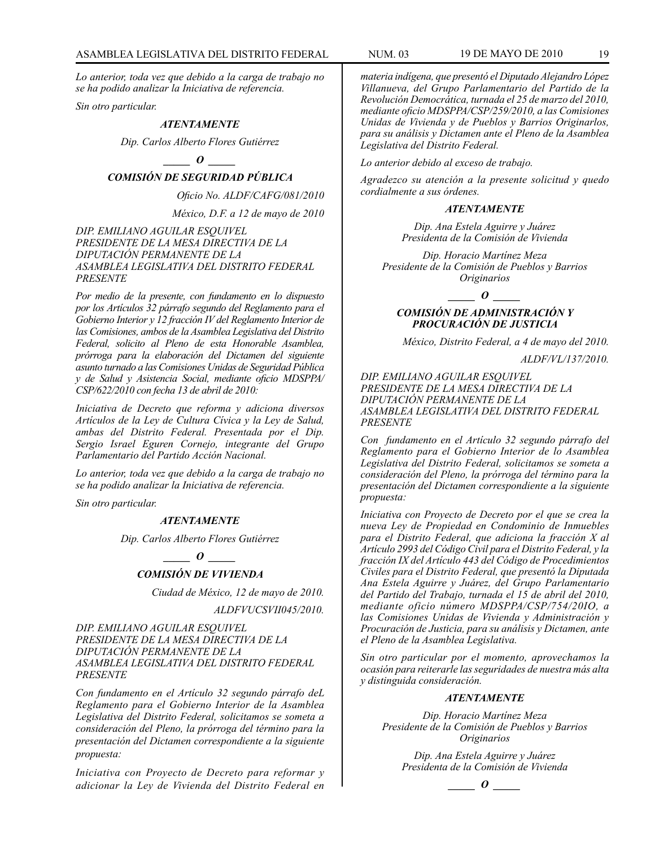*Lo anterior, toda vez que debido a la carga de trabajo no se ha podido analizar la Iniciativa de referencia.* 

*Sin otro particular.* 

#### *ATENTAMENTE*

*Dip. Carlos Alberto Flores Gutiérrez*

### *\_\_\_\_\_ O \_\_\_\_\_*

### *COMISIÓN DE SEGURIDAD PÚBLICA*

*Oficio No. ALDF/CAFG/081/2010* 

*México, D.F. a 12 de mayo de 2010* 

*DIP. EMILIANO AGUILAR ESQUIVEL PRESIDENTE DE LA MESA DIRECTIVA DE LA DIPUTACIÓN PERMANENTE DE LA ASAMBLEA LEGISLATIVA DEL DISTRITO FEDERAL PRESENTE*

*Por medio de la presente, con fundamento en lo dispuesto por los Artículos 32 párrafo segundo del Reglamento para el Gobierno Interior y 12 fracción IV del Reglamento Interior de las Comisiones, ambos de la Asamblea Legislativa del Distrito Federal, solicito al Pleno de esta Honorable Asamblea, prórroga para la elaboración del Dictamen del siguiente asunto turnado a las Comisiones Unidas de Seguridad Pública y de Salud y Asistencia Social, mediante oficio MDSPPA/ CSP/622/2010 con fecha 13 de abril de 2010:* 

*Iniciativa de Decreto que reforma y adiciona diversos Artículos de la Ley de Cultura Cívica y la Ley de Salud, ambas del Distrito Federal. Presentada por el Dip. Sergio Israel Eguren Cornejo, integrante del Grupo Parlamentario del Partido Acción Nacional.* 

*Lo anterior, toda vez que debido a la carga de trabajo no se ha podido analizar la Iniciativa de referencia.* 

*Sin otro particular.* 

#### *ATENTAMENTE*

*Dip. Carlos Alberto Flores Gutiérrez*

*\_\_\_\_\_ O \_\_\_\_\_*

### *COMISIÓN DE VIVIENDA*

*Ciudad de México, 12 de mayo de 2010.*

*ALDFVUCSVII045/2010.*

*DIP. EMILIANO AGUILAR ESQUIVEL PRESIDENTE DE LA MESA DIRECTIVA DE LA DIPUTACIÓN PERMANENTE DE LA ASAMBLEA LEGISLATIVA DEL DISTRITO FEDERAL PRESENTE*

*Con fundamento en el Artículo 32 segundo párrafo deL Reglamento para el Gobierno Interior de la Asamblea Legislativa del Distrito Federal, solicitamos se someta a consideración del Pleno, la prórroga del término para la presentación del Dictamen correspondiente a la siguiente propuesta:*

*Iniciativa con Proyecto de Decreto para reformar y adicionar la Ley de Vivienda del Distrito Federal en* 

*materia indígena, que presentó el Diputado Alejandro López Villanueva, del Grupo Parlamentario del Partido de la Revolución Democrática, turnada el 25 de marzo del 2010, mediante oficio MDSPPA/CSP/259/2010, a las Comisiones Unidas de Vivienda y de Pueblos y Barrios Originarlos, para su análisis y Dictamen ante el Pleno de la Asamblea Legislativa del Distrito Federal.*

*Lo anterior debido al exceso de trabajo.*

*Agradezco su atención a la presente solicitud y quedo cordialmente a sus órdenes.*

#### *ATENTAMENTE*

*Dip. Ana Estela Aguirre y Juárez Presidenta de la Comisión de Vivienda*

*Dip. Horacio Martínez Meza Presidente de la Comisión de Pueblos y Barrios Originarios*

*\_\_\_\_\_ O \_\_\_\_\_*

#### *COMISIÓN DE ADMINISTRACIÓN Y PROCURACIÓN DE JUSTICIA*

*México, Distrito Federal, a 4 de mayo del 2010.*

*ALDF/VL/137/2010.*

*DIP. EMILIANO AGUILAR ESQUIVEL PRESIDENTE DE LA MESA DIRECTIVA DE LA DIPUTACIÓN PERMANENTE DE LA ASAMBLEA LEGISLATIVA DEL DISTRITO FEDERAL PRESENTE*

*Con fundamento en el Artículo 32 segundo párrafo del Reglamento para el Gobierno Interior de lo Asamblea Legislativa del Distrito Federal, solicitamos se someta a consideración del Pleno, la prórroga del término para la presentación del Dictamen correspondiente a la siguiente propuesta:*

*Iniciativa con Proyecto de Decreto por el que se crea la nueva Ley de Propiedad en Condominio de Inmuebles para el Distrito Federal, que adiciona la fracción X al Artículo 2993 del Código Civil para el Distrito Federal, y la fracción IX del Artículo 443 del Código de Procedimientos Civiles para el Distrito Federal, que presentó la Diputada Ana Estela Aguirre y Juárez, del Grupo Parlamentario del Partido del Trabajo, turnada el 15 de abril del 2010, mediante oficio número MDSPPA/CSP/754/20IO, a las Comisiones Unidas de Vivienda y Administración y Procuración de Justicia, para su análisis y Dictamen, ante el Pleno de la Asamblea Legislativa.*

*Sin otro particular por el momento, aprovechamos la ocasión para reiterarle las seguridades de nuestra más alta y distinguida consideración.*

#### *ATENTAMENTE*

*Dip. Horacio Martínez Meza Presidente de la Comisión de Pueblos y Barrios Originarios*

*Dip. Ana Estela Aguirre y Juárez Presidenta de la Comisión de Vivienda*

*\_\_\_\_\_ O \_\_\_\_\_*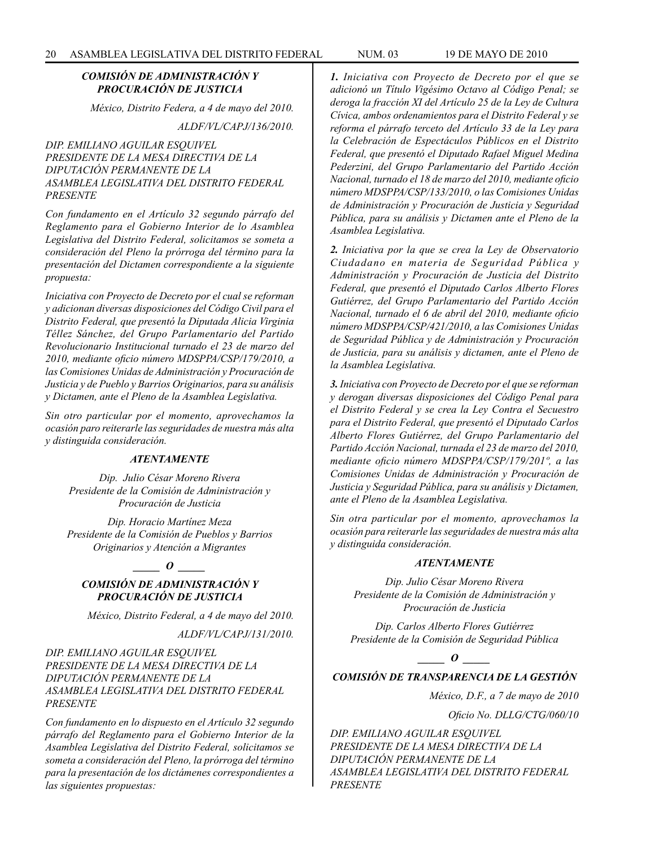#### *COMISIÓN DE ADMINISTRACIÓN Y PROCURACIÓN DE JUSTICIA*

*México, Distrito Federa, a 4 de mayo del 2010.*

*ALDF/VL/CAPJ/136/2010.*

*DIP. EMILIANO AGUILAR ESQUIVEL PRESIDENTE DE LA MESA DIRECTIVA DE LA DIPUTACIÓN PERMANENTE DE LA ASAMBLEA LEGISLATIVA DEL DISTRITO FEDERAL PRESENTE*

*Con fundamento en el Artículo 32 segundo párrafo del Reglamento para el Gobierno Interior de lo Asamblea Legislativa del Distrito Federal, solicitamos se someta a consideración del Pleno la prórroga del término para la presentación del Dictamen correspondiente a la siguiente propuesta:*

*Iniciativa con Proyecto de Decreto por el cual se reforman y adicionan diversas disposiciones del Código Civil para el Distrito Federal, que presentó la Diputada Alicia Virginia Téllez Sánchez, del Grupo Parlamentario del Partido Revolucionario Institucional turnado el 23 de marzo del 2010, mediante oficio número MDSPPA/CSP/179/2010, a las Comisiones Unidas de Administración y Procuración de Justicia y de Pueblo y Barrios Originarios, para su análisis y Dictamen, ante el Pleno de la Asamblea Legislativa.*

*Sin otro particular por el momento, aprovechamos la ocasión paro reiterarle las seguridades de nuestra más alta y distinguida consideración.* 

#### *ATENTAMENTE*

*Dip. Julio César Moreno Rivera Presidente de la Comisión de Administración y Procuración de Justicia*

*Dip. Horacio Martínez Meza Presidente de la Comisión de Pueblos y Barrios Originarios y Atención a Migrantes*

#### *\_\_\_\_\_ O \_\_\_\_\_*

### *COMISIÓN DE ADMINISTRACIÓN Y PROCURACIÓN DE JUSTICIA*

*México, Distrito Federal, a 4 de mayo del 2010.*

*ALDF/VL/CAPJ/131/2010.*

*DIP. EMILIANO AGUILAR ESQUIVEL PRESIDENTE DE LA MESA DIRECTIVA DE LA DIPUTACIÓN PERMANENTE DE LA ASAMBLEA LEGISLATIVA DEL DISTRITO FEDERAL PRESENTE*

*Con fundamento en lo dispuesto en el Artículo 32 segundo párrafo del Reglamento para el Gobierno Interior de la Asamblea Legislativa del Distrito Federal, solicitamos se someta a consideración del Pleno, la prórroga del término para la presentación de los dictámenes correspondientes a las siguientes propuestas:*

*1. Iniciativa con Proyecto de Decreto por el que se adicionó un Título Vigésimo Octavo al Código Penal; se deroga la fracción XI del Artículo 25 de la Ley de Cultura Cívica, ambos ordenamientos para el Distrito Federal y se reforma el párrafo terceto del Artículo 33 de la Ley para la Celebración de Espectáculos Públicos en el Distrito Federal, que presentó el Diputado Rafael Miguel Medina Pederzini, del Grupo Parlamentario del Partido Acción Nacional, turnado el 18 de marzo del 2010, mediante oficio número MDSPPA/CSP/133/2010, o las Comisiones Unidas de Administración y Procuración de Justicia y Seguridad Pública, para su análisis y Dictamen ante el Pleno de la Asamblea Legislativa.*

*2. Iniciativa por la que se crea la Ley de Observatorio Ciudadano en materia de Seguridad Pública y Administración y Procuración de Justicia del Distrito Federal, que presentó el Diputado Carlos Alberto Flores Gutiérrez, del Grupo Parlamentario del Partido Acción Nacional, turnado el 6 de abril del 2010, mediante oficio número MDSPPA/CSP/421/2010, a las Comisiones Unidas de Seguridad Pública y de Administración y Procuración de Justicia, para su análisis y dictamen, ante el Pleno de la Asamblea Legislativa.*

*3. Iniciativa con Proyecto de Decreto por el que se reforman y derogan diversas disposiciones del Código Penal para el Distrito Federal y se crea la Ley Contra el Secuestro para el Distrito Federal, que presentó el Diputado Carlos Alberto Flores Gutiérrez, del Grupo Parlamentario del Partido Acción Nacional, turnada el 23 de marzo del 2010, mediante oficio número MDSPPA/CSP/179/201º, a las Comisiones Unidas de Administración y Procuración de Justicia y Seguridad Pública, para su análisis y Dictamen, ante el Pleno de la Asamblea Legislativa.*

*Sin otra particular por el momento, aprovechamos la ocasión para reiterarle las seguridades de nuestra más alta y distinguida consideración.*

#### *ATENTAMENTE*

*Dip. Julio César Moreno Rivera Presidente de la Comisión de Administración y Procuración de Justicia*

*Dip. Carlos Alberto Flores Gutiérrez Presidente de la Comisión de Seguridad Pública*

*\_\_\_\_\_ O \_\_\_\_\_*

### *COMISIÓN DE TRANSPARENCIA DE LA GESTIÓN*

*México, D.F., a 7 de mayo de 2010*

*Oficio No. DLLG/CTG/060/10*

*DIP. EMILIANO AGUILAR ESQUIVEL PRESIDENTE DE LA MESA DIRECTIVA DE LA DIPUTACIÓN PERMANENTE DE LA ASAMBLEA LEGISLATIVA DEL DISTRITO FEDERAL PRESENTE*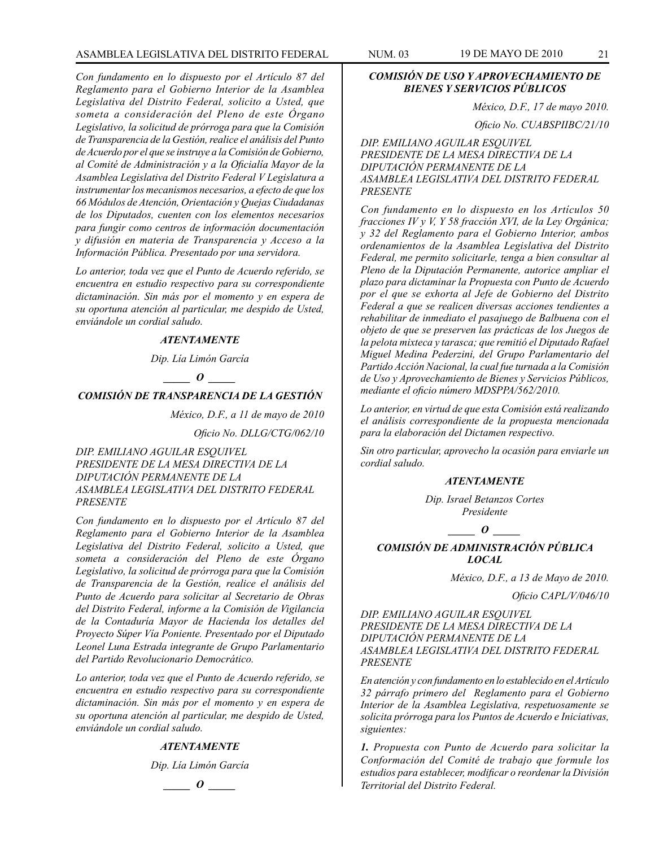### ASAMBLEA LEGISLATIVA DEL DISTRITO FEDERAL NUM. 03 19 de mayo DE 2010 21

*Con fundamento en lo dispuesto por el Artículo 87 del Reglamento para el Gobierno Interior de la Asamblea Legislativa del Distrito Federal, solicito a Usted, que someta a consideración del Pleno de este Órgano Legislativo, la solicitud de prórroga para que la Comisión de Transparencia de la Gestión, realice el análisis del Punto de Acuerdo por el que se instruye a la Comisión de Gobierno, al Comité de Administración y a la Oficialía Mayor de la Asamblea Legislativa del Distrito Federal V Legislatura a instrumentar los mecanismos necesarios, a efecto de que los 66 Módulos de Atención, Orientación y Quejas Ciudadanas de los Diputados, cuenten con los elementos necesarios para fungir como centros de información documentación y difusión en materia de Transparencia y Acceso a la Información Pública. Presentado por una servidora.*

*Lo anterior, toda vez que el Punto de Acuerdo referido, se encuentra en estudio respectivo para su correspondiente dictaminación. Sin más por el momento y en espera de su oportuna atención al particular, me despido de Usted, enviándole un cordial saludo.*

#### *ATENTAMENTE*

*Dip. Lía Limón García*

*\_\_\_\_\_ O \_\_\_\_\_*

### *COMISIÓN DE TRANSPARENCIA DE LA GESTIÓN*

*México, D.F., a 11 de mayo de 2010* 

*Oficio No. DLLG/CTG/062/10* 

*DIP. EMILIANO AGUILAR ESQUIVEL PRESIDENTE DE LA MESA DIRECTIVA DE LA DIPUTACIÓN PERMANENTE DE LA ASAMBLEA LEGISLATIVA DEL DISTRITO FEDERAL PRESENTE*

*Con fundamento en lo dispuesto por el Artículo 87 del Reglamento para el Gobierno Interior de la Asamblea Legislativa del Distrito Federal, solicito a Usted, que someta a consideración del Pleno de este Órgano Legislativo, la solicitud de prórroga para que la Comisión de Transparencia de la Gestión, realice el análisis del Punto de Acuerdo para solicitar al Secretario de Obras del Distrito Federal, informe a la Comisión de Vigilancia de la Contaduría Mayor de Hacienda los detalles del Proyecto Súper Vía Poniente. Presentado por el Diputado Leonel Luna Estrada integrante de Grupo Parlamentario del Partido Revolucionario Democrático.* 

*Lo anterior, toda vez que el Punto de Acuerdo referido, se encuentra en estudio respectivo para su correspondiente dictaminación. Sin más por el momento y en espera de su oportuna atención al particular, me despido de Usted, enviándole un cordial saludo.* 

#### *ATENTAMENTE*

*Dip. Lía Limón García*



### *COMISIÓN DE USO Y APROVECHAMIENTO DE BIENES Y SERVICIOS PÚBLICOS*

*México, D.F., 17 de mayo 2010.*

*Oficio No. CUABSPIIBC/21/10*

*DIP. EMILIANO AGUILAR ESQUIVEL PRESIDENTE DE LA MESA DIRECTIVA DE LA DIPUTACIÓN PERMANENTE DE LA ASAMBLEA LEGISLATIVA DEL DISTRITO FEDERAL PRESENTE*

*Con fundamento en lo dispuesto en los Artículos 50 fracciones IV y V, Y 58 fracción XVI, de la Ley Orgánica; y 32 del Reglamento para el Gobierno Interior, ambos ordenamientos de la Asamblea Legislativa del Distrito Federal, me permito solicitarle, tenga a bien consultar al Pleno de la Diputación Permanente, autorice ampliar el plazo para dictaminar la Propuesta con Punto de Acuerdo por el que se exhorta al Jefe de Gobierno del Distrito Federal a que se realicen diversas acciones tendientes a rehabilitar de inmediato el pasajuego de Balbuena con el objeto de que se preserven las prácticas de los Juegos de la pelota mixteca y tarasca; que remitió el Diputado Rafael Miguel Medina Pederzini, del Grupo Parlamentario del Partido Acción Nacional, la cual fue turnada a la Comisión de Uso y Aprovechamiento de Bienes y Servicios Públicos, mediante el oficio número MDSPPA/562/2010.*

*Lo anterior, en virtud de que esta Comisión está realizando el análisis correspondiente de la propuesta mencionada para la elaboración del Dictamen respectivo.*

*Sin otro particular, aprovecho la ocasión para enviarle un cordial saludo.*

#### *ATENTAMENTE*

*Dip. Israel Betanzos Cortes Presidente*

 $\bm{o}$ 

### *COMISIÓN DE ADMINISTRACIÓN PÚBLICA LOCAL*

*México, D.F., a 13 de Mayo de 2010.*

*Oficio CAPL/V/046/10*

*DIP. EMILIANO AGUILAR ESQUIVEL PRESIDENTE DE LA MESA DIRECTIVA DE LA DIPUTACIÓN PERMANENTE DE LA ASAMBLEA LEGISLATIVA DEL DISTRITO FEDERAL PRESENTE*

*En atención y con fundamento en lo establecido en el Artículo 32 párrafo primero del Reglamento para el Gobierno Interior de la Asamblea Legislativa, respetuosamente se solicita prórroga para los Puntos de Acuerdo e Iniciativas, siguientes:*

*1. Propuesta con Punto de Acuerdo para solicitar la Conformación del Comité de trabajo que formule los estudios para establecer, modificar o reordenar la División Territorial del Distrito Federal.*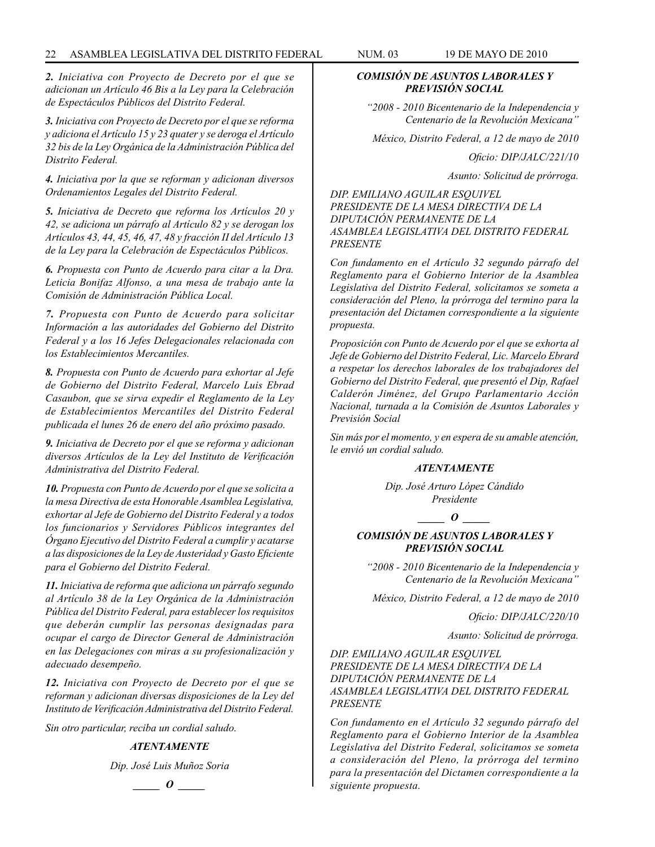#### 22 ASAMBLEA LEGISLATIVA DEL DISTRITO FEDERAL NUM. 03 19 de mayo de 2010

*2. Iniciativa con Proyecto de Decreto por el que se adicionan un Artículo 46 Bis a la Ley para la Celebración de Espectáculos Públicos del Distrito Federal.*

*3. Iniciativa con Proyecto de Decreto por el que se reforma y adiciona el Artículo 15 y 23 quater y se deroga el Artículo 32 bis de la Ley Orgánica de la Administración Pública del Distrito Federal.*

*4. Iniciativa por la que se reforman y adicionan diversos Ordenamientos Legales del Distrito Federal.*

*5. Iniciativa de Decreto que reforma los Artículos 20 y 42, se adiciona un párrafo al Artículo 82 y se derogan los Artículos 43, 44, 45, 46, 47, 48 y fracción II del Artículo 13 de la Ley para la Celebración de Espectáculos Públicos.*

*6. Propuesta con Punto de Acuerdo para citar a la Dra. Leticia Bonifaz Alfonso, a una mesa de trabajo ante la Comisión de Administración Pública Local.*

*7. Propuesta con Punto de Acuerdo para solicitar Información a las autoridades del Gobierno del Distrito Federal y a los 16 Jefes Delegacionales relacionada con los Establecimientos Mercantiles.*

*8. Propuesta con Punto de Acuerdo para exhortar al Jefe de Gobierno del Distrito Federal, Marcelo Luis Ebrad Casaubon, que se sirva expedir el Reglamento de la Ley de Establecimientos Mercantiles del Distrito Federal publicada el lunes 26 de enero del año próximo pasado.*

*9. Iniciativa de Decreto por el que se reforma y adicionan diversos Artículos de la Ley del Instituto de Verificación Administrativa del Distrito Federal.*

*10. Propuesta con Punto de Acuerdo por el que se solicita a la mesa Directiva de esta Honorable Asamblea Legislativa, exhortar al Jefe de Gobierno del Distrito Federal y a todos los funcionarios y Servidores Públicos integrantes del Órgano Ejecutivo del Distrito Federal a cumplir y acatarse a las disposiciones de la Ley de Austeridad y Gasto Eficiente para el Gobierno del Distrito Federal.*

*11. Iniciativa de reforma que adiciona un párrafo segundo al Artículo 38 de la Ley Orgánica de la Administración Pública del Distrito Federal, para establecer los requisitos que deberán cumplir las personas designadas para ocupar el cargo de Director General de Administración en las Delegaciones con miras a su profesionalización y adecuado desempeño.*

*12. Iniciativa con Proyecto de Decreto por el que se reforman y adicionan diversas disposiciones de la Ley del Instituto de Verificación Administrativa del Distrito Federal.*

*Sin otro particular, reciba un cordial saludo.*

### *ATENTAMENTE*

*Dip. José Luis Muñoz Soria*

$$
\_\_o\_
$$

#### *COMISIÓN DE ASUNTOS LABORALES Y PREVISIÓN SOCIAL*

*"2008 - 2010 Bicentenario de la Independencia y Centenario de la Revolución Mexicana"*

*México, Distrito Federal, a 12 de mayo de 2010*

*Oficio: DIP/JALC/221/10*

*Asunto: Solicitud de prórroga.*

*DIP. EMILIANO AGUILAR ESQUIVEL PRESIDENTE DE LA MESA DIRECTIVA DE LA DIPUTACIÓN PERMANENTE DE LA ASAMBLEA LEGISLATIVA DEL DISTRITO FEDERAL PRESENTE*

*Con fundamento en el Artículo 32 segundo párrafo del Reglamento para el Gobierno Interior de la Asamblea Legislativa del Distrito Federal, solicitamos se someta a consideración del Pleno, la prórroga del termino para la presentación del Dictamen correspondiente a la siguiente propuesta.*

*Proposición con Punto de Acuerdo por el que se exhorta al Jefe de Gobierno del Distrito Federal, Lic. Marcelo Ebrard a respetar los derechos laborales de los trabajadores del Gobierno del Distrito Federal, que presentó el Dip, Rafael Calderón Jiménez, del Grupo Parlamentario Acción Nacional, turnada a la Comisión de Asuntos Laborales y Previsión Social*

*Sin más por el momento, y en espera de su amable atención, le envió un cordial saludo.*

#### *ATENTAMENTE*

*Dip. José Arturo López Cándido Presidente*

*\_\_\_\_\_ O \_\_\_\_\_*

### *COMISIÓN DE ASUNTOS LABORALES Y PREVISIÓN SOCIAL*

*"2008 - 2010 Bicentenario de la Independencia y Centenario de la Revolución Mexicana"*

*México, Distrito Federal, a 12 de mayo de 2010*

*Oficio: DIP/JALC/220/10*

*Asunto: Solicitud de prórroga.*

*DIP. EMILIANO AGUILAR ESQUIVEL PRESIDENTE DE LA MESA DIRECTIVA DE LA DIPUTACIÓN PERMANENTE DE LA ASAMBLEA LEGISLATIVA DEL DISTRITO FEDERAL PRESENTE*

*Con fundamento en el Artículo 32 segundo párrafo del Reglamento para el Gobierno Interior de la Asamblea Legislativa del Distrito Federal, solicitamos se someta a consideración del Pleno, la prórroga del termino para la presentación del Dictamen correspondiente a la siguiente propuesta.*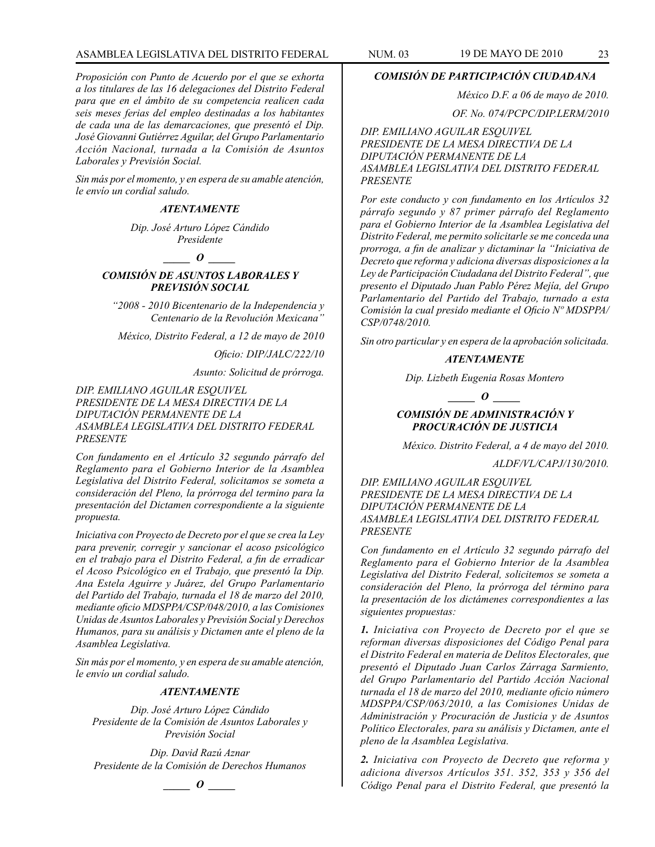### ASAMBLEA LEGISLATIVA DEL DISTRITO FEDERAL NUM. 03 19 de mayo DE 2010 23

*Proposición con Punto de Acuerdo por el que se exhorta a los titulares de las 16 delegaciones del Distrito Federal para que en el ámbito de su competencia realicen cada seis meses ferias del empleo destinadas a los habitantes de cada una de las demarcaciones, que presentó el Dip. José Giovanni Gutiérrez Aguilar, del Grupo Parlamentario Acción Nacional, turnada a la Comisión de Asuntos Laborales y Previsión Social.*

*Sin más por el momento, y en espera de su amable atención, le envío un cordial saludo.*

#### *ATENTAMENTE*

*Dip. José Arturo López Cándido Presidente*

*\_\_\_\_\_ O \_\_\_\_\_*

*COMISIÓN DE ASUNTOS LABORALES Y PREVISIÓN SOCIAL*

*"2008 - 2010 Bicentenario de la Independencia y Centenario de la Revolución Mexicana"*

*México, Distrito Federal, a 12 de mayo de 2010*

*Oficio: DIP/JALC/222/10*

*Asunto: Solicitud de prórroga.*

*DIP. EMILIANO AGUILAR ESQUIVEL PRESIDENTE DE LA MESA DIRECTIVA DE LA DIPUTACIÓN PERMANENTE DE LA ASAMBLEA LEGISLATIVA DEL DISTRITO FEDERAL PRESENTE*

*Con fundamento en el Artículo 32 segundo párrafo del Reglamento para el Gobierno Interior de la Asamblea Legislativa del Distrito Federal, solicitamos se someta a consideración del Pleno, la prórroga del termino para la presentación del Dictamen correspondiente a la siguiente propuesta.*

*Iniciativa con Proyecto de Decreto por el que se crea la Ley para prevenir, corregir y sancionar el acoso psicológico en el trabajo para el Distrito Federal, a fin de erradicar el Acoso Psicológico en el Trabajo, que presentó la Dip. Ana Estela Aguirre y Juárez, del Grupo Parlamentario del Partido del Trabajo, turnada el 18 de marzo del 2010, mediante oficio MDSPPA/CSP/048/2010, a las Comisiones Unidas de Asuntos Laborales y Previsión Social y Derechos Humanos, para su análisis y Dictamen ante el pleno de la Asamblea Legislativa.*

*Sin más por el momento, y en espera de su amable atención, le envío un cordial saludo.*

#### *ATENTAMENTE*

*Dip. José Arturo López Cándido Presidente de la Comisión de Asuntos Laborales y Previsión Social* 

*Dip. David Razú Aznar Presidente de la Comisión de Derechos Humanos*

*\_\_\_\_\_ O \_\_\_\_\_*

*COMISIÓN DE PARTICIPACIÓN CIUDADANA*

*México D.F. a 06 de mayo de 2010.*

*OF. No. 074/PCPC/DIP.LERM/2010*

*DIP. EMILIANO AGUILAR ESQUIVEL PRESIDENTE DE LA MESA DIRECTIVA DE LA DIPUTACIÓN PERMANENTE DE LA ASAMBLEA LEGISLATIVA DEL DISTRITO FEDERAL PRESENTE*

*Por este conducto y con fundamento en los Artículos 32 párrafo segundo y 87 primer párrafo del Reglamento para el Gobierno Interior de la Asamblea Legislativa del Distrito Federal, me permito solicitarle se me conceda una prorroga, a fin de analizar y dictaminar la "Iniciativa de Decreto que reforma y adiciona diversas disposiciones a la Ley de Participación Ciudadana del Distrito Federal", que presento el Diputado Juan Pablo Pérez Mejía, del Grupo Parlamentario del Partido del Trabajo, turnado a esta Comisión la cual presido mediante el Oficio Nº MDSPPA/ CSP/0748/2010.*

*Sin otro particular y en espera de la aprobación solicitada.*

### *ATENTAMENTE*

*Dip. Lizbeth Eugenia Rosas Montero*

*\_\_\_\_\_ O \_\_\_\_\_*

### *COMISIÓN DE ADMINISTRACIÓN Y PROCURACIÓN DE JUSTICIA*

*México. Distrito Federal, a 4 de mayo del 2010.*

*ALDF/VL/CAPJ/130/2010.*

*DIP. EMILIANO AGUILAR ESQUIVEL PRESIDENTE DE LA MESA DIRECTIVA DE LA DIPUTACIÓN PERMANENTE DE LA ASAMBLEA LEGISLATIVA DEL DISTRITO FEDERAL PRESENTE*

*Con fundamento en el Artículo 32 segundo párrafo del Reglamento para el Gobierno Interior de la Asamblea Legislativa del Distrito Federal, solicitemos se someta a consideración del Pleno, la prórroga del término para la presentación de los dictámenes correspondientes a las siguientes propuestas:*

*1. Iniciativa con Proyecto de Decreto por el que se reforman diversas disposiciones del Código Penal para el Distrito Federal en materia de Delitos Electorales, que presentó el Diputado Juan Carlos Zárraga Sarmiento, del Grupo Parlamentario del Partido Acción Nacional turnada el 18 de marzo del 2010, mediante oficio número MDSPPA/CSP/063/2010, a las Comisiones Unidas de Administración y Procuración de Justicia y de Asuntos Político Electorales, para su análisis y Dictamen, ante el pleno de la Asamblea Legislativa.*

*2. Iniciativa con Proyecto de Decreto que reforma y adiciona diversos Artículos 351. 352, 353 y 356 del Código Penal para el Distrito Federal, que presentó la*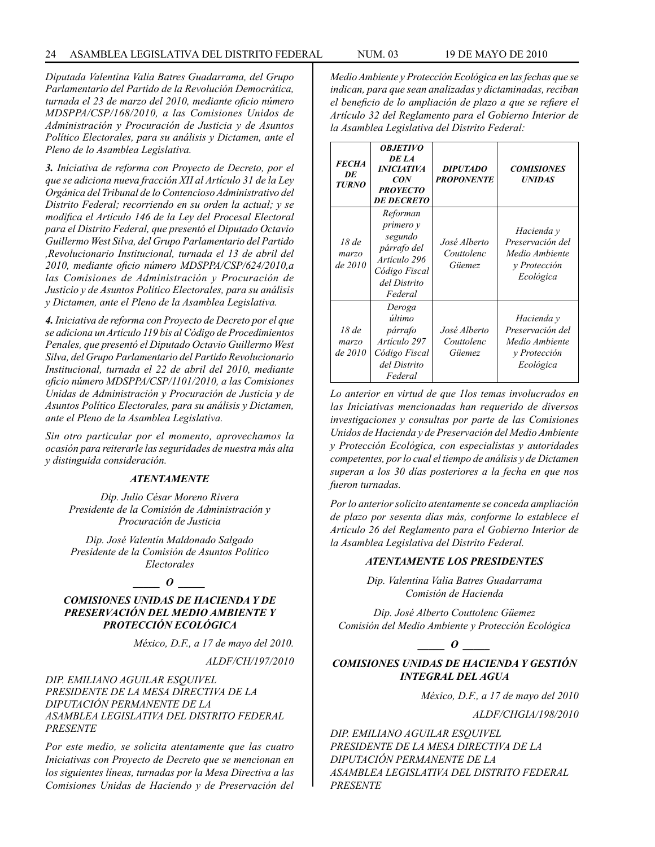*Diputada Valentina Valia Batres Guadarrama, del Grupo Parlamentario del Partido de la Revolución Democrática, turnada el 23 de marzo del 2010, mediante oficio número MDSPPA/CSP/168/2010, a las Comisiones Unidos de Administración y Procuración de Justicia y de Asuntos Político Electorales, para su análisis y Dictamen, ante el Pleno de lo Asamblea Legislativa.*

*3. Iniciativa de reforma con Proyecto de Decreto, por el que se adiciona nueva fracción XII al Artículo 31 de la Ley Orgánica del Tribunal de lo Contencioso Administrativo del Distrito Federal; recorriendo en su orden la actual; y se modifica el Artículo 146 de la Ley del Procesal Electoral para el Distrito Federal, que presentó el Diputado Octavio Guillermo West Silva, del Grupo Parlamentario del Partido ,Revolucionario Institucional, turnada el 13 de abril del 2010, mediante oficio número MDSPPA/CSP/624/2010,a las Comisiones de Administración y Procuración de Justicio y de Asuntos Político Electorales, para su análisis y Dictamen, ante el Pleno de la Asamblea Legislativa.*

*4. Iniciativa de reforma con Proyecto de Decreto por el que se adiciona un Artículo 119 bis al Código de Procedimientos Penales, que presentó el Diputado Octavio Guillermo West Silva, del Grupo Parlamentario del Partido Revolucionario Institucional, turnada el 22 de abril del 2010, mediante oficio número MDSPPA/CSP/1101/2010, a las Comisiones Unidas de Administración y Procuración de Justicia y de Asuntos Político Electorales, para su análisis y Dictamen, ante el Pleno de la Asamblea Legislativa.*

*Sin otro particular por el momento, aprovechamos la ocasión para reiterarle las seguridades de nuestra más alta y distinguida consideración.*

#### *ATENTAMENTE*

*Dip. Julio César Moreno Rivera Presidente de la Comisión de Administración y Procuración de Justicia*

*Dip. José Valentín Maldonado Salgado Presidente de la Comisión de Asuntos Político Electorales*

#### $\bm{o}$

### *COMISIONES UNIDAS DE HACIENDA Y DE PRESERVACIÓN DEL MEDIO AMBIENTE Y PROTECCIÓN ECOLÓGICA*

*México, D.F., a 17 de mayo del 2010.*

*ALDF/CH/197/2010*

#### *DIP. EMILIANO AGUILAR ESQUIVEL PRESIDENTE DE LA MESA DIRECTIVA DE LA DIPUTACIÓN PERMANENTE DE LA ASAMBLEA LEGISLATIVA DEL DISTRITO FEDERAL PRESENTE*

*Por este medio, se solicita atentamente que las cuatro Iniciativas con Proyecto de Decreto que se mencionan en los siguientes líneas, turnadas por la Mesa Directiva a las Comisiones Unidas de Haciendo y de Preservación del*  *Medio Ambiente y Protección Ecológica en las fechas que se indican, para que sean analizadas y dictaminadas, reciban el beneficio de lo ampliación de plazo a que se refiere el Artículo 32 del Reglamento para el Gobierno Interior de la Asamblea Legislativa del Distrito Federal:*

| <b>FECHA</b><br>DE<br><b>TURNO</b> | <i><b>OBJETIVO</b></i><br>DE LA<br><i><b>INICIATIVA</b></i><br>CON<br><b>PROYECTO</b><br><b>DE DECRETO</b>  | <b>DIPUTADO</b><br><b>PROPONENTE</b> | <b>COMISIONES</b><br><b>UNIDAS</b>                                            |
|------------------------------------|-------------------------------------------------------------------------------------------------------------|--------------------------------------|-------------------------------------------------------------------------------|
| 18de<br>marzo<br>de 2010           | Reforman<br>primero y<br>segundo<br>párrafo del<br>Artículo 296<br>Código Fiscal<br>del Distrito<br>Federal | José Alberto<br>Couttolenc<br>Güemez | Hacienda y<br>Preservación del<br>Medio Ambiente<br>y Protección<br>Ecológica |
| 18de<br>marzo<br>de 2010           | Deroga<br>último<br>párrafo<br>Artículo 297<br>Código Fiscal<br>del Distrito<br>Federal                     | José Alberto<br>Couttolenc<br>Güemez | Hacienda y<br>Preservación del<br>Medio Ambiente<br>y Protección<br>Ecológica |

*Lo anterior en virtud de que 1los temas involucrados en las Iniciativas mencionadas han requerido de diversos investigaciones y consultas por parte de las Comisiones Unidos de Hacienda y de Preservación del Medio Ambiente y Protección Ecológica, con especialistas y autoridades competentes, por lo cual el tiempo de análisis y de Dictamen superan a los 30 días posteriores a la fecha en que nos fueron turnadas.*

*Por lo anterior solicito atentamente se conceda ampliación de plazo por sesenta días más, conforme lo establece el Artículo 26 del Reglamento para el Gobierno Interior de la Asamblea Legislativa del Distrito Federal.*

#### *ATENTAMENTE LOS PRESIDENTES*

*Dip. Valentina Valia Batres Guadarrama Comisión de Hacienda*

*Dip. José Alberto Couttolenc Güemez Comisión del Medio Ambiente y Protección Ecológica*

### *\_\_\_\_\_ O \_\_\_\_\_*

### *COMISIONES UNIDAS DE HACIENDA Y GESTIÓN INTEGRAL DEL AGUA*

*México, D.F., a 17 de mayo del 2010*

*ALDF/CHGIA/198/2010*

*DIP. EMILIANO AGUILAR ESQUIVEL PRESIDENTE DE LA MESA DIRECTIVA DE LA DIPUTACIÓN PERMANENTE DE LA ASAMBLEA LEGISLATIVA DEL DISTRITO FEDERAL PRESENTE*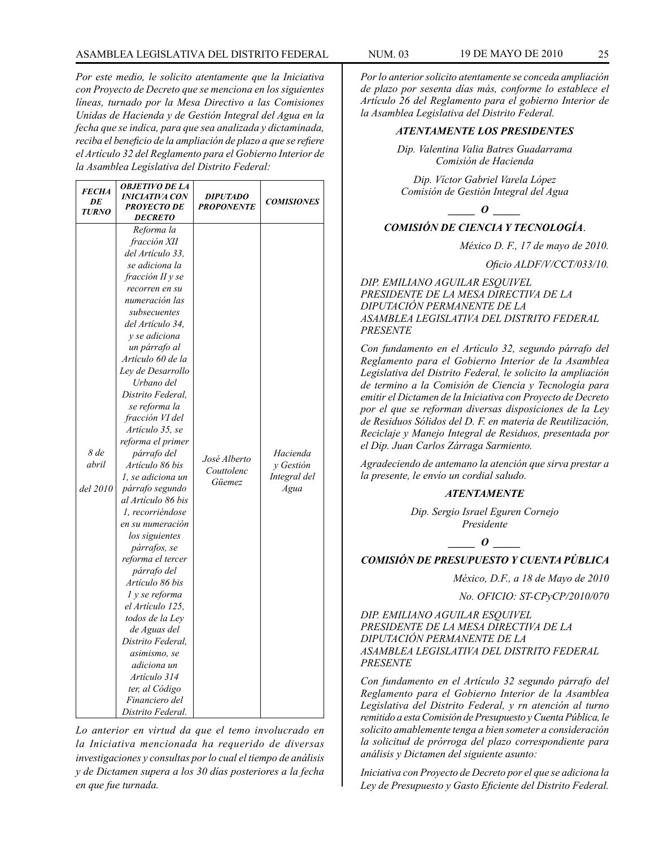### ASAMBLEA LEGISLATIVA DEL DISTRITO FEDERAL NUM. 03 19 de mayo DE 2010 25

*Por este medio, le solicito atentamente que la Iniciativa con Proyecto de Decreto que se menciona en los siguientes líneas, turnado por la Mesa Directivo a las Comisiones Unidas de Hacienda y de Gestión Integral del Agua en la fecha que se indica, para que sea analizada y dictaminada, reciba el beneficio de la ampliación de plazo a que se refiere el Artículo 32 del Reglamento para el Gobierno Interior de la Asamblea Legislativa del Distrito Federal:*

| <b>FECHA</b><br>DE<br><b>TURNO</b> | <b>OBJETIVO DE LA</b><br>INICIATIVA CON<br><b>PROYECTO DE</b><br><b>DECRETO</b>                                                                                                                                                                                                                                                                                                                                                                                                                                                                                                                                                                                                                                                                                                                              | <b>DIPUTADO</b><br><b>PROPONENTE</b> | <b>COMISIONES</b>                             |
|------------------------------------|--------------------------------------------------------------------------------------------------------------------------------------------------------------------------------------------------------------------------------------------------------------------------------------------------------------------------------------------------------------------------------------------------------------------------------------------------------------------------------------------------------------------------------------------------------------------------------------------------------------------------------------------------------------------------------------------------------------------------------------------------------------------------------------------------------------|--------------------------------------|-----------------------------------------------|
| 8 de<br>abril<br>del 2010          | Reforma la<br>fracción XII<br>del Artículo 33.<br>se adiciona la<br>fracción II y se<br>recorren en su<br>numeración las<br>subsecuentes<br>del Artículo 34.<br><i>v</i> se adiciona<br>un párrafo al<br>Artículo 60 de la<br>Lev de Desarrollo<br>Urbano del<br>Distrito Federal,<br>se reforma la<br>fracción VI del<br>Artículo 35, se<br>reforma el primer<br>párrafo del<br>Artículo 86 bis<br>1, se adiciona un<br>párrafo segundo<br>al Artículo 86 bis<br>1, recorriéndose<br>en su numeración<br>los siguientes<br><i>párrafos, se</i><br>reforma el tercer<br>párrafo del<br>Artículo 86 bis<br>1 y se reforma<br>el Artículo 125,<br>todos de la Ley<br>de Aguas del<br>Distrito Federal,<br>asimismo, se<br>adiciona un<br>Artículo 314<br>ter, al Código<br>Financiero del<br>Distrito Federal. | José Alberto<br>Couttolenc<br>Güemez | Hacienda<br>y Gestión<br>Integral del<br>Agua |

*Lo anterior en virtud da que el temo involucrado en la Iniciativa mencionada ha requerido de diversas investigaciones y consultas por lo cual el tiempo de análisis y de Dictamen supera a los 30 días posteriores a la fecha en que fue turnada.*

*Por lo anterior solicito atentamente se conceda ampliación de plazo por sesenta días más, conforme lo establece el Artículo 26 del Reglamento para el gobierno Interior de la Asamblea Legislativa del Distrito Federal.* 

#### *ATENTAMENTE LOS PRESIDENTES*

*Dip. Valentina Valia Batres Guadarrama Comisión de Hacienda*

*Dip. Víctor Gabriel Varela López Comisión de Gestión Integral del Agua*

*\_\_\_\_\_ O \_\_\_\_\_ COMISIÓN DE CIENCIA Y TECNOLOGÍA*.

*México D. F., 17 de mayo de 2010.*

*Oficio ALDF/V/CCT/033/10.*

*DIP. EMILIANO AGUILAR ESQUIVEL PRESIDENTE DE LA MESA DIRECTIVA DE LA DIPUTACIÓN PERMANENTE DE LA ASAMBLEA LEGISLATIVA DEL DISTRITO FEDERAL PRESENTE*

*Con fundamento en el Artículo 32, segundo párrafo del Reglamento para el Gobierno Interior de la Asamblea Legislativa del Distrito Federal, le solicito la ampliación de termino a la Comisión de Ciencia y Tecnología para emitir el Dictamen de la Iniciativa con Proyecto de Decreto por el que se reforman diversas disposiciones de la Ley de Residuos Sólidos del D. F. en materia de Reutilización, Reciclaje y Manejo Integral de Residuos, presentada por el Dip. Juan Carlos Zárraga Sarmiento.*

*Agradeciendo de antemano la atención que sirva prestar a la presente, le envío un cordial saludo.*

### *ATENTAMENTE*

*Dip. Sergio Israel Eguren Cornejo Presidente*

*\_\_\_\_\_ O \_\_\_\_\_*

### *COMISIÓN DE PRESUPUESTO Y CUENTA PÚBLICA*

*México, D.F., a 18 de Mayo de 2010*

*No. OFICIO: ST-CPyCP/2010/070*

*DIP. EMILIANO AGUILAR ESQUIVEL PRESIDENTE DE LA MESA DIRECTIVA DE LA DIPUTACIÓN PERMANENTE DE LA ASAMBLEA LEGISLATIVA DEL DISTRITO FEDERAL PRESENTE*

*Con fundamento en el Artículo 32 segundo párrafo del Reglamento para el Gobierno Interior de la Asamblea Legislativa del Distrito Federal, y rn atención al turno remitido a esta Comisión de Presupuesto y Cuenta Pública, le solicito amablemente tenga a bien someter a consideración la solicitud de prórroga del plazo correspondiente para análisis y Dictamen del siguiente asunto:*

*Iniciativa con Proyecto de Decreto por el que se adiciona la Ley de Presupuesto y Gasto Eficiente del Distrito Federal.*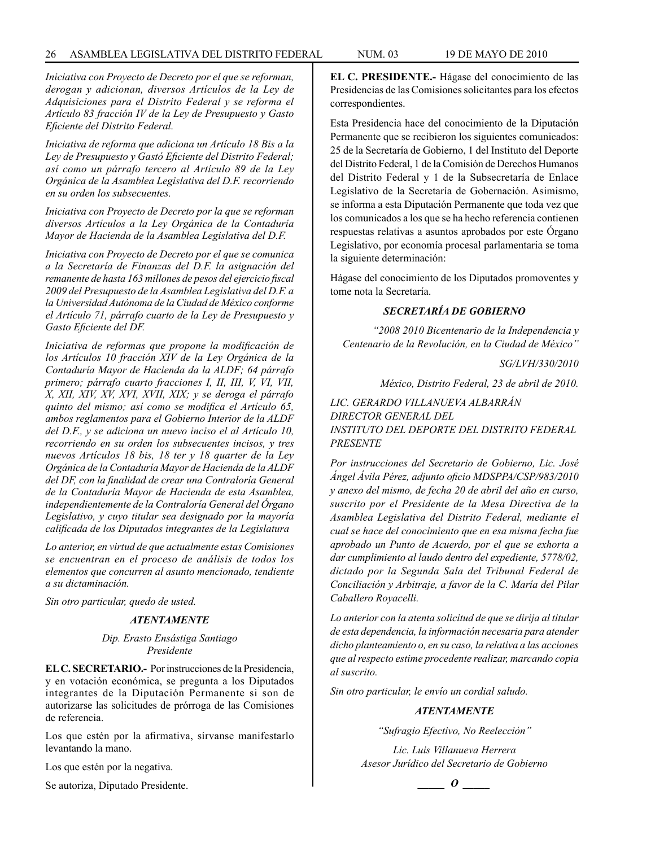*Iniciativa con Proyecto de Decreto por el que se reforman, derogan y adicionan, diversos Artículos de la Ley de Adquisiciones para el Distrito Federal y se reforma el Artículo 83 fracción IV de la Ley de Presupuesto y Gasto Eficiente del Distrito Federal.*

*Iniciativa de reforma que adiciona un Artículo 18 Bis a la Ley de Presupuesto y Gastó Eficiente del Distrito Federal; así como un párrafo tercero al Artículo 89 de la Ley Orgánica de la Asamblea Legislativa del D.F. recorriendo en su orden los subsecuentes.*

*Iniciativa con Proyecto de Decreto por la que se reforman diversos Artículos a la Ley Orgánica de la Contaduría Mayor de Hacienda de la Asamblea Legislativa del D.F.*

*Iniciativa con Proyecto de Decreto por el que se comunica a la Secretaría de Finanzas del D.F. la asignación del remanente de hasta 163 millones de pesos del ejercicio fiscal 2009 del Presupuesto de la Asamblea Legislativa del D.F. a la Universidad Autónoma de la Ciudad de México conforme el Artículo 71, párrafo cuarto de la Ley de Presupuesto y Gasto Eficiente del DF.*

*Iniciativa de reformas que propone la modificación de los Artículos 10 fracción XIV de la Ley Orgánica de la Contaduría Mayor de Hacienda da la ALDF; 64 párrafo primero; párrafo cuarto fracciones I, II, III, V, VI, VII, X, XII, XIV, XV, XVI, XVII, XIX; y se deroga el párrafo quinto del mismo; así como se modifica el Artículo 65, ambos reglamentos para el Gobierno Interior de la ALDF del D.F., y se adiciona un nuevo inciso el al Artículo 10, recorriendo en su orden los subsecuentes incisos, y tres nuevos Artículos 18 bis, 18 ter y 18 quarter de la Ley Orgánica de la Contaduría Mayor de Hacienda de la ALDF del DF, con la finalidad de crear una Contraloría General de la Contaduría Mayor de Hacienda de esta Asamblea, independientemente de la Contraloría General del Órgano Legislativo, y cuyo titular sea designado por la mayoría calificada de los Diputados integrantes de la Legislatura*

*Lo anterior, en virtud de que actualmente estas Comisiones se encuentran en el proceso de análisis de todos los elementos que concurren al asunto mencionado, tendiente a su dictaminación.*

*Sin otro particular, quedo de usted.*

#### *ATENTAMENTE*

#### *Dip. Erasto Ensástiga Santiago Presidente*

**EL C. SECRETARIO.-** Por instrucciones de la Presidencia, y en votación económica, se pregunta a los Diputados integrantes de la Diputación Permanente si son de autorizarse las solicitudes de prórroga de las Comisiones de referencia.

Los que estén por la afirmativa, sírvanse manifestarlo levantando la mano.

Los que estén por la negativa.

Se autoriza, Diputado Presidente.

**EL C. PRESIDENTE.-** Hágase del conocimiento de las Presidencias de las Comisiones solicitantes para los efectos correspondientes.

Esta Presidencia hace del conocimiento de la Diputación Permanente que se recibieron los siguientes comunicados: 25 de la Secretaría de Gobierno, 1 del Instituto del Deporte del Distrito Federal, 1 de la Comisión de Derechos Humanos del Distrito Federal y 1 de la Subsecretaría de Enlace Legislativo de la Secretaría de Gobernación. Asimismo, se informa a esta Diputación Permanente que toda vez que los comunicados a los que se ha hecho referencia contienen respuestas relativas a asuntos aprobados por este Órgano Legislativo, por economía procesal parlamentaria se toma la siguiente determinación:

Hágase del conocimiento de los Diputados promoventes y tome nota la Secretaría.

#### *SECRETARÍA DE GOBIERNO*

*"2008 2010 Bicentenario de la Independencia y Centenario de la Revolución, en la Ciudad de México"*

*SG/LVH/330/2010*

*México, Distrito Federal, 23 de abril de 2010.*

*LIC. GERARDO VILLANUEVA ALBARRÁN DIRECTOR GENERAL DEL INSTITUTO DEL DEPORTE DEL DISTRITO FEDERAL PRESENTE*

*Por instrucciones del Secretario de Gobierno, Lic. José Ángel Ávila Pérez, adjunto oficio MDSPPA/CSP/983/2010 y anexo del mismo, de fecha 20 de abril del año en curso, suscrito por el Presidente de la Mesa Directiva de la Asamblea Legislativa del Distrito Federal, mediante el cual se hace del conocimiento que en esa misma fecha fue aprobado un Punto de Acuerdo, por el que se exhorta a dar cumplimiento al laudo dentro del expediente, 5778/02, dictado por la Segunda Sala del Tribunal Federal de Conciliación y Arbitraje, a favor de la C. María del Pilar Caballero Royacelli.*

*Lo anterior con la atenta solicitud de que se dirija al titular de esta dependencia, la información necesaria para atender dicho planteamiento o, en su caso, la relativa a las acciones que al respecto estime procedente realizar, marcando copia al suscrito.*

*Sin otro particular, le envío un cordial saludo.*

#### *ATENTAMENTE*

*"Sufragio Efectivo, No Reelección"*

*Lic. Luis Villanueva Herrera Asesor Jurídico del Secretario de Gobierno*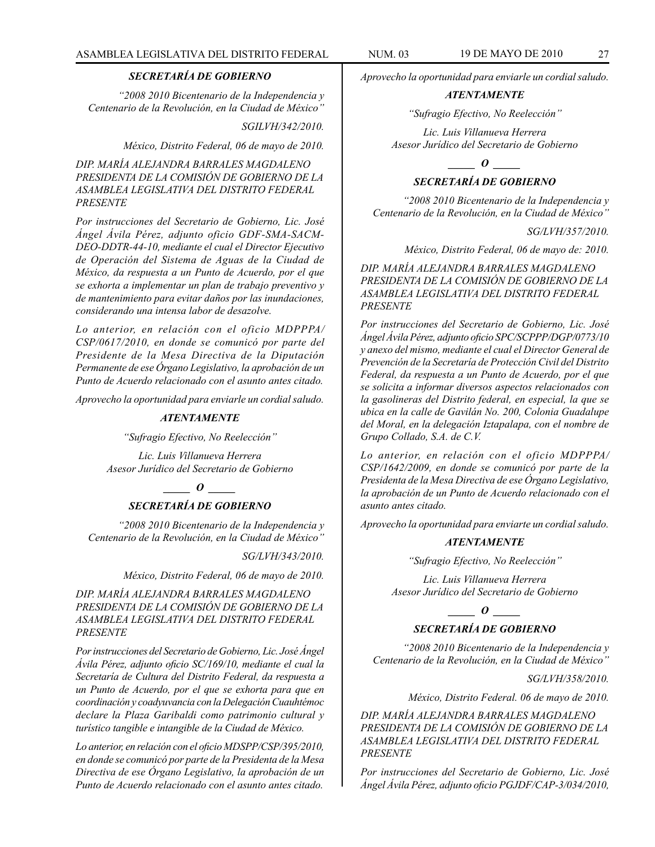### *SECRETARÍA DE GOBIERNO*

*"2008 2010 Bicentenario de la Independencia y Centenario de la Revolución, en la Ciudad de México"*

#### *SGILVH/342/2010.*

*México, Distrito Federal, 06 de mayo de 2010.*

*DIP. MARÍA ALEJANDRA BARRALES MAGDALENO PRESIDENTA DE LA COMISIÓN DE GOBIERNO DE LA ASAMBLEA LEGISLATIVA DEL DISTRITO FEDERAL PRESENTE*

*Por instrucciones del Secretario de Gobierno, Lic. José Ángel Ávila Pérez, adjunto oficio GDF-SMA-SACM-DEO-DDTR-44-10, mediante el cual el Director Ejecutivo de Operación del Sistema de Aguas de la Ciudad de México, da respuesta a un Punto de Acuerdo, por el que se exhorta a implementar un plan de trabajo preventivo y de mantenimiento para evitar daños por las inundaciones, considerando una intensa labor de desazolve.*

*Lo anterior, en relación con el oficio MDPPPA/ CSP/0617/2010, en donde se comunicó por parte del Presidente de la Mesa Directiva de la Diputación Permanente de ese Órgano Legislativo, la aprobación de un Punto de Acuerdo relacionado con el asunto antes citado.*

*Aprovecho la oportunidad para enviarle un cordial saludo.*

#### *ATENTAMENTE*

*"Sufragio Efectivo, No Reelección"*

*Lic. Luis Villanueva Herrera Asesor Jurídico del Secretario de Gobierno*

*\_\_\_\_\_ O \_\_\_\_\_*

### *SECRETARÍA DE GOBIERNO*

*"2008 2010 Bicentenario de la Independencia y Centenario de la Revolución, en la Ciudad de México"*

*SG/LVH/343/2010.*

*México, Distrito Federal, 06 de mayo de 2010.*

*DIP. MARÍA ALEJANDRA BARRALES MAGDALENO PRESIDENTA DE LA COMISIÓN DE GOBIERNO DE LA ASAMBLEA LEGISLATIVA DEL DISTRITO FEDERAL PRESENTE*

*Por instrucciones del Secretario de Gobierno, Lic. José Ángel Ávila Pérez, adjunto oficio SC/169/10, mediante el cual la Secretaría de Cultura del Distrito Federal, da respuesta a un Punto de Acuerdo, por el que se exhorta para que en coordinación y coadyuvancia con la Delegación Cuauhtémoc declare la Plaza Garibaldi como patrimonio cultural y turístico tangible e intangible de la Ciudad de México.*

*Lo anterior, en relación con el oficio MDSPP/CSP/395/2010, en donde se comunicó por parte de la Presidenta de la Mesa Directiva de ese Órgano Legislativo, la aprobación de un Punto de Acuerdo relacionado con el asunto antes citado.*

*Aprovecho la oportunidad para enviarle un cordial saludo.*

#### *ATENTAMENTE*

*"Sufragio Efectivo, No Reelección"*

*Lic. Luis Villanueva Herrera Asesor Jurídico del Secretario de Gobierno*

*\_\_\_\_\_ O \_\_\_\_\_*

### *SECRETARÍA DE GOBIERNO*

*"2008 2010 Bicentenario de la Independencia y Centenario de la Revolución, en la Ciudad de México"*

*SG/LVH/357/2010.*

*México, Distrito Federal, 06 de mayo de: 2010.*

*DIP. MARÍA ALEJANDRA BARRALES MAGDALENO PRESIDENTA DE LA COMISIÓN DE GOBIERNO DE LA ASAMBLEA LEGISLATIVA DEL DISTRITO FEDERAL PRESENTE*

*Por instrucciones del Secretario de Gobierno, Lic. José Ángel Ávila Pérez, adjunto oficio SPC/SCPPP/DGP/0773/10 y anexo del mismo, mediante el cual el Director General de Prevención de la Secretaría de Protección Civil del Distrito Federal, da respuesta a un Punto de Acuerdo, por el que se solicita a informar diversos aspectos relacionados con la gasolineras del Distrito federal, en especial, la que se ubica en la calle de Gavilán No. 200, Colonia Guadalupe del Moral, en la delegación Iztapalapa, con el nombre de Grupo Collado, S.A. de C.V.*

*Lo anterior, en relación con el oficio MDPPPA/ CSP/1642/2009, en donde se comunicó por parte de la Presidenta de la Mesa Directiva de ese Órgano Legislativo, la aprobación de un Punto de Acuerdo relacionado con el asunto antes citado.*

*Aprovecho la oportunidad para enviarte un cordial saludo.*

#### *ATENTAMENTE*

*"Sufragio Efectivo, No Reelección"*

*Lic. Luis Villanueva Herrera Asesor Jurídico del Secretario de Gobierno*

*\_\_\_\_\_ O \_\_\_\_\_*

### *SECRETARÍA DE GOBIERNO*

*"2008 2010 Bicentenario de la Independencia y Centenario de la Revolución, en la Ciudad de México"*

*SG/LVH/358/2010.*

*México, Distrito Federal. 06 de mayo de 2010.*

*DIP. MARÍA ALEJANDRA BARRALES MAGDALENO PRESIDENTA DE LA COMISIÓN DE GOBIERNO DE LA ASAMBLEA LEGISLATIVA DEL DISTRITO FEDERAL PRESENTE*

*Por instrucciones del Secretario de Gobierno, Lic. José Ángel Ávila Pérez, adjunto oficio PGJDF/CAP-3/034/2010,*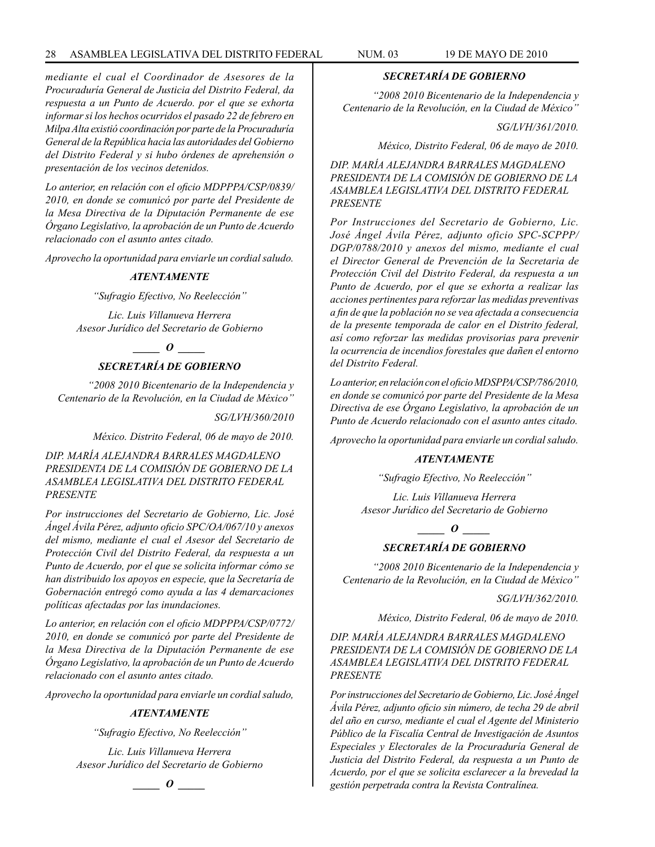*mediante el cual el Coordinador de Asesores de la Procuraduría General de Justicia del Distrito Federal, da respuesta a un Punto de Acuerdo. por el que se exhorta informar si los hechos ocurridos el pasado 22 de febrero en Milpa Alta existió coordinación por parte de la Procuraduría General de la República hacia las autoridades del Gobierno del Distrito Federal y si hubo órdenes de aprehensión o presentación de los vecinos detenidos.*

*Lo anterior, en relación con el oficio MDPPPA/CSP/0839/ 2010, en donde se comunicó por parte del Presidente de la Mesa Directiva de la Diputación Permanente de ese Órgano Legislativo, la aprobación de un Punto de Acuerdo relacionado con el asunto antes citado.*

*Aprovecho la oportunidad para enviarle un cordial saludo.*

#### *ATENTAMENTE*

*"Sufragio Efectivo, No Reelección"*

*Lic. Luis Villanueva Herrera Asesor Jurídico del Secretario de Gobierno*

## *\_\_\_\_\_ O \_\_\_\_\_*

### *SECRETARÍA DE GOBIERNO*

*"2008 2010 Bicentenario de la Independencia y Centenario de la Revolución, en la Ciudad de México"*

*SG/LVH/360/2010*

*México. Distrito Federal, 06 de mayo de 2010.*

*DIP. MARÍA ALEJANDRA BARRALES MAGDALENO PRESIDENTA DE LA COMISIÓN DE GOBIERNO DE LA ASAMBLEA LEGISLATIVA DEL DISTRITO FEDERAL PRESENTE*

*Por instrucciones del Secretario de Gobierno, Lic. José Ángel Ávila Pérez, adjunto oficio SPC/OA/067/10 y anexos del mismo, mediante el cual el Asesor del Secretario de Protección Civil del Distrito Federal, da respuesta a un Punto de Acuerdo, por el que se solicita informar cómo se han distribuido los apoyos en especie, que la Secretaría de Gobernación entregó como ayuda a las 4 demarcaciones políticas afectadas por las inundaciones.*

*Lo anterior, en relación con el oficio MDPPPA/CSP/0772/ 2010, en donde se comunicó por parte del Presidente de la Mesa Directiva de la Diputación Permanente de ese Órgano Legislativo, la aprobación de un Punto de Acuerdo relacionado con el asunto antes citado.*

*Aprovecho la oportunidad para enviarle un cordial saludo,*

#### *ATENTAMENTE*

*"Sufragio Efectivo, No Reelección"*

*Lic. Luis Villanueva Herrera Asesor Jurídico del Secretario de Gobierno*



#### *SECRETARÍA DE GOBIERNO*

*"2008 2010 Bicentenario de la Independencia y Centenario de la Revolución, en la Ciudad de México"*

*SG/LVH/361/2010.*

*México, Distrito Federal, 06 de mayo de 2010.*

*DIP. MARÍA ALEJANDRA BARRALES MAGDALENO PRESIDENTA DE LA COMISIÓN DE GOBIERNO DE LA ASAMBLEA LEGISLATIVA DEL DISTRITO FEDERAL PRESENTE*

*Por Instrucciones del Secretario de Gobierno, Lic. José Ángel Ávila Pérez, adjunto oficio SPC-SCPPP/ DGP/0788/2010 y anexos del mismo, mediante el cual el Director General de Prevención de la Secretaria de Protección Civil del Distrito Federal, da respuesta a un Punto de Acuerdo, por el que se exhorta a realizar las acciones pertinentes para reforzar las medidas preventivas a fin de que la población no se vea afectada a consecuencia de la presente temporada de calor en el Distrito federal, así como reforzar las medidas provisorias para prevenir la ocurrencia de incendios forestales que dañen el entorno del Distrito Federal.*

*Lo anterior, en relación con el oficio MDSPPA/CSP/786/2010, en donde se comunicó por parte del Presidente de la Mesa Directiva de ese Órgano Legislativo, la aprobación de un Punto de Acuerdo relacionado con el asunto antes citado.*

*Aprovecho la oportunidad para enviarle un cordial saludo.*

### *ATENTAMENTE*

*"Sufragio Efectivo, No Reelección"*

*Lic. Luis Villanueva Herrera Asesor Jurídico del Secretario de Gobierno*

*\_\_\_\_\_ O \_\_\_\_\_*

### *SECRETARÍA DE GOBIERNO*

*"2008 2010 Bicentenario de la Independencia y Centenario de la Revolución, en la Ciudad de México"*

*SG/LVH/362/2010.*

*México, Distrito Federal, 06 de mayo de 2010.*

*DIP. MARÍA ALEJANDRA BARRALES MAGDALENO PRESIDENTA DE LA COMISIÓN DE GOBIERNO DE LA ASAMBLEA LEGISLATIVA DEL DISTRITO FEDERAL PRESENTE*

*Por instrucciones del Secretario de Gobierno, Lic. José Ángel Ávila Pérez, adjunto oficio sin número, de techa 29 de abril del año en curso, mediante el cual el Agente del Ministerio Público de la Fiscalía Central de Investigación de Asuntos Especiales y Electorales de la Procuraduría General de Justicia del Distrito Federal, da respuesta a un Punto de Acuerdo, por el que se solicita esclarecer a la brevedad la gestión perpetrada contra la Revista Contralínea.*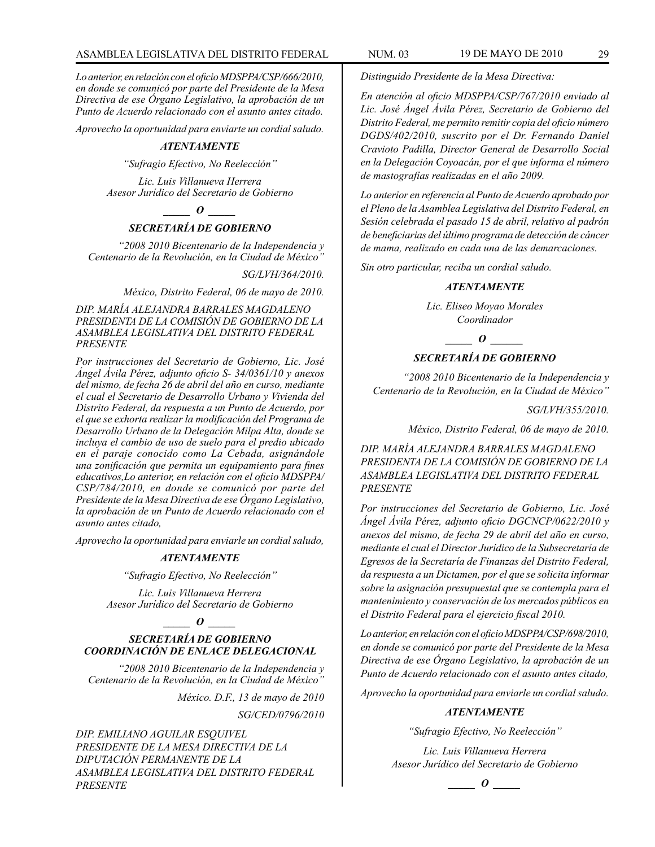*Lo anterior, en relación con el oficio MDSPPA/CSP/666/2010, en donde se comunicó por parte del Presidente de la Mesa Directiva de ese Órgano Legislativo, la aprobación de un Punto de Acuerdo relacionado con el asunto antes citado.*

*Aprovecho la oportunidad para enviarte un cordial saludo.*

#### *ATENTAMENTE*

*"Sufragio Efectivo, No Reelección"*

*Lic. Luis Villanueva Herrera Asesor Jurídico del Secretario de Gobierno*

*\_\_\_\_\_ O \_\_\_\_\_*

### *SECRETARÍA DE GOBIERNO*

*"2008 2010 Bicentenario de la Independencia y Centenario de la Revolución, en la Ciudad de México"*

*SG/LVH/364/2010.*

*México, Distrito Federal, 06 de mayo de 2010.*

*DIP. MARÍA ALEJANDRA BARRALES MAGDALENO PRESIDENTA DE LA COMISIÓN DE GOBIERNO DE LA ASAMBLEA LEGISLATIVA DEL DISTRITO FEDERAL PRESENTE*

*Por instrucciones del Secretario de Gobierno, Lic. José Ángel Ávila Pérez, adjunto oficio S- 34/0361/10 y anexos del mismo, de fecha 26 de abril del año en curso, mediante el cual el Secretario de Desarrollo Urbano y Vivienda del Distrito Federal, da respuesta a un Punto de Acuerdo, por el que se exhorta realizar la modificación del Programa de Desarrollo Urbano de la Delegación Milpa Alta, donde se incluya el cambio de uso de suelo para el predio ubicado en el paraje conocido como La Cebada, asignándole una zonificación que permita un equipamiento para fines educativos,Lo anterior, en relación con el oficio MDSPPA/ CSP/784/2010, en donde se comunicó por parte del Presidente de la Mesa Directiva de ese Órgano Legislativo, la aprobación de un Punto de Acuerdo relacionado con el asunto antes citado,*

*Aprovecho la oportunidad para enviarle un cordial saludo,*

#### *ATENTAMENTE*

*"Sufragio Efectivo, No Reelección"*

*Lic. Luis Villanueva Herrera Asesor Jurídico del Secretario de Gobierno*

#### $\bm{o}$

### *SECRETARÍA DE GOBIERNO COORDINACIÓN DE ENLACE DELEGACIONAL*

*"2008 2010 Bicentenario de la Independencia y Centenario de la Revolución, en la Ciudad de México"*

*México. D.F., 13 de mayo de 2010*

*SG/CED/0796/2010*

*DIP. EMILIANO AGUILAR ESQUIVEL PRESIDENTE DE LA MESA DIRECTIVA DE LA DIPUTACIÓN PERMANENTE DE LA ASAMBLEA LEGISLATIVA DEL DISTRITO FEDERAL PRESENTE*

*Distinguido Presidente de la Mesa Directiva:*

*En atención al oficio MDSPPA/CSP/767/2010 enviado al Lic. José Ángel Ávila Pérez, Secretario de Gobierno del Distrito Federal, me permito remitir copia del oficio número DGDS/402/2010, suscrito por el Dr. Fernando Daniel Cravioto Padilla, Director General de Desarrollo Social en la Delegación Coyoacán, por el que informa el número de mastografías realizadas en el año 2009.*

*Lo anterior en referencia al Punto de Acuerdo aprobado por el Pleno de la Asamblea Legislativa del Distrito Federal, en Sesión celebrada el pasado 15 de abril, relativo al padrón de beneficiarias del último programa de detección de cáncer de mama, realizado en cada una de las demarcaciones.*

*Sin otro particular, reciba un cordial saludo.*

#### *ATENTAMENTE*

*Lic. Eliseo Moyao Morales Coordinador*

#### *\_\_\_\_\_ O \_\_\_\_\_\_*

#### *SECRETARÍA DE GOBIERNO*

*"2008 2010 Bicentenario de la Independencia y Centenario de la Revolución, en la Ciudad de México"*

*SG/LVH/355/2010.*

*México, Distrito Federal, 06 de mayo de 2010.*

*DIP. MARÍA ALEJANDRA BARRALES MAGDALENO PRESIDENTA DE LA COMISIÓN DE GOBIERNO DE LA ASAMBLEA LEGISLATIVA DEL DISTRITO FEDERAL PRESENTE*

*Por instrucciones del Secretario de Gobierno, Lic. José Ángel Ávila Pérez, adjunto oficio DGCNCP/0622/2010 y anexos del mismo, de fecha 29 de abril del año en curso, mediante el cual el Director Jurídico de la Subsecretaría de Egresos de la Secretaría de Finanzas del Distrito Federal, da respuesta a un Dictamen, por el que se solicita informar sobre la asignación presupuestal que se contempla para el mantenimiento y conservación de los mercados públicos en el Distrito Federal para el ejercicio fiscal 2010.*

*Lo anterior, en relación con el oficio MDSPPA/CSP/698/2010, en donde se comunicó por parte del Presidente de la Mesa Directiva de ese Órgano Legislativo, la aprobación de un Punto de Acuerdo relacionado con el asunto antes citado,*

*Aprovecho la oportunidad para enviarle un cordial saludo.*

#### *ATENTAMENTE*

*"Sufragio Efectivo, No Reelección"*

*Lic. Luis Villanueva Herrera Asesor Jurídico del Secretario de Gobierno*

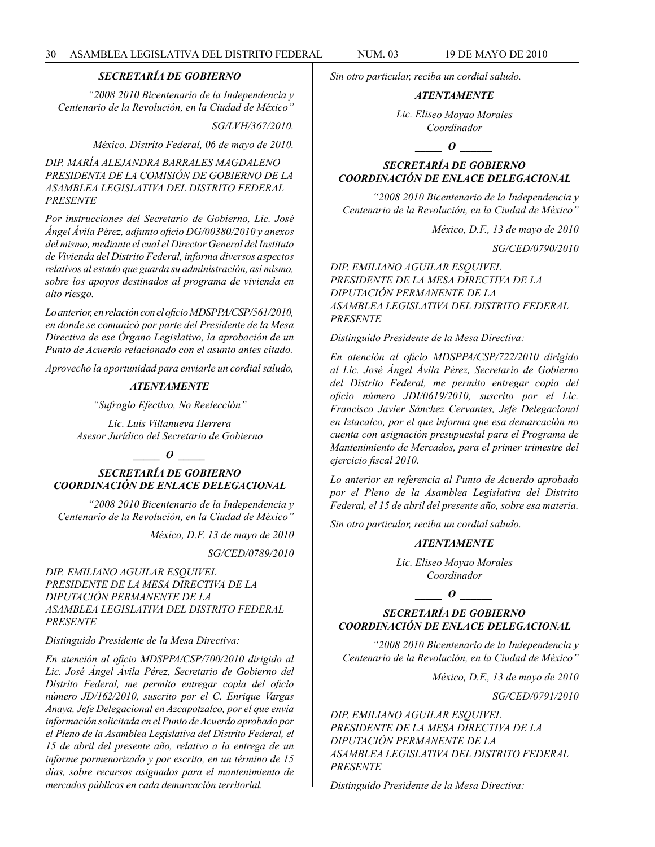#### *SECRETARÍA DE GOBIERNO*

*"2008 2010 Bicentenario de la Independencia y Centenario de la Revolución, en la Ciudad de México"*

*SG/LVH/367/2010.*

*México. Distrito Federal, 06 de mayo de 2010.*

*DIP. MARÍA ALEJANDRA BARRALES MAGDALENO PRESIDENTA DE LA COMISIÓN DE GOBIERNO DE LA ASAMBLEA LEGISLATIVA DEL DISTRITO FEDERAL PRESENTE*

*Por instrucciones del Secretario de Gobierno, Lic. José Ángel Ávila Pérez, adjunto oficio DG/00380/2010 y anexos del mismo, mediante el cual el Director General del Instituto de Vivienda del Distrito Federal, informa diversos aspectos relativos al estado que guarda su administración, así mismo, sobre los apoyos destinados al programa de vivienda en alto riesgo.*

*Lo anterior, en relación con el oficio MDSPPA/CSP/561/2010, en donde se comunicó por parte del Presidente de la Mesa Directiva de ese Órgano Legislativo, la aprobación de un Punto de Acuerdo relacionado con el asunto antes citado.*

*Aprovecho la oportunidad para enviarle un cordial saludo,*

#### *ATENTAMENTE*

*"Sufragio Efectivo, No Reelección"*

*Lic. Luis Villanueva Herrera Asesor Jurídico del Secretario de Gobierno*

### *\_\_\_\_\_ O \_\_\_\_\_*

*SECRETARÍA DE GOBIERNO COORDINACIÓN DE ENLACE DELEGACIONAL*

*"2008 2010 Bicentenario de la Independencia y Centenario de la Revolución, en la Ciudad de México"*

*México, D.F. 13 de mayo de 2010* 

*SG/CED/0789/2010* 

*DIP. EMILIANO AGUILAR ESQUIVEL PRESIDENTE DE LA MESA DIRECTIVA DE LA DIPUTACIÓN PERMANENTE DE LA ASAMBLEA LEGISLATIVA DEL DISTRITO FEDERAL PRESENTE*

*Distinguido Presidente de la Mesa Directiva:* 

*En atención al oficio MDSPPA/CSP/700/2010 dirigido al Lic. José Ángel Ávila Pérez, Secretario de Gobierno del Distrito Federal, me permito entregar copia del oficio número JD/162/2010, suscrito por el C. Enrique Vargas Anaya, Jefe Delegacional en Azcapotzalco, por el que envía información solicitada en el Punto de Acuerdo aprobado por el Pleno de la Asamblea Legislativa del Distrito Federal, el 15 de abril del presente año, relativo a la entrega de un informe pormenorizado y por escrito, en un término de 15 días, sobre recursos asignados para el mantenimiento de mercados públicos en cada demarcación territorial.* 

*Sin otro particular, reciba un cordial saludo.* 

### *ATENTAMENTE*

*Lic. Eliseo Moyao Morales Coordinador*

### *o*  $\theta$

### *SECRETARÍA DE GOBIERNO COORDINACIÓN DE ENLACE DELEGACIONAL*

*"2008 2010 Bicentenario de la Independencia y Centenario de la Revolución, en la Ciudad de México"*

*México, D.F., 13 de mayo de 2010* 

*SG/CED/0790/2010* 

*DIP. EMILIANO AGUILAR ESQUIVEL PRESIDENTE DE LA MESA DIRECTIVA DE LA DIPUTACIÓN PERMANENTE DE LA ASAMBLEA LEGISLATIVA DEL DISTRITO FEDERAL PRESENTE*

*Distinguido Presidente de la Mesa Directiva:* 

*En atención al oficio MDSPPA/CSP/722/2010 dirigido al Lic. José Ángel Ávila Pérez, Secretario de Gobierno del Distrito Federal, me permito entregar copia del oficio número JDI/0619/2010, suscrito por el Lic. Francisco Javier Sánchez Cervantes, Jefe Delegacional en Iztacalco, por el que informa que esa demarcación no cuenta con asignación presupuestal para el Programa de Mantenimiento de Mercados, para el primer trimestre del ejercicio fiscal 2010.* 

*Lo anterior en referencia al Punto de Acuerdo aprobado por el Pleno de la Asamblea Legislativa del Distrito Federal, el 15 de abril del presente año, sobre esa materia.* 

*Sin otro particular, reciba un cordial saludo.* 

#### *ATENTAMENTE*

*Lic. Eliseo Moyao Morales Coordinador*

### $\overline{\phantom{a}}$  *0*

### *SECRETARÍA DE GOBIERNO COORDINACIÓN DE ENLACE DELEGACIONAL*

*"2008 2010 Bicentenario de la Independencia y Centenario de la Revolución, en la Ciudad de México"*

*México, D.F., 13 de mayo de 2010* 

*SG/CED/0791/2010* 

*DIP. EMILIANO AGUILAR ESQUIVEL PRESIDENTE DE LA MESA DIRECTIVA DE LA DIPUTACIÓN PERMANENTE DE LA ASAMBLEA LEGISLATIVA DEL DISTRITO FEDERAL PRESENTE*

*Distinguido Presidente de la Mesa Directiva:*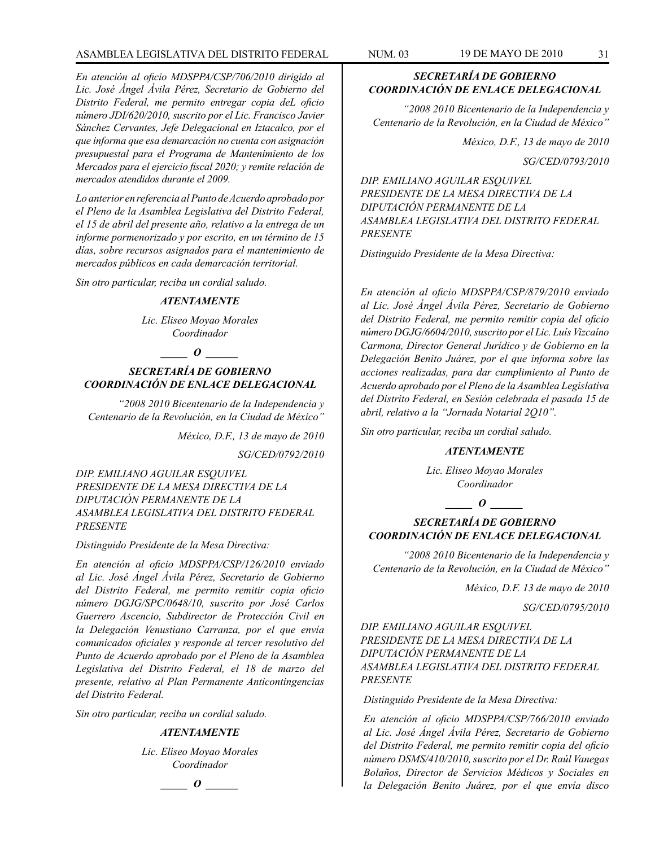### ASAMBLEA LEGISLATIVA DEL DISTRITO FEDERAL NUM. 03 19 DE MAYO DE 2010 31

*En atención al oficio MDSPPA/CSP/706/2010 dirigido al Lic. José Ángel Ávila Pérez, Secretario de Gobierno del Distrito Federal, me permito entregar copia deL oficio número JDI/620/2010, suscrito por el Lic. Francisco Javier Sánchez Cervantes, Jefe Delegacional en Iztacalco, por el que informa que esa demarcación no cuenta con asignación presupuestal para el Programa de Mantenimiento de los Mercados para el ejercicio fiscal 2020; y remite relación de mercados atendidos durante el 2009.* 

*Lo anterior en referencia al Punto de Acuerdo aprobado por el Pleno de la Asamblea Legislativa del Distrito Federal, el 15 de abril del presente año, relativo a la entrega de un informe pormenorizado y por escrito, en un término de 15 días, sobre recursos asignados para el mantenimiento de mercados públicos en cada demarcación territorial.* 

*Sin otro particular, reciba un cordial saludo.* 

#### *ATENTAMENTE*

*Lic. Eliseo Moyao Morales Coordinador*

*\_\_\_\_\_ O \_\_\_\_\_\_*

### *SECRETARÍA DE GOBIERNO COORDINACIÓN DE ENLACE DELEGACIONAL*

*"2008 2010 Bicentenario de la Independencia y Centenario de la Revolución, en la Ciudad de México"*

*México, D.F., 13 de mayo de 2010* 

*SG/CED/0792/2010* 

*DIP. EMILIANO AGUILAR ESQUIVEL PRESIDENTE DE LA MESA DIRECTIVA DE LA DIPUTACIÓN PERMANENTE DE LA ASAMBLEA LEGISLATIVA DEL DISTRITO FEDERAL PRESENTE*

#### *Distinguido Presidente de la Mesa Directiva:*

*En atención al oficio MDSPPA/CSP/126/2010 enviado al Lic. José Ángel Ávila Pérez, Secretario de Gobierno del Distrito Federal, me permito remitir copia oficio número DGJG/SPC/0648/10, suscrito por José Carlos Guerrero Ascencio, Subdirector de Protección Civil en la Delegación Venustiano Carranza, por el que envía comunicados oficiales y responde al tercer resolutivo del Punto de Acuerdo aprobado por el Pleno de la Asamblea Legislativa del Distrito Federal, el 18 de marzo del presente, relativo al Plan Permanente Anticontingencias del Distrito Federal.* 

*Sin otro particular, reciba un cordial saludo.* 

#### *ATENTAMENTE*

*Lic. Eliseo Moyao Morales Coordinador*

### *\_\_\_\_\_ O \_\_\_\_\_\_*

### *SECRETARÍA DE GOBIERNO COORDINACIÓN DE ENLACE DELEGACIONAL*

*"2008 2010 Bicentenario de la Independencia y Centenario de la Revolución, en la Ciudad de México"*

*México, D.F., 13 de mayo de 2010*

*SG/CED/0793/2010*

*DIP. EMILIANO AGUILAR ESQUIVEL PRESIDENTE DE LA MESA DIRECTIVA DE LA DIPUTACIÓN PERMANENTE DE LA ASAMBLEA LEGISLATIVA DEL DISTRITO FEDERAL PRESENTE*

*Distinguido Presidente de la Mesa Directiva:*

*En atención al oficio MDSPPA/CSP/879/2010 enviado al Lic. José Ángel Ávila Pérez, Secretario de Gobierno del Distrito Federal, me permito remitir copia del oficio número DGJG/6604/2010, suscrito por el Lic. Luís Vizcaíno Carmona, Director General Jurídico y de Gobierno en la Delegación Benito Juárez, por el que informa sobre las acciones realizadas, para dar cumplimiento al Punto de Acuerdo aprobado por el Pleno de la Asamblea Legislativa del Distrito Federal, en Sesión celebrada el pasada 15 de abril, relativo a la "Jornada Notarial 2Q10".*

*Sin otro particular, reciba un cordial saludo.*

#### *ATENTAMENTE*

*Lic. Eliseo Moyao Morales Coordinador*

*\_\_\_\_\_ O \_\_\_\_\_\_*

### *SECRETARÍA DE GOBIERNO COORDINACIÓN DE ENLACE DELEGACIONAL*

*"2008 2010 Bicentenario de la Independencia y Centenario de la Revolución, en la Ciudad de México"*

*México, D.F. 13 de mayo de 2010* 

*SG/CED/0795/2010* 

*DIP. EMILIANO AGUILAR ESQUIVEL PRESIDENTE DE LA MESA DIRECTIVA DE LA DIPUTACIÓN PERMANENTE DE LA ASAMBLEA LEGISLATIVA DEL DISTRITO FEDERAL PRESENTE*

*Distinguido Presidente de la Mesa Directiva:* 

*En atención al oficio MDSPPA/CSP/766/2010 enviado al Lic. José Ángel Ávila Pérez, Secretario de Gobierno del Distrito Federal, me permito remitir copia del oficio número DSMS/410/2010, suscrito por el Dr. Raúl Vanegas Bolaños, Director de Servicios Médicos y Sociales en la Delegación Benito Juárez, por el que envía disco*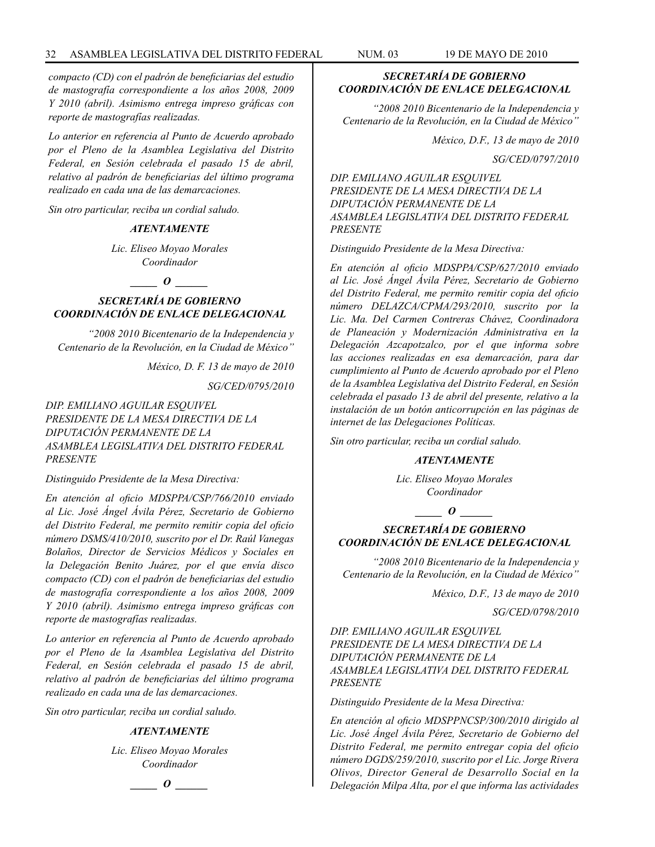*compacto (CD) con el padrón de beneficiarias del estudio de mastografía correspondiente a los años 2008, 2009 Y 2010 (abril). Asimismo entrega impreso gráficas con reporte de mastografías realizadas.* 

*Lo anterior en referencia al Punto de Acuerdo aprobado por el Pleno de la Asamblea Legislativa del Distrito Federal, en Sesión celebrada el pasado 15 de abril, relativo al padrón de beneficiarias del último programa realizado en cada una de las demarcaciones.* 

*Sin otro particular, reciba un cordial saludo.* 

#### *ATENTAMENTE*

*Lic. Eliseo Moyao Morales Coordinador*

 $\bm{o}$ 

### *SECRETARÍA DE GOBIERNO COORDINACIÓN DE ENLACE DELEGACIONAL*

*"2008 2010 Bicentenario de la Independencia y Centenario de la Revolución, en la Ciudad de México"*

*México, D. F. 13 de mayo de 2010* 

*SG/CED/0795/2010* 

*DIP. EMILIANO AGUILAR ESQUIVEL PRESIDENTE DE LA MESA DIRECTIVA DE LA DIPUTACIÓN PERMANENTE DE LA ASAMBLEA LEGISLATIVA DEL DISTRITO FEDERAL PRESENTE*

*Distinguido Presidente de la Mesa Directiva:* 

*En atención al oficio MDSPPA/CSP/766/2010 enviado al Lic. José Ángel Ávila Pérez, Secretario de Gobierno del Distrito Federal, me permito remitir copia del oficio número DSMS/410/2010, suscrito por el Dr. Raúl Vanegas Bolaños, Director de Servicios Médicos y Sociales en la Delegación Benito Juárez, por el que envía disco compacto (CD) con el padrón de beneficiarias del estudio de mastografía correspondiente a los años 2008, 2009 Y 2010 (abril). Asimismo entrega impreso gráficas con reporte de mastografías realizadas.* 

*Lo anterior en referencia al Punto de Acuerdo aprobado por el Pleno de la Asamblea Legislativa del Distrito Federal, en Sesión celebrada el pasado 15 de abril, relativo al padrón de beneficiarias del último programa realizado en cada una de las demarcaciones.* 

*Sin otro particular, reciba un cordial saludo.* 

#### *ATENTAMENTE*

*Lic. Eliseo Moyao Morales Coordinador*



### *SECRETARÍA DE GOBIERNO COORDINACIÓN DE ENLACE DELEGACIONAL*

*"2008 2010 Bicentenario de la Independencia y Centenario de la Revolución, en la Ciudad de México"*

*México, D.F., 13 de mayo de 2010* 

*SG/CED/0797/2010* 

*DIP. EMILIANO AGUILAR ESQUIVEL PRESIDENTE DE LA MESA DIRECTIVA DE LA DIPUTACIÓN PERMANENTE DE LA ASAMBLEA LEGISLATIVA DEL DISTRITO FEDERAL PRESENTE*

*Distinguido Presidente de la Mesa Directiva:* 

*En atención al oficio MDSPPA/CSP/627/2010 enviado al Lic. José Ángel Ávila Pérez, Secretario de Gobierno del Distrito Federal, me permito remitir copia del oficio número DELAZCA/CPMA/293/2010, suscrito por la Lic. Ma. Del Carmen Contreras Chávez, Coordinadora de Planeación y Modernización Administrativa en la Delegación Azcapotzalco, por el que informa sobre las acciones realizadas en esa demarcación, para dar cumplimiento al Punto de Acuerdo aprobado por el Pleno de la Asamblea Legislativa del Distrito Federal, en Sesión celebrada el pasado 13 de abril del presente, relativo a la instalación de un botón anticorrupción en las páginas de internet de las Delegaciones Políticas.* 

*Sin otro particular, reciba un cordial saludo.* 

#### *ATENTAMENTE*

*Lic. Eliseo Moyao Morales Coordinador*

*\_\_\_\_\_ O \_\_\_\_\_\_*

### *SECRETARÍA DE GOBIERNO COORDINACIÓN DE ENLACE DELEGACIONAL*

*"2008 2010 Bicentenario de la Independencia y Centenario de la Revolución, en la Ciudad de México"*

*México, D.F., 13 de mayo de 2010*

*SG/CED/0798/2010*

*DIP. EMILIANO AGUILAR ESQUIVEL PRESIDENTE DE LA MESA DIRECTIVA DE LA DIPUTACIÓN PERMANENTE DE LA ASAMBLEA LEGISLATIVA DEL DISTRITO FEDERAL PRESENTE*

*Distinguido Presidente de la Mesa Directiva:*

*En atención al oficio MDSPPNCSP/300/2010 dirigido al Lic. José Ángel Ávila Pérez, Secretario de Gobierno del Distrito Federal, me permito entregar copia del oficio número DGDS/259/2010, suscrito por el Lic. Jorge Rivera Olivos, Director General de Desarrollo Social en la Delegación Milpa Alta, por el que informa las actividades*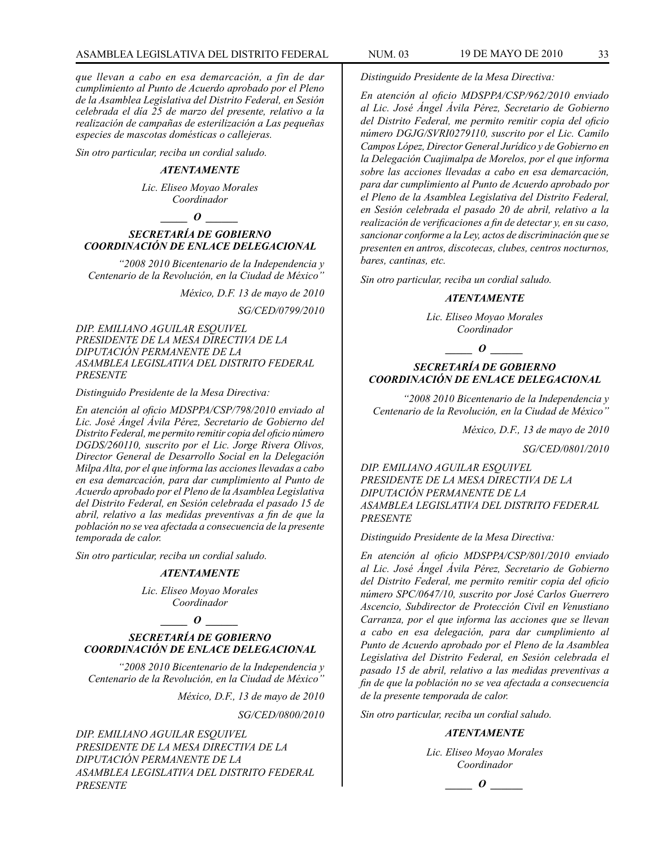*que llevan a cabo en esa demarcación, a fin de dar cumplimiento al Punto de Acuerdo aprobado por el Pleno de la Asamblea Legislativa del Distrito Federal, en Sesión celebrada el día 25 de marzo del presente, relativo a la realización de campañas de esterilización a Las pequeñas especies de mascotas domésticas o callejeras.*

*Sin otro particular, reciba un cordial saludo.*

#### *ATENTAMENTE*

*Lic. Eliseo Moyao Morales Coordinador*

#### $\bm{o}$

#### *SECRETARÍA DE GOBIERNO COORDINACIÓN DE ENLACE DELEGACIONAL*

*"2008 2010 Bicentenario de la Independencia y Centenario de la Revolución, en la Ciudad de México"*

*México, D.F. 13 de mayo de 2010*

*SG/CED/0799/2010*

*DIP. EMILIANO AGUILAR ESQUIVEL PRESIDENTE DE LA MESA DIRECTIVA DE LA DIPUTACIÓN PERMANENTE DE LA ASAMBLEA LEGISLATIVA DEL DISTRITO FEDERAL PRESENTE*

*Distinguido Presidente de la Mesa Directiva:*

*En atención al oficio MDSPPA/CSP/798/2010 enviado al Lic. José Ángel Ávila Pérez, Secretario de Gobierno del Distrito Federal, me permito remitir copia del oficio número DGDS/260110, suscrito por el Lic. Jorge Rivera Olivos, Director General de Desarrollo Social en la Delegación Milpa Alta, por el que informa las acciones llevadas a cabo en esa demarcación, para dar cumplimiento al Punto de Acuerdo aprobado por el Pleno de la Asamblea Legislativa del Distrito Federal, en Sesión celebrada el pasado 15 de abril, relativo a las medidas preventivas a fin de que la población no se vea afectada a consecuencia de la presente temporada de calor.*

*Sin otro particular, reciba un cordial saludo.*

#### *ATENTAMENTE*

*Lic. Eliseo Moyao Morales Coordinador*

#### *\_\_\_\_\_ O \_\_\_\_\_\_*

#### *SECRETARÍA DE GOBIERNO COORDINACIÓN DE ENLACE DELEGACIONAL*

*"2008 2010 Bicentenario de la Independencia y Centenario de la Revolución, en la Ciudad de México"*

*México, D.F., 13 de mayo de 2010*

*SG/CED/0800/2010*

*DIP. EMILIANO AGUILAR ESQUIVEL PRESIDENTE DE LA MESA DIRECTIVA DE LA DIPUTACIÓN PERMANENTE DE LA ASAMBLEA LEGISLATIVA DEL DISTRITO FEDERAL PRESENTE*

*Distinguido Presidente de la Mesa Directiva:*

*En atención al oficio MDSPPA/CSP/962/2010 enviado al Lic. José Ángel Ávila Pérez, Secretario de Gobierno del Distrito Federal, me permito remitir copia del oficio número DGJG/SVRI0279110, suscrito por el Lic. Camilo Campos López, Director General Jurídico y de Gobierno en la Delegación Cuajimalpa de Morelos, por el que informa sobre las acciones llevadas a cabo en esa demarcación, para dar cumplimiento al Punto de Acuerdo aprobado por el Pleno de la Asamblea Legislativa del Distrito Federal, en Sesión celebrada el pasado 20 de abril, relativo a la realización de verificaciones a fin de detectar y, en su caso, sancionar conforme a la Ley, actos de discriminación que se presenten en antros, discotecas, clubes, centros nocturnos, bares, cantinas, etc.*

*Sin otro particular, reciba un cordial saludo.*

#### *ATENTAMENTE*

*Lic. Eliseo Moyao Morales Coordinador*

### *\_\_\_\_\_ O \_\_\_\_\_\_*

### *SECRETARÍA DE GOBIERNO COORDINACIÓN DE ENLACE DELEGACIONAL*

*"2008 2010 Bicentenario de la Independencia y Centenario de la Revolución, en la Ciudad de México"*

*México, D.F., 13 de mayo de 2010* 

*SG/CED/0801/2010* 

*DIP. EMILIANO AGUILAR ESQUIVEL PRESIDENTE DE LA MESA DIRECTIVA DE LA DIPUTACIÓN PERMANENTE DE LA ASAMBLEA LEGISLATIVA DEL DISTRITO FEDERAL PRESENTE*

*Distinguido Presidente de la Mesa Directiva:* 

*En atención al oficio MDSPPA/CSP/801/2010 enviado al Lic. José Ángel Ávila Pérez, Secretario de Gobierno del Distrito Federal, me permito remitir copia del oficio número SPC/0647/10, suscrito por José Carlos Guerrero Ascencio, Subdirector de Protección Civil en Venustiano Carranza, por el que informa las acciones que se llevan a cabo en esa delegación, para dar cumplimiento al Punto de Acuerdo aprobado por el Pleno de la Asamblea Legislativa del Distrito Federal, en Sesión celebrada el pasado 15 de abril, relativo a las medidas preventivas a fin de que la población no se vea afectada a consecuencia de la presente temporada de calor.* 

*Sin otro particular, reciba un cordial saludo.* 

#### *ATENTAMENTE*

*Lic. Eliseo Moyao Morales Coordinador*

*\_\_\_\_\_ O \_\_\_\_\_\_*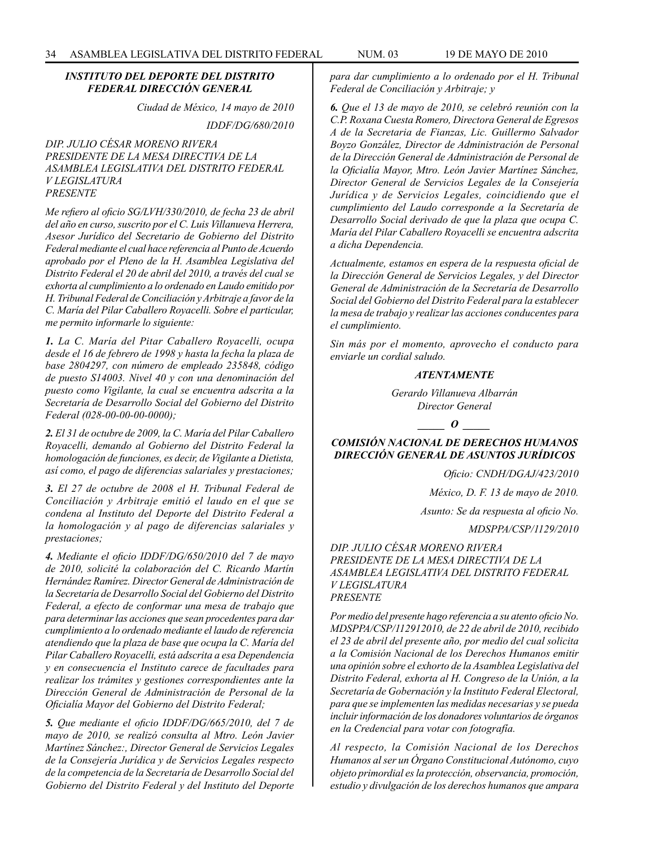#### *INSTITUTO DEL DEPORTE DEL DISTRITO FEDERAL DIRECCIÓN GENERAL*

*Ciudad de México, 14 mayo de 2010*

*IDDF/DG/680/2010*

*DIP. JULIO CÉSAR MORENO RIVERA PRESIDENTE DE LA MESA DIRECTIVA DE LA ASAMBLEA LEGISLATIVA DEL DISTRITO FEDERAL V LEGISLATURA PRESENTE* 

*Me refiero al oficio SG/LVH/330/2010, de fecha 23 de abril del año en curso, suscrito por el C. Luis Villanueva Herrera, Asesor Jurídico del Secretario de Gobierno del Distrito Federal mediante el cual hace referencia al Punto de Acuerdo aprobado por el Pleno de la H. Asamblea Legislativa del Distrito Federal el 20 de abril del 2010, a través del cual se exhorta al cumplimiento a lo ordenado en Laudo emitido por H. Tribunal Federal de Conciliación y Arbitraje a favor de la C. María del Pilar Caballero Royacelli. Sobre el particular, me permito informarle lo siguiente:*

*1. La C. María del Pitar Caballero Royacelli, ocupa desde el 16 de febrero de 1998 y hasta la fecha la plaza de base 2804297, con número de empleado 235848, código de puesto S14003. Nivel 40 y con una denominación del puesto como Vigilante, la cual se encuentra adscrita a la Secretaría de Desarrollo Social del Gobierno del Distrito Federal (028-00-00-00-0000);*

*2. El 31 de octubre de 2009, la C. María del Pilar Caballero Royacelli, demando al Gobierno del Distrito Federal la homologación de funciones, es decir, de Vigilante a Dietista, así como, el pago de diferencias salariales y prestaciones;*

*3. El 27 de octubre de 2008 el H. Tribunal Federal de Conciliación y Arbitraje emitió el laudo en el que se condena al Instituto del Deporte del Distrito Federal a la homologación y al pago de diferencias salariales y prestaciones;*

*4. Mediante el oficio IDDF/DG/650/2010 del 7 de mayo de 2010, solicité la colaboración del C. Ricardo Martín Hernández Ramírez. Director General de Administración de la Secretaría de Desarrollo Social del Gobierno del Distrito Federal, a efecto de conformar una mesa de trabajo que para determinar las acciones que sean procedentes para dar cumplimiento a lo ordenado mediante el laudo de referencia atendiendo que la plaza de base que ocupa la C. María del Pilar Caballero Royacelli, está adscrita a esa Dependencia y en consecuencia el Instituto carece de facultades para realizar los trámites y gestiones correspondientes ante la Dirección General de Administración de Personal de la Oficialía Mayor del Gobierno del Distrito Federal;*

*5. Que mediante el oficio IDDF/DG/665/2010, del 7 de mayo de 2010, se realizó consulta al Mtro. León Javier Martínez Sánchez:, Director General de Servicios Legales de la Consejería Jurídica y de Servicios Legales respecto de la competencia de la Secretaría de Desarrollo Social del Gobierno del Distrito Federal y del Instituto del Deporte*  *para dar cumplimiento a lo ordenado por el H. Tribunal Federal de Conciliación y Arbitraje; y*

*6. Que el 13 de mayo de 2010, se celebró reunión con la C.P. Roxana Cuesta Romero, Directora General de Egresos A de la Secretaria de Fianzas, Lic. Guillermo Salvador Boyzo González, Director de Administración de Personal de la Dirección General de Administración de Personal de la Oficialía Mayor, Mtro. León Javier Martínez Sánchez, Director General de Servicios Legales de la Consejería Jurídica y de Servicios Legales, coincidiendo que el cumplimiento del Laudo corresponde a la Secretaría de Desarrollo Social derivado de que la plaza que ocupa C. María del Pilar Caballero Royacelli se encuentra adscrita a dicha Dependencia.*

*Actualmente, estamos en espera de la respuesta oficial de la Dirección General de Servicios Legales, y del Director General de Administración de la Secretaría de Desarrollo Social del Gobierno del Distrito Federal para la establecer la mesa de trabajo y realizar las acciones conducentes para el cumplimiento.*

*Sin más por el momento, aprovecho el conducto para enviarle un cordial saludo.*

#### *ATENTAMENTE*

*Gerardo Villanueva Albarrán Director General*

*\_\_\_\_\_ O \_\_\_\_\_*

*COMISIÓN NACIONAL DE DERECHOS HUMANOS DIRECCIÓN GENERAL DE ASUNTOS JURÍDICOS*

*Oficio: CNDH/DGAJ/423/2010*

*México, D. F. 13 de mayo de 2010.*

*Asunto: Se da respuesta al oficio No.*

*MDSPPA/CSP/1129/2010*

*DIP. JULIO CÉSAR MORENO RIVERA PRESIDENTE DE LA MESA DIRECTIVA DE LA ASAMBLEA LEGISLATIVA DEL DISTRITO FEDERAL V LEGISLATURA PRESENTE* 

*Por medio del presente hago referencia a su atento oficio No. MDSPPA/CSP/112912010, de 22 de abril de 2010, recibido el 23 de abril del presente año, por medio del cual solicita a la Comisión Nacional de los Derechos Humanos emitir una opinión sobre el exhorto de la Asamblea Legislativa del Distrito Federal, exhorta al H. Congreso de la Unión, a la Secretaría de Gobernación y la Instituto Federal Electoral, para que se implementen las medidas necesarias y se pueda incluir información de los donadores voluntarios de órganos en la Credencial para votar con fotografía.*

*Al respecto, la Comisión Nacional de los Derechos Humanos al ser un Órgano Constitucional Autónomo, cuyo objeto primordial es la protección, observancia, promoción, estudio y divulgación de los derechos humanos que ampara*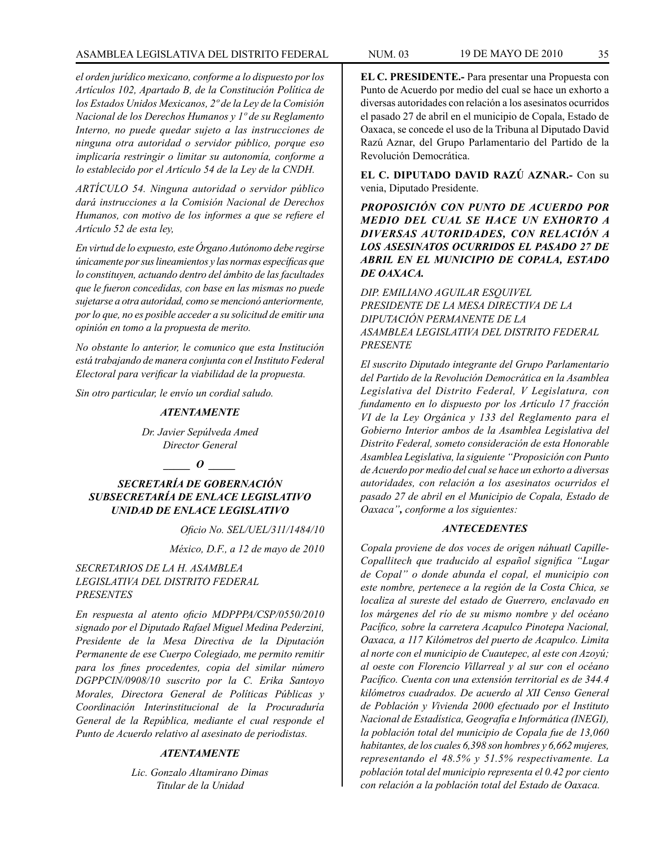### ASAMBLEA LEGISLATIVA DEL DISTRITO FEDERAL NUM. 03 19 de mayo DE 2010 35

*el orden jurídico mexicano, conforme a lo dispuesto por los Artículos 102, Apartado B, de la Constitución Política de los Estados Unidos Mexicanos, 2º de la Ley de la Comisión Nacional de los Derechos Humanos y 1º de su Reglamento Interno, no puede quedar sujeto a las instrucciones de ninguna otra autoridad o servidor público, porque eso implicaría restringir o limitar su autonomía, conforme a lo establecido por el Artículo 54 de la Ley de la CNDH.*

*ARTÍCULO 54. Ninguna autoridad o servidor público dará instrucciones a la Comisión Nacional de Derechos Humanos, con motivo de los informes a que se refiere el Artículo 52 de esta ley,*

*En virtud de lo expuesto, este Órgano Autónomo debe regirse únicamente por sus lineamientos y las normas específicas que lo constituyen, actuando dentro del ámbito de las facultades que le fueron concedidas, con base en las mismas no puede sujetarse a otra autoridad, como se mencionó anteriormente, por lo que, no es posible acceder a su solicitud de emitir una opinión en tomo a la propuesta de merito.*

*No obstante lo anterior, le comunico que esta Institución está trabajando de manera conjunta con el Instituto Federal Electoral para verificar la viabilidad de la propuesta.*

*Sin otro particular, le envío un cordial saludo.*

### *ATENTAMENTE*

*Dr. Javier Sepúlveda Amed Director General*

*\_\_\_\_\_ O \_\_\_\_\_*

*SECRETARÍA DE GOBERNACIÓN SUBSECRETARÍA DE ENLACE LEGISLATIVO UNIDAD DE ENLACE LEGISLATIVO*

*Oficio No. SEL/UEL/311/1484/10* 

*México, D.F., a 12 de mayo de 2010* 

### *SECRETARIOS DE LA H. ASAMBLEA LEGISLATIVA DEL DISTRITO FEDERAL PRESENTES*

*En respuesta al atento oficio MDPPPA/CSP/0550/2010 signado por el Diputado Rafael Miguel Medina Pederzini, Presidente de la Mesa Directiva de la Diputación Permanente de ese Cuerpo Colegiado, me permito remitir para los fines procedentes, copia del similar número DGPPCIN/0908/10 suscrito por la C. Erika Santoyo Morales, Directora General de Políticas Públicas y Coordinación Interinstitucional de la Procuraduría General de la República, mediante el cual responde el Punto de Acuerdo relativo al asesinato de periodistas.* 

### *ATENTAMENTE*

*Lic. Gonzalo Altamirano Dimas Titular de la Unidad*

**EL C. PRESIDENTE.-** Para presentar una Propuesta con Punto de Acuerdo por medio del cual se hace un exhorto a diversas autoridades con relación a los asesinatos ocurridos el pasado 27 de abril en el municipio de Copala, Estado de Oaxaca, se concede el uso de la Tribuna al Diputado David Razú Aznar, del Grupo Parlamentario del Partido de la Revolución Democrática.

**EL C. DIPUTADO DAVID RAZÚ AZNAR.-** Con su venia, Diputado Presidente.

*PROPOSICIÓN CON PUNTO DE ACUERDO POR MEDIO DEL CUAL SE HACE UN EXHORTO A DIVERSAS AUTORIDADES, CON RELACIÓN A LOS ASESINATOS OCURRIDOS EL PASADO 27 DE ABRIL EN EL MUNICIPIO DE COPALA, ESTADO DE OAXACA.*

*DIP. EMILIANO AGUILAR ESQUIVEL PRESIDENTE DE LA MESA DIRECTIVA DE LA DIPUTACIÓN PERMANENTE DE LA ASAMBLEA LEGISLATIVA DEL DISTRITO FEDERAL PRESENTE*

*El suscrito Diputado integrante del Grupo Parlamentario del Partido de la Revolución Democrática en la Asamblea Legislativa del Distrito Federal, V Legislatura, con fundamento en lo dispuesto por los Artículo 17 fracción VI de la Ley Orgánica y 133 del Reglamento para el Gobierno Interior ambos de la Asamblea Legislativa del Distrito Federal, someto consideración de esta Honorable Asamblea Legislativa, la siguiente "Proposición con Punto de Acuerdo por medio del cual se hace un exhorto a diversas autoridades, con relación a los asesinatos ocurridos el pasado 27 de abril en el Municipio de Copala, Estado de Oaxaca", conforme a los siguientes:*

### *ANTECEDENTES*

*Copala proviene de dos voces de origen náhuatl Capille-Copallitech que traducido al español significa "Lugar de Copal" o donde abunda el copal, el municipio con este nombre, pertenece a la región de la Costa Chica, se localiza al sureste del estado de Guerrero, enclavado en los márgenes del río de su mismo nombre y del océano Pacífico, sobre la carretera Acapulco Pinotepa Nacional, Oaxaca, a 117 Kilómetros del puerto de Acapulco. Limita al norte con el municipio de Cuautepec, al este con Azoyú; al oeste con Florencio Villarreal y al sur con el océano Pacífico. Cuenta con una extensión territorial es de 344.4 kilómetros cuadrados. De acuerdo al XII Censo General de Población y Vivienda 2000 efectuado por el Instituto Nacional de Estadística, Geografía e Informática (INEGI), la población total del municipio de Copala fue de 13,060 habitantes, de los cuales 6,398 son hombres y 6,662 mujeres, representando el 48.5% y 51.5% respectivamente. La población total del municipio representa el 0.42 por ciento con relación a la población total del Estado de Oaxaca.*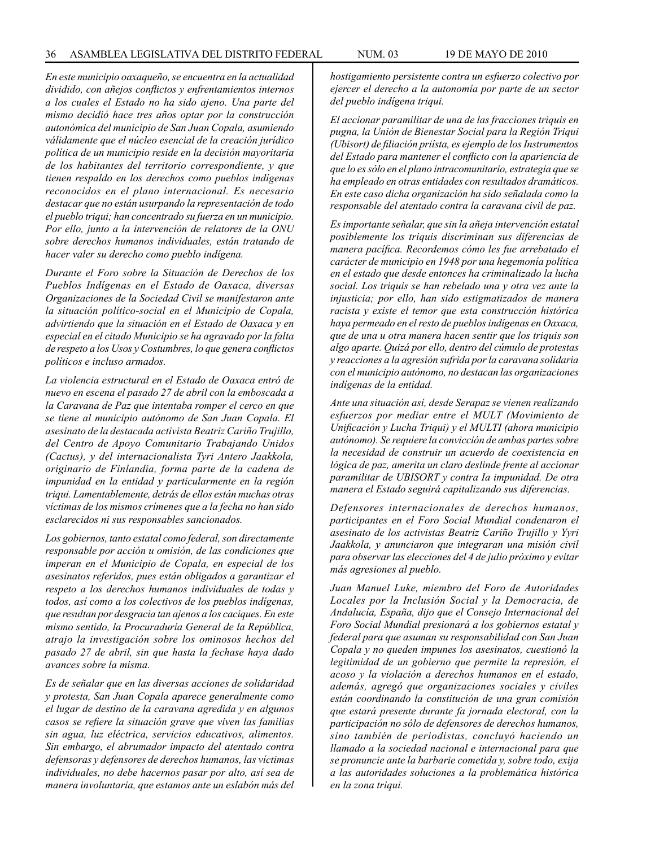*En este municipio oaxaqueño, se encuentra en la actualidad dividido, con añejos conflictos y enfrentamientos internos a los cuales el Estado no ha sido ajeno. Una parte del mismo decidió hace tres años optar por la construcción autonómica del municipio de San Juan Copala, asumiendo válidamente que el núcleo esencial de la creación jurídico política de un municipio reside en la decisión mayoritaria de los habitantes del territorio correspondiente, y que tienen respaldo en los derechos como pueblos indígenas reconocidos en el plano internacional. Es necesario destacar que no están usurpando la representación de todo el pueblo triqui; han concentrado su fuerza en un municipio. Por ello, junto a la intervención de relatores de la ONU sobre derechos humanos individuales, están tratando de hacer valer su derecho como pueblo indígena.*

*Durante el Foro sobre la Situación de Derechos de los Pueblos Indígenas en el Estado de Oaxaca, diversas Organizaciones de la Sociedad Civil se manifestaron ante la situación político-social en el Municipio de Copala, advirtiendo que la situación en el Estado de Oaxaca y en especial en el citado Municipio se ha agravado por la falta de respeto a los Usos y Costumbres, lo que genera conflictos políticos e incluso armados.*

*La violencia estructural en el Estado de Oaxaca entró de nuevo en escena el pasado 27 de abril con la emboscada a la Caravana de Paz que intentaba romper el cerco en que se tiene al municipio autónomo de San Juan Copala. El asesinato de la destacada activista Beatriz Cariño Trujillo, del Centro de Apoyo Comunitario Trabajando Unidos (Cactus), y del internacionalista Tyri Antero Jaakkola, originario de Finlandia, forma parte de la cadena de impunidad en la entidad y particularmente en la región triqui. Lamentablemente, detrás de ellos están muchas otras víctimas de los mismos crímenes que a la fecha no han sido esclarecidos ni sus responsables sancionados.*

*Los gobiernos, tanto estatal como federal, son directamente responsable por acción u omisión, de las condiciones que imperan en el Municipio de Copala, en especial de los asesinatos referidos, pues están obligados a garantizar el respeto a los derechos humanos individuales de todas y todos, así como a los colectivos de los pueblos indígenas, que resultan por desgracia tan ajenos a los caciques. En este mismo sentido, la Procuraduría General de la República, atrajo la investigación sobre los ominosos hechos del pasado 27 de abril, sin que hasta la fechase haya dado avances sobre la misma.*

*Es de señalar que en las diversas acciones de solidaridad y protesta, San Juan Copala aparece generalmente como el lugar de destino de la caravana agredida y en algunos casos se refiere la situación grave que viven las familias sin agua, luz eléctrica, servicios educativos, alimentos. Sin embargo, el abrumador impacto del atentado contra defensoras y defensores de derechos humanos, las víctimas individuales, no debe hacernos pasar por alto, así sea de manera involuntaria, que estamos ante un eslabón más del*  *hostigamiento persistente contra un esfuerzo colectivo por ejercer el derecho a la autonomía por parte de un sector del pueblo indígena triqui.*

*El accionar paramilitar de una de las fracciones triquis en pugna, la Unión de Bienestar Social para la Región Triqui (Ubisort) de filiación priísta, es ejemplo de los Instrumentos del Estado para mantener el conflicto con la apariencia de que lo es sólo en el plano intracomunitario, estrategia que se ha empleado en otras entidades con resultados dramáticos. En este caso dicha organización ha sido señalada como la responsable del atentado contra la caravana civil de paz.*

*Es importante señalar, que sin la añeja intervención estatal posiblemente los triquis discriminan sus diferencias de manera pacífica. Recordemos cómo les fue arrebatado el carácter de municipio en 1948 por una hegemonía política en el estado que desde entonces ha criminalizado la lucha social. Los triquis se han rebelado una y otra vez ante la injusticia; por ello, han sido estigmatizados de manera racista y existe el temor que esta construcción histórica haya permeado en el resto de pueblos indígenas en Oaxaca, que de una u otra manera hacen sentir que los triquis son algo aparte. Quizá por ello, dentro del cúmulo de protestas y reacciones a la agresión sufrida por la caravana solidaria con el municipio autónomo, no destacan las organizaciones indígenas de la entidad.*

*Ante una situación así, desde Serapaz se vienen realizando esfuerzos por mediar entre el MULT (Movimiento de Unificación y Lucha Triqui) y el MULTI (ahora municipio autónomo). Se requiere la convicción de ambas partes sobre la necesidad de construir un acuerdo de coexistencia en lógica de paz, amerita un claro deslinde frente al accionar paramilitar de UBISORT y contra Ia impunidad. De otra manera el Estado seguirá capitalizando sus diferencias.*

*Defensores internacionales de derechos humanos, participantes en el Foro Social Mundial condenaron el asesinato de los activistas Beatriz Cariño Trujillo y Yyri Jaakkola, y anunciaron que integraran una misión civil para observar las elecciones del 4 de julio próximo y evitar más agresiones al pueblo.*

*Juan Manuel Luke, miembro del Foro de Autoridades Locales por la Inclusión Social y la Democracia, de Andalucía, España, dijo que el Consejo Internacional del Foro Social Mundial presionará a los gobiernos estatal y federal para que asuman su responsabilidad con San Juan Copala y no queden impunes los asesinatos, cuestionó la legitimidad de un gobierno que permite la represión, el acoso y la violación a derechos humanos en el estado, además, agregó que organizaciones sociales y civiles están coordinando la constitución de una gran comisión que estará presente durante fa jornada electoral, con la participación no sólo de defensores de derechos humanos, sino también de periodistas, concluyó haciendo un llamado a la sociedad nacional e internacional para que se pronuncie ante la barbarie cometida y, sobre todo, exija a las autoridades soluciones a la problemática histórica en la zona triqui.*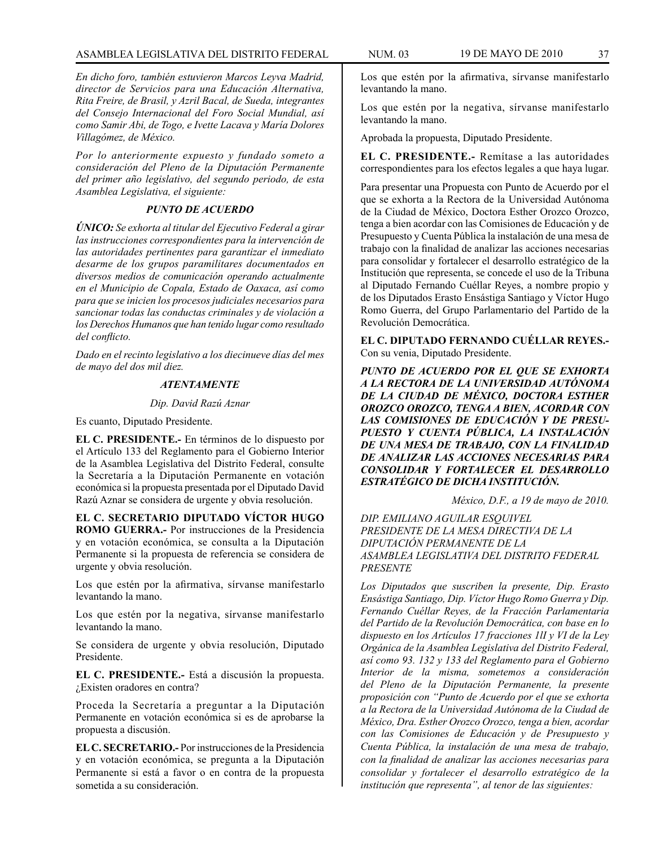*En dicho foro, también estuvieron Marcos Leyva Madrid, director de Servicios para una Educación Alternativa, Rita Freire, de Brasil, y Azril Bacal, de Sueda, integrantes del Consejo Internacional del Foro Social Mundial, así como Samir Abi, de Togo, e Ivette Lacava y María Dolores Villagómez, de México.*

*Por lo anteriormente expuesto y fundado someto a consideración del Pleno de la Diputación Permanente del primer año legislativo, del segundo periodo, de esta Asamblea Legislativa, el siguiente:*

## *PUNTO DE ACUERDO*

*ÚNICO: Se exhorta al titular del Ejecutivo Federal a girar las instrucciones correspondientes para la intervención de las autoridades pertinentes para garantizar el inmediato desarme de los grupos paramilitares documentados en diversos medios de comunicación operando actualmente en el Municipio de Copala, Estado de Oaxaca, así como para que se inicien los procesos judiciales necesarios para sancionar todas las conductas criminales y de violación a los Derechos Humanos que han tenido lugar como resultado del conflicto.*

*Dado en el recinto legislativo a los diecinueve días del mes de mayo del dos mil diez.*

## *ATENTAMENTE*

#### *Dip. David Razú Aznar*

Es cuanto, Diputado Presidente.

**EL C. PRESIDENTE.-** En términos de lo dispuesto por el Artículo 133 del Reglamento para el Gobierno Interior de la Asamblea Legislativa del Distrito Federal, consulte la Secretaría a la Diputación Permanente en votación económica si la propuesta presentada por el Diputado David Razú Aznar se considera de urgente y obvia resolución.

**EL C. SECRETARIO DIPUTADO VÍCTOR HUGO ROMO GUERRA.-** Por instrucciones de la Presidencia y en votación económica, se consulta a la Diputación Permanente si la propuesta de referencia se considera de urgente y obvia resolución.

Los que estén por la afirmativa, sírvanse manifestarlo levantando la mano.

Los que estén por la negativa, sírvanse manifestarlo levantando la mano.

Se considera de urgente y obvia resolución, Diputado Presidente.

**EL C. PRESIDENTE.-** Está a discusión la propuesta. ¿Existen oradores en contra?

Proceda la Secretaría a preguntar a la Diputación Permanente en votación económica si es de aprobarse la propuesta a discusión.

**EL C. SECRETARIO.-** Por instrucciones de la Presidencia y en votación económica, se pregunta a la Diputación Permanente si está a favor o en contra de la propuesta sometida a su consideración.

Los que estén por la afirmativa, sírvanse manifestarlo levantando la mano.

Los que estén por la negativa, sírvanse manifestarlo levantando la mano.

Aprobada la propuesta, Diputado Presidente.

**EL C. PRESIDENTE.-** Remítase a las autoridades correspondientes para los efectos legales a que haya lugar.

Para presentar una Propuesta con Punto de Acuerdo por el que se exhorta a la Rectora de la Universidad Autónoma de la Ciudad de México, Doctora Esther Orozco Orozco, tenga a bien acordar con las Comisiones de Educación y de Presupuesto y Cuenta Pública la instalación de una mesa de trabajo con la finalidad de analizar las acciones necesarias para consolidar y fortalecer el desarrollo estratégico de la Institución que representa, se concede el uso de la Tribuna al Diputado Fernando Cuéllar Reyes, a nombre propio y de los Diputados Erasto Ensástiga Santiago y Víctor Hugo Romo Guerra, del Grupo Parlamentario del Partido de la Revolución Democrática.

**EL C. DIPUTADO FERNANDO CUÉLLAR REYES.-** Con su venia, Diputado Presidente.

*PUNTO DE ACUERDO POR EL QUE SE EXHORTA A LA RECTORA DE LA UNIVERSIDAD AUTÓNOMA DE LA CIUDAD DE MÉXICO, DOCTORA ESTHER OROZCO OROZCO, TENGA A BIEN, ACORDAR CON LAS COMISIONES DE EDUCACIÓN Y DE PRESU-PUESTO Y CUENTA PÚBLICA, LA INSTALACIÓN DE UNA MESA DE TRABAJO, CON LA FINALIDAD DE ANALIZAR LAS ACCIONES NECESARIAS PARA CONSOLIDAR Y FORTALECER EL DESARROLLO ESTRATÉGICO DE DICHA INSTITUCIÓN.*

*México, D.F., a 19 de mayo de 2010.*

*DIP. EMILIANO AGUILAR ESQUIVEL PRESIDENTE DE LA MESA DIRECTIVA DE LA DIPUTACIÓN PERMANENTE DE LA ASAMBLEA LEGISLATIVA DEL DISTRITO FEDERAL PRESENTE*

*Los Diputados que suscriben la presente, Dip. Erasto Ensástiga Santiago, Dip. Víctor Hugo Romo Guerra y Dip. Fernando Cuéllar Reyes, de la Fracción Parlamentaria del Partido de la Revolución Democrática, con base en lo dispuesto en los Artículos 17 fracciones 1lI y VI de la Ley Orgánica de la Asamblea Legislativa del Distrito Federal, así como 93. 132 y 133 del Reglamento para el Gobierno Interior de la misma, sometemos a consideración del Pleno de la Diputación Permanente, la presente proposición con "Punto de Acuerdo por el que se exhorta a la Rectora de la Universidad Autónoma de la Ciudad de México, Dra. Esther Orozco Orozco, tenga a bien, acordar con las Comisiones de Educación y de Presupuesto y Cuenta Pública, la instalación de una mesa de trabajo, con la finalidad de analizar las acciones necesarias para consolidar y fortalecer el desarrollo estratégico de la institución que representa", al tenor de las siguientes:*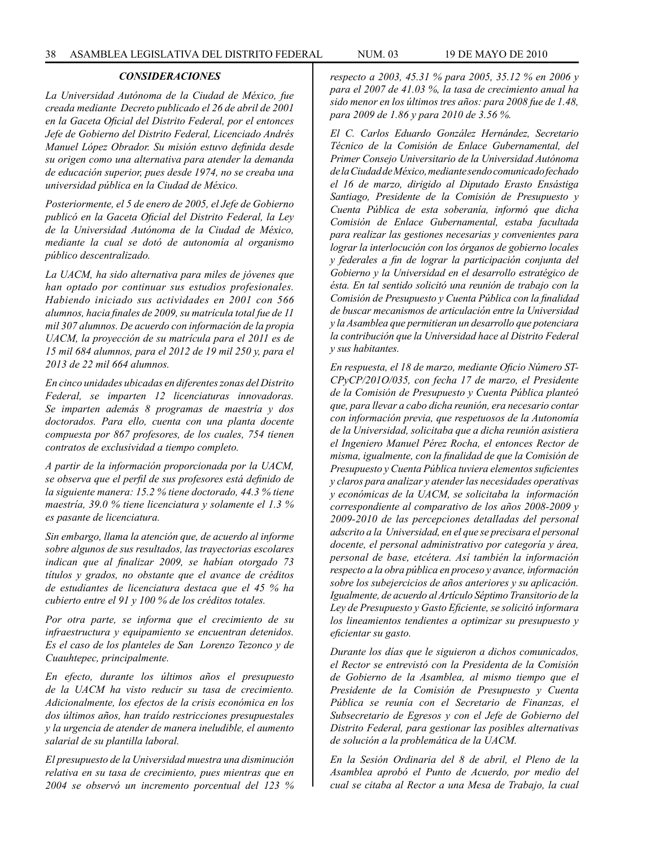### *CONSIDERACIONES*

*La Universidad Autónoma de la Ciudad de México, fue creada mediante Decreto publicado el 26 de abril de 2001 en la Gaceta Oficial del Distrito Federal, por el entonces Jefe de Gobierno del Distrito Federal, Licenciado Andrés Manuel López Obrador. Su misión estuvo definida desde su origen como una alternativa para atender la demanda de educación superior, pues desde 1974, no se creaba una universidad pública en la Ciudad de México.* 

*Posteriormente, el 5 de enero de 2005, el Jefe de Gobierno publicó en la Gaceta Oficial del Distrito Federal, la Ley de la Universidad Autónoma de la Ciudad de México, mediante la cual se dotó de autonomía al organismo público descentralizado.* 

*La UACM, ha sido alternativa para miles de jóvenes que han optado por continuar sus estudios profesionales. Habiendo iniciado sus actividades en 2001 con 566 alumnos, hacia finales de 2009, su matrícula total fue de 11 mil 307 alumnos. De acuerdo con información de la propia UACM, la proyección de su matrícula para el 2011 es de 15 mil 684 alumnos, para el 2012 de 19 mil 250 y, para el 2013 de 22 mil 664 alumnos.* 

*En cinco unidades ubicadas en diferentes zonas del Distrito Federal, se imparten 12 licenciaturas innovadoras. Se imparten además 8 programas de maestría y dos doctorados. Para ello, cuenta con una planta docente compuesta por 867 profesores, de los cuales, 754 tienen contratos de exclusividad a tiempo completo.* 

*A partir de la información proporcionada por la UACM, se observa que el perfil de sus profesores está definido de la siguiente manera: 15.2 % tiene doctorado, 44.3 % tiene maestría, 39.0 % tiene licenciatura y solamente el 1.3 % es pasante de licenciatura.* 

*Sin embargo, llama la atención que, de acuerdo al informe sobre algunos de sus resultados, las trayectorias escolares indican que al finalizar 2009, se habían otorgado 73 títulos y grados, no obstante que el avance de créditos de estudiantes de licenciatura destaca que el 45 % ha cubierto entre el 91 y 100 % de los créditos totales.* 

*Por otra parte, se informa que el crecimiento de su infraestructura y equipamiento se encuentran detenidos. Es el caso de los planteles de San Lorenzo Tezonco y de Cuauhtepec, principalmente.* 

*En efecto, durante los últimos años el presupuesto de la UACM ha visto reducir su tasa de crecimiento. Adicionalmente, los efectos de la crisis económica en los dos últimos años, han traído restricciones presupuestales y la urgencia de atender de manera ineludible, el aumento salarial de su plantilla laboral.* 

*El presupuesto de la Universidad muestra una disminución relativa en su tasa de crecimiento, pues mientras que en 2004 se observó un incremento porcentual del 123 %*  *respecto a 2003, 45.31 % para 2005, 35.12 % en 2006 y para el 2007 de 41.03 %, la tasa de crecimiento anual ha sido menor en los últimos tres años: para 2008 fue de 1.48, para 2009 de 1.86 y para 2010 de 3.56 %.* 

*El C. Carlos Eduardo González Hernández, Secretario Técnico de la Comisión de Enlace Gubernamental, del Primer Consejo Universitario de la Universidad Autónoma de la Ciudad de México, mediante sendo comunicado fechado el 16 de marzo, dirigido al Diputado Erasto Ensástiga Santiago, Presidente de la Comisión de Presupuesto y Cuenta Pública de esta soberanía, informó que dicha Comisión de Enlace Gubernamental, estaba facultada para realizar las gestiones necesarias y convenientes para lograr la interlocución con los órganos de gobierno locales y federales a fin de lograr la participación conjunta del Gobierno y la Universidad en el desarrollo estratégico de ésta. En tal sentido solicitó una reunión de trabajo con la Comisión de Presupuesto y Cuenta Pública con la finalidad de buscar mecanismos de articulación entre la Universidad y la Asamblea que permitieran un desarrollo que potenciara la contribución que la Universidad hace al Distrito Federal y sus habitantes.* 

*En respuesta, el 18 de marzo, mediante Oficio Número ST-CPyCP/201O/035, con fecha 17 de marzo, el Presidente de la Comisión de Presupuesto y Cuenta Pública planteó que, para llevar a cabo dicha reunión, era necesario contar con información previa, que respetuosos de la Autonomía de la Universidad, solicitaba que a dicha reunión asistiera el Ingeniero Manuel Pérez Rocha, el entonces Rector de misma, igualmente, con la finalidad de que la Comisión de Presupuesto y Cuenta Pública tuviera elementos suficientes y claros para analizar y atender las necesidades operativas y económicas de la UACM, se solicitaba la información correspondiente al comparativo de los años 2008-2009 y 2009-2010 de las percepciones detalladas del personal adscrito a la Universidad, en el que se precisara el personal docente, el personal administrativo por categoría y área, personal de base, etcétera. Así también la información respecto a la obra pública en proceso y avance, información sobre los subejercicios de años anteriores y su aplicación. Igualmente, de acuerdo al Artículo Séptimo Transitorio de la Ley de Presupuesto y Gasto Eficiente, se solicitó informara los lineamientos tendientes a optimizar su presupuesto y eficientar su gasto.* 

*Durante los días que le siguieron a dichos comunicados, el Rector se entrevistó con la Presidenta de la Comisión de Gobierno de la Asamblea, al mismo tiempo que el Presidente de la Comisión de Presupuesto y Cuenta Pública se reunía con el Secretario de Finanzas, el Subsecretario de Egresos y con el Jefe de Gobierno del Distrito Federal, para gestionar las posibles alternativas de solución a la problemática de la UACM.* 

*En la Sesión Ordinaria del 8 de abril, el Pleno de la Asamblea aprobó el Punto de Acuerdo, por medio del cual se citaba al Rector a una Mesa de Trabajo, la cual*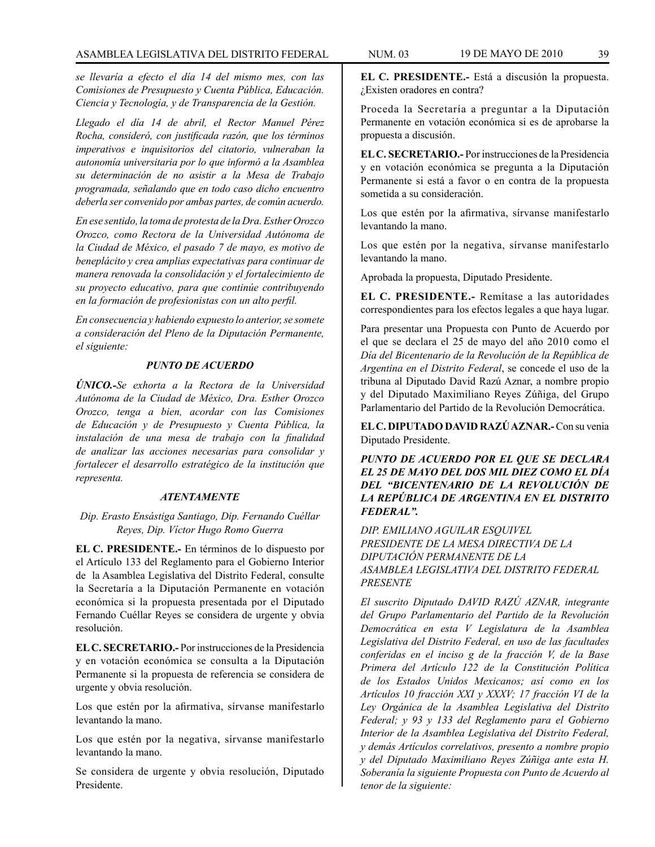*se llevaría a efecto el día 14 del mismo mes, con las Comisiones de Presupuesto y Cuenta Pública, Educación. Ciencia y Tecnología, y de Transparencia de la Gestión.* 

*Llegado el día 14 de abril, el Rector Manuel Pérez Rocha, consideró, con justificada razón, que los términos imperativos e inquisitorios del citatorio, vulneraban la autonomía universitaria por lo que informó a la Asamblea su determinación de no asistir a la Mesa de Trabajo programada, señalando que en todo caso dicho encuentro deberla ser convenido por ambas partes, de común acuerdo.* 

*En ese sentido, la toma de protesta de la Dra. Esther Orozco Orozco, como Rectora de la Universidad Autónoma de la Ciudad de México, el pasado 7 de mayo, es motivo de beneplácito y crea amplias expectativas para continuar de manera renovada la consolidación y el fortalecimiento de su proyecto educativo, para que continúe contribuyendo en la formación de profesionistas con un alto perfil.*

*En consecuencia y habiendo expuesto lo anterior, se somete a consideración del Pleno de la Diputación Permanente, el siguiente:* 

## *PUNTO DE ACUERDO*

*ÚNICO.-Se exhorta a la Rectora de la Universidad Autónoma de la Ciudad de México, Dra. Esther Orozco Orozco, tenga a bien, acordar con las Comisiones de Educación y de Presupuesto y Cuenta Pública, la instalación de una mesa de trabajo con la finalidad de analizar las acciones necesarias para consolidar y fortalecer el desarrollo estratégico de la institución que representa.*

#### *ATENTAMENTE*

*Dip. Erasto Ensástiga Santiago, Dip. Fernando Cuéllar Reyes, Dip. Víctor Hugo Romo Guerra*

**EL C. PRESIDENTE.-** En términos de lo dispuesto por el Artículo 133 del Reglamento para el Gobierno Interior de la Asamblea Legislativa del Distrito Federal, consulte la Secretaría a la Diputación Permanente en votación económica si la propuesta presentada por el Diputado Fernando Cuéllar Reyes se considera de urgente y obvia resolución.

**EL C. SECRETARIO.-** Por instrucciones de la Presidencia y en votación económica se consulta a la Diputación Permanente si la propuesta de referencia se considera de urgente y obvia resolución.

Los que estén por la afirmativa, sírvanse manifestarlo levantando la mano.

Los que estén por la negativa, sírvanse manifestarlo levantando la mano.

Se considera de urgente y obvia resolución, Diputado Presidente.

**EL C. PRESIDENTE.-** Está a discusión la propuesta. ¿Existen oradores en contra?

Proceda la Secretaría a preguntar a la Diputación Permanente en votación económica si es de aprobarse la propuesta a discusión.

**EL C. SECRETARIO.-** Por instrucciones de la Presidencia y en votación económica se pregunta a la Diputación Permanente si está a favor o en contra de la propuesta sometida a su consideración.

Los que estén por la afirmativa, sírvanse manifestarlo levantando la mano.

Los que estén por la negativa, sírvanse manifestarlo levantando la mano.

Aprobada la propuesta, Diputado Presidente.

**EL C. PRESIDENTE.-** Remítase a las autoridades correspondientes para los efectos legales a que haya lugar.

Para presentar una Propuesta con Punto de Acuerdo por el que se declara el 25 de mayo del año 2010 como el *Día del Bicentenario de la Revolución de la República de Argentina en el Distrito Federal*, se concede el uso de la tribuna al Diputado David Razú Aznar, a nombre propio y del Diputado Maximiliano Reyes Zúñiga, del Grupo Parlamentario del Partido de la Revolución Democrática.

**EL C. DIPUTADO DAVID RAZÚ AZNAR.-** Con su venia Diputado Presidente.

*PUNTO DE ACUERDO POR EL QUE SE DECLARA EL 25 DE MAYO DEL DOS MIL DIEZ COMO EL DÍA DEL "BICENTENARIO DE LA REVOLUCIÓN DE LA REPÚBLICA DE ARGENTINA EN EL DISTRITO FEDERAL".* 

*DIP. EMILIANO AGUILAR ESQUIVEL PRESIDENTE DE LA MESA DIRECTIVA DE LA DIPUTACIÓN PERMANENTE DE LA ASAMBLEA LEGISLATIVA DEL DISTRITO FEDERAL PRESENTE*

*El suscrito Diputado DAVID RAZÚ AZNAR, integrante del Grupo Parlamentario del Partido de la Revolución Democrática en esta V Legislatura de la Asamblea Legislativa del Distrito Federal, en uso de las facultades conferidas en el inciso g de la fracción V, de la Base Primera del Artículo 122 de la Constitución Política de los Estados Unidos Mexicanos; así como en los Artículos 10 fracción XXI y XXXV; 17 fracción VI de la Ley Orgánica de la Asamblea Legislativa del Distrito Federal; y 93 y 133 del Reglamento para el Gobierno Interior de la Asamblea Legislativa del Distrito Federal, y demás Artículos correlativos, presento a nombre propio y del Diputado Maximiliano Reyes Zúñiga ante esta H. Soberanía la siguiente Propuesta con Punto de Acuerdo al tenor de la siguiente:*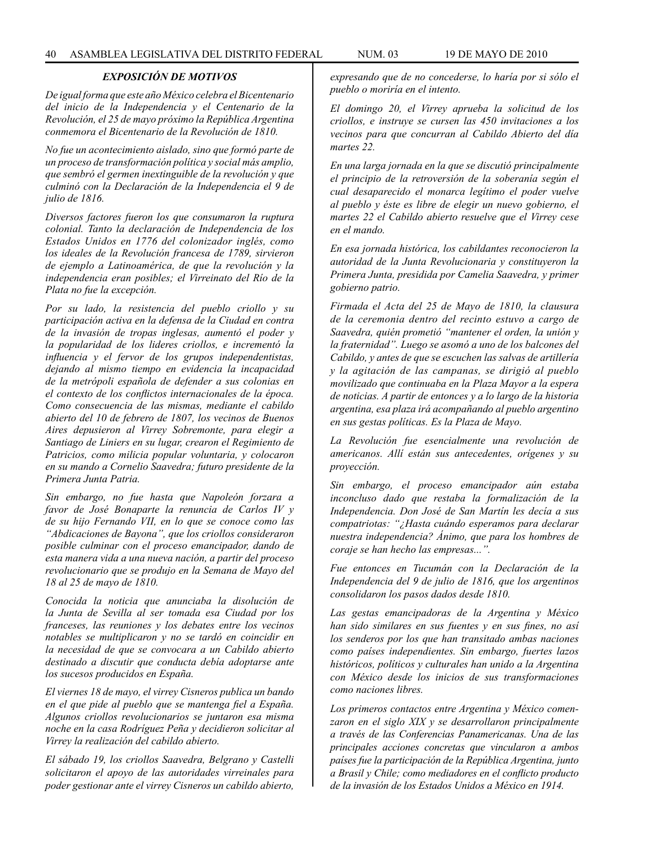### *EXPOSICIÓN DE MOTIVOS*

*De igual forma que este año México celebra el Bicentenario del inicio de la Independencia y el Centenario de la Revolución, el 25 de mayo próximo la República Argentina conmemora el Bicentenario de la Revolución de 1810.* 

*No fue un acontecimiento aislado, sino que formó parte de un proceso de transformación política y social más amplio, que sembró el germen inextinguible de la revolución y que culminó con la Declaración de la Independencia el 9 de julio de 1816.* 

*Diversos factores fueron los que consumaron la ruptura colonial. Tanto la declaración de Independencia de los Estados Unidos en 1776 del colonizador inglés, como los ideales de la Revolución francesa de 1789, sirvieron de ejemplo a Latinoamérica, de que la revolución y la independencia eran posibles; el Virreinato del Río de la Plata no fue la excepción.* 

*Por su lado, la resistencia del pueblo criollo y su participación activa en la defensa de la Ciudad en contra de la invasión de tropas inglesas, aumentó el poder y la popularidad de los lideres criollos, e incrementó la influencia y el fervor de los grupos independentistas, dejando al mismo tiempo en evidencia la incapacidad de la metrópoli española de defender a sus colonias en el contexto de los conflictos internacionales de la época. Como consecuencia de las mismas, mediante el cabildo abierto del 10 de febrero de 1807, los vecinos de Buenos Aires depusieron al Virrey Sobremonte, para elegir a Santiago de Liniers en su lugar, crearon el Regimiento de Patricios, como milicia popular voluntaria, y colocaron en su mando a Cornelio Saavedra; futuro presidente de la Primera Junta Patria.* 

*Sin embargo, no fue hasta que Napoleón forzara a favor de José Bonaparte la renuncia de Carlos IV y de su hijo Fernando VII, en lo que se conoce como las "Abdicaciones de Bayona", que los criollos consideraron posible culminar con el proceso emancipador, dando de esta manera vida a una nueva nación, a partir del proceso revolucionario que se produjo en la Semana de Mayo del 18 al 25 de mayo de 1810.* 

*Conocida la noticia que anunciaba la disolución de la Junta de Sevilla al ser tomada esa Ciudad por los franceses, las reuniones y los debates entre los vecinos notables se multiplicaron y no se tardó en coincidir en la necesidad de que se convocara a un Cabildo abierto destinado a discutir que conducta debía adoptarse ante los sucesos producidos en España.*

*El viernes 18 de mayo, el virrey Cisneros publica un bando en el que pide al pueblo que se mantenga fiel a España. Algunos criollos revolucionarios se juntaron esa misma noche en la casa Rodríguez Peña y decidieron solicitar al Virrey la realización del cabildo abierto.* 

*El sábado 19, los criollos Saavedra, Belgrano y Castelli solicitaron el apoyo de las autoridades virreinales para poder gestionar ante el virrey Cisneros un cabildo abierto,* 

*expresando que de no concederse, lo haría por si sólo el pueblo o moriría en el intento.* 

*El domingo 20, el Virrey aprueba la solicitud de los criollos, e instruye se cursen las 450 invitaciones a los vecinos para que concurran al Cabildo Abierto del día martes 22.* 

*En una larga jornada en la que se discutió principalmente el principio de la retroversión de la soberanía según el cual desaparecido el monarca legítimo el poder vuelve al pueblo y éste es libre de elegir un nuevo gobierno, el martes 22 el Cabildo abierto resuelve que el Virrey cese en el mando.* 

*En esa jornada histórica, los cabildantes reconocieron la autoridad de la Junta Revolucionaria y constituyeron la Primera Junta, presidida por Camelia Saavedra, y primer gobierno patrio.* 

*Firmada el Acta del 25 de Mayo de 1810, la clausura de la ceremonia dentro del recinto estuvo a cargo de Saavedra, quién prometió "mantener el orden, la unión y la fraternidad". Luego se asomó a uno de los balcones del Cabildo, y antes de que se escuchen las salvas de artillería y la agitación de las campanas, se dirigió al pueblo movilizado que continuaba en la Plaza Mayor a la espera de noticias. A partir de entonces y a lo largo de la historia argentina, esa plaza irá acompañando al pueblo argentino en sus gestas políticas. Es la Plaza de Mayo.* 

*La Revolución fue esencialmente una revolución de americanos. Allí están sus antecedentes, orígenes y su proyección.* 

*Sin embargo, el proceso emancipador aún estaba inconcluso dado que restaba la formalización de la Independencia. Don José de San Martín les decía a sus compatriotas: "¿Hasta cuándo esperamos para declarar nuestra independencia? Ánimo, que para los hombres de coraje se han hecho las empresas...".* 

*Fue entonces en Tucumán con la Declaración de la Independencia del 9 de julio de 1816, que los argentinos consolidaron los pasos dados desde 1810.* 

*Las gestas emancipadoras de la Argentina y México han sido similares en sus fuentes y en sus fines, no así los senderos por los que han transitado ambas naciones como países independientes. Sin embargo, fuertes lazos históricos, políticos y culturales han unido a la Argentina con México desde los inicios de sus transformaciones como naciones libres.* 

*Los primeros contactos entre Argentina y México comenzaron en el siglo XIX y se desarrollaron principalmente a través de las Conferencias Panamericanas. Una de las principales acciones concretas que vincularon a ambos países fue la participación de la República Argentina, junto a Brasil y Chile; como mediadores en el conflicto producto de la invasión de los Estados Unidos a México en 1914.*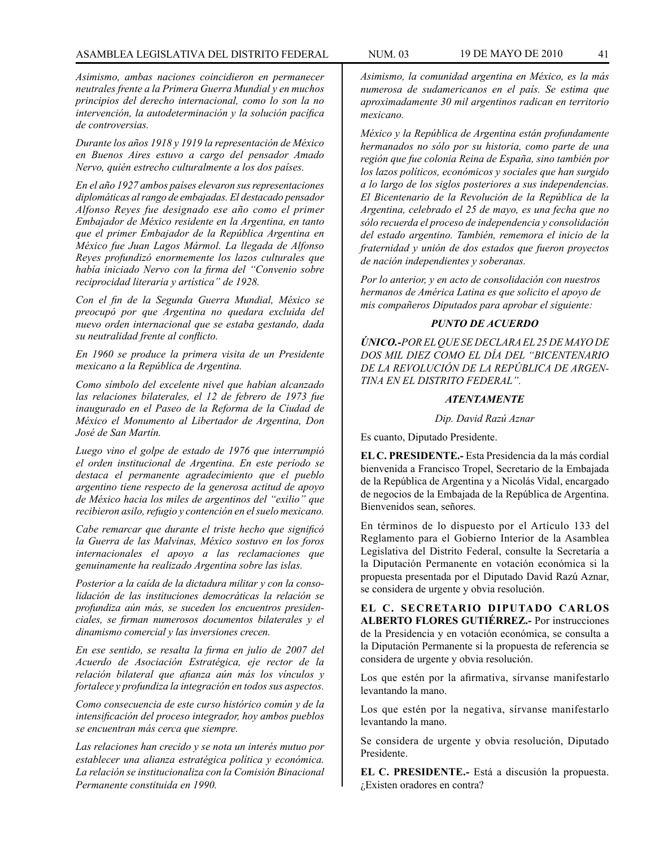*Asimismo, ambas naciones coincidieron en permanecer neutrales frente a la Primera Guerra Mundial y en muchos principios del derecho internacional, como lo son la no intervención, la autodeterminación y la solución pacífica de controversias.* 

*Durante los años 1918 y 1919 la representación de México en Buenos Aires estuvo a cargo del pensador Amado Nervo, quién estrecho culturalmente a los dos países.*

*En el año 1927 ambos países elevaron sus representaciones diplomáticas alrango de embajadas. El destacado pensador Alfonso Reyes fue designado ese año como el primer Embajador de México residente en la Argentina, en tanto que el primer Embajador de la República Argentina en México fue Juan Lagos Mármol. La llegada de Alfonso Reyes profundizó enormemente los lazos culturales que había iniciado Nervo con la firma del "Convenio sobre reciprocidad literaria y artística" de 1928.* 

*Con el fin de la Segunda Guerra Mundial, México se preocupó por que Argentina no quedara excluida del nuevo orden internacional que se estaba gestando, dada su neutralidad frente al conflicto.* 

*En 1960 se produce la primera visita de un Presidente mexicano a la República de Argentina.* 

*Como símbolo del excelente nivel que habían alcanzado las relaciones bilaterales, el 12 de febrero de 1973 fue inaugurado en el Paseo de la Reforma de la Ciudad de México el Monumento al Libertador de Argentina, Don José de San Martín.* 

*Luego vino el golpe de estado de 1976 que interrumpió el orden institucional de Argentina. En este período se destaca el permanente agradecimiento que el pueblo argentino tiene respecto de la generosa actitud de apoyo de México hacia los miles de argentinos del "exilio" que recibieron asilo, refugio y contención en el suelo mexicano.*

*Cabe remarcar que durante el triste hecho que significó la Guerra de las Malvinas, México sostuvo en los foros internacionales el apoyo a las reclamaciones que genuinamente ha realizado Argentina sobre las islas.* 

*Posterior a la caída de la dictadura militar y con la consolidación de las instituciones democráticas la relación se profundiza aún más, se suceden los encuentros presidenciales, se firman numerosos documentos bilaterales y el dinamismo comercial y las inversiones crecen.* 

*En ese sentido, se resalta la firma en julio de 2007 del Acuerdo de Asociación Estratégica, eje rector de la relación bilateral que afianza aún más los vínculos y fortalece y profundiza la integración en todos sus aspectos.* 

*Como consecuencia de este curso histórico común y de la intensificación del proceso integrador, hoy ambos pueblos se encuentran más cerca que siempre.*

*Las relaciones han crecido y se nota un interés mutuo por establecer una alianza estratégica política y económica. La relación se institucionaliza con la Comisión Binacional Permanente constituida en 1990.*

*Asimismo, la comunidad argentina en México, es la más numerosa de sudamericanos en el país. Se estima que aproximadamente 30 mil argentinos radican en territorio mexicano.*

*México y la República de Argentina están profundamente hermanados no sólo por su historia, como parte de una región que fue colonia Reina de España, sino también por los lazos políticos, económicos y sociales que han surgido a lo largo de los siglos posteriores a sus independencias. El Bicentenario de la Revolución de la República de la Argentina, celebrado el 25 de mayo, es una fecha que no sólo recuerda el proceso de independencia y consolidación del estado argentino. También, rememora el inicio de la fraternidad y unión de dos estados que fueron proyectos de nación independientes y soberanas.*

*Por lo anterior, y en acto de consolidación con nuestros hermanos de América Latina es que solicito el apoyo de mis compañeros Diputados para aprobar el siguiente:*

### *PUNTO DE ACUERDO*

*ÚNICO.-POR EL QUE SE DECLARA EL 25 DE MAYO DE DOS MIL DIEZ COMO EL DÍA DEL "BICENTENARIO DE LA REVOLUCIÓN DE LA REPÚBLICA DE ARGEN-TINA EN EL DISTRITO FEDERAL".*

### *ATENTAMENTE*

*Dip. David Razú Aznar*

Es cuanto, Diputado Presidente.

**EL C. PRESIDENTE.-** Esta Presidencia da la más cordial bienvenida a Francisco Tropel, Secretario de la Embajada de la República de Argentina y a Nicolás Vidal, encargado de negocios de la Embajada de la República de Argentina. Bienvenidos sean, señores.

En términos de lo dispuesto por el Artículo 133 del Reglamento para el Gobierno Interior de la Asamblea Legislativa del Distrito Federal, consulte la Secretaría a la Diputación Permanente en votación económica si la propuesta presentada por el Diputado David Razú Aznar, se considera de urgente y obvia resolución.

**EL C. SECRETARIO DIPUTADO CARLOS ALBERTO FLORES GUTIÉRREZ.-** Por instrucciones de la Presidencia y en votación económica, se consulta a la Diputación Permanente si la propuesta de referencia se considera de urgente y obvia resolución.

Los que estén por la afirmativa, sírvanse manifestarlo levantando la mano.

Los que estén por la negativa, sírvanse manifestarlo levantando la mano.

Se considera de urgente y obvia resolución, Diputado Presidente.

**EL C. PRESIDENTE.-** Está a discusión la propuesta. ¿Existen oradores en contra?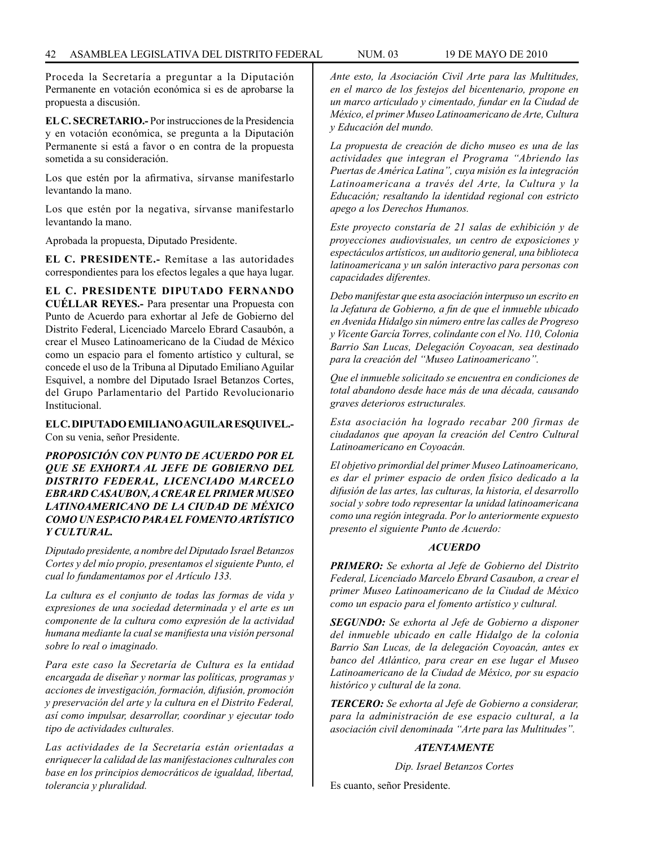Proceda la Secretaría a preguntar a la Diputación Permanente en votación económica si es de aprobarse la propuesta a discusión.

**EL C. SECRETARIO.-** Por instrucciones de la Presidencia y en votación económica, se pregunta a la Diputación Permanente si está a favor o en contra de la propuesta sometida a su consideración.

Los que estén por la afirmativa, sírvanse manifestarlo levantando la mano.

Los que estén por la negativa, sírvanse manifestarlo levantando la mano.

Aprobada la propuesta, Diputado Presidente.

**EL C. PRESIDENTE.-** Remítase a las autoridades correspondientes para los efectos legales a que haya lugar.

**EL C. PRESIDENTE DIPUTADO FERNANDO CUÉLLAR REYES.-** Para presentar una Propuesta con Punto de Acuerdo para exhortar al Jefe de Gobierno del Distrito Federal, Licenciado Marcelo Ebrard Casaubón, a crear el Museo Latinoamericano de la Ciudad de México como un espacio para el fomento artístico y cultural, se concede el uso de la Tribuna al Diputado Emiliano Aguilar Esquivel, a nombre del Diputado Israel Betanzos Cortes, del Grupo Parlamentario del Partido Revolucionario Institucional.

**EL C. DIPUTADO EMILIANO AGUILAR ESQUIVEL.-**  Con su venia, señor Presidente.

*PROPOSICIÓN CON PUNTO DE ACUERDO POR EL QUE SE EXHORTA AL JEFE DE GOBIERNO DEL DISTRITO FEDERAL, LICENCIADO MARCELO EBRARD CASAUBON, A CREAR EL PRIMER MUSEO LATINOAMERICANO DE LA CIUDAD DE MÉXICO COMO UN ESPACIO PARA EL FOMENTO ARTÍSTICO Y CULTURAL.*

*Diputado presidente, a nombre del Diputado Israel Betanzos Cortes y del mío propio, presentamos el siguiente Punto, el cual lo fundamentamos por el Artículo 133.*

*La cultura es el conjunto de todas las formas de vida y expresiones de una sociedad determinada y el arte es un componente de la cultura como expresión de la actividad humana mediante la cual se manifiesta una visión personal sobre lo real o imaginado.*

*Para este caso la Secretaría de Cultura es la entidad encargada de diseñar y normar las políticas, programas y acciones de investigación, formación, difusión, promoción y preservación del arte y la cultura en el Distrito Federal, así como impulsar, desarrollar, coordinar y ejecutar todo tipo de actividades culturales.*

*Las actividades de la Secretaría están orientadas a enriquecer la calidad de las manifestaciones culturales con base en los principios democráticos de igualdad, libertad, tolerancia y pluralidad.*

*Ante esto, la Asociación Civil Arte para las Multitudes, en el marco de los festejos del bicentenario, propone en un marco articulado y cimentado, fundar en la Ciudad de México, el primer Museo Latinoamericano de Arte, Cultura y Educación del mundo.*

*La propuesta de creación de dicho museo es una de las actividades que integran el Programa "Abriendo las Puertas de América Latina", cuya misión es la integración Latinoamericana a través del Arte, la Cultura y la Educación; resaltando la identidad regional con estricto apego a los Derechos Humanos.*

*Este proyecto constaría de 21 salas de exhibición y de proyecciones audiovisuales, un centro de exposiciones y espectáculos artísticos, un auditorio general, una biblioteca latinoamericana y un salón interactivo para personas con capacidades diferentes.*

*Debo manifestar que esta asociación interpuso un escrito en la Jefatura de Gobierno, a fin de que el inmueble ubicado en Avenida Hidalgo sin número entre las calles de Progreso y Vicente García Torres, colindante con el No. 110, Colonia Barrio San Lucas, Delegación Coyoacan, sea destinado para la creación del "Museo Latinoamericano".*

*Que el inmueble solicitado se encuentra en condiciones de total abandono desde hace más de una década, causando graves deterioros estructurales.*

*Esta asociación ha logrado recabar 200 firmas de ciudadanos que apoyan la creación del Centro Cultural Latinoamericano en Coyoacán.*

*El objetivo primordial del primer Museo Latinoamericano, es dar el primer espacio de orden físico dedicado a la difusión de las artes, las culturas, la historia, el desarrollo social y sobre todo representar la unidad latinoamericana como una región integrada. Por lo anteriormente expuesto presento el siguiente Punto de Acuerdo:*

## *ACUERDO*

*PRIMERO: Se exhorta al Jefe de Gobierno del Distrito Federal, Licenciado Marcelo Ebrard Casaubon, a crear el primer Museo Latinoamericano de la Ciudad de México como un espacio para el fomento artístico y cultural.*

*SEGUNDO: Se exhorta al Jefe de Gobierno a disponer del inmueble ubicado en calle Hidalgo de la colonia Barrio San Lucas, de la delegación Coyoacán, antes ex banco del Atlántico, para crear en ese lugar el Museo Latinoamericano de la Ciudad de México, por su espacio histórico y cultural de la zona.*

*TERCERO: Se exhorta al Jefe de Gobierno a considerar, para la administración de ese espacio cultural, a la asociación civil denominada "Arte para las Multitudes".*

## *ATENTAMENTE*

*Dip. Israel Betanzos Cortes*

Es cuanto, señor Presidente.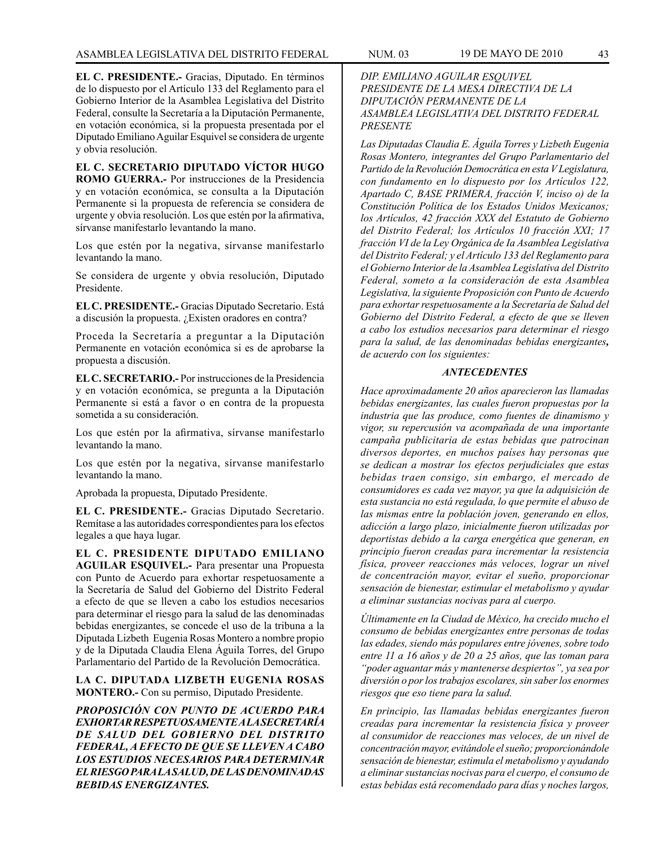**EL C. PRESIDENTE.-** Gracias, Diputado. En términos de lo dispuesto por el Artículo 133 del Reglamento para el Gobierno Interior de la Asamblea Legislativa del Distrito Federal, consulte la Secretaría a la Diputación Permanente, en votación económica, si la propuesta presentada por el Diputado Emiliano Aguilar Esquivel se considera de urgente y obvia resolución.

**EL C. SECRETARIO DIPUTADO VÍCTOR HUGO ROMO GUERRA.-** Por instrucciones de la Presidencia y en votación económica, se consulta a la Diputación Permanente si la propuesta de referencia se considera de urgente y obvia resolución. Los que estén por la afirmativa, sírvanse manifestarlo levantando la mano.

Los que estén por la negativa, sírvanse manifestarlo levantando la mano.

Se considera de urgente y obvia resolución, Diputado Presidente.

**EL C. PRESIDENTE.-** Gracias Diputado Secretario. Está a discusión la propuesta. ¿Existen oradores en contra?

Proceda la Secretaría a preguntar a la Diputación Permanente en votación económica si es de aprobarse la propuesta a discusión.

**EL C. SECRETARIO.-** Por instrucciones de la Presidencia y en votación económica, se pregunta a la Diputación Permanente si está a favor o en contra de la propuesta sometida a su consideración.

Los que estén por la afirmativa, sírvanse manifestarlo levantando la mano.

Los que estén por la negativa, sírvanse manifestarlo levantando la mano.

Aprobada la propuesta, Diputado Presidente.

**EL C. PRESIDENTE.-** Gracias Diputado Secretario. Remítase a las autoridades correspondientes para los efectos legales a que haya lugar.

**EL C. PRESIDENTE DIPUTADO EMILIANO AGUILAR ESQUIVEL.-** Para presentar una Propuesta con Punto de Acuerdo para exhortar respetuosamente a la Secretaría de Salud del Gobierno del Distrito Federal a efecto de que se lleven a cabo los estudios necesarios para determinar el riesgo para la salud de las denominadas bebidas energizantes, se concede el uso de la tribuna a la Diputada Lizbeth Eugenia Rosas Montero a nombre propio y de la Diputada Claudia Elena Águila Torres, del Grupo Parlamentario del Partido de la Revolución Democrática.

**LA C. DIPUTADA LIZBETH EUGENIA ROSAS MONTERO.-** Con su permiso, Diputado Presidente.

*PROPOSICIÓN CON PUNTO DE ACUERDO PARA EXHORTAR RESPETUOSAMENTE A LA SECRETARÍA DE SALUD DEL GOBIERNO DEL DISTRITO FEDERAL, A EFECTO DE QUE SE LLEVEN A CABO LOS ESTUDIOS NECESARIOS PARA DETERMINAR EL RIESGO PARA LA SALUD, DE LAS DENOMINADAS BEBIDAS ENERGIZANTES.*

## *DIP. EMILIANO AGUILAR ESQUIVEL PRESIDENTE DE LA MESA DIRECTIVA DE LA DIPUTACIÓN PERMANENTE DE LA ASAMBLEA LEGISLATIVA DEL DISTRITO FEDERAL PRESENTE*

*Las Diputadas Claudia E. Águila Torres y Lizbeth Eugenia Rosas Montero, integrantes del Grupo Parlamentario del Partido de la Revolución Democrática en esta V Legislatura, con fundamento en lo dispuesto por los Artículos 122, Apartado C, BASE PRIMERA, fracción V, inciso o) de la Constitución Política de los Estados Unidos Mexicanos; los Artículos, 42 fracción XXX del Estatuto de Gobierno del Distrito Federal; los Artículos 10 fracción XXI; 17 fracción VI de la Ley Orgánica de Ia Asamblea Legislativa del Distrito Federal; y el Artículo 133 del Reglamento para el Gobierno Interior de la Asamblea Legislativa del Distrito Federal, someto a la consideración de esta Asamblea Legislativa, la siguiente Proposición con Punto de Acuerdo para exhortar respetuosamente a la Secretaría de Salud del Gobierno del Distrito Federal, a efecto de que se lleven a cabo los estudios necesarios para determinar el riesgo para la salud, de las denominadas bebidas energizantes, de acuerdo con los siguientes:*

#### *ANTECEDENTES*

*Hace aproximadamente 20 años aparecieron las llamadas bebidas energizantes, las cuales fueron propuestas por la industria que las produce, como fuentes de dinamismo y vigor, su repercusión va acompañada de una importante campaña publicitaria de estas bebidas que patrocinan diversos deportes, en muchos países hay personas que se dedican a mostrar los efectos perjudiciales que estas bebidas traen consigo, sin embargo, el mercado de consumidores es cada vez mayor, ya que la adquisición de esta sustancia no está regulada, lo que permite el abuso de las mismas entre la población joven, generando en ellos, adicción a largo plazo, inicialmente fueron utilizadas por deportistas debido a la carga energética que generan, en principio fueron creadas para incrementar la resistencia física, proveer reacciones más veloces, lograr un nivel de concentración mayor, evitar el sueño, proporcionar sensación de bienestar, estimular el metabolismo y ayudar a eliminar sustancias nocivas para al cuerpo.*

*Últimamente en la Ciudad de México, ha crecido mucho el consumo de bebidas energizantes entre personas de todas las edades, siendo más populares entre jóvenes, sobre todo entre 11 a 16 años y de 20 a 25 años, que las toman para "poder aguantar más y mantenerse despiertos", ya sea por diversión o por los trabajos escolares, sin saber los enormes riesgos que eso tiene para la salud.*

*En principio, las llamadas bebidas energizantes fueron creadas para incrementar la resistencia física y proveer al consumidor de reacciones mas veloces, de un nivel de concentración mayor, evitándole el sueño; proporcionándole sensación de bienestar, estimula el metabolismo y ayudando a eliminar sustancias nocivas para el cuerpo, el consumo de estas bebidas está recomendado para días y noches largos,*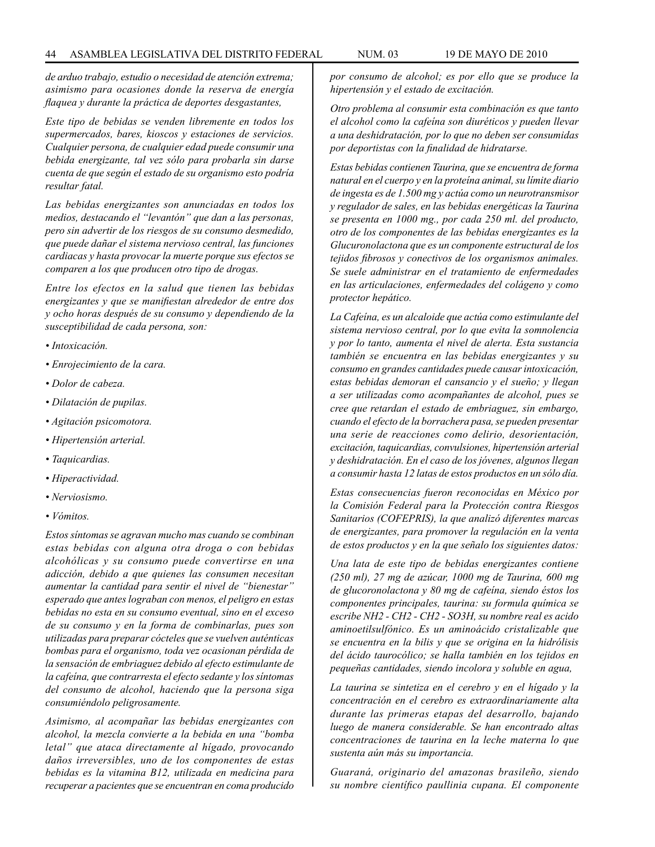*de arduo trabajo, estudio o necesidad de atención extrema; asimismo para ocasiones donde la reserva de energía flaquea y durante la práctica de deportes desgastantes,*

*Este tipo de bebidas se venden libremente en todos los supermercados, bares, kioscos y estaciones de servicios. Cualquier persona, de cualquier edad puede consumir una bebida energizante, tal vez sólo para probarla sin darse cuenta de que según el estado de su organismo esto podría resultar fatal.*

*Las bebidas energizantes son anunciadas en todos los medios, destacando el "levantón" que dan a las personas, pero sin advertir de los riesgos de su consumo desmedido, que puede dañar el sistema nervioso central, las funciones cardiacas y hasta provocar la muerte porque sus efectos se comparen a los que producen otro tipo de drogas.*

*Entre los efectos en la salud que tienen las bebidas energizantes y que se manifiestan alrededor de entre dos y ocho horas después de su consumo y dependiendo de la susceptibilidad de cada persona, son:*

- *Intoxicación.*
- *Enrojecimiento de la cara.*
- *Dolor de cabeza.*
- *Dilatación de pupilas.*
- *Agitación psicomotora.*
- *Hipertensión arterial.*
- *Taquicardias.*
- *Hiperactividad.*
- *Nerviosismo.*
- *Vómitos.*

*Estos síntomas se agravan mucho mas cuando se combinan estas bebidas con alguna otra droga o con bebidas alcohólicas y su consumo puede convertirse en una adicción, debido a que quienes las consumen necesitan aumentar la cantidad para sentir el nivel de "bienestar" esperado que antes lograban con menos, el peligro en estas bebidas no esta en su consumo eventual, sino en el exceso de su consumo y en la forma de combinarlas, pues son utilizadas para preparar cócteles que se vuelven auténticas bombas para el organismo, toda vez ocasionan pérdida de la sensación de embriaguez debido al efecto estimulante de la cafeína, que contrarresta el efecto sedante y los síntomas del consumo de alcohol, haciendo que la persona siga consumiéndolo peligrosamente.*

*Asimismo, al acompañar las bebidas energizantes con alcohol, la mezcla convierte a la bebida en una "bomba letal" que ataca directamente al hígado, provocando daños irreversibles, uno de los componentes de estas bebidas es la vitamina B12, utilizada en medicina para recuperar a pacientes que se encuentran en coma producido* 

*por consumo de alcohol; es por ello que se produce la hipertensión y el estado de excitación.*

*Otro problema al consumir esta combinación es que tanto el alcohol como la cafeína son diuréticos y pueden llevar a una deshidratación, por lo que no deben ser consumidas por deportistas con la finalidad de hidratarse.*

*Estas bebidas contienen Taurina, que se encuentra de forma natural en el cuerpo y en la proteína animal, su límite diario de ingesta es de 1.500 mg y actúa como un neurotransmisor y regulador de sales, en las bebidas energéticas la Taurina se presenta en 1000 mg., por cada 250 ml. del producto, otro de los componentes de las bebidas energizantes es la Glucuronolactona que es un componente estructural de los tejidos fibrosos y conectivos de los organismos animales. Se suele administrar en el tratamiento de enfermedades en las articulaciones, enfermedades del colágeno y como protector hepático.*

*La Cafeína, es un alcaloide que actúa como estimulante del sistema nervioso central, por lo que evita la somnolencia y por lo tanto, aumenta el nivel de alerta. Esta sustancia también se encuentra en las bebidas energizantes y su consumo en grandes cantidades puede causar intoxicación, estas bebidas demoran el cansancio y el sueño; y llegan a ser utilizadas como acompañantes de alcohol, pues se cree que retardan el estado de embriaguez, sin embargo, cuando el efecto de la borrachera pasa, se pueden presentar una serie de reacciones como delirio, desorientación, excitación, taquicardias, convulsiones, hipertensión arterial y deshidratación. En el caso de los jóvenes, algunos llegan a consumir hasta 12 latas de estos productos en un sólo día.*

*Estas consecuencias fueron reconocidas en México por la Comisión Federal para la Protección contra Riesgos Sanitarios (COFEPRIS), la que analizó diferentes marcas de energizantes, para promover la regulación en la venta de estos productos y en la que señalo los siguientes datos:*

*Una lata de este tipo de bebidas energizantes contiene (250 ml), 27 mg de azúcar, 1000 mg de Taurina, 600 mg de glucoronolactona y 80 mg de cafeína, siendo éstos los componentes principales, taurina: su formula química se escribe NH2 - CH2 - CH2 - SO3H, su nombre real es acido aminoetilsulfónico. Es un aminoácido cristalizable que se encuentra en la bilis y que se origina en la hidrólisis del ácido taurocólico; se halla también en los tejidos en pequeñas cantidades, siendo incolora y soluble en agua,*

*La taurina se sintetiza en el cerebro y en el hígado y la concentración en el cerebro es extraordinariamente alta durante las primeras etapas del desarrollo, bajando luego de manera considerable. Se han encontrado altas concentraciones de taurina en la leche materna lo que sustenta aún más su importancia.* 

*Guaraná, originario del amazonas brasileño, siendo su nombre científico paullinia cupana. El componente*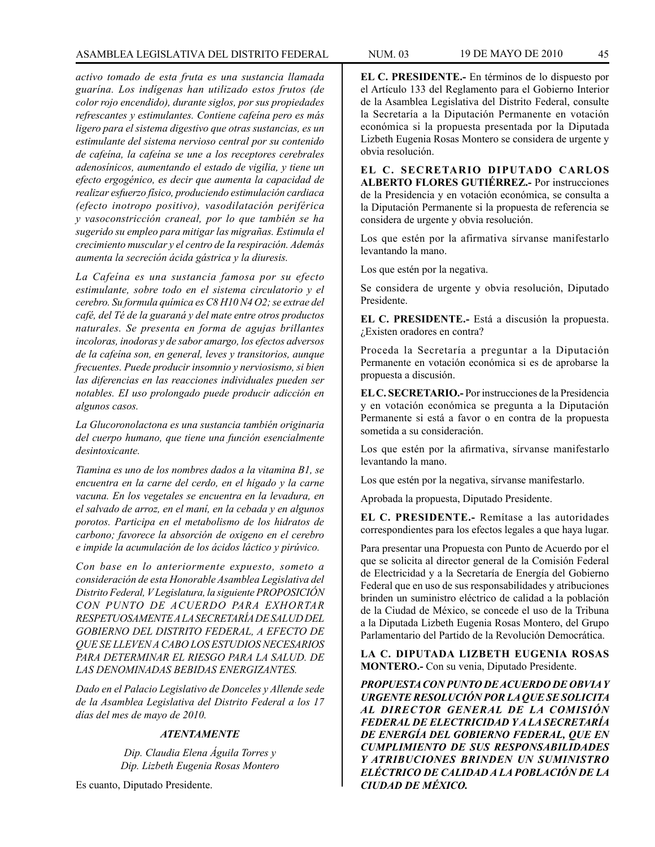## ASAMBLEA LEGISLATIVA DEL DISTRITO FEDERAL NUM. 03 19 de mayo DE 2010 45

*activo tomado de esta fruta es una sustancia llamada guarína. Los indígenas han utilizado estos frutos (de color rojo encendido), durante siglos, por sus propiedades refrescantes y estimulantes. Contiene cafeína pero es más ligero para el sistema digestivo que otras sustancias, es un estimulante del sistema nervioso central por su contenido de cafeína, la cafeína se une a los receptores cerebrales adenosínicos, aumentando el estado de vigilia, y tiene un efecto ergogénico, es decir que aumenta la capacidad de realizar esfuerzo físico, produciendo estimulación cardiaca (efecto inotropo positivo), vasodilatación periférica y vasoconstricción craneal, por lo que también se ha sugerido su empleo para mitigar las migrañas. Estimula el crecimiento muscular y el centro de Ia respiración. Además aumenta la secreción ácida gástrica y la diuresis.*

*La Cafeína es una sustancia famosa por su efecto estimulante, sobre todo en el sistema circulatorio y el cerebro. Su formula química es C8 H10 N4 O2; se extrae del café, del Té de la guaraná y del mate entre otros productos naturales. Se presenta en forma de agujas brillantes incoloras, inodoras y de sabor amargo, los efectos adversos de la cafeína son, en general, leves y transitorios, aunque frecuentes. Puede producir insomnio y nerviosismo, si bien las diferencias en las reacciones individuales pueden ser notables. EI uso prolongado puede producir adicción en algunos casos.*

*La Glucoronolactona es una sustancia también originaria del cuerpo humano, que tiene una función esencialmente desintoxicante.* 

*Tiamina es uno de los nombres dados a la vitamina B1, se encuentra en la carne del cerdo, en el hígado y la carne vacuna. En los vegetales se encuentra en la levadura, en el salvado de arroz, en el maní, en la cebada y en algunos porotos. Participa en el metabolismo de los hidratos de carbono; favorece la absorción de oxigeno en el cerebro e impide la acumulación de los ácidos láctico y pirúvico.*

*Con base en lo anteriormente expuesto, someto a consideración de esta Honorable Asamblea Legislativa del Distrito Federal, V Legislatura, la siguiente PROPOSICIÓN CON PUNTO DE ACUERDO PARA EXHORTAR RESPETUOSAMENTE A LA SECRETARÍA DE SALUD DEL GOBIERNO DEL DISTRITO FEDERAL, A EFECTO DE QUE SE LLEVEN A CABO LOS ESTUDIOS NECESARIOS PARA DETERMINAR EL RIESGO PARA LA SALUD. DE LAS DENOMINADAS BEBIDAS ENERGIZANTES.*

*Dado en el Palacio Legislativo de Donceles y Allende sede de la Asamblea Legislativa del Distrito Federal a los 17 días del mes de mayo de 2010.*

#### *ATENTAMENTE*

*Dip. Claudia Elena Águila Torres y Dip. Lizbeth Eugenia Rosas Montero*

Es cuanto, Diputado Presidente.

**EL C. PRESIDENTE.-** En términos de lo dispuesto por el Artículo 133 del Reglamento para el Gobierno Interior de la Asamblea Legislativa del Distrito Federal, consulte la Secretaría a la Diputación Permanente en votación económica si la propuesta presentada por la Diputada Lizbeth Eugenia Rosas Montero se considera de urgente y obvia resolución.

**EL C. SECRETARIO DIPUTADO CARLOS ALBERTO FLORES GUTIÉRREZ.-** Por instrucciones de la Presidencia y en votación económica, se consulta a la Diputación Permanente si la propuesta de referencia se considera de urgente y obvia resolución.

Los que estén por la afirmativa sírvanse manifestarlo levantando la mano.

Los que estén por la negativa.

Se considera de urgente y obvia resolución, Diputado Presidente.

**EL C. PRESIDENTE.-** Está a discusión la propuesta. ¿Existen oradores en contra?

Proceda la Secretaría a preguntar a la Diputación Permanente en votación económica si es de aprobarse la propuesta a discusión.

**EL C. SECRETARIO.-** Por instrucciones de la Presidencia y en votación económica se pregunta a la Diputación Permanente si está a favor o en contra de la propuesta sometida a su consideración.

Los que estén por la afirmativa, sírvanse manifestarlo levantando la mano.

Los que estén por la negativa, sírvanse manifestarlo.

Aprobada la propuesta, Diputado Presidente.

**EL C. PRESIDENTE.-** Remítase a las autoridades correspondientes para los efectos legales a que haya lugar.

Para presentar una Propuesta con Punto de Acuerdo por el que se solicita al director general de la Comisión Federal de Electricidad y a la Secretaría de Energía del Gobierno Federal que en uso de sus responsabilidades y atribuciones brinden un suministro eléctrico de calidad a la población de la Ciudad de México, se concede el uso de la Tribuna a la Diputada Lizbeth Eugenia Rosas Montero, del Grupo Parlamentario del Partido de la Revolución Democrática.

**LA C. DIPUTADA LIZBETH EUGENIA ROSAS MONTERO.-** Con su venia, Diputado Presidente.

*PROPUESTA CON PUNTO DE ACUERDO DE OBVIA Y URGENTE RESOLUCIÓN POR LA QUE SE SOLICITA AL DIRECTOR GENERAL DE LA COMISIÓN FEDERAL DE ELECTRICIDAD Y A LA SECRETARÍA DE ENERGÍA DEL GOBIERNO FEDERAL, QUE EN CUMPLIMIENTO DE SUS RESPONSABILIDADES Y ATRIBUCIONES BRINDEN UN SUMINISTRO ELÉCTRICO DE CALIDAD A LA POBLACIÓN DE LA CIUDAD DE MÉXICO.*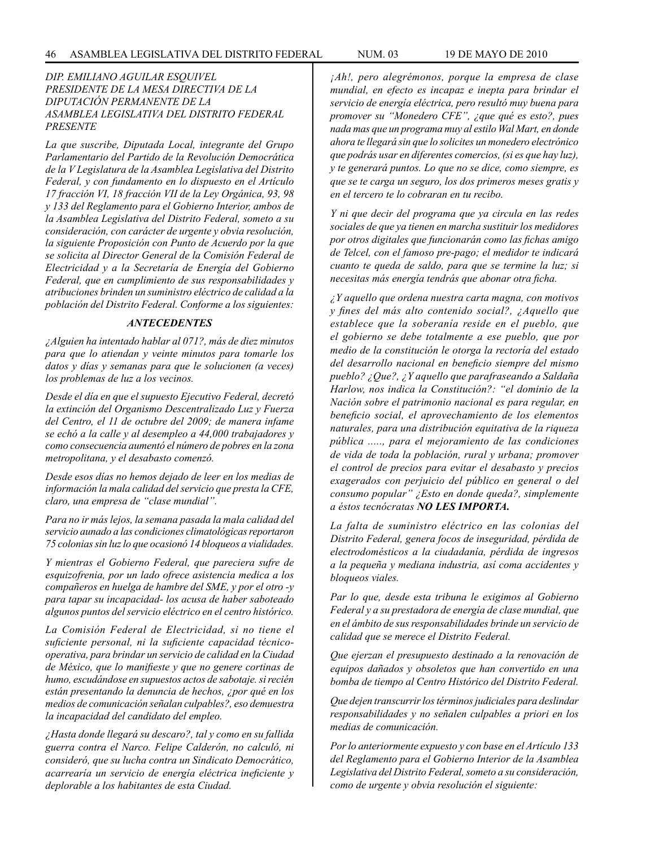## *DIP. EMILIANO AGUILAR ESQUIVEL PRESIDENTE DE LA MESA DIRECTIVA DE LA DIPUTACIÓN PERMANENTE DE LA ASAMBLEA LEGISLATIVA DEL DISTRITO FEDERAL PRESENTE*

*La que suscribe, Diputada Local, integrante del Grupo Parlamentario del Partido de la Revolución Democrática de la V Legislatura de la Asamblea Legislativa del Distrito Federal, y con fundamento en lo dispuesto en el Artículo 17 fracción VI, 18 fracción VII de la Ley Orgánica, 93, 98 y 133 del Reglamento para el Gobierno Interior, ambos de la Asamblea Legislativa del Distrito Federal, someto a su consideración, con carácter de urgente y obvia resolución, la siguiente Proposición con Punto de Acuerdo por la que se solicita al Director General de la Comisión Federal de Electricidad y a la Secretaría de Energía del Gobierno Federal, que en cumplimiento de sus responsabilidades y atribuciones brinden un suministro eléctrico de calidad a la población del Distrito Federal. Conforme a los siguientes:*

#### *ANTECEDENTES*

*¿Alguien ha intentado hablar al 071?, más de diez minutos para que lo atiendan y veinte minutos para tomarle los datos y días y semanas para que le solucionen (a veces) los problemas de luz a los vecinos.*

*Desde el día en que el supuesto Ejecutivo Federal, decretó la extinción del Organismo Descentralizado Luz y Fuerza del Centro, el 11 de octubre del 2009; de manera infame se echó a la calle y al desempleo a 44,000 trabajadores y como consecuencia aumentó el número de pobres en la zona metropolitana, y el desabasto comenzó.*

*Desde esos días no hemos dejado de leer en los medias de información la mala calidad del servicio que presta la CFE, claro, una empresa de "clase mundial".*

*Para no ir más lejos, la semana pasada la mala calidad del servicio aunado a las condiciones climatológicas reportaron 75 colonias sin luz lo que ocasionó 14 bloqueos a vialidades.*

*Y mientras el Gobierno Federal, que pareciera sufre de esquizofrenia, por un lado ofrece asistencia medica a los compañeros en huelga de hambre del SME, y por el otro -y para tapar su incapacidad- los acusa de haber saboteado algunos puntos del servicio eléctrico en el centro histórico.*

*La Comisión Federal de Electricidad, si no tiene el suficiente personal, ni la suficiente capacidad técnicooperativa, para brindar un servicio de calidad en la Ciudad de México, que lo manifieste y que no genere cortinas de humo, escudándose en supuestos actos de sabotaje. si recién están presentando la denuncia de hechos, ¿por qué en los medios de comunicación señalan culpables?, eso demuestra la incapacidad del candidato del empleo.*

*¿Hasta donde llegará su descaro?, tal y como en su fallida guerra contra el Narco. Felipe Calderón, no calculó, ni consideró, que su lucha contra un Sindicato Democrático, acarrearía un servicio de energía eléctrica ineficiente y deplorable a los habitantes de esta Ciudad.*

*¡Ah!, pero alegrémonos, porque la empresa de clase mundial, en efecto es incapaz e inepta para brindar el servicio de energía eléctrica, pero resultó muy buena para promover su "Monedero CFE", ¿que qué es esto?, pues nada mas que un programa muy al estilo Wal Mart, en donde ahora te llegará sin que lo solicites un monedero electrónico que podrás usar en diferentes comercios, (si es que hay luz), y te generará puntos. Lo que no se dice, como siempre, es que se te carga un seguro, los dos primeros meses gratis y en el tercero te lo cobraran en tu recibo.*

*Y ni que decir del programa que ya circula en las redes sociales de que ya tienen en marcha sustituir los medidores por otros digitales que funcionarán como las fichas amigo de Telcel, con el famoso pre-pago; el medidor te indicará cuanto te queda de saldo, para que se termine la luz; si necesitas más energía tendrás que abonar otra ficha.*

*¿Y aquello que ordena nuestra carta magna, con motivos y fines del más alto contenido social?, ¿Aquello que establece que la soberanía reside en el pueblo, que el gobierno se debe totalmente a ese pueblo, que por medio de la constitución le otorga la rectoría del estado del desarrollo nacional en beneficio siempre del mismo pueblo? ¿Que?, ¿Y aquello que parafraseando a Saldaña Harlow, nos indica la Constitución?: "el dominio de la Nación sobre el patrimonio nacional es para regular, en beneficio social, el aprovechamiento de los elementos naturales, para una distribución equitativa de la riqueza pública ....., para el mejoramiento de las condiciones de vida de toda la población, rural y urbana; promover el control de precios para evitar el desabasto y precios exagerados con perjuicio del público en general o del consumo popular" ¿Esto en donde queda?, simplemente a éstos tecnócratas NO LES IMPORTA.*

*La falta de suministro eléctrico en las colonias del Distrito Federal, genera focos de inseguridad, pérdida de electrodomésticos a la ciudadanía, pérdida de ingresos a la pequeña y mediana industria, así coma accidentes y bloqueos viales.*

*Par lo que, desde esta tribuna le exigimos al Gobierno Federal y a su prestadora de energía de clase mundial, que en el ámbito de sus responsabilidades brinde un servicio de calidad que se merece el Distrito Federal.*

*Que ejerzan el presupuesto destinado a la renovación de equipos dañados y obsoletos que han convertido en una bomba de tiempo al Centro Histórico del Distrito Federal.*

*Que dejen transcurrir los términos judiciales para deslindar responsabilidades y no señalen culpables a priori en los medias de comunicación.*

*Por lo anteriormente expuesto y con base en el Artículo 133 del Reglamento para el Gobierno Interior de la Asamblea Legislativa del Distrito Federal, someto a su consideración, como de urgente y obvia resolución el siguiente:*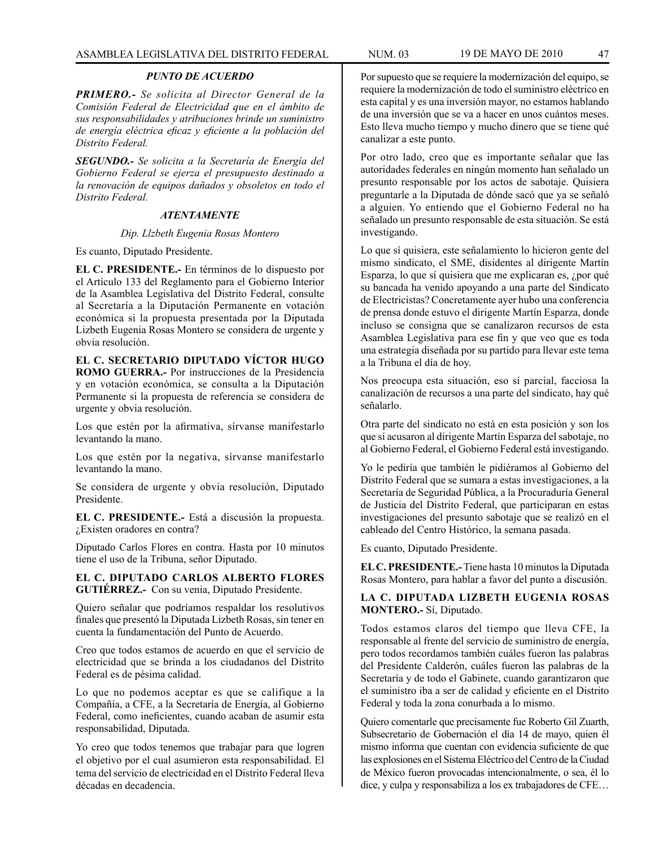### *PUNTO DE ACUERDO*

*PRIMERO.- Se solicita al Director General de la Comisión Federal de Electricidad que en el ámbito de sus responsabilidades y atribuciones brinde un suministro de energía eléctrica eficaz y eficiente a la población del Distrito Federal.*

*SEGUNDO.- Se solicita a la Secretaría de Energía del Gobierno Federal se ejerza el presupuesto destinado a la renovación de equipos dañados y obsoletos en todo el Distrito Federal.*

### *ATENTAMENTE*

#### *Dip. Llzbeth Eugenia Rosas Montero*

Es cuanto, Diputado Presidente.

**EL C. PRESIDENTE.-** En términos de lo dispuesto por el Artículo 133 del Reglamento para el Gobierno Interior de la Asamblea Legislativa del Distrito Federal, consulte al Secretaría a la Diputación Permanente en votación económica si la propuesta presentada por la Diputada Lizbeth Eugenia Rosas Montero se considera de urgente y obvia resolución.

**EL C. SECRETARIO DIPUTADO VÍCTOR HUGO ROMO GUERRA.-** Por instrucciones de la Presidencia y en votación económica, se consulta a la Diputación Permanente si la propuesta de referencia se considera de urgente y obvia resolución.

Los que estén por la afirmativa, sírvanse manifestarlo levantando la mano.

Los que estén por la negativa, sírvanse manifestarlo levantando la mano.

Se considera de urgente y obvia resolución, Diputado Presidente.

**EL C. PRESIDENTE.-** Está a discusión la propuesta. ¿Existen oradores en contra?

Diputado Carlos Flores en contra. Hasta por 10 minutos tiene el uso de la Tribuna, señor Diputado.

**EL C. DIPUTADO CARLOS ALBERTO FLORES GUTIÉRREZ.-** Con su venia, Diputado Presidente.

Quiero señalar que podríamos respaldar los resolutivos finales que presentó la Diputada Lizbeth Rosas, sin tener en cuenta la fundamentación del Punto de Acuerdo.

Creo que todos estamos de acuerdo en que el servicio de electricidad que se brinda a los ciudadanos del Distrito Federal es de pésima calidad.

Lo que no podemos aceptar es que se califique a la Compañía, a CFE, a la Secretaría de Energía, al Gobierno Federal, como ineficientes, cuando acaban de asumir esta responsabilidad, Diputada.

Yo creo que todos tenemos que trabajar para que logren el objetivo por el cual asumieron esta responsabilidad. El tema del servicio de electricidad en el Distrito Federal lleva décadas en decadencia.

Por supuesto que se requiere la modernización del equipo, se requiere la modernización de todo el suministro eléctrico en esta capital y es una inversión mayor, no estamos hablando de una inversión que se va a hacer en unos cuántos meses. Esto lleva mucho tiempo y mucho dinero que se tiene qué canalizar a este punto.

Por otro lado, creo que es importante señalar que las autoridades federales en ningún momento han señalado un presunto responsable por los actos de sabotaje. Quisiera preguntarle a la Diputada de dónde sacó que ya se señaló a alguien. Yo entiendo que el Gobierno Federal no ha señalado un presunto responsable de esta situación. Se está investigando.

Lo que sí quisiera, este señalamiento lo hicieron gente del mismo sindicato, el SME, disidentes al dirigente Martín Esparza, lo que sí quisiera que me explicaran es, ¿por qué su bancada ha venido apoyando a una parte del Sindicato de Electricistas? Concretamente ayer hubo una conferencia de prensa donde estuvo el dirigente Martín Esparza, donde incluso se consigna que se canalizaron recursos de esta Asamblea Legislativa para ese fin y que veo que es toda una estrategia diseñada por su partido para llevar este tema a la Tribuna el día de hoy.

Nos preocupa esta situación, eso sí parcial, facciosa la canalización de recursos a una parte del sindicato, hay qué señalarlo.

Otra parte del sindicato no está en esta posición y son los que sí acusaron al dirigente Martín Esparza del sabotaje, no al Gobierno Federal, el Gobierno Federal está investigando.

Yo le pediría que también le pidiéramos al Gobierno del Distrito Federal que se sumara a estas investigaciones, a la Secretaría de Seguridad Pública, a la Procuraduría General de Justicia del Distrito Federal, que participaran en estas investigaciones del presunto sabotaje que se realizó en el cableado del Centro Histórico, la semana pasada.

Es cuanto, Diputado Presidente.

**EL C. PRESIDENTE.-** Tiene hasta 10 minutos la Diputada Rosas Montero, para hablar a favor del punto a discusión.

## **LA C. DIPUTADA LIZBETH EUGENIA ROSAS MONTERO.-** Sí, Diputado.

Todos estamos claros del tiempo que lleva CFE, la responsable al frente del servicio de suministro de energía, pero todos recordamos también cuáles fueron las palabras del Presidente Calderón, cuáles fueron las palabras de la Secretaría y de todo el Gabinete, cuando garantizaron que el suministro iba a ser de calidad y eficiente en el Distrito Federal y toda la zona conurbada a lo mismo.

Quiero comentarle que precisamente fue Roberto Gil Zuarth, Subsecretario de Gobernación el día 14 de mayo, quien él mismo informa que cuentan con evidencia suficiente de que las explosiones en el Sistema Eléctrico del Centro de la Ciudad de México fueron provocadas intencionalmente, o sea, él lo dice, y culpa y responsabiliza a los ex trabajadores de CFE…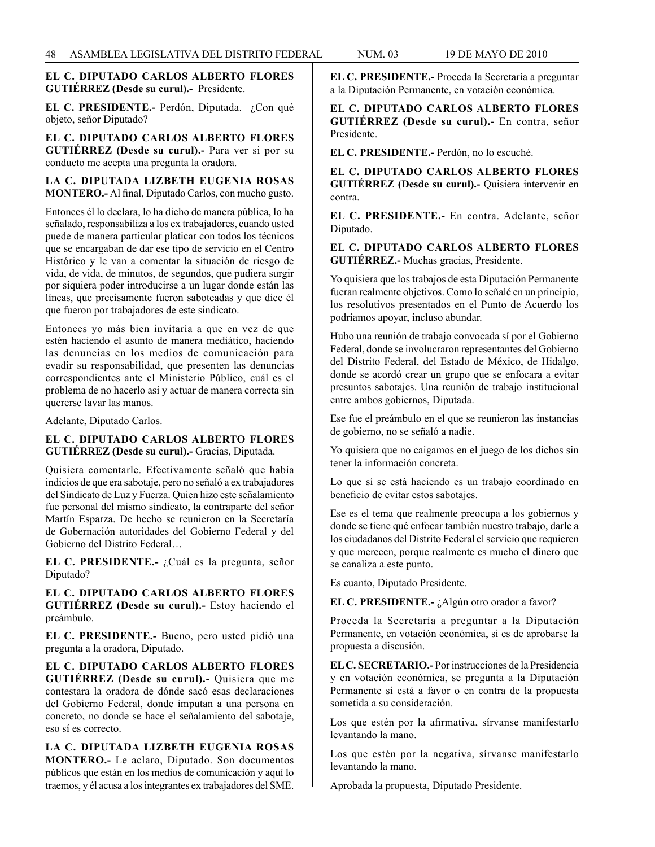### **EL C. DIPUTADO CARLOS ALBERTO FLORES GUTIÉRREZ (Desde su curul).-** Presidente.

**EL C. PRESIDENTE.-** Perdón, Diputada. ¿Con qué objeto, señor Diputado?

**EL C. DIPUTADO CARLOS ALBERTO FLORES GUTIÉRREZ (Desde su curul).-** Para ver si por su conducto me acepta una pregunta la oradora.

**LA C. DIPUTADA LIZBETH EUGENIA ROSAS MONTERO.-** Al final, Diputado Carlos, con mucho gusto.

Entonces él lo declara, lo ha dicho de manera pública, lo ha señalado, responsabiliza a los ex trabajadores, cuando usted puede de manera particular platicar con todos los técnicos que se encargaban de dar ese tipo de servicio en el Centro Histórico y le van a comentar la situación de riesgo de vida, de vida, de minutos, de segundos, que pudiera surgir por siquiera poder introducirse a un lugar donde están las líneas, que precisamente fueron saboteadas y que dice él que fueron por trabajadores de este sindicato.

Entonces yo más bien invitaría a que en vez de que estén haciendo el asunto de manera mediático, haciendo las denuncias en los medios de comunicación para evadir su responsabilidad, que presenten las denuncias correspondientes ante el Ministerio Público, cuál es el problema de no hacerlo así y actuar de manera correcta sin quererse lavar las manos.

Adelante, Diputado Carlos.

## **EL C. DIPUTADO CARLOS ALBERTO FLORES GUTIÉRREZ (Desde su curul).-** Gracias, Diputada.

Quisiera comentarle. Efectivamente señaló que había indicios de que era sabotaje, pero no señaló a ex trabajadores del Sindicato de Luz y Fuerza. Quien hizo este señalamiento fue personal del mismo sindicato, la contraparte del señor Martín Esparza. De hecho se reunieron en la Secretaría de Gobernación autoridades del Gobierno Federal y del Gobierno del Distrito Federal…

**EL C. PRESIDENTE.-** ¿Cuál es la pregunta, señor Diputado?

**EL C. DIPUTADO CARLOS ALBERTO FLORES GUTIÉRREZ (Desde su curul).-** Estoy haciendo el preámbulo.

**EL C. PRESIDENTE.-** Bueno, pero usted pidió una pregunta a la oradora, Diputado.

**EL C. DIPUTADO CARLOS ALBERTO FLORES GUTIÉRREZ (Desde su curul).-** Quisiera que me contestara la oradora de dónde sacó esas declaraciones del Gobierno Federal, donde imputan a una persona en concreto, no donde se hace el señalamiento del sabotaje, eso sí es correcto.

**LA C. DIPUTADA LIZBETH EUGENIA ROSAS MONTERO.-** Le aclaro, Diputado. Son documentos públicos que están en los medios de comunicación y aquí lo traemos, y él acusa a los integrantes ex trabajadores del SME. **EL C. PRESIDENTE.-** Proceda la Secretaría a preguntar a la Diputación Permanente, en votación económica.

**EL C. DIPUTADO CARLOS ALBERTO FLORES GUTIÉRREZ (Desde su curul).-** En contra, señor Presidente.

**EL C. PRESIDENTE.-** Perdón, no lo escuché.

**EL C. DIPUTADO CARLOS ALBERTO FLORES GUTIÉRREZ (Desde su curul).-** Quisiera intervenir en contra.

**EL C. PRESIDENTE.-** En contra. Adelante, señor Diputado.

**EL C. DIPUTADO CARLOS ALBERTO FLORES GUTIÉRREZ.-** Muchas gracias, Presidente.

Yo quisiera que los trabajos de esta Diputación Permanente fueran realmente objetivos. Como lo señalé en un principio, los resolutivos presentados en el Punto de Acuerdo los podríamos apoyar, incluso abundar.

Hubo una reunión de trabajo convocada sí por el Gobierno Federal, donde se involucraron representantes del Gobierno del Distrito Federal, del Estado de México, de Hidalgo, donde se acordó crear un grupo que se enfocara a evitar presuntos sabotajes. Una reunión de trabajo institucional entre ambos gobiernos, Diputada.

Ese fue el preámbulo en el que se reunieron las instancias de gobierno, no se señaló a nadie.

Yo quisiera que no caigamos en el juego de los dichos sin tener la información concreta.

Lo que sí se está haciendo es un trabajo coordinado en beneficio de evitar estos sabotajes.

Ese es el tema que realmente preocupa a los gobiernos y donde se tiene qué enfocar también nuestro trabajo, darle a los ciudadanos del Distrito Federal el servicio que requieren y que merecen, porque realmente es mucho el dinero que se canaliza a este punto.

Es cuanto, Diputado Presidente.

**EL C. PRESIDENTE.-** ¿Algún otro orador a favor?

Proceda la Secretaría a preguntar a la Diputación Permanente, en votación económica, si es de aprobarse la propuesta a discusión.

**EL C. SECRETARIO.-** Por instrucciones de la Presidencia y en votación económica, se pregunta a la Diputación Permanente si está a favor o en contra de la propuesta sometida a su consideración.

Los que estén por la afirmativa, sírvanse manifestarlo levantando la mano.

Los que estén por la negativa, sírvanse manifestarlo levantando la mano.

Aprobada la propuesta, Diputado Presidente.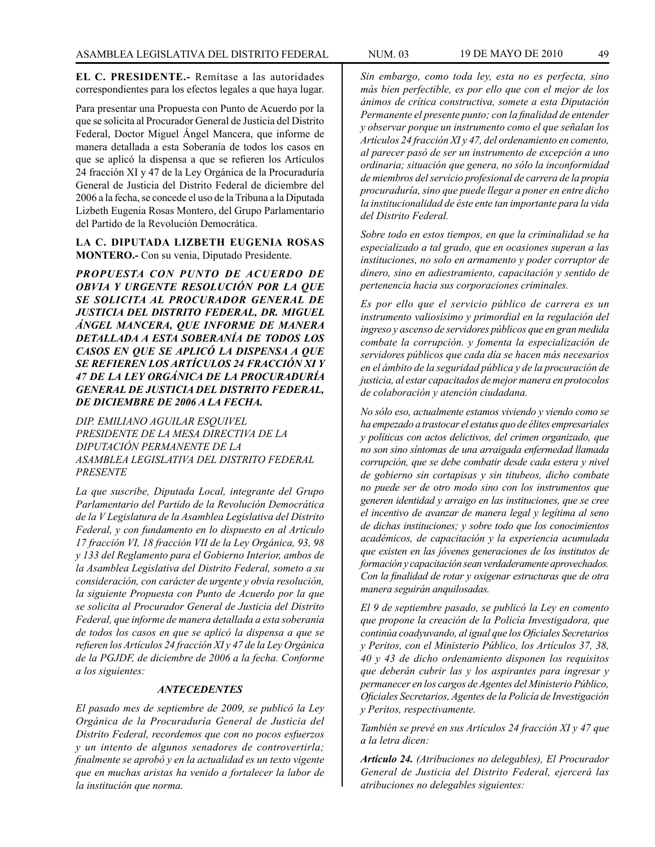**EL C. PRESIDENTE.-** Remítase a las autoridades correspondientes para los efectos legales a que haya lugar.

Para presentar una Propuesta con Punto de Acuerdo por la que se solicita al Procurador General de Justicia del Distrito Federal, Doctor Miguel Ángel Mancera, que informe de manera detallada a esta Soberanía de todos los casos en que se aplicó la dispensa a que se refieren los Artículos 24 fracción XI y 47 de la Ley Orgánica de la Procuraduría General de Justicia del Distrito Federal de diciembre del 2006 a la fecha, se concede el uso de la Tribuna a la Diputada Lizbeth Eugenia Rosas Montero, del Grupo Parlamentario del Partido de la Revolución Democrática.

**LA C. DIPUTADA LIZBETH EUGENIA ROSAS MONTERO.-** Con su venia, Diputado Presidente.

*PROPUESTA CON PUNTO DE ACUERDO DE OBVIA Y URGENTE RESOLUCIÓN POR LA QUE SE SOLICITA AL PROCURADOR GENERAL DE JUSTICIA DEL DISTRITO FEDERAL, DR. MIGUEL ÁNGEL MANCERA, QUE INFORME DE MANERA DETALLADA A ESTA SOBERANÍA DE TODOS LOS CASOS EN QUE SE APLICÓ LA DISPENSA A QUE SE REFIEREN LOS ARTÍCULOS 24 FRACCIÓN XI Y 47 DE LA LEY ORGÁNICA DE LA PROCURADURÍA GENERAL DE JUSTICIA DEL DISTRITO FEDERAL, DE DICIEMBRE DE 2006 A LA FECHA.*

*DIP. EMILIANO AGUILAR ESQUIVEL PRESIDENTE DE LA MESA DIRECTIVA DE LA DIPUTACIÓN PERMANENTE DE LA ASAMBLEA LEGISLATIVA DEL DISTRITO FEDERAL PRESENTE*

*La que suscribe, Diputada Local, integrante del Grupo Parlamentario del Partido de la Revolución Democrática de la V Legislatura de la Asamblea Legislativa del Distrito Federal, y con fundamento en lo dispuesto en al Artículo 17 fracción VI, 18 fracción VII de la Ley Orgánica, 93, 98 y 133 del Reglamento para el Gobierno Interior, ambos de la Asamblea Legislativa del Distrito Federal, someto a su consideración, con carácter de urgente y obvia resolución, la siguiente Propuesta con Punto de Acuerdo por la que se solicita al Procurador General de Justicia del Distrito Federal, que informe de manera detallada a esta soberanía de todos los casos en que se aplicó la dispensa a que se refieren los Artículos 24 fracción XI y 47 de la Ley Orgánica de la PGJDF, de diciembre de 2006 a la fecha. Conforme a los siguientes:*

#### *ANTECEDENTES*

*El pasado mes de septiembre de 2009, se publicó la Ley Orgánica de la Procuraduría General de Justicia del Distrito Federal, recordemos que con no pocos esfuerzos y un intento de algunos senadores de controvertirla; finalmente se aprobó y en la actualidad es un texto vigente que en muchas aristas ha venido a fortalecer la labor de la institución que norma.*

*Sin embargo, como toda ley, esta no es perfecta, sino más bien perfectible, es por ello que con el mejor de los ánimos de crítica constructiva, somete a esta Diputación Permanente el presente punto; con la finalidad de entender y observar porque un instrumento como el que señalan los Artículos 24 fracción XI y 47, del ordenamiento en comento, al parecer pasó de ser un instrumento de excepción a uno ordinaria; situación que genera, no sólo la inconformidad de miembros del servicio profesional de carrera de la propia procuraduría, sino que puede llegar a poner en entre dicho la institucionalidad de éste ente tan importante para la vida del Distrito Federal.*

*Sobre todo en estos tiempos, en que la criminalidad se ha especializado a tal grado, que en ocasiones superan a las instituciones, no solo en armamento y poder corruptor de dinero, sino en adiestramiento, capacitación y sentido de pertenencia hacia sus corporaciones criminales.*

*Es por ello que el servicio público de carrera es un instrumento valiosísimo y primordial en la regulación del ingreso y ascenso de servidores públicos que en gran medida combate la corrupción. y fomenta la especialización de servidores públicos que cada día se hacen más necesarios en el ámbito de la seguridad pública y de la procuración de justicia, al estar capacitados de mejor manera en protocolos de colaboración y atención ciudadana.*

*No sólo eso, actualmente estamos viviendo y viendo como se ha empezado a trastocar el estatus quo de élites empresariales y políticas con actos delictivos, del crimen organizado, que no son sino síntomas de una arraigada enfermedad llamada corrupción, que se debe combatir desde cada estera y nivel de gobierno sin cortapisas y sin titubeos, dicho combate no puede ser de otro modo sino con los instrumentos que generen identidad y arraigo en las instituciones, que se cree el incentivo de avanzar de manera legal y legítima al seno de dichas instituciones; y sobre todo que los conocimientos académicos, de capacitación y la experiencia acumulada que existen en las jóvenes generaciones de los institutos de formación y capacitación sean verdaderamente aprovechados. Con la finalidad de rotar y oxigenar estructuras que de otra manera seguirán anquilosadas.*

*El 9 de septiembre pasado, se publicó la Ley en comento que propone la creación de la Policía Investigadora, que continúa coadyuvando, al igual que los Oficiales Secretarios y Peritos, con el Ministerio Público, los Artículos 37, 38, 40 y 43 de dicho ordenamiento disponen los requisitos que deberán cubrir las y los aspirantes para ingresar y permanecer en los cargos de Agentes del Ministerio Público, Oficiales Secretarios, Agentes de la Policía de Investigación y Peritos, respectivamente.*

*También se prevé en sus Artículos 24 fracción XI y 47 que a la letra dicen:* 

*Artículo 24. (Atribuciones no delegables), El Procurador General de Justicia del Distrito Federal, ejercerá las atribuciones no delegables siguientes:*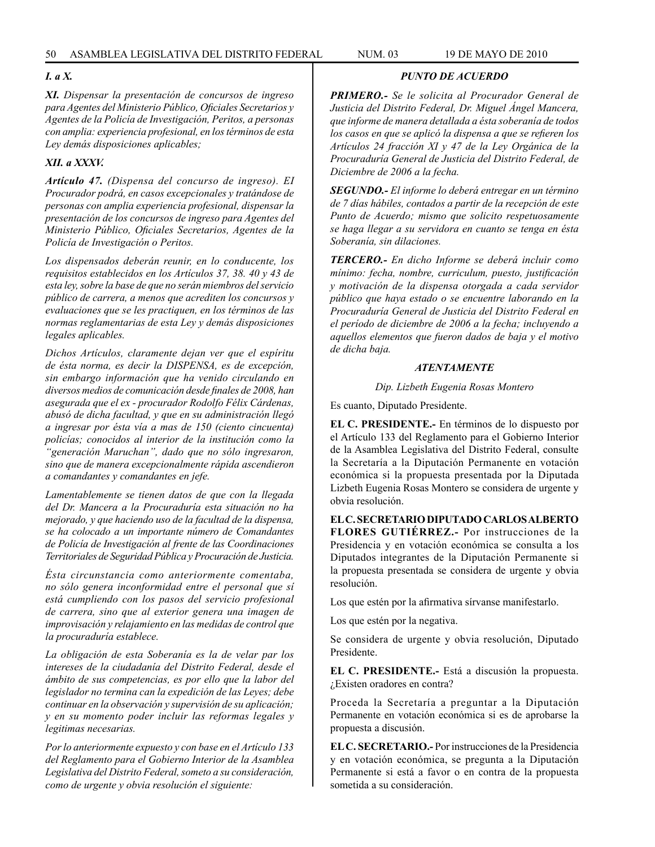## *I. a X.*

*XI. Dispensar la presentación de concursos de ingreso para Agentes del Ministerio Público, Oficiales Secretarios y Agentes de la Policía de Investigación, Peritos, a personas con amplia: experiencia profesional, en los términos de esta Ley demás disposiciones aplicables;*

## *XII. a XXXV.*

*Artículo 47. (Dispensa del concurso de ingreso). EI Procurador podrá, en casos excepcionales y tratándose de personas con amplia experiencia profesional, dispensar la presentación de los concursos de ingreso para Agentes del Ministerio Público, Oficiales Secretarios, Agentes de la Policía de Investigación o Peritos.*

*Los dispensados deberán reunir, en lo conducente, los requisitos establecidos en los Artículos 37, 38. 40 y 43 de esta ley, sobre la base de que no serán miembros del servicio público de carrera, a menos que acrediten los concursos y evaluaciones que se les practiquen, en los términos de las normas reglamentarias de esta Ley y demás disposiciones legales aplicables.*

*Dichos Artículos, claramente dejan ver que el espíritu de ésta norma, es decir la DISPENSA, es de excepción, sin embargo información que ha venido circulando en diversos medios de comunicación desde finales de 2008, han asegurada que el ex - procurador Rodolfo Félix Cárdenas, abusó de dicha facultad, y que en su administración llegó a ingresar por ésta vía a mas de 150 (ciento cincuenta) policías; conocidos al interior de la institución como la "generación Maruchan", dado que no sólo ingresaron, sino que de manera excepcionalmente rápida ascendieron a comandantes y comandantes en jefe.*

*Lamentablemente se tienen datos de que con la llegada del Dr. Mancera a la Procuraduría esta situación no ha mejorado, y que haciendo uso de la facultad de la dispensa, se ha colocado a un importante número de Comandantes de Policía de Investigación al frente de las Coordinaciones Territoriales de Seguridad Pública y Procuración de Justicia.*

*Ésta circunstancia como anteriormente comentaba, no sólo genera inconformidad entre el personal que sí está cumpliendo con los pasos del servicio profesional de carrera, sino que al exterior genera una imagen de improvisación y relajamiento en las medidas de control que la procuraduría establece.*

*La obligación de esta Soberanía es la de velar par los intereses de la ciudadanía del Distrito Federal, desde el ámbito de sus competencias, es por ello que la labor del legislador no termina can la expedición de las Leyes; debe continuar en la observación y supervisión de su aplicación; y en su momento poder incluir las reformas legales y legitimas necesarias.*

*Por lo anteriormente expuesto y con base en el Artículo 133 del Reglamento para el Gobierno Interior de la Asamblea Legislativa del Distrito Federal, someto a su consideración, como de urgente y obvia resolución el siguiente:*

## *PUNTO DE ACUERDO*

*PRIMERO.- Se le solicita al Procurador General de Justicia del Distrito Federal, Dr. Miguel Ángel Mancera, que informe de manera detallada a ésta soberanía de todos los casos en que se aplicó la dispensa a que se refieren los Artículos 24 fracción XI y 47 de la Ley Orgánica de la Procuraduría General de Justicia del Distrito Federal, de Diciembre de 2006 a la fecha.*

*SEGUNDO.- El informe lo deberá entregar en un término de 7 días hábiles, contados a partir de la recepción de este Punto de Acuerdo; mismo que solicito respetuosamente se haga llegar a su servidora en cuanto se tenga en ésta Soberanía, sin dilaciones.*

*TERCERO.- En dicho Informe se deberá incluir como mínimo: fecha, nombre, curriculum, puesto, justificación y motivación de la dispensa otorgada a cada servidor público que haya estado o se encuentre laborando en la Procuraduría General de Justicia del Distrito Federal en el período de diciembre de 2006 a la fecha; incluyendo a aquellos elementos que fueron dados de baja y el motivo de dicha baja.*

## *ATENTAMENTE*

*Dip. Lizbeth Eugenia Rosas Montero*

Es cuanto, Diputado Presidente.

**EL C. PRESIDENTE.-** En términos de lo dispuesto por el Artículo 133 del Reglamento para el Gobierno Interior de la Asamblea Legislativa del Distrito Federal, consulte la Secretaría a la Diputación Permanente en votación económica si la propuesta presentada por la Diputada Lizbeth Eugenia Rosas Montero se considera de urgente y obvia resolución.

**EL C. SECRETARIO DIPUTADO CARLOS ALBERTO FLORES GUTIÉRREZ.-** Por instrucciones de la Presidencia y en votación económica se consulta a los Diputados integrantes de la Diputación Permanente si la propuesta presentada se considera de urgente y obvia resolución.

Los que estén por la afirmativa sírvanse manifestarlo.

Los que estén por la negativa.

Se considera de urgente y obvia resolución, Diputado Presidente.

**EL C. PRESIDENTE.-** Está a discusión la propuesta. ¿Existen oradores en contra?

Proceda la Secretaría a preguntar a la Diputación Permanente en votación económica si es de aprobarse la propuesta a discusión.

**EL C. SECRETARIO.-** Por instrucciones de la Presidencia y en votación económica, se pregunta a la Diputación Permanente si está a favor o en contra de la propuesta sometida a su consideración.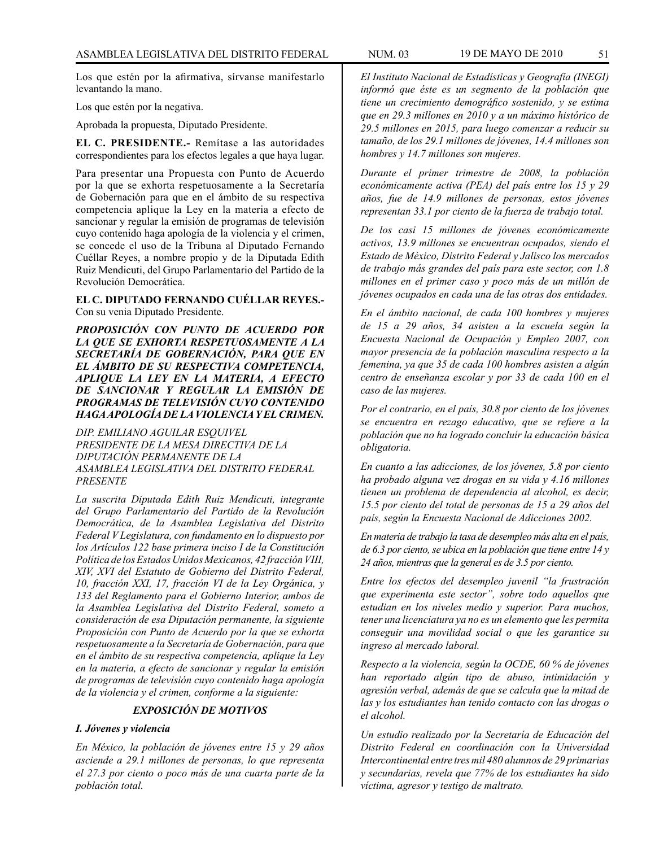Los que estén por la afirmativa, sírvanse manifestarlo levantando la mano.

Los que estén por la negativa.

Aprobada la propuesta, Diputado Presidente.

**EL C. PRESIDENTE.-** Remítase a las autoridades correspondientes para los efectos legales a que haya lugar.

Para presentar una Propuesta con Punto de Acuerdo por la que se exhorta respetuosamente a la Secretaría de Gobernación para que en el ámbito de su respectiva competencia aplique la Ley en la materia a efecto de sancionar y regular la emisión de programas de televisión cuyo contenido haga apología de la violencia y el crimen, se concede el uso de la Tribuna al Diputado Fernando Cuéllar Reyes, a nombre propio y de la Diputada Edith Ruiz Mendicuti, del Grupo Parlamentario del Partido de la Revolución Democrática.

**EL C. DIPUTADO FERNANDO CUÉLLAR REYES.-** Con su venia Diputado Presidente.

*PROPOSICIÓN CON PUNTO DE ACUERDO POR LA QUE SE EXHORTA RESPETUOSAMENTE A LA SECRETARÍA DE GOBERNACIÓN, PARA QUE EN EL ÁMBITO DE SU RESPECTIVA COMPETENCIA, APLIQUE LA LEY EN LA MATERIA, A EFECTO DE SANCIONAR Y REGULAR LA EMISIÓN DE PROGRAMAS DE TELEVISIÓN CUYO CONTENIDO HAGA APOLOGÍA DE LA VIOLENCIA Y EL CRIMEN.*

*DIP. EMILIANO AGUILAR ESQUIVEL PRESIDENTE DE LA MESA DIRECTIVA DE LA DIPUTACIÓN PERMANENTE DE LA ASAMBLEA LEGISLATIVA DEL DISTRITO FEDERAL PRESENTE*

*La suscrita Diputada Edith Ruiz Mendicuti, integrante del Grupo Parlamentario del Partido de la Revolución Democrática, de la Asamblea Legislativa del Distrito Federal V Legislatura, con fundamento en lo dispuesto por los Artículos 122 base primera inciso I de la Constitución Política de los Estados Unidos Mexicanos, 42 fracción VIII, XIV, XVI del Estatuto de Gobierno del Distrito Federal, 10, fracción XXI, 17, fracción VI de la Ley Orgánica, y 133 del Reglamento para el Gobierno Interior, ambos de la Asamblea Legislativa del Distrito Federal, someto a consideración de esa Diputación permanente, la siguiente Proposición con Punto de Acuerdo por la que se exhorta respetuosamente a la Secretaría de Gobernación, para que en el ámbito de su respectiva competencia, aplique la Ley en la materia, a efecto de sancionar y regular la emisión de programas de televisión cuyo contenido haga apología de la violencia y el crimen, conforme a la siguiente:* 

## *EXPOSICIÓN DE MOTIVOS*

## *I. Jóvenes y violencia*

*En México, la población de jóvenes entre 15 y 29 años asciende a 29.1 millones de personas, lo que representa el 27.3 por ciento o poco más de una cuarta parte de la población total.* 

*El Instituto Nacional de Estadísticas y Geografía (INEGI) informó que éste es un segmento de la población que tiene un crecimiento demográfico sostenido, y se estima que en 29.3 millones en 2010 y a un máximo histórico de 29.5 millones en 2015, para luego comenzar a reducir su tamaño, de los 29.1 millones de jóvenes, 14.4 millones son hombres y 14.7 millones son mujeres.* 

*Durante el primer trimestre de 2008, la población económicamente activa (PEA) del país entre los 15 y 29 años, fue de 14.9 millones de personas, estos jóvenes representan 33.1 por ciento de la fuerza de trabajo total.* 

*De los casi 15 millones de jóvenes económicamente activos, 13.9 millones se encuentran ocupados, siendo el Estado de México, Distrito Federal y Jalisco los mercados de trabajo más grandes del país para este sector, con 1.8 millones en el primer caso y poco más de un millón de jóvenes ocupados en cada una de las otras dos entidades.* 

*En el ámbito nacional, de cada 100 hombres y mujeres de 15 a 29 años, 34 asisten a la escuela según la Encuesta Nacional de Ocupación y Empleo 2007, con mayor presencia de la población masculina respecto a la femenina, ya que 35 de cada 100 hombres asisten a algún centro de enseñanza escolar y por 33 de cada 100 en el caso de las mujeres.* 

*Por el contrario, en el país, 30.8 por ciento de los jóvenes se encuentra en rezago educativo, que se refiere a la población que no ha logrado concluir la educación básica obligatoria.* 

*En cuanto a las adicciones, de los jóvenes, 5.8 por ciento ha probado alguna vez drogas en su vida y 4.16 millones tienen un problema de dependencia al alcohol, es decir, 15.5 por ciento del total de personas de 15 a 29 años del país, según la Encuesta Nacional de Adicciones 2002.* 

*En materia de trabajo la tasa de desempleo más alta en el país, de 6.3 por ciento, se ubica en la población que tiene entre 14 y 24 años, mientras que la general es de 3.5 por ciento.* 

*Entre los efectos del desempleo juvenil "la frustración que experimenta este sector", sobre todo aquellos que estudian en los niveles medio y superior. Para muchos, tener una licenciatura ya no es un elemento que les permita conseguir una movilidad social o que les garantice su ingreso al mercado laboral.* 

*Respecto a la violencia, según la OCDE, 60 % de jóvenes han reportado algún tipo de abuso, intimidación y agresión verbal, además de que se calcula que la mitad de las y los estudiantes han tenido contacto con las drogas o el alcohol.* 

*Un estudio realizado por la Secretaría de Educación del Distrito Federal en coordinación con la Universidad Intercontinental entre tres mil 480 alumnos de 29 primarias y secundarias, revela que 77% de los estudiantes ha sido víctima, agresor y testigo de maltrato.*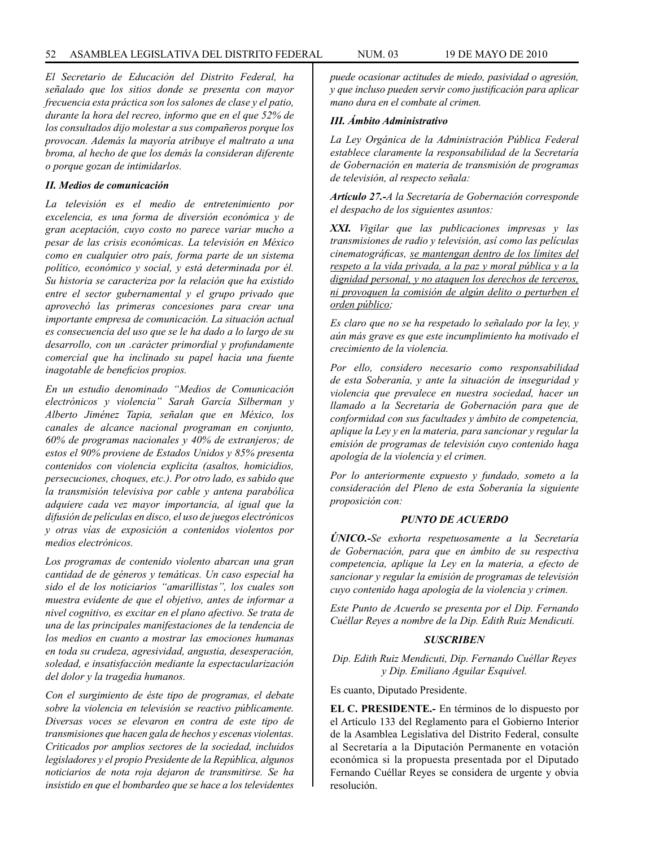*El Secretario de Educación del Distrito Federal, ha señalado que los sitios donde se presenta con mayor frecuencia esta práctica son los salones de clase y el patio, durante la hora del recreo, informo que en el que 52% de los consultados dijo molestar a sus compañeros porque los provocan. Además la mayoría atribuye el maltrato a una broma, al hecho de que los demás la consideran diferente o porque gozan de intimidarlos.* 

### *II. Medios de comunicación*

*La televisión es el medio de entretenimiento por excelencia, es una forma de diversión económica y de gran aceptación, cuyo costo no parece variar mucho a pesar de las crisis económicas. La televisión en México como en cualquier otro país, forma parte de un sistema político, económico y social, y está determinada por él. Su historia se caracteriza por la relación que ha existido entre el sector gubernamental y el grupo privado que aprovechó las primeras concesiones para crear una importante empresa de comunicación. La situación actual es consecuencia del uso que se le ha dado a lo largo de su desarrollo, con un .carácter primordial y profundamente comercial que ha inclinado su papel hacia una fuente inagotable de beneficios propios.* 

*En un estudio denominado "Medios de Comunicación electrónicos y violencia" Sarah García Silberman y Alberto Jiménez Tapia, señalan que en México, los canales de alcance nacional programan en conjunto, 60% de programas nacionales y 40% de extranjeros; de estos el 90% proviene de Estados Unidos y 85% presenta contenidos con violencia explicita (asaltos, homicidios, persecuciones, choques, etc.). Por otro lado, es sabido que la transmisión televisiva por cable y antena parabólica adquiere cada vez mayor importancia, al igual que la difusión de películas en disco, el uso de juegos electrónicos y otras vías de exposición a contenidos violentos por medios electrónicos.* 

*Los programas de contenido violento abarcan una gran cantidad de de géneros y temáticas. Un caso especial ha sido el de los noticiarios "amarillistas", los cuales son muestra evidente de que el objetivo, antes de informar a nivel cognitivo, es excitar en el plano afectivo. Se trata de una de las principales manifestaciones de la tendencia de los medios en cuanto a mostrar las emociones humanas en toda su crudeza, agresividad, angustia, desesperación, soledad, e insatisfacción mediante la espectacularización del dolor y la tragedia humanos.* 

*Con el surgimiento de éste tipo de programas, el debate sobre la violencia en televisión se reactivo públicamente. Diversas voces se elevaron en contra de este tipo de transmisiones que hacen gala de hechos y escenas violentas. Criticados por amplios sectores de la sociedad, incluidos legisladores y el propio Presidente de la República, algunos noticiarios de nota roja dejaron de transmitirse. Se ha insistido en que el bombardeo que se hace a los televidentes* 

*puede ocasionar actitudes de miedo, pasividad o agresión, y que incluso pueden servir como justificación para aplicar mano dura en el combate al crimen.* 

## *III. Ámbito Administrativo*

*La Ley Orgánica de la Administración Pública Federal establece claramente la responsabilidad de la Secretaría de Gobernación en materia de transmisión de programas de televisión, al respecto señala:* 

*Artículo 27.-A la Secretaría de Gobernación corresponde el despacho de los siguientes asuntos:* 

*XXI. Vigilar que las publicaciones impresas y las transmisiones de radio y televisión, así como las películas cinematográficas, se mantengan dentro de los límites del respeto a la vida privada, a la paz y moral pública y a la dignidad personal, y no ataquen los derechos de terceros, ni provoquen la comisión de algún delito o perturben el orden público;* 

*Es claro que no se ha respetado lo señalado por la ley, y aún más grave es que este incumplimiento ha motivado el crecimiento de la violencia.* 

*Por ello, considero necesario como responsabilidad de esta Soberanía, y ante la situación de inseguridad y violencia que prevalece en nuestra sociedad, hacer un llamado a la Secretaría de Gobernación para que de conformidad con sus facultades y ámbito de competencia, aplique la Ley y en la materia, para sancionar y regular la emisión de programas de televisión cuyo contenido haga apología de la violencia y el crimen.* 

*Por lo anteriormente expuesto y fundado, someto a la consideración del Pleno de esta Soberanía la siguiente proposición con:*

#### *PUNTO DE ACUERDO*

*ÚNICO.-Se exhorta respetuosamente a la Secretaría de Gobernación, para que en ámbito de su respectiva competencia, aplique la Ley en la materia, a efecto de sancionar y regular la emisión de programas de televisión cuyo contenido haga apología de la violencia y crimen.*

*Este Punto de Acuerdo se presenta por el Dip. Fernando Cuéllar Reyes a nombre de la Dip. Edith Ruiz Mendicuti.*

#### *SUSCRIBEN*

*Dip. Edith Ruiz Mendicuti, Dip. Fernando Cuéllar Reyes y Dip. Emiliano Aguilar Esquivel.*

Es cuanto, Diputado Presidente.

**EL C. PRESIDENTE.-** En términos de lo dispuesto por el Artículo 133 del Reglamento para el Gobierno Interior de la Asamblea Legislativa del Distrito Federal, consulte al Secretaría a la Diputación Permanente en votación económica si la propuesta presentada por el Diputado Fernando Cuéllar Reyes se considera de urgente y obvia resolución.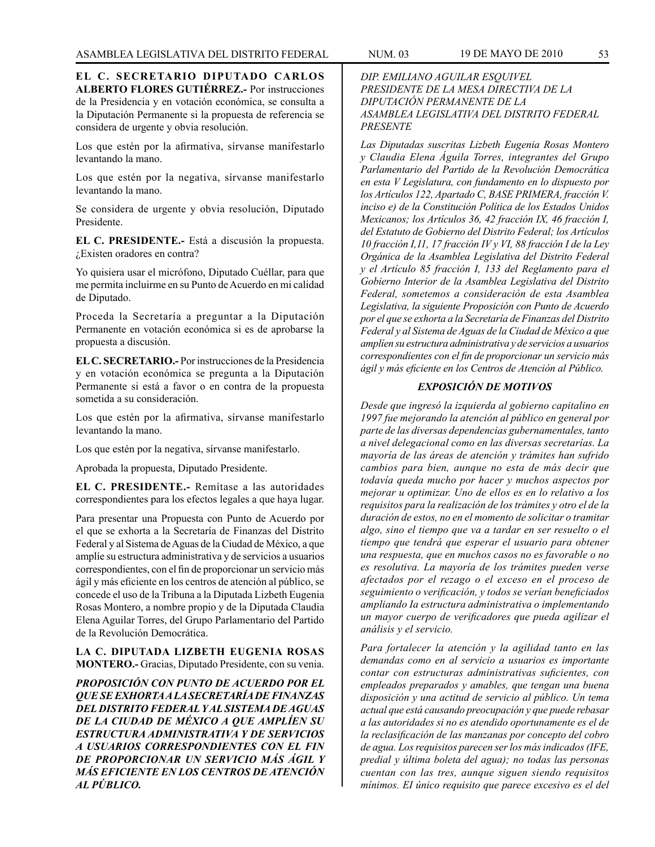**EL C. SECRETARIO DIPUTADO CARLOS ALBERTO FLORES GUTIÉRREZ.-** Por instrucciones de la Presidencia y en votación económica, se consulta a la Diputación Permanente si la propuesta de referencia se considera de urgente y obvia resolución.

Los que estén por la afirmativa, sírvanse manifestarlo levantando la mano.

Los que estén por la negativa, sírvanse manifestarlo levantando la mano.

Se considera de urgente y obvia resolución, Diputado Presidente.

**EL C. PRESIDENTE.-** Está a discusión la propuesta. ¿Existen oradores en contra?

Yo quisiera usar el micrófono, Diputado Cuéllar, para que me permita incluirme en su Punto de Acuerdo en mi calidad de Diputado.

Proceda la Secretaría a preguntar a la Diputación Permanente en votación económica si es de aprobarse la propuesta a discusión.

**EL C. SECRETARIO.-** Por instrucciones de la Presidencia y en votación económica se pregunta a la Diputación Permanente si está a favor o en contra de la propuesta sometida a su consideración.

Los que estén por la afirmativa, sírvanse manifestarlo levantando la mano.

Los que estén por la negativa, sírvanse manifestarlo.

Aprobada la propuesta, Diputado Presidente.

**EL C. PRESIDENTE.-** Remítase a las autoridades correspondientes para los efectos legales a que haya lugar.

Para presentar una Propuesta con Punto de Acuerdo por el que se exhorta a la Secretaría de Finanzas del Distrito Federal y al Sistema de Aguas de la Ciudad de México, a que amplíe su estructura administrativa y de servicios a usuarios correspondientes, con el fin de proporcionar un servicio más ágil y más eficiente en los centros de atención al público, se concede el uso de la Tribuna a la Diputada Lizbeth Eugenia Rosas Montero, a nombre propio y de la Diputada Claudia Elena Aguilar Torres, del Grupo Parlamentario del Partido de la Revolución Democrática.

## **LA C. DIPUTADA LIZBETH EUGENIA ROSAS MONTERO.-** Gracias, Diputado Presidente, con su venia.

*PROPOSICIÓN CON PUNTO DE ACUERDO POR EL QUE SE EXHORTA A LA SECRETARÍA DE FINANZAS DEL DISTRITO FEDERAL Y AL SISTEMA DE AGUAS DE LA CIUDAD DE MÉXICO A QUE AMPLÍEN SU ESTRUCTURA ADMINISTRATIVA Y DE SERVICIOS A USUARIOS CORRESPONDIENTES CON EL FIN DE PROPORCIONAR UN SERVICIO MÁS ÁGIL Y MÁS EFICIENTE EN LOS CENTROS DE ATENCIÓN AL PÚBLICO.*

## *DIP. EMILIANO AGUILAR ESQUIVEL PRESIDENTE DE LA MESA DIRECTIVA DE LA DIPUTACIÓN PERMANENTE DE LA ASAMBLEA LEGISLATIVA DEL DISTRITO FEDERAL PRESENTE*

*Las Diputadas suscritas Lizbeth Eugenia Rosas Montero y Claudia Elena Águila Torres, integrantes del Grupo Parlamentario del Partido de la Revolución Democrática en esta V Legislatura, con fundamento en lo dispuesto por los Artículos 122, Apartado C, BASE PRIMERA, fracción V. inciso e) de la Constitución Política de los Estados Unidos Mexicanos; los Artículos 36, 42 fracción IX, 46 fracción I, del Estatuto de Gobierno del Distrito Federal; los Artículos 10 fracción I,11, 17 fracción IV y VI, 88 fracción I de la Ley Orgánica de la Asamblea Legislativa del Distrito Federal y el Artículo 85 fracción I, 133 del Reglamento para el Gobierno Interior de la Asamblea Legislativa del Distrito Federal, sometemos a consideración de esta Asamblea Legislativa, la siguiente Proposición con Punto de Acuerdo por el que se exhorta a la Secretaría de Finanzas del Distrito Federal y al Sistema de Aguas de la Ciudad de México a que amplíen su estructura administrativa y de servicios a usuarios correspondientes con el fin de proporcionar un servicio más ágil y más eficiente en los Centros de Atención al Público.*

## *EXPOSICIÓN DE MOTIVOS*

*Desde que ingresó la izquierda al gobierno capitalino en 1997 fue mejorando la atención al público en general por parte de las diversas dependencias gubernamentales, tanto a nivel delegacional como en las diversas secretarías. La mayoría de las áreas de atención y trámites han sufrido cambios para bien, aunque no esta de más decir que todavía queda mucho por hacer y muchos aspectos por mejorar u optimizar. Uno de ellos es en lo relativo a los requisitos para la realización de los trámites y otro el de la duración de estos, no en el momento de solicitar o tramitar algo, sino el tiempo que va a tardar en ser resuelto o el tiempo que tendrá que esperar el usuario para obtener una respuesta, que en muchos casos no es favorable o no es resolutiva. La mayoría de los trámites pueden verse afectados por el rezago o el exceso en el proceso de seguimiento o verificación, y todos se verían beneficiados ampliando Ia estructura administrativa o implementando un mayor cuerpo de verificadores que pueda agilizar el análisis y el servicio.*

*Para fortalecer la atención y la agilidad tanto en las demandas como en al servicio a usuarios es importante contar con estructuras administrativas suficientes, con empleados preparados y amables, que tengan una buena disposición y una actitud de servicio al público. Un tema actual que está causando preocupación y que puede rebasar a las autoridades si no es atendido oportunamente es el de la reclasificación de las manzanas por concepto del cobro de agua. Los requisitos parecen ser los más indicados (IFE, predial y última boleta del agua); no todas las personas cuentan con las tres, aunque siguen siendo requisitos mínimos. EI único requisito que parece excesivo es el del*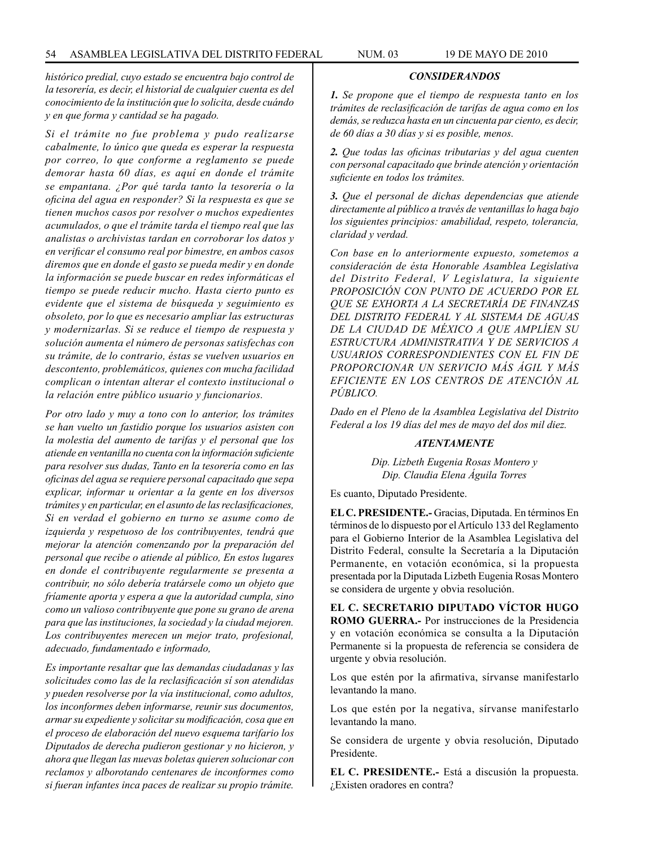*histórico predial, cuyo estado se encuentra bajo control de la tesorería, es decir, el historial de cualquier cuenta es del conocimiento de la institución que lo solicita, desde cuándo y en que forma y cantidad se ha pagado.*

*Si el trámite no fue problema y pudo realizarse cabalmente, lo único que queda es esperar la respuesta por correo, lo que conforme a reglamento se puede demorar hasta 60 días, es aquí en donde el trámite se empantana. ¿Por qué tarda tanto la tesorería o la oficina del agua en responder? Si la respuesta es que se tienen muchos casos por resolver o muchos expedientes acumulados, o que el trámite tarda el tiempo real que las analistas o archivistas tardan en corroborar los datos y en verificar el consumo real por bimestre, en ambos casos diremos que en donde el gasto se pueda medir y en donde la información se puede buscar en redes informáticas el tiempo se puede reducir mucho. Hasta cierto punto es evidente que el sistema de búsqueda y seguimiento es obsoleto, por lo que es necesario ampliar las estructuras y modernizarlas. Si se reduce el tiempo de respuesta y solución aumenta el número de personas satisfechas con su trámite, de lo contrario, éstas se vuelven usuarios en descontento, problemáticos, quienes con mucha facilidad complican o intentan alterar el contexto institucional o la relación entre público usuario y funcionarios.*

*Por otro lado y muy a tono con lo anterior, los trámites se han vuelto un fastidio porque los usuarios asisten con la molestia del aumento de tarifas y el personal que los atiende en ventanilla no cuenta con la información suficiente para resolver sus dudas, Tanto en la tesorería como en las oficinas del agua se requiere personal capacitado que sepa explicar, informar u orientar a la gente en los diversos trámites y en particular, en el asunto de las reclasificaciones, Si en verdad el gobierno en turno se asume como de izquierda y respetuoso de los contribuyentes, tendrá que mejorar la atención comenzando por la preparación del personal que recibe o atiende al público, En estos lugares en donde el contribuyente regularmente se presenta a contribuir, no sólo debería tratársele como un objeto que fríamente aporta y espera a que la autoridad cumpla, sino como un valioso contribuyente que pone su grano de arena para que las instituciones, la sociedad y la ciudad mejoren. Los contribuyentes merecen un mejor trato, profesional, adecuado, fundamentado e informado,*

*Es importante resaltar que las demandas ciudadanas y las solicitudes como las de la reclasificación sí son atendidas y pueden resolverse por la vía institucional, como adultos, los inconformes deben informarse, reunir sus documentos, armar su expediente y solicitar su modificación, cosa que en el proceso de elaboración del nuevo esquema tarifario los Diputados de derecha pudieron gestionar y no hicieron, y ahora que llegan las nuevas boletas quieren solucionar con reclamos y alborotando centenares de inconformes como si fueran infantes inca paces de realizar su propio trámite.*

### *CONSIDERANDOS*

*1. Se propone que el tiempo de respuesta tanto en los trámites de reclasificación de tarifas de agua como en los demás, se reduzca hasta en un cincuenta par ciento, es decir, de 60 días a 30 días y si es posible, menos.*

*2. Que todas las oficinas tributarias y del agua cuenten con personal capacitado que brinde atención y orientación suficiente en todos los trámites.*

*3. Que el personal de dichas dependencias que atiende directamente al público a través de ventanillas lo haga bajo los siguientes principios: amabilidad, respeto, tolerancia, claridad y verdad.*

*Con base en lo anteriormente expuesto, sometemos a consideración de ésta Honorable Asamblea Legislativa del Distrito Federal, V Legislatura, la siguiente PROPOSICIÓN CON PUNTO DE ACUERDO POR EL QUE SE EXHORTA A LA SECRETARÍA DE FINANZAS DEL DISTRITO FEDERAL Y AL SISTEMA DE AGUAS DE LA CIUDAD DE MÉXICO A QUE AMPLÍEN SU ESTRUCTURA ADMINISTRATIVA Y DE SERVICIOS A USUARIOS CORRESPONDIENTES CON EL FIN DE PROPORCIONAR UN SERVICIO MÁS ÁGIL Y MÁS EFICIENTE EN LOS CENTROS DE ATENCIÓN AL PÚBLICO.*

*Dado en el Pleno de la Asamblea Legislativa del Distrito Federal a los 19 días del mes de mayo del dos mil diez.*

#### *ATENTAMENTE*

*Dip. Lizbeth Eugenia Rosas Montero y Dip. Claudia Elena Águila Torres*

Es cuanto, Diputado Presidente.

**EL C. PRESIDENTE.-** Gracias, Diputada. En términos En términos de lo dispuesto por el Artículo 133 del Reglamento para el Gobierno Interior de la Asamblea Legislativa del Distrito Federal, consulte la Secretaría a la Diputación Permanente, en votación económica, si la propuesta presentada por la Diputada Lizbeth Eugenia Rosas Montero se considera de urgente y obvia resolución.

**EL C. SECRETARIO DIPUTADO VÍCTOR HUGO ROMO GUERRA.-** Por instrucciones de la Presidencia y en votación económica se consulta a la Diputación Permanente si la propuesta de referencia se considera de urgente y obvia resolución.

Los que estén por la afirmativa, sírvanse manifestarlo levantando la mano.

Los que estén por la negativa, sírvanse manifestarlo levantando la mano.

Se considera de urgente y obvia resolución, Diputado Presidente.

**EL C. PRESIDENTE.-** Está a discusión la propuesta. ¿Existen oradores en contra?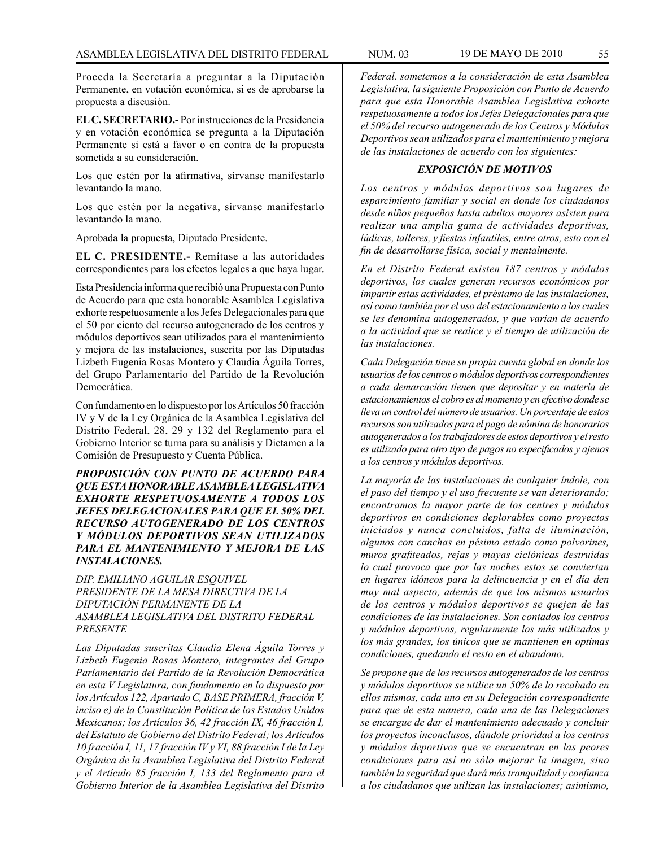Proceda la Secretaría a preguntar a la Diputación Permanente, en votación económica, si es de aprobarse la propuesta a discusión.

**EL C. SECRETARIO.-** Por instrucciones de la Presidencia y en votación económica se pregunta a la Diputación Permanente si está a favor o en contra de la propuesta sometida a su consideración.

Los que estén por la afirmativa, sírvanse manifestarlo levantando la mano.

Los que estén por la negativa, sírvanse manifestarlo levantando la mano.

Aprobada la propuesta, Diputado Presidente.

**EL C. PRESIDENTE.-** Remítase a las autoridades correspondientes para los efectos legales a que haya lugar.

Esta Presidencia informa que recibió una Propuesta con Punto de Acuerdo para que esta honorable Asamblea Legislativa exhorte respetuosamente a los Jefes Delegacionales para que el 50 por ciento del recurso autogenerado de los centros y módulos deportivos sean utilizados para el mantenimiento y mejora de las instalaciones, suscrita por las Diputadas Lizbeth Eugenia Rosas Montero y Claudia Águila Torres, del Grupo Parlamentario del Partido de la Revolución Democrática.

Con fundamento en lo dispuesto por los Artículos 50 fracción IV y V de la Ley Orgánica de la Asamblea Legislativa del Distrito Federal, 28, 29 y 132 del Reglamento para el Gobierno Interior se turna para su análisis y Dictamen a la Comisión de Presupuesto y Cuenta Pública.

*PROPOSICIÓN CON PUNTO DE ACUERDO PARA QUE ESTA HONORABLE ASAMBLEA LEGISLATIVA EXHORTE RESPETUOSAMENTE A TODOS LOS JEFES DELEGACIONALES PARA QUE EL 50% DEL RECURSO AUTOGENERADO DE LOS CENTROS Y MÓDULOS DEPORTIVOS SEAN UTILIZADOS PARA EL MANTENIMIENTO Y MEJORA DE LAS INSTALACIONES.*

*DIP. EMILIANO AGUILAR ESQUIVEL PRESIDENTE DE LA MESA DIRECTIVA DE LA DIPUTACIÓN PERMANENTE DE LA ASAMBLEA LEGISLATIVA DEL DISTRITO FEDERAL PRESENTE*

*Las Diputadas suscritas Claudia Elena Águila Torres y Lizbeth Eugenia Rosas Montero, integrantes del Grupo Parlamentario del Partido de la Revolución Democrática en esta V Legislatura, con fundamento en lo dispuesto por los Artículos 122, Apartado C, BASE PRIMERA, fracción V, inciso e) de la Constitución Política de los Estados Unidos Mexicanos; los Artículos 36, 42 fracción IX, 46 fracción I, del Estatuto de Gobierno del Distrito Federal; los Artículos 10 fracción I, 11, 17 fracción IV y VI, 88 fracción I de la Ley Orgánica de la Asamblea Legislativa del Distrito Federal y el Artículo 85 fracción I, 133 del Reglamento para el Gobierno Interior de la Asamblea Legislativa del Distrito* 

*Federal. sometemos a la consideración de esta Asamblea Legislativa, la siguiente Proposición con Punto de Acuerdo para que esta Honorable Asamblea Legislativa exhorte respetuosamente a todos los Jefes Delegacionales para que el 50% del recurso autogenerado de los Centros y Módulos Deportivos sean utilizados para el mantenimiento y mejora de las instalaciones de acuerdo con los siguientes:*

## *EXPOSICIÓN DE MOTIVOS*

*Los centros y módulos deportivos son lugares de esparcimiento familiar y social en donde los ciudadanos desde niños pequeños hasta adultos mayores asisten para realizar una amplia gama de actividades deportivas, lúdicas, talleres, y fiestas infantiles, entre otros, esto con el fin de desarrollarse física, social y mentalmente.*

*En el Distrito Federal existen 187 centros y módulos deportivos, los cuales generan recursos económicos por impartir estas actividades, el préstamo de las instalaciones, así como también por el uso del estacionamiento a los cuales se les denomina autogenerados, y que varían de acuerdo a la actividad que se realice y el tiempo de utilización de las instalaciones.*

*Cada Delegación tiene su propia cuenta global en donde los usuarios de los centros o módulos deportivos correspondientes a cada demarcación tienen que depositar y en materia de estacionamientos el cobro es al momento y en efectivo donde se lleva un control del número de usuarios. Un porcentaje de estos recursos son utilizados para el pago de nómina de honorarios autogenerados a los trabajadores de estos deportivos y el resto es utilizado para otro tipo de pagos no especificados y ajenos a los centros y módulos deportivos.*

*La mayoría de las instalaciones de cualquier índole, con el paso del tiempo y el uso frecuente se van deteriorando; encontramos la mayor parte de los centres y módulos deportivos en condiciones deplorables como proyectos iniciados y nunca concluidos, falta de iluminación, algunos con canchas en pésimo estado como polvorines, muros grafiteados, rejas y mayas ciclónicas destruidas lo cual provoca que por las noches estos se conviertan en lugares idóneos para la delincuencia y en el día den muy mal aspecto, además de que los mismos usuarios de los centros y módulos deportivos se quejen de las condiciones de las instalaciones. Son contados los centros y módulos deportivos, regularmente los más utilizados y los más grandes, los únicos que se mantienen en optimas condiciones, quedando el resto en el abandono.*

*Se propone que de los recursos autogenerados de los centros y módulos deportivos se utilice un 50% de lo recabado en ellos mismos, cada uno en su Delegación correspondiente para que de esta manera, cada una de las Delegaciones se encargue de dar el mantenimiento adecuado y concluir los proyectos inconclusos, dándole prioridad a los centros y módulos deportivos que se encuentran en las peores condiciones para así no sólo mejorar la imagen, sino también la seguridad que dará más tranquilidad y confianza a los ciudadanos que utilizan las instalaciones; asimismo,*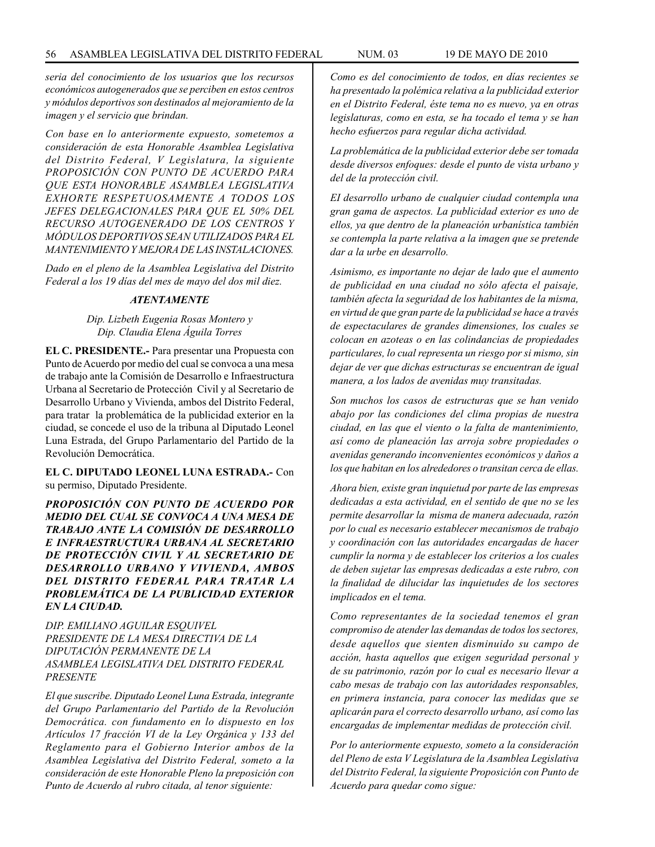*seria del conocimiento de los usuarios que los recursos económicos autogenerados que se perciben en estos centros y módulos deportivos son destinados al mejoramiento de la imagen y el servicio que brindan.*

*Con base en lo anteriormente expuesto, sometemos a consideración de esta Honorable Asamblea Legislativa del Distrito Federal, V Legislatura, la siguiente PROPOSICIÓN CON PUNTO DE ACUERDO PARA QUE ESTA HONORABLE ASAMBLEA LEGISLATIVA EXHORTE RESPETUOSAMENTE A TODOS LOS JEFES DELEGACIONALES PARA QUE EL 50% DEL RECURSO AUTOGENERADO DE LOS CENTROS Y MÓDULOS DEPORTIVOS SEAN UTILIZADOS PARA EL MANTENIMIENTO Y MEJORA DE LAS INSTALACIONES.*

*Dado en el pleno de la Asamblea Legislativa del Distrito Federal a los 19 días del mes de mayo del dos mil diez.*

#### *ATENTAMENTE*

## *Dip. Lizbeth Eugenia Rosas Montero y Dip. Claudia Elena Águila Torres*

**EL C. PRESIDENTE.-** Para presentar una Propuesta con Punto de Acuerdo por medio del cual se convoca a una mesa de trabajo ante la Comisión de Desarrollo e Infraestructura Urbana al Secretario de Protección Civil y al Secretario de Desarrollo Urbano y Vivienda, ambos del Distrito Federal, para tratar la problemática de la publicidad exterior en la ciudad, se concede el uso de la tribuna al Diputado Leonel Luna Estrada, del Grupo Parlamentario del Partido de la Revolución Democrática.

**EL C. DIPUTADO LEONEL LUNA ESTRADA.-** Con su permiso, Diputado Presidente.

*PROPOSICIÓN CON PUNTO DE ACUERDO POR MEDIO DEL CUAL SE CONVOCA A UNA MESA DE TRABAJO ANTE LA COMISIÓN DE DESARROLLO E INFRAESTRUCTURA URBANA AL SECRETARIO DE PROTECCIÓN CIVIL Y AL SECRETARIO DE DESARROLLO URBANO Y VIVIENDA, AMBOS DEL DISTRITO FEDERAL PARA TRATAR LA PROBLEMÁTICA DE LA PUBLICIDAD EXTERIOR EN LA CIUDAD.*

*DIP. EMILIANO AGUILAR ESQUIVEL PRESIDENTE DE LA MESA DIRECTIVA DE LA DIPUTACIÓN PERMANENTE DE LA ASAMBLEA LEGISLATIVA DEL DISTRITO FEDERAL PRESENTE*

*El que suscribe. Diputado Leonel Luna Estrada, integrante del Grupo Parlamentario del Partido de la Revolución Democrática. con fundamento en lo dispuesto en los Artículos 17 fracción VI de la Ley Orgánica y 133 del Reglamento para el Gobierno Interior ambos de la Asamblea Legislativa del Distrito Federal, someto a la consideración de este Honorable Pleno la preposición con Punto de Acuerdo al rubro citada, al tenor siguiente:*

*Como es del conocimiento de todos, en días recientes se ha presentado la polémica relativa a la publicidad exterior en el Distrito Federal, éste tema no es nuevo, ya en otras legislaturas, como en esta, se ha tocado el tema y se han hecho esfuerzos para regular dicha actividad.*

*La problemática de la publicidad exterior debe ser tomada desde diversos enfoques: desde el punto de vista urbano y del de la protección civil.*

*EI desarrollo urbano de cualquier ciudad contempla una gran gama de aspectos. La publicidad exterior es uno de ellos, ya que dentro de la planeación urbanística también se contempla la parte relativa a la imagen que se pretende dar a la urbe en desarrollo.*

*Asimismo, es importante no dejar de lado que el aumento de publicidad en una ciudad no sólo afecta el paisaje, también afecta la seguridad de los habitantes de la misma, en virtud de que gran parte de la publicidad se hace a través de espectaculares de grandes dimensiones, los cuales se colocan en azoteas o en las colindancias de propiedades particulares, lo cual representa un riesgo por si mismo, sin dejar de ver que dichas estructuras se encuentran de igual manera, a los lados de avenidas muy transitadas.*

*Son muchos los casos de estructuras que se han venido abajo por las condiciones del clima propias de nuestra ciudad, en las que el viento o la falta de mantenimiento, así como de planeación las arroja sobre propiedades o avenidas generando inconvenientes económicos y daños a los que habitan en los alrededores o transitan cerca de ellas.*

*Ahora bien, existe gran inquietud por parte de las empresas dedicadas a esta actividad, en el sentido de que no se les permite desarrollar la misma de manera adecuada, razón por lo cual es necesario establecer mecanismos de trabajo y coordinación con las autoridades encargadas de hacer cumplir la norma y de establecer los criterios a los cuales de deben sujetar las empresas dedicadas a este rubro, con la finalidad de dilucidar las inquietudes de los sectores implicados en el tema.*

*Como representantes de la sociedad tenemos el gran compromiso de atender las demandas de todos los sectores, desde aquellos que sienten disminuido su campo de acción, hasta aquellos que exigen seguridad personal y de su patrimonio, razón por lo cual es necesario llevar a cabo mesas de trabajo con las autoridades responsables, en primera instancia, para conocer las medidas que se aplicarán para el correcto desarrollo urbano, así como las encargadas de implementar medidas de protección civil.*

*Por lo anteriormente expuesto, someto a la consideración del Pleno de esta V Legislatura de la Asamblea Legislativa del Distrito Federal, la siguiente Proposición con Punto de Acuerdo para quedar como sigue:*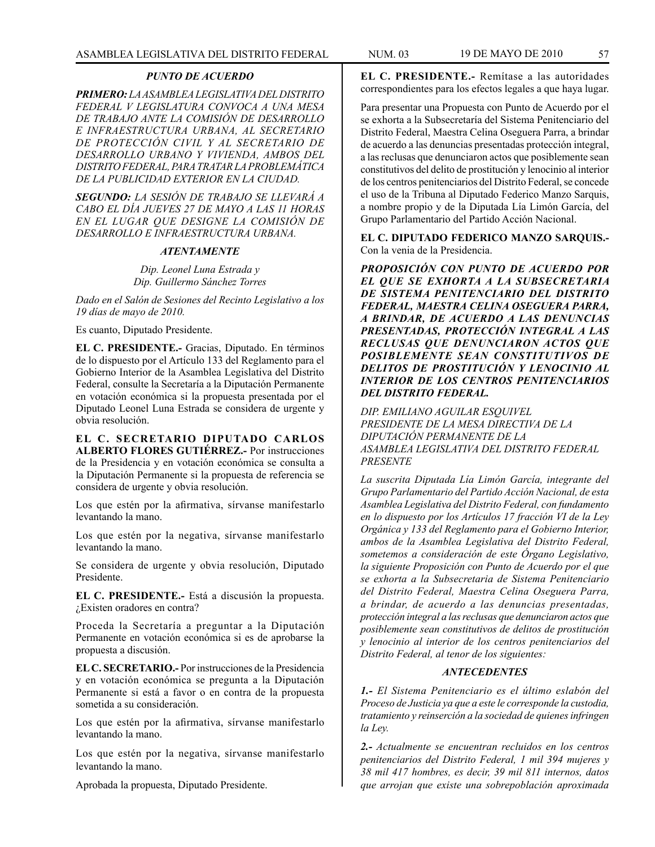### *PUNTO DE ACUERDO*

*PRIMERO: LA ASAMBLEA LEGISLATIVA DEL DISTRITO FEDERAL V LEGISLATURA CONVOCA A UNA MESA DE TRABAJO ANTE LA COMISIÓN DE DESARROLLO E INFRAESTRUCTURA URBANA, AL SECRETARIO DE PROTECCIÓN CIVIL Y AL SECRETARIO DE DESARROLLO URBANO Y VIVIENDA, AMBOS DEL DISTRITO FEDERAL, PARA TRATAR LA PROBLEMÁTICA DE LA PUBLICIDAD EXTERIOR EN LA CIUDAD.*

*SEGUNDO: LA SESIÓN DE TRABAJO SE LLEVARÁ A CABO EL DÍA JUEVES 27 DE MAYO A LAS 11 HORAS EN EL LUGAR QUE DESIGNE LA COMISIÓN DE DESARROLLO E INFRAESTRUCTURA URBANA.*

#### *ATENTAMENTE*

*Dip. Leonel Luna Estrada y Dip. Guillermo Sánchez Torres*

*Dado en el Salón de Sesiones del Recinto Legislativo a los 19 días de mayo de 2010.*

Es cuanto, Diputado Presidente.

**EL C. PRESIDENTE.-** Gracias, Diputado. En términos de lo dispuesto por el Artículo 133 del Reglamento para el Gobierno Interior de la Asamblea Legislativa del Distrito Federal, consulte la Secretaría a la Diputación Permanente en votación económica si la propuesta presentada por el Diputado Leonel Luna Estrada se considera de urgente y obvia resolución.

**EL C. SECRETARIO DIPUTADO CARLOS ALBERTO FLORES GUTIÉRREZ.-** Por instrucciones de la Presidencia y en votación económica se consulta a la Diputación Permanente si la propuesta de referencia se considera de urgente y obvia resolución.

Los que estén por la afirmativa, sírvanse manifestarlo levantando la mano.

Los que estén por la negativa, sírvanse manifestarlo levantando la mano.

Se considera de urgente y obvia resolución, Diputado Presidente.

**EL C. PRESIDENTE.-** Está a discusión la propuesta. ¿Existen oradores en contra?

Proceda la Secretaría a preguntar a la Diputación Permanente en votación económica si es de aprobarse la propuesta a discusión.

**EL C. SECRETARIO.-** Por instrucciones de la Presidencia y en votación económica se pregunta a la Diputación Permanente si está a favor o en contra de la propuesta sometida a su consideración.

Los que estén por la afirmativa, sírvanse manifestarlo levantando la mano.

Los que estén por la negativa, sírvanse manifestarlo levantando la mano.

Aprobada la propuesta, Diputado Presidente.

**EL C. PRESIDENTE.-** Remítase a las autoridades correspondientes para los efectos legales a que haya lugar.

Para presentar una Propuesta con Punto de Acuerdo por el se exhorta a la Subsecretaría del Sistema Penitenciario del Distrito Federal, Maestra Celina Oseguera Parra, a brindar de acuerdo a las denuncias presentadas protección integral, a las reclusas que denunciaron actos que posiblemente sean constitutivos del delito de prostitución y lenocinio al interior de los centros penitenciarios del Distrito Federal, se concede el uso de la Tribuna al Diputado Federico Manzo Sarquis, a nombre propio y de la Diputada Lía Limón García, del Grupo Parlamentario del Partido Acción Nacional.

**EL C. DIPUTADO FEDERICO MANZO SARQUIS.-** Con la venia de la Presidencia.

*PROPOSICIÓN CON PUNTO DE ACUERDO POR EL QUE SE EXHORTA A LA SUBSECRETARIA DE SISTEMA PENITENCIARIO DEL DISTRITO FEDERAL, MAESTRA CELINA OSEGUERA PARRA, A BRINDAR, DE ACUERDO A LAS DENUNCIAS PRESENTADAS, PROTECCIÓN INTEGRAL A LAS RECLUSAS QUE DENUNCIARON ACTOS QUE POSIBLEMENTE SEAN CONSTITUTIVOS DE DELITOS DE PROSTITUCIÓN Y LENOCINIO AL INTERIOR DE LOS CENTROS PENITENCIARIOS DEL DISTRITO FEDERAL.*

*DIP. EMILIANO AGUILAR ESQUIVEL PRESIDENTE DE LA MESA DIRECTIVA DE LA DIPUTACIÓN PERMANENTE DE LA ASAMBLEA LEGISLATIVA DEL DISTRITO FEDERAL PRESENTE*

*La suscrita Diputada Lía Limón García, integrante del Grupo Parlamentario del Partido Acción Nacional, de esta Asamblea Legislativa del Distrito Federal, con fundamento en lo dispuesto por los Artículos 17 fracción VI de la Ley Orgánica y 133 del Reglamento para el Gobierno Interior, ambos de la Asamblea Legislativa del Distrito Federal, sometemos a consideración de este Órgano Legislativo, la siguiente Proposición con Punto de Acuerdo por el que se exhorta a la Subsecretaria de Sistema Penitenciario del Distrito Federal, Maestra Celina Oseguera Parra, a brindar, de acuerdo a las denuncias presentadas, protección integral a las reclusas que denunciaron actos que posiblemente sean constitutivos de delitos de prostitución y lenocinio al interior de los centros penitenciarios del Distrito Federal, al tenor de los siguientes:*

### *ANTECEDENTES*

*1.- El Sistema Penitenciario es el último eslabón del Proceso de Justicia ya que a este le corresponde la custodia, tratamiento y reinserción a la sociedad de quienes infringen la Ley.*

*2.- Actualmente se encuentran recluidos en los centros penitenciarios del Distrito Federal, 1 mil 394 mujeres y 38 mil 417 hombres, es decir, 39 mil 811 internos, datos que arrojan que existe una sobrepoblación aproximada*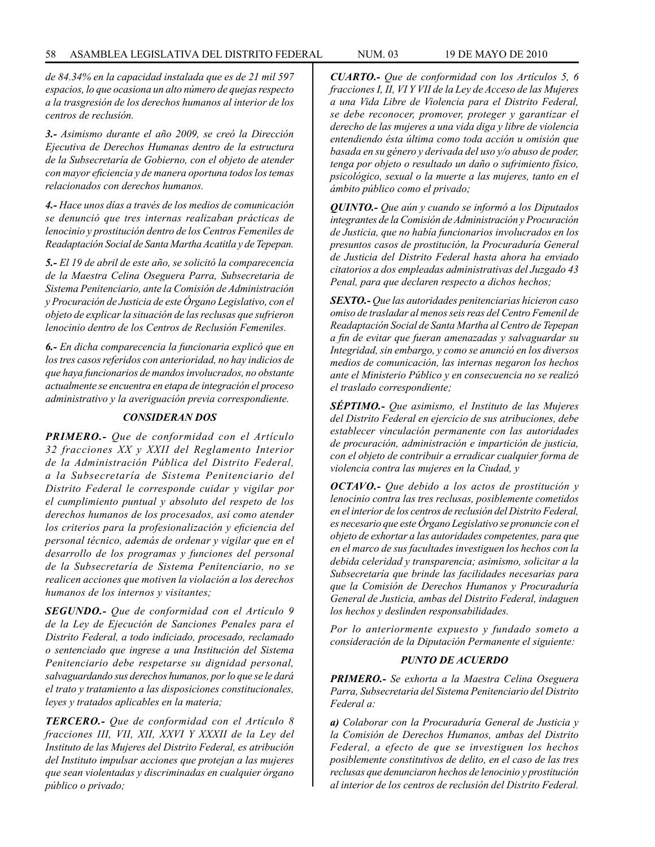*de 84.34% en la capacidad instalada que es de 21 mil 597 espacios, lo que ocasiona un alto número de quejas respecto a la trasgresión de los derechos humanos al interior de los centros de reclusión.*

*3.- Asimismo durante el año 2009, se creó la Dirección Ejecutiva de Derechos Humanas dentro de la estructura de la Subsecretaría de Gobierno, con el objeto de atender con mayor eficiencia y de manera oportuna todos los temas relacionados con derechos humanos.*

*4.- Hace unos días a través de los medios de comunicación se denunció que tres internas realizaban prácticas de lenocinio y prostitución dentro de los Centros Femeniles de Readaptación Social de Santa Martha Acatitla y de Tepepan.*

*5.- El 19 de abril de este año, se solicitó la comparecencia de la Maestra Celina Oseguera Parra, Subsecretaria de Sistema Penitenciario, ante la Comisión de Administración y Procuración de Justicia de este Órgano Legislativo, con el objeto de explicar la situación de las reclusas que sufrieron lenocinio dentro de los Centros de Reclusión Femeniles.*

*6.- En dicha comparecencia la funcionaria explicó que en los tres casos referidos con anterioridad, no hay indicios de que haya funcionarios de mandos involucrados, no obstante actualmente se encuentra en etapa de integración el proceso administrativo y la averiguación previa correspondiente.*

## *CONSIDERAN DOS*

*PRIMERO.- Que de conformidad con el Artículo 32 fracciones XX y XXII del Reglamento Interior de la Administración Pública del Distrito Federal, a la Subsecretaría de Sistema Penitenciario del Distrito Federal le corresponde cuidar y vigilar por el cumplimiento puntual y absoluto del respeto de los derechos humanos de los procesados, así como atender los criterios para la profesionalización y eficiencia del personal técnico, además de ordenar y vigilar que en el desarrollo de los programas y funciones del personal de la Subsecretaría de Sistema Penitenciario, no se realicen acciones que motiven la violación a los derechos humanos de los internos y visitantes;*

*SEGUNDO.- Que de conformidad con el Artículo 9 de la Ley de Ejecución de Sanciones Penales para el Distrito Federal, a todo indiciado, procesado, reclamado o sentenciado que ingrese a una Institución del Sistema Penitenciario debe respetarse su dignidad personal, salvaguardando sus derechos humanos, por lo que se le dará el trato y tratamiento a las disposiciones constitucionales, leyes y tratados aplicables en la materia;*

*TERCERO.- Que de conformidad con el Artículo 8 fracciones III, VII, XII, XXVI Y XXXII de la Ley del Instituto de las Mujeres del Distrito Federal, es atribución del Instituto impulsar acciones que protejan a las mujeres que sean violentadas y discriminadas en cualquier órgano público o privado;*

*CUARTO.- Que de conformidad con los Artículos 5, 6 fracciones I, II, VI Y VII de la Ley de Acceso de las Mujeres a una Vida Libre de Violencia para el Distrito Federal, se debe reconocer, promover, proteger y garantizar el derecho de las mujeres a una vida diga y libre de violencia entendiendo ésta última como toda acción u omisión que basada en su género y derivada del uso y/o abuso de poder, tenga por objeto o resultado un daño o sufrimiento físico, psicológico, sexual o la muerte a las mujeres, tanto en el ámbito público como el privado;*

*QUINTO.- Que aún y cuando se informó a los Diputados integrantes de la Comisión de Administración y Procuración de Justicia, que no había funcionarios involucrados en los presuntos casos de prostitución, la Procuraduría General de Justicia del Distrito Federal hasta ahora ha enviado citatorios a dos empleadas administrativas del Juzgado 43 Penal, para que declaren respecto a dichos hechos;*

*SEXTO.- Que las autoridades penitenciarias hicieron caso omiso de trasladar al menos seis reas del Centro Femenil de Readaptación Social de Santa Martha al Centro de Tepepan a fin de evitar que fueran amenazadas y salvaguardar su Integridad, sin embargo, y como se anunció en los diversos medios de comunicación, las internas negaron los hechos ante el Ministerio Público y en consecuencia no se realizó el traslado correspondiente;*

*SÉPTIMO.- Que asimismo, el Instituto de las Mujeres del Distrito Federal en ejercicio de sus atribuciones, debe establecer vinculación permanente con las autoridades de procuración, administración e impartición de justicia, con el objeto de contribuir a erradicar cualquier forma de violencia contra las mujeres en la Ciudad, y*

*OCTAVO.- Que debido a los actos de prostitución y lenocinio contra las tres reclusas, posiblemente cometidos en el interior de los centros de reclusión del Distrito Federal, es necesario que este Órgano Legislativo se pronuncie con el objeto de exhortar a las autoridades competentes, para que en el marco de sus facultades investiguen los hechos con la debida celeridad y transparencia; asimismo, solicitar a la Subsecretaría que brinde las facilidades necesarias para que la Comisión de Derechos Humanos y Procuraduría General de Justicia, ambas del Distrito Federal, indaguen los hechos y deslinden responsabilidades.*

*Por lo anteriormente expuesto y fundado someto a consideración de la Diputación Permanente el siguiente:*

#### *PUNTO DE ACUERDO*

*PRIMERO.- Se exhorta a la Maestra Celina Oseguera Parra, Subsecretaria del Sistema Penitenciario del Distrito Federal a:*

*a) Colaborar con la Procuraduría General de Justicia y la Comisión de Derechos Humanos, ambas del Distrito Federal, a efecto de que se investiguen los hechos posiblemente constitutivos de delito, en el caso de las tres reclusas que denunciaron hechos de lenocinio y prostitución al interior de los centros de reclusión del Distrito Federal.*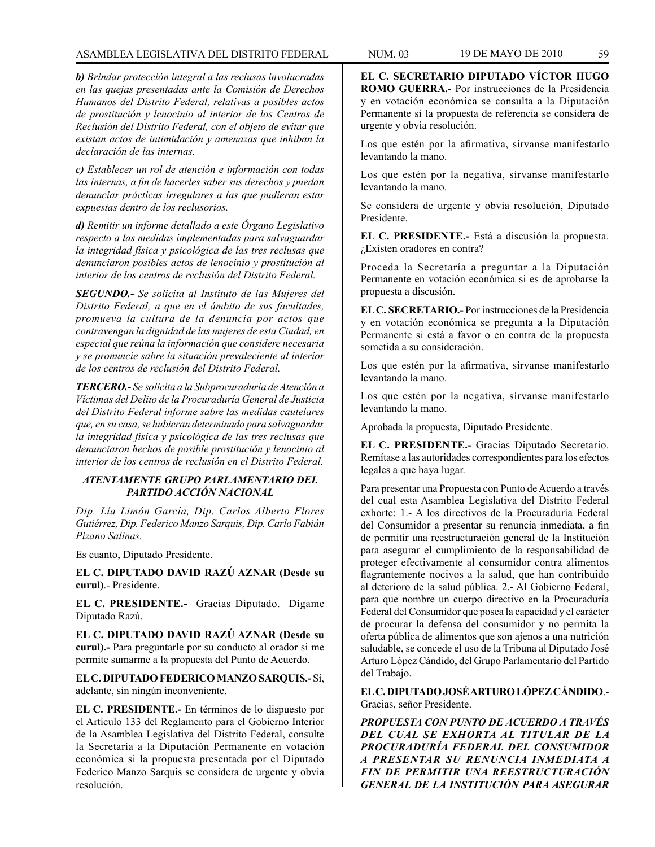## ASAMBLEA LEGISLATIVA DEL DISTRITO FEDERAL NUM. 03 19 de mayo DE 2010 59

*b) Brindar protección integral a las reclusas involucradas en las quejas presentadas ante la Comisión de Derechos Humanos del Distrito Federal, relativas a posibles actos de prostitución y lenocinio al interior de los Centros de Reclusión del Distrito Federal, con el objeto de evitar que existan actos de intimidación y amenazas que inhiban la declaración de las internas.*

*c) Establecer un rol de atención e información con todas las internas, a fin de hacerles saber sus derechos y puedan denunciar prácticas irregulares a las que pudieran estar expuestas dentro de los reclusorios.*

*d) Remitir un informe detallado a este Órgano Legislativo respecto a las medidas implementadas para salvaguardar la integridad física y psicológica de las tres reclusas que denunciaron posibles actos de lenocinio y prostitución al interior de los centros de reclusión del Distrito Federal.*

*SEGUNDO.- Se solicita al Instituto de las Mujeres del Distrito Federal, a que en el ámbito de sus facultades, promueva la cultura de la denuncia por actos que contravengan la dignidad de las mujeres de esta Ciudad, en especial que reúna la información que considere necesaria y se pronuncie sabre la situación prevaleciente al interior de los centros de reclusión del Distrito Federal.*

*TERCERO.- Se solicita a la Subprocuraduría de Atención a Víctimas del Delito de la Procuraduría General de Justicia del Distrito Federal informe sabre las medidas cautelares que, en su casa, se hubieran determinado para salvaguardar la integridad física y psicológica de las tres reclusas que denunciaron hechos de posible prostitución y lenocinio al interior de los centros de reclusión en el Distrito Federal.*

## *ATENTAMENTE GRUPO PARLAMENTARIO DEL PARTIDO ACCIÓN NACIONAL*

*Dip. Lía Limón García, Dip. Carlos Alberto Flores Gutiérrez, Dip. Federico Manzo Sarquis, Dip. Carlo Fabián Pizano Salinas.*

Es cuanto, Diputado Presidente.

**EL C. DIPUTADO DAVID RAZÚ AZNAR (Desde su curul)**.- Presidente.

**EL C. PRESIDENTE.-** Gracias Diputado. Dígame Diputado Razú.

**EL C. DIPUTADO DAVID RAZÚ AZNAR (Desde su curul).-** Para preguntarle por su conducto al orador si me permite sumarme a la propuesta del Punto de Acuerdo.

**EL C. DIPUTADO FEDERICO MANZO SARQUIS.-** Sí, adelante, sin ningún inconveniente.

**EL C. PRESIDENTE.-** En términos de lo dispuesto por el Artículo 133 del Reglamento para el Gobierno Interior de la Asamblea Legislativa del Distrito Federal, consulte la Secretaría a la Diputación Permanente en votación económica si la propuesta presentada por el Diputado Federico Manzo Sarquis se considera de urgente y obvia resolución.

**EL C. SECRETARIO DIPUTADO VÍCTOR HUGO ROMO GUERRA.-** Por instrucciones de la Presidencia y en votación económica se consulta a la Diputación Permanente si la propuesta de referencia se considera de urgente y obvia resolución.

Los que estén por la afirmativa, sírvanse manifestarlo levantando la mano.

Los que estén por la negativa, sírvanse manifestarlo levantando la mano.

Se considera de urgente y obvia resolución, Diputado Presidente.

**EL C. PRESIDENTE.-** Está a discusión la propuesta. ¿Existen oradores en contra?

Proceda la Secretaría a preguntar a la Diputación Permanente en votación económica si es de aprobarse la propuesta a discusión.

**EL C. SECRETARIO.-** Por instrucciones de la Presidencia y en votación económica se pregunta a la Diputación Permanente si está a favor o en contra de la propuesta sometida a su consideración.

Los que estén por la afirmativa, sírvanse manifestarlo levantando la mano.

Los que estén por la negativa, sírvanse manifestarlo levantando la mano.

Aprobada la propuesta, Diputado Presidente.

**EL C. PRESIDENTE.-** Gracias Diputado Secretario. Remítase a las autoridades correspondientes para los efectos legales a que haya lugar.

Para presentar una Propuesta con Punto de Acuerdo a través del cual esta Asamblea Legislativa del Distrito Federal exhorte: 1.- A los directivos de la Procuraduría Federal del Consumidor a presentar su renuncia inmediata, a fin de permitir una reestructuración general de la Institución para asegurar el cumplimiento de la responsabilidad de proteger efectivamente al consumidor contra alimentos flagrantemente nocivos a la salud, que han contribuido al deterioro de la salud pública. 2.- Al Gobierno Federal, para que nombre un cuerpo directivo en la Procuraduría Federal del Consumidor que posea la capacidad y el carácter de procurar la defensa del consumidor y no permita la oferta pública de alimentos que son ajenos a una nutrición saludable, se concede el uso de la Tribuna al Diputado José Arturo López Cándido, del Grupo Parlamentario del Partido del Trabajo.

**EL C. DIPUTADO JOSÉ ARTURO LÓPEZ CÁNDIDO**.- Gracias, señor Presidente.

*PROPUESTA CON PUNTO DE ACUERDO A TRAVÉS DEL CUAL SE EXHORTA AL TITULAR DE LA PROCURADURÍA FEDERAL DEL CONSUMIDOR A PRESENTAR SU RENUNCIA INMEDIATA A FIN DE PERMITIR UNA REESTRUCTURACIÓN GENERAL DE LA INSTITUCIÓN PARA ASEGURAR*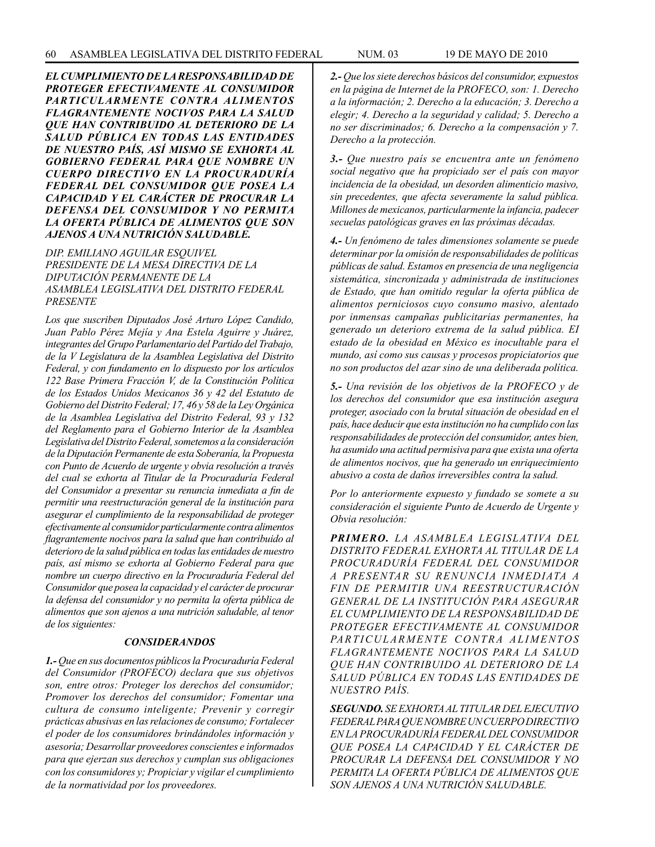*EL CUMPLIMIENTO DE LA RESPONSABILIDAD DE PROTEGER EFECTIVAMENTE AL CONSUMIDOR PARTICULARMENTE CONTRA ALIMENTOS FLAGRANTEMENTE NOCIVOS PARA LA SALUD QUE HAN CONTRIBUIDO AL DETERIORO DE LA SALUD PÚBLICA EN TODAS LAS ENTIDADES DE NUESTRO PAÍS, ASÍ MISMO SE EXHORTA AL GOBIERNO FEDERAL PARA QUE NOMBRE UN CUERPO DIRECTIVO EN LA PROCURADURÍA FEDERAL DEL CONSUMIDOR QUE POSEA LA CAPACIDAD Y EL CARÁCTER DE PROCURAR LA DEFENSA DEL CONSUMIDOR Y NO PERMITA LA OFERTA PÚBLICA DE ALIMENTOS QUE SON AJENOS A UNA NUTRICIÓN SALUDABLE.*

*DIP. EMILIANO AGUILAR ESQUIVEL PRESIDENTE DE LA MESA DIRECTIVA DE LA DIPUTACIÓN PERMANENTE DE LA ASAMBLEA LEGISLATIVA DEL DISTRITO FEDERAL PRESENTE*

*Los que suscriben Diputados José Arturo López Candido, Juan Pablo Pérez Mejía y Ana Estela Aguirre y Juárez, integrantes del Grupo Parlamentario del Partido del Trabajo, de la V Legislatura de la Asamblea Legislativa del Distrito Federal, y con fundamento en lo dispuesto por los artículos 122 Base Primera Fracción V, de la Constitución Política de los Estados Unidos Mexicanos 36 y 42 del Estatuto de Gobierno del Distrito Federal; 17, 46 y 58 de la Ley Orgánica de la Asamblea Legislativa del Distrito Federal, 93 y 132 del Reglamento para el Gobierno Interior de la Asamblea Legislativa del Distrito Federal, sometemos a la consideración de la Diputación Permanente de esta Soberanía, la Propuesta con Punto de Acuerdo de urgente y obvia resolución a través del cual se exhorta al Titular de la Procuraduría Federal del Consumidor a presentar su renuncia inmediata a fin de permitir una reestructuración general de la institución para asegurar el cumplimiento de la responsabilidad de proteger efectivamente al consumidor particularmente contra alimentos flagrantemente nocivos para la salud que han contribuido al deterioro de la salud pública en todas las entidades de nuestro país, así mismo se exhorta al Gobierno Federal para que nombre un cuerpo directivo en la Procuraduría Federal del Consumidor que posea la capacidad y el carácter de procurar la defensa del consumidor y no permita la oferta pública de alimentos que son ajenos a una nutrición saludable, al tenor de los siguientes:*

#### *CONSIDERANDOS*

*1.- Que en sus documentos públicos la Procuraduría Federal del Consumidor (PROFECO) declara que sus objetivos son, entre otros: Proteger los derechos del consumidor; Promover los derechos del consumidor; Fomentar una cultura de consumo inteligente; Prevenir y corregir prácticas abusivas en las relaciones de consumo; Fortalecer el poder de los consumidores brindándoles información y asesoría; Desarrollar proveedores conscientes e informados para que ejerzan sus derechos y cumplan sus obligaciones con los consumidores y; Propiciar y vigilar el cumplimiento de la normatividad por los proveedores.*

*2.- Que los siete derechos básicos del consumidor, expuestos en la página de Internet de la PROFECO, son: 1. Derecho a la información; 2. Derecho a la educación; 3. Derecho a elegir; 4. Derecho a la seguridad y calidad; 5. Derecho a no ser discriminados; 6. Derecho a la compensación y 7. Derecho a la protección.*

*3.- Que nuestro país se encuentra ante un fenómeno social negativo que ha propiciado ser el país con mayor incidencia de la obesidad, un desorden alimenticio masivo, sin precedentes, que afecta severamente la salud pública. Millones de mexicanos, particularmente la infancia, padecer secuelas patológicas graves en las próximas décadas.*

*4.- Un fenómeno de tales dimensiones solamente se puede determinar por la omisión de responsabilidades de políticas públicas de salud. Estamos en presencia de una negligencia sistemática, sincronizada y administrada de instituciones de Estado, que han omitido regular la oferta pública de alimentos perniciosos cuyo consumo masivo, alentado por inmensas campañas publicitarias permanentes, ha generado un deterioro extrema de la salud pública. EI estado de la obesidad en México es inocultable para el mundo, así como sus causas y procesos propiciatorios que no son productos del azar sino de una deliberada política.*

*5.- Una revisión de los objetivos de la PROFECO y de los derechos del consumidor que esa institución asegura proteger, asociado con la brutal situación de obesidad en el país, hace deducir que esta institución no ha cumplido con las responsabilidades de protección del consumidor, antes bien, ha asumido una actitud permisiva para que exista una oferta de alimentos nocivos, que ha generado un enriquecimiento abusivo a costa de daños irreversibles contra la salud.*

*Por lo anteriormente expuesto y fundado se somete a su consideración el siguiente Punto de Acuerdo de Urgente y Obvia resolución:*

*PRIMERO. LA ASAMBLEA LEGISLATIVA DEL DISTRITO FEDERAL EXHORTA AL TITULAR DE LA PROCURADURÍA FEDERAL DEL CONSUMIDOR A PRESENTAR SU RENUNCIA INMEDIATA A FIN DE PERMITIR UNA REESTRUCTURACIÓN GENERAL DE LA INSTITUCIÓN PARA ASEGURAR EL CUMPLIMIENTO DE LA RESPONSABILIDAD DE PROTEGER EFECTIVAMENTE AL CONSUMIDOR*  PARTICULARMENTE CONTRA ALIMENTOS *FLAGRANTEMENTE NOCIVOS PARA LA SALUD QUE HAN CONTRIBUIDO AL DETERIORO DE LA SALUD PÚBLICA EN TODAS LAS ENTIDADES DE NUESTRO PAÍS.*

*SEGUNDO. SE EXHORTA AL TITULAR DEL EJECUTIVO FEDERAL PARA QUE NOMBRE UN CUERPO DIRECTIVO EN LA PROCURADURÍA FEDERAL DEL CONSUMIDOR QUE POSEA LA CAPACIDAD Y EL CARÁCTER DE PROCURAR LA DEFENSA DEL CONSUMIDOR Y NO PERMITA LA OFERTA PÚBLICA DE ALIMENTOS QUE SON AJENOS A UNA NUTRICIÓN SALUDABLE.*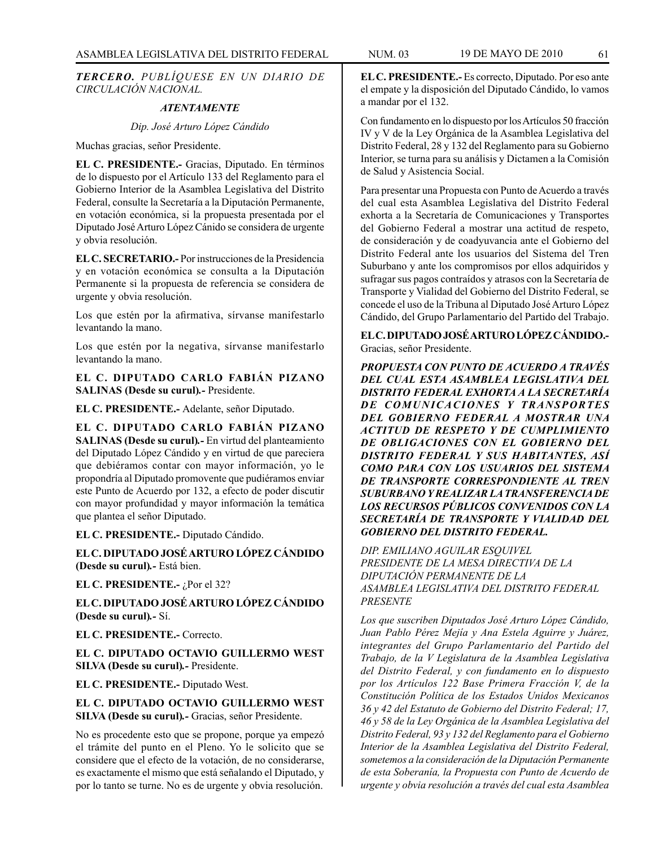*TERCERO. PUBLÍQUESE EN UN DIARIO DE CIRCULACIÓN NACIONAL.*

### *ATENTAMENTE*

*Dip. José Arturo López Cándido*

Muchas gracias, señor Presidente.

**EL C. PRESIDENTE.-** Gracias, Diputado. En términos de lo dispuesto por el Artículo 133 del Reglamento para el Gobierno Interior de la Asamblea Legislativa del Distrito Federal, consulte la Secretaría a la Diputación Permanente, en votación económica, si la propuesta presentada por el Diputado José Arturo López Cánido se considera de urgente y obvia resolución.

**EL C. SECRETARIO.-** Por instrucciones de la Presidencia y en votación económica se consulta a la Diputación Permanente si la propuesta de referencia se considera de urgente y obvia resolución.

Los que estén por la afirmativa, sírvanse manifestarlo levantando la mano.

Los que estén por la negativa, sírvanse manifestarlo levantando la mano.

**EL C. DIPUTADO CARLO FABIÁN PIZANO SALINAS (Desde su curul)***.-* Presidente.

**EL C. PRESIDENTE.-** Adelante, señor Diputado.

**EL C. DIPUTADO CARLO FABIÁN PIZANO SALINAS (Desde su curul)***.-* En virtud del planteamiento del Diputado López Cándido y en virtud de que pareciera que debiéramos contar con mayor información, yo le propondría al Diputado promovente que pudiéramos enviar este Punto de Acuerdo por 132, a efecto de poder discutir con mayor profundidad y mayor información la temática que plantea el señor Diputado.

**EL C. PRESIDENTE.-** Diputado Cándido.

**EL C. DIPUTADO JOSÉ ARTURO LÓPEZ CÁNDIDO (Desde su curul)***.-* Está bien.

**EL C. PRESIDENTE.-** ¿Por el 32?

**EL C. DIPUTADO JOSÉ ARTURO LÓPEZ CÁNDIDO (Desde su curul)***.-* Sí.

**EL C. PRESIDENTE.-** Correcto.

**EL C. DIPUTADO OCTAVIO GUILLERMO WEST SILVA (Desde su curul)***.-* Presidente.

**EL C. PRESIDENTE.-** Diputado West.

**EL C. DIPUTADO OCTAVIO GUILLERMO WEST SILVA (Desde su curul)***.-* Gracias, señor Presidente.

No es procedente esto que se propone, porque ya empezó el trámite del punto en el Pleno. Yo le solicito que se considere que el efecto de la votación, de no considerarse, es exactamente el mismo que está señalando el Diputado, y por lo tanto se turne. No es de urgente y obvia resolución.

**EL C. PRESIDENTE.-** Es correcto, Diputado. Por eso ante el empate y la disposición del Diputado Cándido, lo vamos a mandar por el 132.

Con fundamento en lo dispuesto por los Artículos 50 fracción IV y V de la Ley Orgánica de la Asamblea Legislativa del Distrito Federal, 28 y 132 del Reglamento para su Gobierno Interior, se turna para su análisis y Dictamen a la Comisión de Salud y Asistencia Social.

Para presentar una Propuesta con Punto de Acuerdo a través del cual esta Asamblea Legislativa del Distrito Federal exhorta a la Secretaría de Comunicaciones y Transportes del Gobierno Federal a mostrar una actitud de respeto, de consideración y de coadyuvancia ante el Gobierno del Distrito Federal ante los usuarios del Sistema del Tren Suburbano y ante los compromisos por ellos adquiridos y sufragar sus pagos contraídos y atrasos con la Secretaría de Transporte y Vialidad del Gobierno del Distrito Federal, se concede el uso de la Tribuna al Diputado José Arturo López Cándido, del Grupo Parlamentario del Partido del Trabajo.

**EL C. DIPUTADO JOSÉ ARTURO LÓPEZ CÁNDIDO.-**  Gracias, señor Presidente.

*PROPUESTA CON PUNTO DE ACUERDO A TRAVÉS DEL CUAL ESTA ASAMBLEA LEGISLATIVA DEL DISTRITO FEDERAL EXHORTA A LA SECRETARÍA DE COMUNICACIONES Y TRANSPORTES DEL GOBIERNO FEDERAL A MOSTRAR UNA ACTITUD DE RESPETO Y DE CUMPLIMIENTO DE OBLIGACIONES CON EL GOBIERNO DEL DISTRITO FEDERAL Y SUS HABITANTES, ASÍ COMO PARA CON LOS USUARIOS DEL SISTEMA DE TRANSPORTE CORRESPONDIENTE AL TREN SUBURBANO Y REALIZAR LA TRANSFERENCIA DE LOS RECURSOS PÚBLICOS CONVENIDOS CON LA SECRETARÍA DE TRANSPORTE Y VIALIDAD DEL GOBIERNO DEL DISTRITO FEDERAL.*

*DIP. EMILIANO AGUILAR ESQUIVEL PRESIDENTE DE LA MESA DIRECTIVA DE LA DIPUTACIÓN PERMANENTE DE LA ASAMBLEA LEGISLATIVA DEL DISTRITO FEDERAL PRESENTE*

*Los que suscriben Diputados José Arturo López Cándido, Juan Pablo Pérez Mejía y Ana Estela Aguirre y Juárez, integrantes del Grupo Parlamentario del Partido del Trabajo, de la V Legislatura de la Asamblea Legislativa del Distrito Federal, y con fundamento en lo dispuesto por los Artículos 122 Base Primera Fracción V, de la Constitución Política de los Estados Unidos Mexicanos 36 y 42 del Estatuto de Gobierno del Distrito Federal; 17, 46 y 58 de la Ley Orgánica de la Asamblea Legislativa del Distrito Federal, 93 y 132 del Reglamento para el Gobierno Interior de la Asamblea Legislativa del Distrito Federal, sometemos a la consideración de la Diputación Permanente de esta Soberanía, la Propuesta con Punto de Acuerdo de urgente y obvia resolución a través del cual esta Asamblea*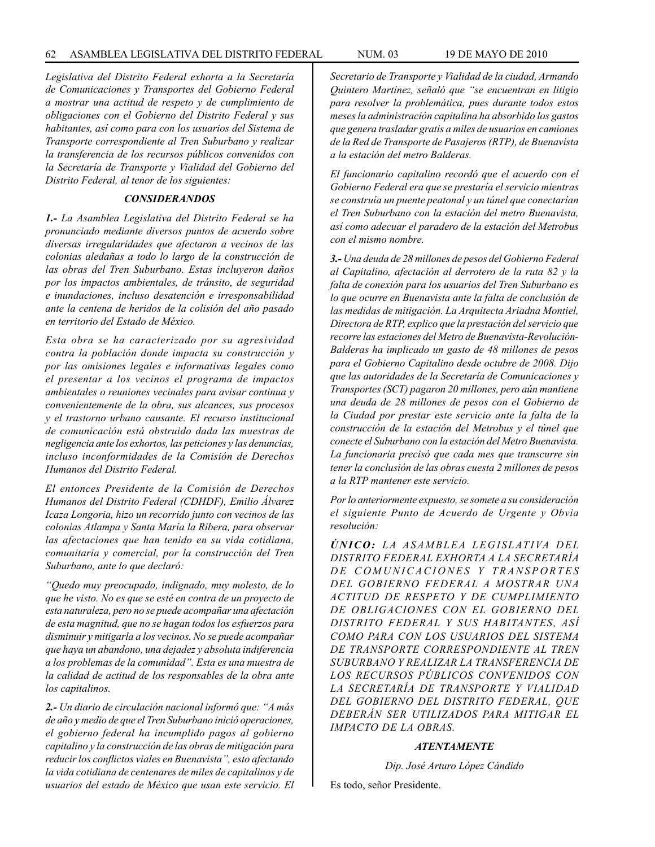*Legislativa del Distrito Federal exhorta a la Secretaría de Comunicaciones y Transportes del Gobierno Federal a mostrar una actitud de respeto y de cumplimiento de obligaciones con el Gobierno del Distrito Federal y sus habitantes, así como para con los usuarios del Sistema de Transporte correspondiente al Tren Suburbano y realizar la transferencia de los recursos públicos convenidos con la Secretaría de Transporte y Vialidad del Gobierno del Distrito Federal, al tenor de los siguientes:*

## *CONSIDERANDOS*

*1.- La Asamblea Legislativa del Distrito Federal se ha pronunciado mediante diversos puntos de acuerdo sobre diversas irregularidades que afectaron a vecinos de las colonias aledañas a todo lo largo de la construcción de las obras del Tren Suburbano. Estas incluyeron daños por los impactos ambientales, de tránsito, de seguridad e inundaciones, incluso desatención e irresponsabilidad ante la centena de heridos de la colisión del año pasado en territorio del Estado de México.*

*Esta obra se ha caracterizado por su agresividad contra la población donde impacta su construcción y por las omisiones legales e informativas legales como el presentar a los vecinos el programa de impactos ambientales o reuniones vecinales para avisar continua y convenientemente de la obra, sus alcances, sus procesos y el trastorno urbano causante. El recurso institucional de comunicación está obstruido dada las muestras de negligencia ante los exhortos, las peticiones y las denuncias, incluso inconformidades de la Comisión de Derechos Humanos del Distrito Federal.*

*El entonces Presidente de la Comisión de Derechos Humanos del Distrito Federal (CDHDF), Emilio Álvarez Icaza Longoria, hizo un recorrido junto con vecinos de las colonias Atlampa y Santa María la Ribera, para observar las afectaciones que han tenido en su vida cotidiana, comunitaria y comercial, por la construcción del Tren Suburbano, ante lo que declaró:*

*"Quedo muy preocupado, indignado, muy molesto, de lo que he visto. No es que se esté en contra de un proyecto de esta naturaleza, pero no se puede acompañar una afectación de esta magnitud, que no se hagan todos los esfuerzos para disminuir y mitigarla a los vecinos. No se puede acompañar que haya un abandono, una dejadez y absoluta indiferencia a los problemas de la comunidad". Esta es una muestra de la calidad de actitud de los responsables de la obra ante los capitalinos.*

*2.- Un diario de circulación nacional informó que: "A más de año y medio de que el Tren Suburbano inició operaciones, el gobierno federal ha incumplido pagos al gobierno capitalino y la construcción de las obras de mitigación para reducir los conflictos viales en Buenavista", esto afectando la vida cotidiana de centenares de miles de capitalinos y de usuarios del estado de México que usan este servicio. El*  *Secretario de Transporte y Vialidad de la ciudad, Armando Quintero Martínez, señaló que "se encuentran en litigio para resolver la problemática, pues durante todos estos meses la administración capitalina ha absorbido los gastos que genera trasladar gratis a miles de usuarios en camiones de la Red de Transporte de Pasajeros (RTP), de Buenavista a la estación del metro Balderas.*

*El funcionario capitalino recordó que el acuerdo con el Gobierno Federal era que se prestaría el servicio mientras se construía un puente peatonal y un túnel que conectarían el Tren Suburbano con la estación del metro Buenavista, así como adecuar el paradero de la estación del Metrobus con el mismo nombre.*

*3.- Una deuda de 28 millones de pesos del Gobierno Federal al Capitalino, afectación al derrotero de la ruta 82 y la falta de conexión para los usuarios del Tren Suburbano es lo que ocurre en Buenavista ante la falta de conclusión de las medidas de mitigación. La Arquitecta Ariadna Montiel, Directora de RTP, explico que la prestación del servicio que recorre las estaciones del Metro de Buenavista-Revolución-Balderas ha implicado un gasto de 48 millones de pesos para el Gobierno Capitalino desde octubre de 2008. Dijo que las autoridades de la Secretaría de Comunicaciones y Transportes (SCT) pagaron 20 millones, pero aún mantiene una deuda de 28 millones de pesos con el Gobierno de la Ciudad por prestar este servicio ante la falta de la construcción de la estación del Metrobus y el túnel que conecte el Suburbano con la estación del Metro Buenavista. La funcionaria precisó que cada mes que transcurre sin tener la conclusión de las obras cuesta 2 millones de pesos a la RTP mantener este servicio.*

*Por lo anteriormente expuesto, se somete a su consideración el siguiente Punto de Acuerdo de Urgente y Obvia resolución:*

*ÚNICO: LA A SAMBLEA LEGISLATIVA DEL DISTRITO FEDERAL EXHORTA A LA SECRETARÍA DE COMUNICACIONES Y TRANSPORTES DEL GOBIERNO FEDERAL A MOSTRAR UNA ACTITUD DE RESPETO Y DE CUMPLIMIENTO DE OBLIGACIONES CON EL GOBIERNO DEL DISTRITO FEDERAL Y SUS HABITANTES, ASÍ COMO PARA CON LOS USUARIOS DEL SISTEMA DE TRANSPORTE CORRESPONDIENTE AL TREN SUBURBANO Y REALIZAR LA TRANSFERENCIA DE LOS RECURSOS PÚBLICOS CONVENIDOS CON LA SECRETARÍA DE TRANSPORTE Y VIALIDAD DEL GOBIERNO DEL DISTRITO FEDERAL, QUE DEBERÁN SER UTILIZADOS PARA MITIGAR EL IMPACTO DE LA OBRAS.*

#### *ATENTAMENTE*

*Dip. José Arturo López Cándido*

Es todo, señor Presidente.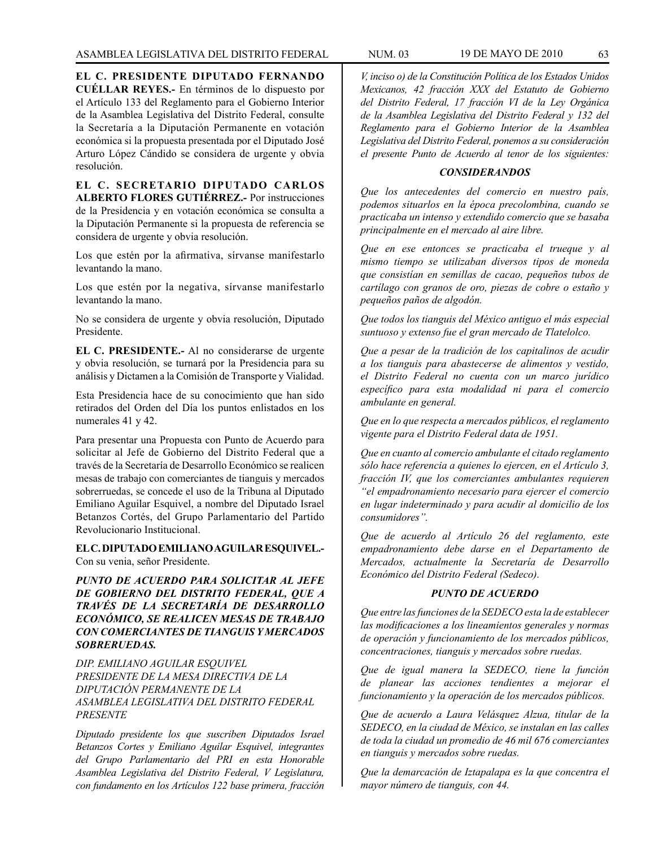**EL C. PRESIDENTE DIPUTADO FERNANDO CUÉLLAR REYES.-** En términos de lo dispuesto por el Artículo 133 del Reglamento para el Gobierno Interior de la Asamblea Legislativa del Distrito Federal, consulte la Secretaría a la Diputación Permanente en votación económica si la propuesta presentada por el Diputado José Arturo López Cándido se considera de urgente y obvia resolución.

**EL C. SECRETARIO DIPUTADO CARLOS ALBERTO FLORES GUTIÉRREZ.-** Por instrucciones de la Presidencia y en votación económica se consulta a la Diputación Permanente si la propuesta de referencia se considera de urgente y obvia resolución.

Los que estén por la afirmativa, sírvanse manifestarlo levantando la mano.

Los que estén por la negativa, sírvanse manifestarlo levantando la mano.

No se considera de urgente y obvia resolución, Diputado Presidente.

**EL C. PRESIDENTE.-** Al no considerarse de urgente y obvia resolución, se turnará por la Presidencia para su análisis y Dictamen a la Comisión de Transporte y Vialidad.

Esta Presidencia hace de su conocimiento que han sido retirados del Orden del Día los puntos enlistados en los numerales 41 y 42.

Para presentar una Propuesta con Punto de Acuerdo para solicitar al Jefe de Gobierno del Distrito Federal que a través de la Secretaría de Desarrollo Económico se realicen mesas de trabajo con comerciantes de tianguis y mercados sobrerruedas, se concede el uso de la Tribuna al Diputado Emiliano Aguilar Esquivel, a nombre del Diputado Israel Betanzos Cortés, del Grupo Parlamentario del Partido Revolucionario Institucional.

**EL C. DIPUTADO EMILIANO AGUILAR ESQUIVEL.-** Con su venia, señor Presidente.

*PUNTO DE ACUERDO PARA SOLICITAR AL JEFE DE GOBIERNO DEL DISTRITO FEDERAL, QUE A TRAVÉS DE LA SECRETARÍA DE DESARROLLO ECONÓMICO, SE REALICEN MESAS DE TRABAJO CON COMERCIANTES DE TIANGUIS Y MERCADOS SOBRERUEDAS.*

*DIP. EMILIANO AGUILAR ESQUIVEL PRESIDENTE DE LA MESA DIRECTIVA DE LA DIPUTACIÓN PERMANENTE DE LA ASAMBLEA LEGISLATIVA DEL DISTRITO FEDERAL PRESENTE*

*Diputado presidente los que suscriben Diputados Israel Betanzos Cortes y Emiliano Aguilar Esquivel, integrantes del Grupo Parlamentario del PRI en esta Honorable Asamblea Legislativa del Distrito Federal, V Legislatura, con fundamento en los Artículos 122 base primera, fracción* 

*V, inciso o) de la Constitución Política de los Estados Unidos Mexicanos, 42 fracción XXX del Estatuto de Gobierno del Distrito Federal, 17 fracción VI de la Ley Orgánica de la Asamblea Legislativa del Distrito Federal y 132 del Reglamento para el Gobierno Interior de la Asamblea Legislativa del Distrito Federal, ponemos a su consideración el presente Punto de Acuerdo al tenor de los siguientes:* 

### *CONSIDERANDOS*

*Que los antecedentes del comercio en nuestro país, podemos situarlos en la época precolombina, cuando se practicaba un intenso y extendido comercio que se basaba principalmente en el mercado al aire libre.* 

*Que en ese entonces se practicaba el trueque y al mismo tiempo se utilizaban diversos tipos de moneda que consistían en semillas de cacao, pequeños tubos de cartílago con granos de oro, piezas de cobre o estaño y pequeños paños de algodón.* 

*Que todos los tianguis del México antiguo el más especial suntuoso y extenso fue el gran mercado de Tlatelolco.* 

*Que a pesar de la tradición de los capitalinos de acudir a los tianguis para abastecerse de alimentos y vestido, el Distrito Federal no cuenta con un marco jurídico específico para esta modalidad ni para el comercio ambulante en general.* 

*Que en lo que respecta a mercados públicos, el reglamento vigente para el Distrito Federal data de 1951.* 

*Que en cuanto al comercio ambulante el citado reglamento sólo hace referencia a quienes lo ejercen, en el Artículo 3, fracción IV, que los comerciantes ambulantes requieren "el empadronamiento necesario para ejercer el comercio en lugar indeterminado y para acudir al domicilio de los consumidores".* 

*Que de acuerdo al Artículo 26 del reglamento, este empadronamiento debe darse en el Departamento de Mercados, actualmente la Secretaría de Desarrollo Económico del Distrito Federal (Sedeco).* 

#### *PUNTO DE ACUERDO*

*Que entre las funciones de la SEDECO esta la de establecer las modificaciones a los lineamientos generales y normas de operación y funcionamiento de los mercados públicos, concentraciones, tianguis y mercados sobre ruedas.*

*Que de igual manera la SEDECO, tiene la función de planear las acciones tendientes a mejorar el funcionamiento y la operación de los mercados públicos.*

*Que de acuerdo a Laura Velásquez Alzua, titular de la SEDECO, en la ciudad de México, se instalan en las calles de toda la ciudad un promedio de 46 mil 676 comerciantes en tianguis y mercados sobre ruedas.*

*Que la demarcación de Iztapalapa es la que concentra el mayor número de tianguis, con 44.*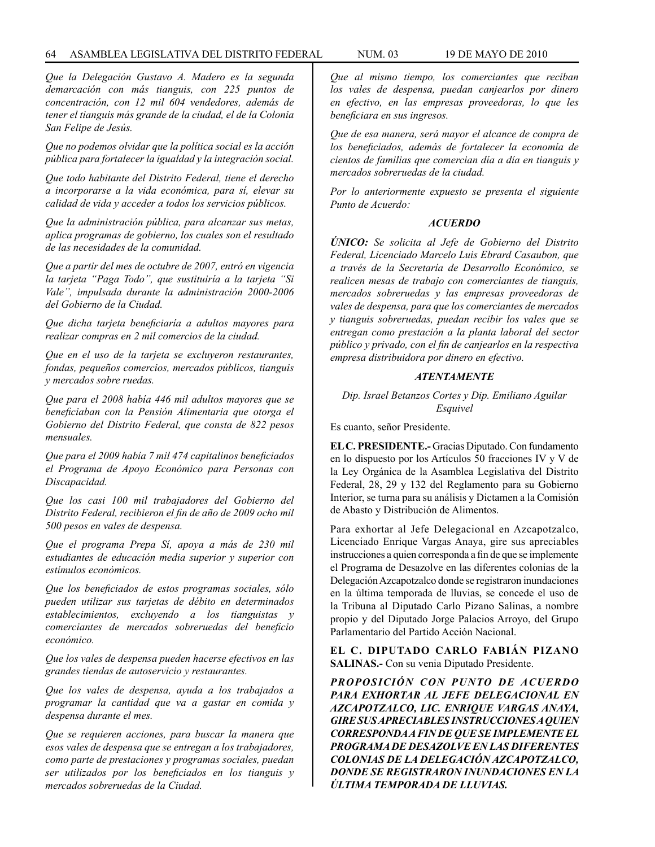*Que la Delegación Gustavo A. Madero es la segunda demarcación con más tianguis, con 225 puntos de concentración, con 12 mil 604 vendedores, además de tener el tianguis más grande de la ciudad, el de la Colonia San Felipe de Jesús.*

*Que no podemos olvidar que la política social es la acción pública para fortalecer la igualdad y la integración social.*

*Que todo habitante del Distrito Federal, tiene el derecho a incorporarse a la vida económica, para sí, elevar su calidad de vida y acceder a todos los servicios públicos.*

*Que la administración pública, para alcanzar sus metas, aplica programas de gobierno, los cuales son el resultado de las necesidades de la comunidad.*

*Que a partir del mes de octubre de 2007, entró en vigencia la tarjeta "Paga Todo", que sustituiría a la tarjeta "Si Vale", impulsada durante la administración 2000-2006 del Gobierno de la Ciudad.*

*Que dicha tarjeta beneficiaría a adultos mayores para realizar compras en 2 mil comercios de la ciudad.*

*Que en el uso de la tarjeta se excluyeron restaurantes, fondas, pequeños comercios, mercados públicos, tianguis y mercados sobre ruedas.*

*Que para el 2008 había 446 mil adultos mayores que se beneficiaban con la Pensión Alimentaria que otorga el Gobierno del Distrito Federal, que consta de 822 pesos mensuales.*

*Que para el 2009 había 7 mil 474 capitalinos beneficiados el Programa de Apoyo Económico para Personas con Discapacidad.*

*Que los casi 100 mil trabajadores del Gobierno del Distrito Federal, recibieron el fin de año de 2009 ocho mil 500 pesos en vales de despensa.* 

*Que el programa Prepa Sí, apoya a más de 230 mil estudiantes de educación media superior y superior con estímulos económicos.* 

*Que los beneficiados de estos programas sociales, sólo pueden utilizar sus tarjetas de débito en determinados establecimientos, excluyendo a los tianguistas y comerciantes de mercados sobreruedas del beneficio económico.* 

*Que los vales de despensa pueden hacerse efectivos en las grandes tiendas de autoservicio y restaurantes.* 

*Que los vales de despensa, ayuda a los trabajados a programar la cantidad que va a gastar en comida y despensa durante el mes.* 

*Que se requieren acciones, para buscar la manera que esos vales de despensa que se entregan a los trabajadores, como parte de prestaciones y programas sociales, puedan ser utilizados por los beneficiados en los tianguis y mercados sobreruedas de la Ciudad.* 

*Que al mismo tiempo, los comerciantes que reciban los vales de despensa, puedan canjearlos por dinero en efectivo, en las empresas proveedoras, lo que les beneficiara en sus ingresos.* 

*Que de esa manera, será mayor el alcance de compra de los beneficiados, además de fortalecer la economía de cientos de familias que comercian día a día en tianguis y mercados sobreruedas de la ciudad.* 

*Por lo anteriormente expuesto se presenta el siguiente Punto de Acuerdo:* 

#### *ACUERDO*

*ÚNICO: Se solicita al Jefe de Gobierno del Distrito Federal, Licenciado Marcelo Luis Ebrard Casaubon, que a través de la Secretaría de Desarrollo Económico, se realicen mesas de trabajo con comerciantes de tianguis, mercados sobreruedas y las empresas proveedoras de vales de despensa, para que los comerciantes de mercados y tianguis sobreruedas, puedan recibir los vales que se entregan como prestación a la planta laboral del sector público y privado, con el fin de canjearlos en la respectiva empresa distribuidora por dinero en efectivo.* 

## *ATENTAMENTE*

## *Dip. Israel Betanzos Cortes y Dip. Emiliano Aguilar Esquivel*

Es cuanto, señor Presidente.

**EL C. PRESIDENTE.-** Gracias Diputado. Con fundamento en lo dispuesto por los Artículos 50 fracciones IV y V de la Ley Orgánica de la Asamblea Legislativa del Distrito Federal, 28, 29 y 132 del Reglamento para su Gobierno Interior, se turna para su análisis y Dictamen a la Comisión de Abasto y Distribución de Alimentos.

Para exhortar al Jefe Delegacional en Azcapotzalco, Licenciado Enrique Vargas Anaya, gire sus apreciables instrucciones a quien corresponda a fin de que se implemente el Programa de Desazolve en las diferentes colonias de la Delegación Azcapotzalco donde se registraron inundaciones en la última temporada de lluvias, se concede el uso de la Tribuna al Diputado Carlo Pizano Salinas, a nombre propio y del Diputado Jorge Palacios Arroyo, del Grupo Parlamentario del Partido Acción Nacional.

### **EL C. DIPUTADO CARLO FABIÁN PIZANO SALINAS.-** Con su venia Diputado Presidente.

*PROPOSICIÓN CON PUNTO DE ACUERDO PARA EXHORTAR AL JEFE DELEGACIONAL EN AZCAPOTZALCO, LIC. ENRIQUE VARGAS ANAYA, GIRE SUS APRECIABLES INSTRUCCIONES A QUIEN CORRESPONDA A FIN DE QUE SE IMPLEMENTE EL PROGRAMA DE DESAZOLVE EN LAS DIFERENTES COLONIAS DE LA DELEGACIÓN AZCAPOTZALCO, DONDE SE REGISTRARON INUNDACIONES EN LA ÚLTIMA TEMPORADA DE LLUVIAS.*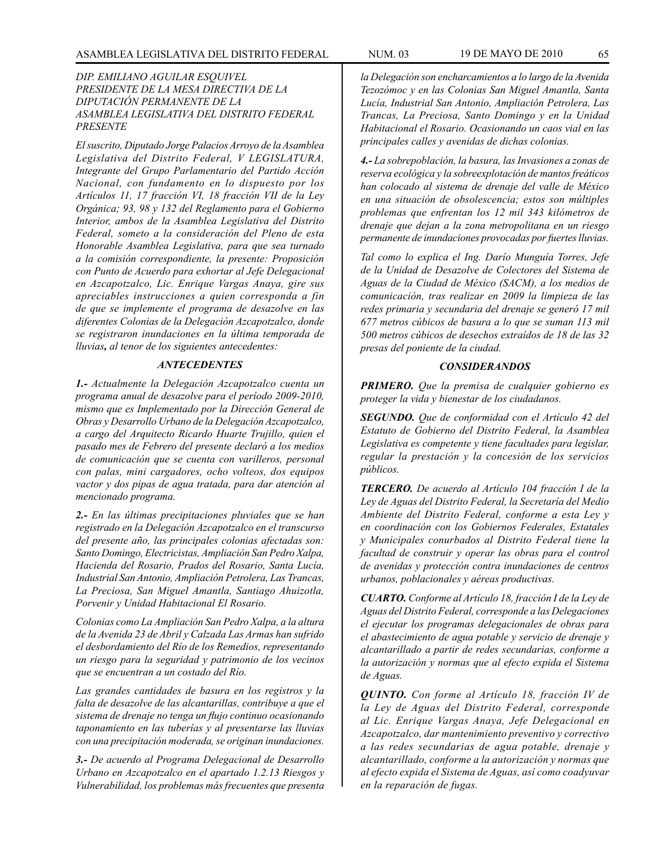## *DIP. EMILIANO AGUILAR ESQUIVEL PRESIDENTE DE LA MESA DIRECTIVA DE LA DIPUTACIÓN PERMANENTE DE LA ASAMBLEA LEGISLATIVA DEL DISTRITO FEDERAL PRESENTE*

*El suscrito, Diputado Jorge Palacios Arroyo de la Asamblea Legislativa del Distrito Federal, V LEGISLATURA, Integrante del Grupo Parlamentario del Partido Acción Nacional, con fundamento en lo dispuesto por los Artículos 11, 17 fracción VI, 18 fracción VII de la Ley Orgánica; 93, 98 y 132 del Reglamento para el Gobierno Interior, ambos de la Asamblea Legislativa del Distrito Federal, someto a la consideración del Pleno de esta Honorable Asamblea Legislativa, para que sea turnado a la comisión correspondiente, la presente: Proposición con Punto de Acuerdo para exhortar al Jefe Delegacional en Azcapotzalco, Lic. Enrique Vargas Anaya, gire sus apreciables instrucciones a quien corresponda a fin de que se implemente el programa de desazolve en las diferentes Colonias de la Delegación Azcapotzalco, donde se registraron inundaciones en la última temporada de lluvias, al tenor de los siguientes antecedentes:*

## *ANTECEDENTES*

*1.- Actualmente la Delegación Azcapotzalco cuenta un programa anual de desazolve para el período 2009-2010, mismo que es Implementado por la Dirección General de Obras y Desarrollo Urbano de la Delegación Azcapotzalco, a cargo del Arquitecto Ricardo Huarte Trujillo, quien el pasado mes de Febrero del presente declaró a los medios de comunicación que se cuenta con varilleros, personal con palas, mini cargadores, ocho volteos, dos equipos vactor y dos pipas de agua tratada, para dar atención al mencionado programa.*

*2.- En las últimas precipitaciones pluviales que se han registrado en la Delegación Azcapotzalco en el transcurso del presente año, las principales colonias afectadas son: Santo Domingo, Electricistas, Ampliación San Pedro Xalpa, Hacienda del Rosario, Prados del Rosario, Santa Lucía, Industrial San Antonio, Ampliación Petrolera, Las Trancas, La Preciosa, San Miguel Amantla, Santiago Ahuizotla, Porvenir y Unidad Habitacional El Rosario.* 

*Colonias como La Ampliación San Pedro Xalpa, a la altura de la Avenida 23 de Abril y Calzada Las Armas han sufrido el desbordamiento del Río de los Remedios, representando un riesgo para la seguridad y patrimonio de los vecinos que se encuentran a un costado del Río.*

*Las grandes cantidades de basura en los registros y la falta de desazolve de las alcantarillas, contribuye a que el sistema de drenaje no tenga un flujo continuo ocasionando taponamiento en las tuberías y al presentarse las lluvias con una precipitación moderada, se originan inundaciones.*

*3.- De acuerdo al Programa Delegacional de Desarrollo Urbano en Azcapotzalco en el apartado 1.2.13 Riesgos y Vulnerabilidad, los problemas más frecuentes que presenta* 

*la Delegación son encharcamientos a lo largo de la Avenida Tezozómoc y en las Colonias San Miguel Amantla, Santa Lucía, Industrial San Antonio, Ampliación Petrolera, Las Trancas, La Preciosa, Santo Domingo y en la Unidad Habitacional el Rosario. Ocasionando un caos vial en las principales calles y avenidas de dichas colonias.*

*4.- La sobrepoblación, la basura, las Invasiones a zonas de reserva ecológica y la sobreexplotación de mantos freáticos han colocado al sistema de drenaje del valle de México en una situación de obsolescencia; estos son múltiples problemas que enfrentan los 12 mil 343 kilómetros de drenaje que dejan a la zona metropolitana en un riesgo permanente de inundaciones provocadas por fuertes lluvias.*

*Tal como lo explica el Ing. Darío Munguía Torres, Jefe de la Unidad de Desazolve de Colectores del Sistema de Aguas de la Ciudad de México (SACM), a los medios de comunicación, tras realizar en 2009 la limpieza de las redes primaria y secundaria del drenaje se generó 17 mil 677 metros cúbicos de basura a lo que se suman 113 mil 500 metros cúbicos de desechos extraídos de 18 de las 32 presas del poniente de la ciudad.*

#### *CONSIDERANDOS*

*PRIMERO. Que la premisa de cualquier gobierno es proteger la vida y bienestar de los ciudadanos.*

*SEGUNDO. Que de conformidad con el Artículo 42 del Estatuto de Gobierno del Distrito Federal, la Asamblea Legislativa es competente y tiene facultades para legislar, regular la prestación y la concesión de los servicios públicos.*

*TERCERO. De acuerdo al Artículo 104 fracción I de la Ley de Aguas del Distrito Federal, la Secretaría del Medio Ambiente del Distrito Federal, conforme a esta Ley y en coordinación con los Gobiernos Federales, Estatales y Municipales conurbados al Distrito Federal tiene la facultad de construir y operar las obras para el control de avenidas y protección contra inundaciones de centros urbanos, poblacionales y aéreas productivas.*

*CUARTO. Conforme al Artículo 18, fracción I de la Ley de Aguas del Distrito Federal, corresponde a las Delegaciones el ejecutar los programas delegacionales de obras para el abastecimiento de agua potable y servicio de drenaje y alcantarillado a partir de redes secundarias, conforme a la autorización y normas que al efecto expida el Sistema de Aguas.*

*QUINTO. Con forme al Artículo 18, fracción IV de la Ley de Aguas del Distrito Federal, corresponde al Lic. Enrique Vargas Anaya, Jefe Delegacional en Azcapotzalco, dar mantenimiento preventivo y correctivo a las redes secundarias de agua potable, drenaje y alcantarillado, conforme a la autorización y normas que al efecto expida el Sistema de Aguas, así como coadyuvar en la reparación de fugas.*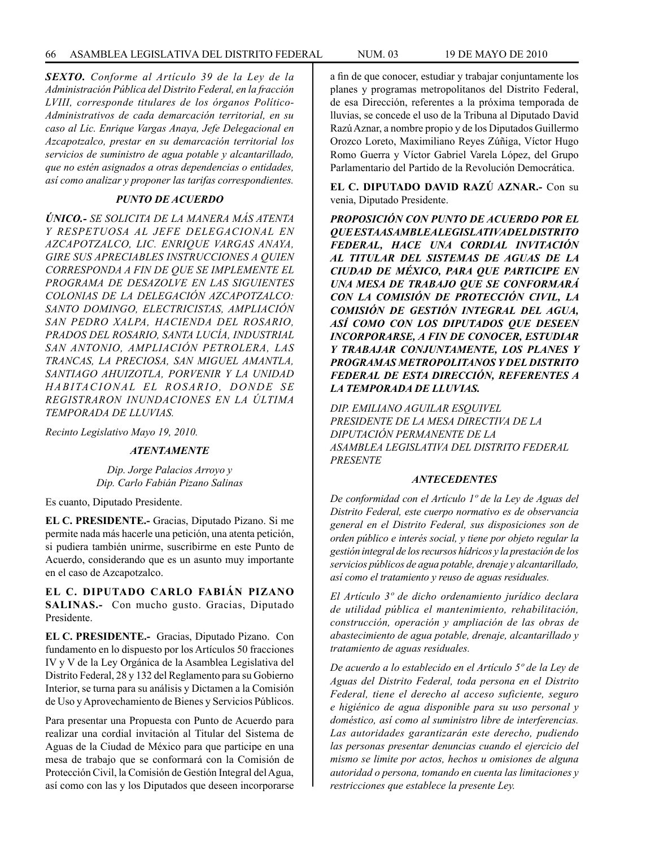*SEXTO. Conforme al Artículo 39 de la Ley de la Administración Pública del Distrito Federal, en la fracción LVIII, corresponde titulares de los órganos Político-Administrativos de cada demarcación territorial, en su caso al Lic. Enrique Vargas Anaya, Jefe Delegacional en Azcapotzalco, prestar en su demarcación territorial los servicios de suministro de agua potable y alcantarillado, que no estén asignados a otras dependencias o entidades, así como analizar y proponer las tarifas correspondientes.*

## *PUNTO DE ACUERDO*

*ÚNICO.- SE SOLICITA DE LA MANERA MÁS ATENTA Y RESPETUOSA AL JEFE DELEGACIONAL EN AZCAPOTZALCO, LIC. ENRIQUE VARGAS ANAYA, GIRE SUS APRECIABLES INSTRUCCIONES A QUIEN CORRESPONDA A FIN DE QUE SE IMPLEMENTE EL PROGRAMA DE DESAZOLVE EN LAS SIGUIENTES COLONIAS DE LA DELEGACIÓN AZCAPOTZALCO: SANTO DOMINGO, ELECTRICISTAS, AMPLIACIÓN SAN PEDRO XALPA, HACIENDA DEL ROSARIO, PRADOS DEL ROSARIO, SANTA LUCÍA, INDUSTRIAL SAN ANTONIO, AMPLIACIÓN PETROLERA, LAS TRANCAS, LA PRECIOSA, SAN MIGUEL AMANTLA, SANTIAGO AHUIZOTLA, PORVENIR Y LA UNIDAD HABITACIONAL EL ROSARIO, DONDE SE REGISTRARON INUNDACIONES EN LA ÚLTIMA TEMPORADA DE LLUVIAS.*

*Recinto Legislativo Mayo 19, 2010.*

#### *ATENTAMENTE*

*Dip. Jorge Palacios Arroyo y Dip. Carlo Fabián Pizano Salinas*

Es cuanto, Diputado Presidente.

**EL C. PRESIDENTE.-** Gracias, Diputado Pizano. Si me permite nada más hacerle una petición, una atenta petición, si pudiera también unirme, suscribirme en este Punto de Acuerdo, considerando que es un asunto muy importante en el caso de Azcapotzalco.

**EL C. DIPUTADO CARLO FABIÁN PIZANO SALINAS.-** Con mucho gusto. Gracias, Diputado Presidente.

**EL C. PRESIDENTE.-** Gracias, Diputado Pizano. Con fundamento en lo dispuesto por los Artículos 50 fracciones IV y V de la Ley Orgánica de la Asamblea Legislativa del Distrito Federal, 28 y 132 del Reglamento para su Gobierno Interior, se turna para su análisis y Dictamen a la Comisión de Uso y Aprovechamiento de Bienes y Servicios Públicos.

Para presentar una Propuesta con Punto de Acuerdo para realizar una cordial invitación al Titular del Sistema de Aguas de la Ciudad de México para que participe en una mesa de trabajo que se conformará con la Comisión de Protección Civil, la Comisión de Gestión Integral del Agua, así como con las y los Diputados que deseen incorporarse

a fin de que conocer, estudiar y trabajar conjuntamente los planes y programas metropolitanos del Distrito Federal, de esa Dirección, referentes a la próxima temporada de lluvias, se concede el uso de la Tribuna al Diputado David Razú Aznar, a nombre propio y de los Diputados Guillermo Orozco Loreto, Maximiliano Reyes Zúñiga, Víctor Hugo Romo Guerra y Víctor Gabriel Varela López, del Grupo Parlamentario del Partido de la Revolución Democrática.

**EL C. DIPUTADO DAVID RAZÚ AZNAR.-** Con su venia, Diputado Presidente.

*PROPOSICIÓN CON PUNTO DE ACUERDO POR EL QUE ESTA ASAMBLEA LEGISLATIVA DEL DISTRITO FEDERAL, HACE UNA CORDIAL INVITACIÓN AL TITULAR DEL SISTEMAS DE AGUAS DE LA CIUDAD DE MÉXICO, PARA QUE PARTICIPE EN UNA MESA DE TRABAJO QUE SE CONFORMARÁ CON LA COMISIÓN DE PROTECCIÓN CIVIL, LA COMISIÓN DE GESTIÓN INTEGRAL DEL AGUA, ASÍ COMO CON LOS DIPUTADOS QUE DESEEN INCORPORARSE, A FIN DE CONOCER, ESTUDIAR Y TRABAJAR CONJUNTAMENTE, LOS PLANES Y PROGRAMAS METROPOLITANOS Y DEL DISTRITO FEDERAL DE ESTA DIRECCIÓN, REFERENTES A LA TEMPORADA DE LLUVIAS.*

*DIP. EMILIANO AGUILAR ESQUIVEL PRESIDENTE DE LA MESA DIRECTIVA DE LA DIPUTACIÓN PERMANENTE DE LA ASAMBLEA LEGISLATIVA DEL DISTRITO FEDERAL PRESENTE*

#### *ANTECEDENTES*

*De conformidad con el Artículo 1º de la Ley de Aguas del Distrito Federal, este cuerpo normativo es de observancia general en el Distrito Federal, sus disposiciones son de orden público e interés social, y tiene por objeto regular la gestión integral de los recursos hídricos y la prestación de los servicios públicos de agua potable, drenaje y alcantarillado, así como el tratamiento y reuso de aguas residuales.* 

*El Artículo 3º de dicho ordenamiento jurídico declara de utilidad pública el mantenimiento, rehabilitación, construcción, operación y ampliación de las obras de abastecimiento de agua potable, drenaje, alcantarillado y tratamiento de aguas residuales.* 

*De acuerdo a lo establecido en el Artículo 5º de la Ley de Aguas del Distrito Federal, toda persona en el Distrito Federal, tiene el derecho al acceso suficiente, seguro e higiénico de agua disponible para su uso personal y doméstico, así como al suministro libre de interferencias. Las autoridades garantizarán este derecho, pudiendo las personas presentar denuncias cuando el ejercicio del mismo se limite por actos, hechos u omisiones de alguna autoridad o persona, tomando en cuenta las limitaciones y restricciones que establece la presente Ley.*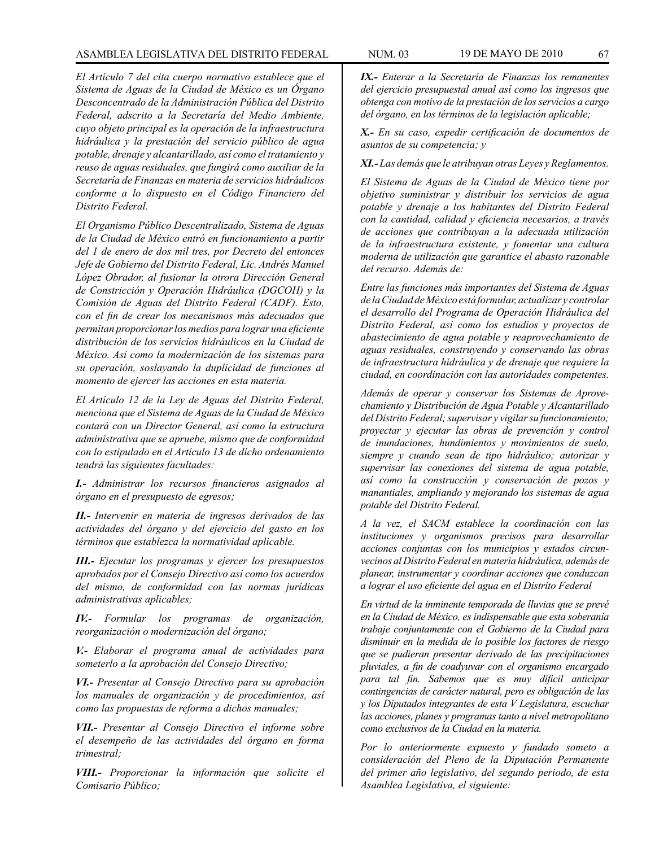*El Artículo 7 del cita cuerpo normativo establece que el Sistema de Aguas de la Ciudad de México es un Órgano Desconcentrado de la Administración Pública del Distrito Federal, adscrito a la Secretaría del Medio Ambiente, cuyo objeto principal es la operación de la infraestructura hidráulica y la prestación del servicio público de agua potable, drenaje y alcantarillado, así como el tratamiento y reuso de aguas residuales, que fungirá como auxiliar de la Secretaría de Finanzas en materia de servicios hidráulicos conforme a lo dispuesto en el Código Financiero del Distrito Federal.*

*El Organismo Público Descentralizado, Sistema de Aguas de la Ciudad de México entró en funcionamiento a partir del 1 de enero de dos mil tres, por Decreto del entonces Jefe de Gobierno del Distrito Federal, Lic. Andrés Manuel López Obrador, al fusionar la otrora Dirección General de Constricción y Operación Hidráulica (DGCOH) y la Comisión de Aguas del Distrito Federal (CADF). Esto, con el fin de crear los mecanismos más adecuados que permitan proporcionar los medios para lograr una eficiente distribución de los servicios hidráulicos en la Ciudad de México. Así como la modernización de los sistemas para su operación, soslayando la duplicidad de funciones al momento de ejercer las acciones en esta materia.*

*El Artículo 12 de la Ley de Aguas del Distrito Federal, menciona que el Sistema de Aguas de la Ciudad de México contará con un Director General, así como la estructura administrativa que se apruebe, mismo que de conformidad con lo estipulado en el Artículo 13 de dicho ordenamiento tendrá las siguientes facultades:*

*I.- Administrar los recursos financieros asignados al órgano en el presupuesto de egresos;*

*II.- Intervenir en materia de ingresos derivados de las actividades del órgano y del ejercicio del gasto en los términos que establezca la normatividad aplicable.*

*III.- Ejecutar los programas y ejercer los presupuestos aprobados por el Consejo Directivo así como los acuerdos del mismo, de conformidad con las normas jurídicas administrativas aplicables;*

*IV.- Formular los programas de organización, reorganización o modernización del órgano;* 

*V.- Elaborar el programa anual de actividades para someterlo a la aprobación del Consejo Directivo;* 

*VI.- Presentar al Consejo Directivo para su aprobación los manuales de organización y de procedimientos, así como las propuestas de reforma a dichos manuales;* 

*VII.- Presentar al Consejo Directivo el informe sobre el desempeño de las actividades del órgano en forma trimestral;* 

*VIII.- Proporcionar la información que solicite el Comisario Público;* 

*IX.- Enterar a la Secretaría de Finanzas los remanentes del ejercicio presupuestal anual así como los ingresos que obtenga con motivo de la prestación de los servicios a cargo del órgano, en los términos de la legislación aplicable;* 

*X.- En su caso, expedir certificación de documentos de asuntos de su competencia; y* 

*XI.- Las demás que le atribuyan otras Leyes y Reglamentos.* 

*El Sistema de Aguas de la Ciudad de México tiene por objetivo suministrar y distribuir los servicios de agua potable y drenaje a los habitantes del Distrito Federal con la cantidad, calidad y eficiencia necesarios, a través de acciones que contribuyan a la adecuada utilización de la infraestructura existente, y fomentar una cultura moderna de utilización que garantice el abasto razonable del recurso. Además de:* 

*Entre las funciones más importantes del Sistema de Aguas de la Ciudad de México está formular, actualizar y controlar el desarrollo del Programa de Operación Hidráulica del Distrito Federal, así como los estudios y proyectos de abastecimiento de agua potable y reaprovechamiento de aguas residuales, construyendo y conservando las obras de infraestructura hidráulica y de drenaje que requiere la ciudad, en coordinación con las autoridades competentes.* 

*Además de operar y conservar los Sistemas de Aprovechamiento y Distribución de Agua Potable y Alcantarillado del Distrito Federal; supervisar y vigilar su funcionamiento; proyectar y ejecutar las obras de prevención y control de inundaciones, hundimientos y movimientos de suelo, siempre y cuando sean de tipo hidráulico; autorizar y supervisar las conexiones del sistema de agua potable, así como la construcción y conservación de pozos y manantiales, ampliando y mejorando los sistemas de agua potable del Distrito Federal.* 

*A la vez, el SACM establece la coordinación con las instituciones y organismos precisos para desarrollar acciones conjuntas con los municipios y estados circunvecinos al Distrito Federal en materia hidráulica, además de planear, instrumentar y coordinar acciones que conduzcan a lograr el uso eficiente del agua en el Distrito Federal* 

*En virtud de la inminente temporada de lluvias que se prevé en la Ciudad de México, es indispensable que esta soberanía trabaje conjuntamente con el Gobierno de la Ciudad para disminuir en la medida de lo posible los factores de riesgo que se pudieran presentar derivado de las precipitaciones pluviales, a fin de coadyuvar con el organismo encargado para tal fin. Sabemos que es muy difícil anticipar contingencias de carácter natural, pero es obligación de las y los Diputados integrantes de esta V Legislatura, escuchar las acciones, planes y programas tanto a nivel metropolitano como exclusivos de la Ciudad en la materia.*

*Por lo anteriormente expuesto y fundado someto a consideración del Pleno de la Diputación Permanente del primer año legislativo, del segundo periodo, de esta Asamblea Legislativa, el siguiente:*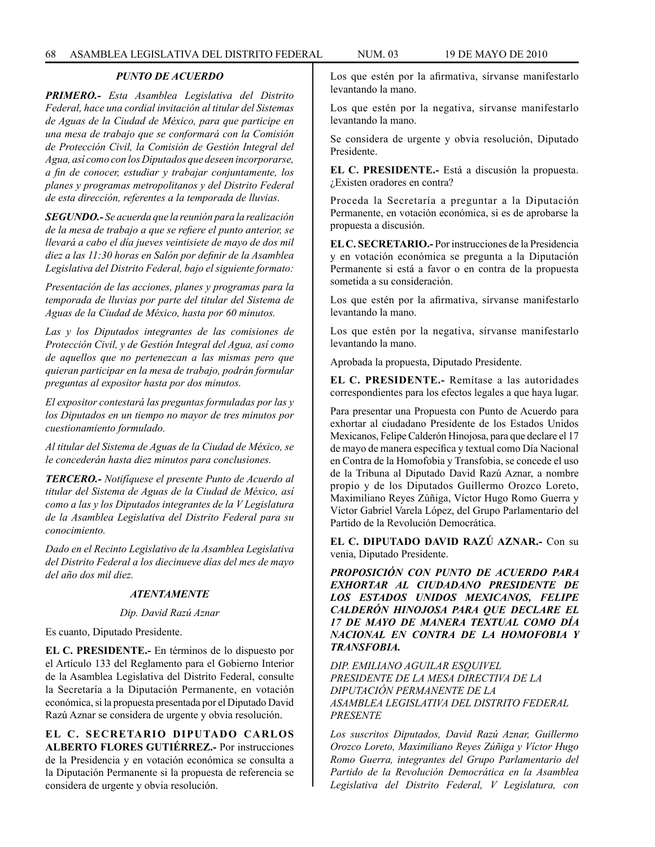## *PUNTO DE ACUERDO*

*PRIMERO.- Esta Asamblea Legislativa del Distrito Federal, hace una cordial invitación al titular del Sistemas de Aguas de la Ciudad de México, para que participe en una mesa de trabajo que se conformará con la Comisión de Protección Civil, la Comisión de Gestión Integral del Agua, así como con los Diputados que deseen incorporarse, a fin de conocer, estudiar y trabajar conjuntamente, los planes y programas metropolitanos y del Distrito Federal de esta dirección, referentes a la temporada de lluvias.*

*SEGUNDO.- Se acuerda que la reunión para la realización de la mesa de trabajo a que se refiere el punto anterior, se llevará a cabo el día jueves veintisiete de mayo de dos mil diez a las 11:30 horas en Salón por definir de la Asamblea Legislativa del Distrito Federal, bajo el siguiente formato:*

*Presentación de las acciones, planes y programas para la temporada de lluvias por parte del titular del Sistema de Aguas de la Ciudad de México, hasta por 60 minutos.*

*Las y los Diputados integrantes de las comisiones de Protección Civil, y de Gestión Integral del Agua, así como de aquellos que no pertenezcan a las mismas pero que quieran participar en la mesa de trabajo, podrán formular preguntas al expositor hasta por dos minutos.*

*El expositor contestará las preguntas formuladas por las y los Diputados en un tiempo no mayor de tres minutos por cuestionamiento formulado.*

*Al titular del Sistema de Aguas de la Ciudad de México, se le concederán hasta diez minutos para conclusiones.*

*TERCERO.- Notifíquese el presente Punto de Acuerdo al titular del Sistema de Aguas de la Ciudad de México, así como a las y los Diputados integrantes de la V Legislatura de la Asamblea Legislativa del Distrito Federal para su conocimiento.*

*Dado en el Recinto Legislativo de la Asamblea Legislativa del Distrito Federal a los diecinueve días del mes de mayo del año dos mil diez.*

## *ATENTAMENTE*

#### *Dip. David Razú Aznar*

Es cuanto, Diputado Presidente.

**EL C. PRESIDENTE.-** En términos de lo dispuesto por el Artículo 133 del Reglamento para el Gobierno Interior de la Asamblea Legislativa del Distrito Federal, consulte la Secretaría a la Diputación Permanente, en votación económica, si la propuesta presentada por el Diputado David Razú Aznar se considera de urgente y obvia resolución.

**EL C. SECRETARIO DIPUTADO CARLOS ALBERTO FLORES GUTIÉRREZ.-** Por instrucciones de la Presidencia y en votación económica se consulta a la Diputación Permanente si la propuesta de referencia se considera de urgente y obvia resolución.

Los que estén por la afirmativa, sírvanse manifestarlo levantando la mano.

Los que estén por la negativa, sírvanse manifestarlo levantando la mano.

Se considera de urgente y obvia resolución, Diputado Presidente.

**EL C. PRESIDENTE.-** Está a discusión la propuesta. ¿Existen oradores en contra?

Proceda la Secretaría a preguntar a la Diputación Permanente, en votación económica, si es de aprobarse la propuesta a discusión.

**EL C. SECRETARIO.-** Por instrucciones de la Presidencia y en votación económica se pregunta a la Diputación Permanente si está a favor o en contra de la propuesta sometida a su consideración.

Los que estén por la afirmativa, sírvanse manifestarlo levantando la mano.

Los que estén por la negativa, sírvanse manifestarlo levantando la mano.

Aprobada la propuesta, Diputado Presidente.

**EL C. PRESIDENTE.-** Remítase a las autoridades correspondientes para los efectos legales a que haya lugar.

Para presentar una Propuesta con Punto de Acuerdo para exhortar al ciudadano Presidente de los Estados Unidos Mexicanos, Felipe Calderón Hinojosa, para que declare el 17 de mayo de manera específica y textual como Día Nacional en Contra de la Homofobia y Transfobia, se concede el uso de la Tribuna al Diputado David Razú Aznar, a nombre propio y de los Diputados Guillermo Orozco Loreto, Maximiliano Reyes Zúñiga, Víctor Hugo Romo Guerra y Víctor Gabriel Varela López, del Grupo Parlamentario del Partido de la Revolución Democrática.

**EL C. DIPUTADO DAVID RAZÚ AZNAR.-** Con su venia, Diputado Presidente.

*PROPOSICIÓN CON PUNTO DE ACUERDO PARA EXHORTAR AL CIUDADANO PRESIDENTE DE LOS ESTADOS UNIDOS MEXICANOS, FELIPE CALDERÓN HINOJOSA PARA QUE DECLARE EL 17 DE MAYO DE MANERA TEXTUAL COMO DÍA NACIONAL EN CONTRA DE LA HOMOFOBIA Y TRANSFOBIA.*

*DIP. EMILIANO AGUILAR ESQUIVEL PRESIDENTE DE LA MESA DIRECTIVA DE LA DIPUTACIÓN PERMANENTE DE LA ASAMBLEA LEGISLATIVA DEL DISTRITO FEDERAL PRESENTE*

*Los suscritos Diputados, David Razú Aznar, Guillermo Orozco Loreto, Maximiliano Reyes Zúñiga y Víctor Hugo Romo Guerra, integrantes del Grupo Parlamentario del Partido de la Revolución Democrática en la Asamblea Legislativa del Distrito Federal, V Legislatura, con*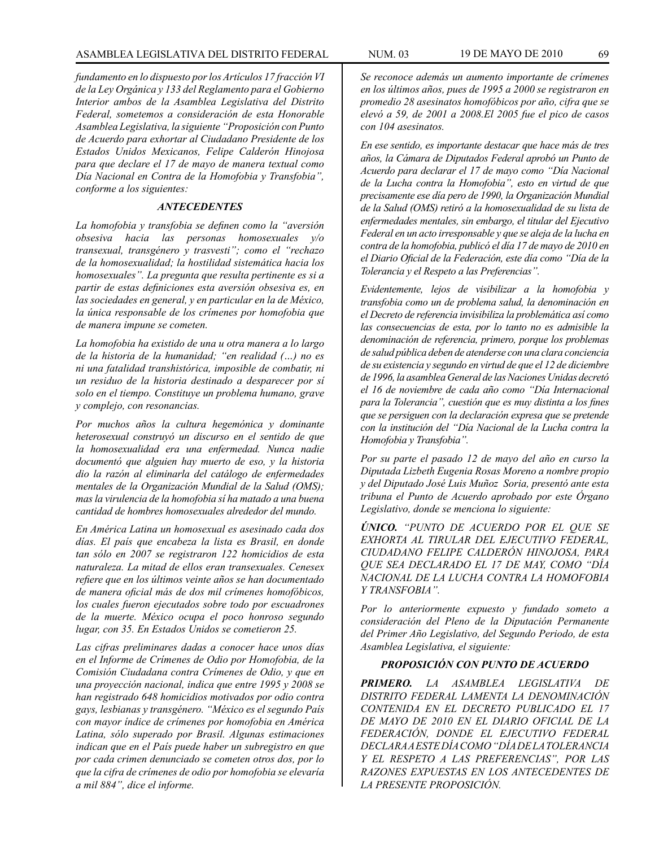*fundamento en lo dispuesto por los Artículos 17 fracción VI de la Ley Orgánica y 133 del Reglamento para el Gobierno Interior ambos de la Asamblea Legislativa del Distrito Federal, sometemos a consideración de esta Honorable Asamblea Legislativa, la siguiente "Proposición con Punto de Acuerdo para exhortar al Ciudadano Presidente de los Estados Unidos Mexicanos, Felipe Calderón Hinojosa para que declare el 17 de mayo de manera textual como Día Nacional en Contra de la Homofobia y Transfobia", conforme a los siguientes:* 

## *ANTECEDENTES*

*La homofobia y transfobia se definen como la "aversión obsesiva hacia las personas homosexuales y/o transexual, transgénero y trasvesti"; como el "rechazo de la homosexualidad; la hostilidad sistemática hacia los homosexuales". La pregunta que resulta pertinente es si a partir de estas definiciones esta aversión obsesiva es, en las sociedades en general, y en particular en la de México, la única responsable de los crímenes por homofobia que de manera impune se cometen.*

*La homofobia ha existido de una u otra manera a lo largo de la historia de la humanidad; "en realidad (…) no es ni una fatalidad transhistórica, imposible de combatir, ni un residuo de la historia destinado a desparecer por sí solo en el tiempo. Constituye un problema humano, grave y complejo, con resonancias.*

*Por muchos años la cultura hegemónica y dominante heterosexual construyó un discurso en el sentido de que la homosexualidad era una enfermedad. Nunca nadie documentó que alguien hay muerto de eso, y la historia dio la razón al eliminarla del catálogo de enfermedades mentales de la Organización Mundial de la Salud (OMS); mas la virulencia de la homofobia sí ha matado a una buena cantidad de hombres homosexuales alrededor del mundo.* 

*En América Latina un homosexual es asesinado cada dos días. El país que encabeza la lista es Brasil, en donde tan sólo en 2007 se registraron 122 homicidios de esta naturaleza. La mitad de ellos eran transexuales. Cenesex refiere que en los últimos veinte años se han documentado de manera oficial más de dos mil crímenes homofóbicos, los cuales fueron ejecutados sobre todo por escuadrones de la muerte. México ocupa el poco honroso segundo lugar, con 35. En Estados Unidos se cometieron 25.*

*Las cifras preliminares dadas a conocer hace unos días en el Informe de Crímenes de Odio por Homofobia, de la Comisión Ciudadana contra Crímenes de Odio, y que en una proyección nacional, indica que entre 1995 y 2008 se han registrado 648 homicidios motivados por odio contra gays, lesbianas y transgénero. "México es el segundo País con mayor índice de crímenes por homofobia en América Latina, sólo superado por Brasil. Algunas estimaciones indican que en el País puede haber un subregistro en que por cada crimen denunciado se cometen otros dos, por lo que la cifra de crímenes de odio por homofobia se elevaría a mil 884", dice el informe.*

*Se reconoce además un aumento importante de crímenes en los últimos años, pues de 1995 a 2000 se registraron en promedio 28 asesinatos homofóbicos por año, cifra que se elevó a 59, de 2001 a 2008.El 2005 fue el pico de casos con 104 asesinatos.*

*En ese sentido, es importante destacar que hace más de tres años, la Cámara de Diputados Federal aprobó un Punto de Acuerdo para declarar el 17 de mayo como "Día Nacional de la Lucha contra la Homofobia", esto en virtud de que precisamente ese día pero de 1990, la Organización Mundial de la Salud (OMS) retiró a la homosexualidad de su lista de enfermedades mentales, sin embargo, el titular del Ejecutivo Federal en un acto irresponsable y que se aleja de la lucha en contra de la homofobia, publicó el día 17 de mayo de 2010 en el Diario Oficial de la Federación, este día como "Día de la Tolerancia y el Respeto a las Preferencias".*

*Evidentemente, lejos de visibilizar a la homofobia y transfobia como un de problema salud, la denominación en el Decreto de referencia invisibiliza la problemática así como las consecuencias de esta, por lo tanto no es admisible la denominación de referencia, primero, porque los problemas de salud pública deben de atenderse con una clara conciencia de su existencia y segundo en virtud de que el 12 de diciembre de 1996, la asamblea General de las Naciones Unidas decretó el 16 de noviembre de cada año como "Día Internacional para la Tolerancia", cuestión que es muy distinta a los fines que se persiguen con la declaración expresa que se pretende con la institución del "Día Nacional de la Lucha contra la Homofobia y Transfobia".*

*Por su parte el pasado 12 de mayo del año en curso la Diputada Lizbeth Eugenia Rosas Moreno a nombre propio y del Diputado José Luis Muñoz Soria, presentó ante esta tribuna el Punto de Acuerdo aprobado por este Órgano Legislativo, donde se menciona lo siguiente:*

*ÚNICO. "PUNTO DE ACUERDO POR EL QUE SE EXHORTA AL TIRULAR DEL EJECUTIVO FEDERAL, CIUDADANO FELIPE CALDERÓN HINOJOSA, PARA QUE SEA DECLARADO EL 17 DE MAY, COMO "DÍA NACIONAL DE LA LUCHA CONTRA LA HOMOFOBIA Y TRANSFOBIA".*

*Por lo anteriormente expuesto y fundado someto a consideración del Pleno de la Diputación Permanente del Primer Año Legislativo, del Segundo Periodo, de esta Asamblea Legislativa, el siguiente:*

## *PROPOSICIÓN CON PUNTO DE ACUERDO*

*PRIMERO. LA ASAMBLEA LEGISLATIVA DE DISTRITO FEDERAL LAMENTA LA DENOMINACIÓN CONTENIDA EN EL DECRETO PUBLICADO EL 17 DE MAYO DE 2010 EN EL DIARIO OFICIAL DE LA FEDERACIÓN, DONDE EL EJECUTIVO FEDERAL DECLARA A ESTE DÍA COMO "DÍA DE LA TOLERANCIA Y EL RESPETO A LAS PREFERENCIAS", POR LAS RAZONES EXPUESTAS EN LOS ANTECEDENTES DE LA PRESENTE PROPOSICIÓN.*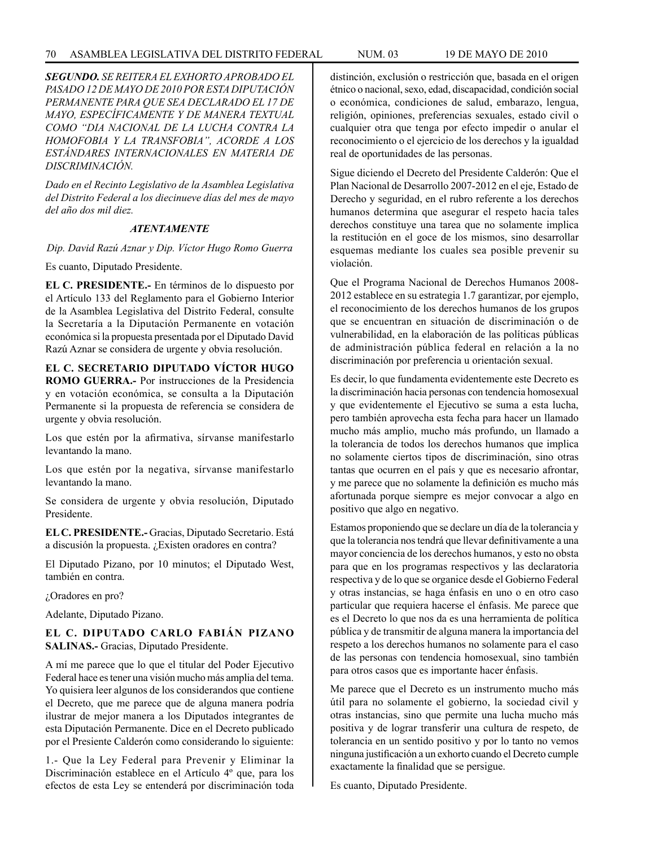*SEGUNDO. SE REITERA EL EXHORTO APROBADO EL PASADO 12 DE MAYO DE 2010 POR ESTA DIPUTACIÓN PERMANENTE PARA QUE SEA DECLARADO EL 17 DE MAYO, ESPECÍFICAMENTE Y DE MANERA TEXTUAL COMO "DIA NACIONAL DE LA LUCHA CONTRA LA HOMOFOBIA Y LA TRANSFOBIA", ACORDE A LOS ESTÁNDARES INTERNACIONALES EN MATERIA DE DISCRIMINACIÓN.* 

*Dado en el Recinto Legislativo de la Asamblea Legislativa del Distrito Federal a los diecinueve días del mes de mayo del año dos mil diez.*

## *ATENTAMENTE*

*Dip. David Razú Aznar y Dip. Víctor Hugo Romo Guerra*

Es cuanto, Diputado Presidente.

**EL C. PRESIDENTE.-** En términos de lo dispuesto por el Artículo 133 del Reglamento para el Gobierno Interior de la Asamblea Legislativa del Distrito Federal, consulte la Secretaría a la Diputación Permanente en votación económica si la propuesta presentada por el Diputado David Razú Aznar se considera de urgente y obvia resolución.

# **EL C. SECRETARIO DIPUTADO VÍCTOR HUGO ROMO GUERRA.-** Por instrucciones de la Presidencia

y en votación económica, se consulta a la Diputación Permanente si la propuesta de referencia se considera de urgente y obvia resolución.

Los que estén por la afirmativa, sírvanse manifestarlo levantando la mano.

Los que estén por la negativa, sírvanse manifestarlo levantando la mano.

Se considera de urgente y obvia resolución, Diputado Presidente.

**EL C. PRESIDENTE.-** Gracias, Diputado Secretario. Está a discusión la propuesta. ¿Existen oradores en contra?

El Diputado Pizano, por 10 minutos; el Diputado West, también en contra.

¿Oradores en pro?

Adelante, Diputado Pizano.

## **EL C. DIPUTADO CARLO FABIÁN PIZANO SALINAS.-** Gracias, Diputado Presidente.

A mí me parece que lo que el titular del Poder Ejecutivo Federal hace es tener una visión mucho más amplia del tema. Yo quisiera leer algunos de los considerandos que contiene el Decreto, que me parece que de alguna manera podría ilustrar de mejor manera a los Diputados integrantes de esta Diputación Permanente. Dice en el Decreto publicado por el Presiente Calderón como considerando lo siguiente:

1.- Que la Ley Federal para Prevenir y Eliminar la Discriminación establece en el Artículo 4º que, para los efectos de esta Ley se entenderá por discriminación toda distinción, exclusión o restricción que, basada en el origen étnico o nacional, sexo, edad, discapacidad, condición social o económica, condiciones de salud, embarazo, lengua, religión, opiniones, preferencias sexuales, estado civil o cualquier otra que tenga por efecto impedir o anular el reconocimiento o el ejercicio de los derechos y la igualdad real de oportunidades de las personas.

Sigue diciendo el Decreto del Presidente Calderón: Que el Plan Nacional de Desarrollo 2007-2012 en el eje, Estado de Derecho y seguridad, en el rubro referente a los derechos humanos determina que asegurar el respeto hacia tales derechos constituye una tarea que no solamente implica la restitución en el goce de los mismos, sino desarrollar esquemas mediante los cuales sea posible prevenir su violación.

Que el Programa Nacional de Derechos Humanos 2008- 2012 establece en su estrategia 1.7 garantizar, por ejemplo, el reconocimiento de los derechos humanos de los grupos que se encuentran en situación de discriminación o de vulnerabilidad, en la elaboración de las políticas públicas de administración pública federal en relación a la no discriminación por preferencia u orientación sexual.

Es decir, lo que fundamenta evidentemente este Decreto es la discriminación hacia personas con tendencia homosexual y que evidentemente el Ejecutivo se suma a esta lucha, pero también aprovecha esta fecha para hacer un llamado mucho más amplio, mucho más profundo, un llamado a la tolerancia de todos los derechos humanos que implica no solamente ciertos tipos de discriminación, sino otras tantas que ocurren en el país y que es necesario afrontar, y me parece que no solamente la definición es mucho más afortunada porque siempre es mejor convocar a algo en positivo que algo en negativo.

Estamos proponiendo que se declare un día de la tolerancia y que la tolerancia nos tendrá que llevar definitivamente a una mayor conciencia de los derechos humanos, y esto no obsta para que en los programas respectivos y las declaratoria respectiva y de lo que se organice desde el Gobierno Federal y otras instancias, se haga énfasis en uno o en otro caso particular que requiera hacerse el énfasis. Me parece que es el Decreto lo que nos da es una herramienta de política pública y de transmitir de alguna manera la importancia del respeto a los derechos humanos no solamente para el caso de las personas con tendencia homosexual, sino también para otros casos que es importante hacer énfasis.

Me parece que el Decreto es un instrumento mucho más útil para no solamente el gobierno, la sociedad civil y otras instancias, sino que permite una lucha mucho más positiva y de lograr transferir una cultura de respeto, de tolerancia en un sentido positivo y por lo tanto no vemos ninguna justificación a un exhorto cuando el Decreto cumple exactamente la finalidad que se persigue.

Es cuanto, Diputado Presidente.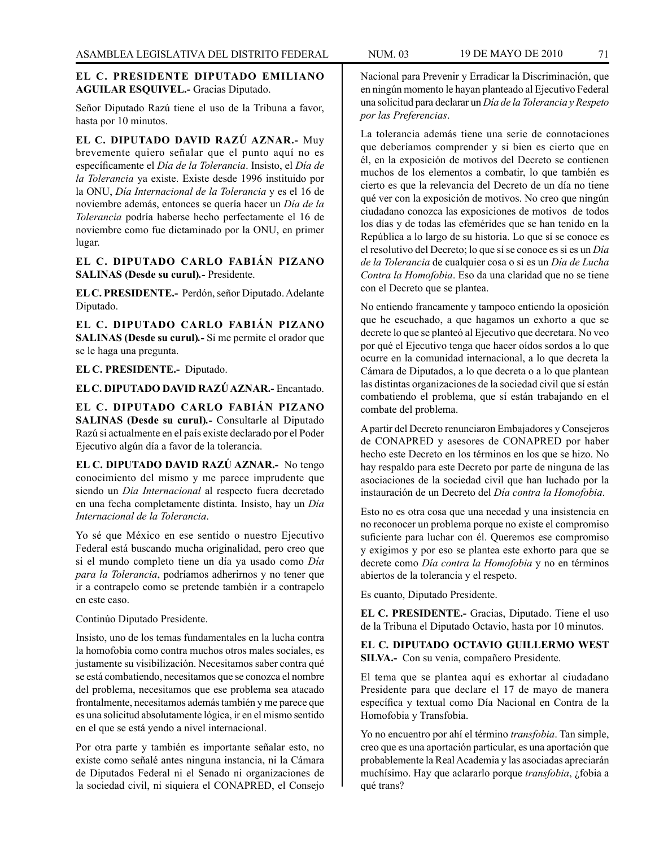## **EL C. PRESIDENTE DIPUTADO EMILIANO AGUILAR ESQUIVEL.-** Gracias Diputado.

Señor Diputado Razú tiene el uso de la Tribuna a favor, hasta por 10 minutos.

**EL C. DIPUTADO DAVID RAZÚ AZNAR.-** Muy brevemente quiero señalar que el punto aquí no es específicamente el *Día de la Tolerancia*. Insisto, el *Día de la Tolerancia* ya existe. Existe desde 1996 instituido por la ONU, *Día Internacional de la Tolerancia* y es el 16 de noviembre además, entonces se quería hacer un *Día de la Tolerancia* podría haberse hecho perfectamente el 16 de noviembre como fue dictaminado por la ONU, en primer lugar.

**EL C. DIPUTADO CARLO FABIÁN PIZANO SALINAS (Desde su curul)***.-* Presidente.

**EL C. PRESIDENTE.-** Perdón, señor Diputado. Adelante Diputado.

**EL C. DIPUTADO CARLO FABIÁN PIZANO SALINAS (Desde su curul)***.-* Si me permite el orador que se le haga una pregunta.

**EL C. PRESIDENTE.-** Diputado.

**EL C. DIPUTADO DAVID RAZÚ AZNAR.-** Encantado.

**EL C. DIPUTADO CARLO FABIÁN PIZANO SALINAS (Desde su curul)***.-* Consultarle al Diputado Razú si actualmente en el país existe declarado por el Poder Ejecutivo algún día a favor de la tolerancia.

**EL C. DIPUTADO DAVID RAZÚ AZNAR.-** No tengo conocimiento del mismo y me parece imprudente que siendo un *Día Internacional* al respecto fuera decretado en una fecha completamente distinta. Insisto, hay un *Día Internacional de la Tolerancia*.

Yo sé que México en ese sentido o nuestro Ejecutivo Federal está buscando mucha originalidad, pero creo que si el mundo completo tiene un día ya usado como *Día para la Tolerancia*, podríamos adherirnos y no tener que ir a contrapelo como se pretende también ir a contrapelo en este caso.

Continúo Diputado Presidente.

Insisto, uno de los temas fundamentales en la lucha contra la homofobia como contra muchos otros males sociales, es justamente su visibilización. Necesitamos saber contra qué se está combatiendo, necesitamos que se conozca el nombre del problema, necesitamos que ese problema sea atacado frontalmente, necesitamos además también y me parece que es una solicitud absolutamente lógica, ir en el mismo sentido en el que se está yendo a nivel internacional.

Por otra parte y también es importante señalar esto, no existe como señalé antes ninguna instancia, ni la Cámara de Diputados Federal ni el Senado ni organizaciones de la sociedad civil, ni siquiera el CONAPRED, el Consejo

Nacional para Prevenir y Erradicar la Discriminación, que en ningún momento le hayan planteado al Ejecutivo Federal una solicitud para declarar un *Día de la Tolerancia y Respeto por las Preferencias*.

La tolerancia además tiene una serie de connotaciones que deberíamos comprender y si bien es cierto que en él, en la exposición de motivos del Decreto se contienen muchos de los elementos a combatir, lo que también es cierto es que la relevancia del Decreto de un día no tiene qué ver con la exposición de motivos. No creo que ningún ciudadano conozca las exposiciones de motivos de todos los días y de todas las efemérides que se han tenido en la República a lo largo de su historia. Lo que sí se conoce es el resolutivo del Decreto; lo que sí se conoce es si es un *Día de la Tolerancia* de cualquier cosa o si es un *Día de Lucha Contra la Homofobia*. Eso da una claridad que no se tiene con el Decreto que se plantea.

No entiendo francamente y tampoco entiendo la oposición que he escuchado, a que hagamos un exhorto a que se decrete lo que se planteó al Ejecutivo que decretara. No veo por qué el Ejecutivo tenga que hacer oídos sordos a lo que ocurre en la comunidad internacional, a lo que decreta la Cámara de Diputados, a lo que decreta o a lo que plantean las distintas organizaciones de la sociedad civil que sí están combatiendo el problema, que sí están trabajando en el combate del problema.

A partir del Decreto renunciaron Embajadores y Consejeros de CONAPRED y asesores de CONAPRED por haber hecho este Decreto en los términos en los que se hizo. No hay respaldo para este Decreto por parte de ninguna de las asociaciones de la sociedad civil que han luchado por la instauración de un Decreto del *Día contra la Homofobia*.

Esto no es otra cosa que una necedad y una insistencia en no reconocer un problema porque no existe el compromiso suficiente para luchar con él. Queremos ese compromiso y exigimos y por eso se plantea este exhorto para que se decrete como *Día contra la Homofobia* y no en términos abiertos de la tolerancia y el respeto.

Es cuanto, Diputado Presidente.

**EL C. PRESIDENTE.-** Gracias, Diputado. Tiene el uso de la Tribuna el Diputado Octavio, hasta por 10 minutos.

**EL C. DIPUTADO OCTAVIO GUILLERMO WEST SILVA.-** Con su venia, compañero Presidente.

El tema que se plantea aquí es exhortar al ciudadano Presidente para que declare el 17 de mayo de manera específica y textual como Día Nacional en Contra de la Homofobia y Transfobia.

Yo no encuentro por ahí el término *transfobia*. Tan simple, creo que es una aportación particular, es una aportación que probablemente la Real Academia y las asociadas apreciarán muchísimo. Hay que aclararlo porque *transfobia*, ¿fobia a qué trans?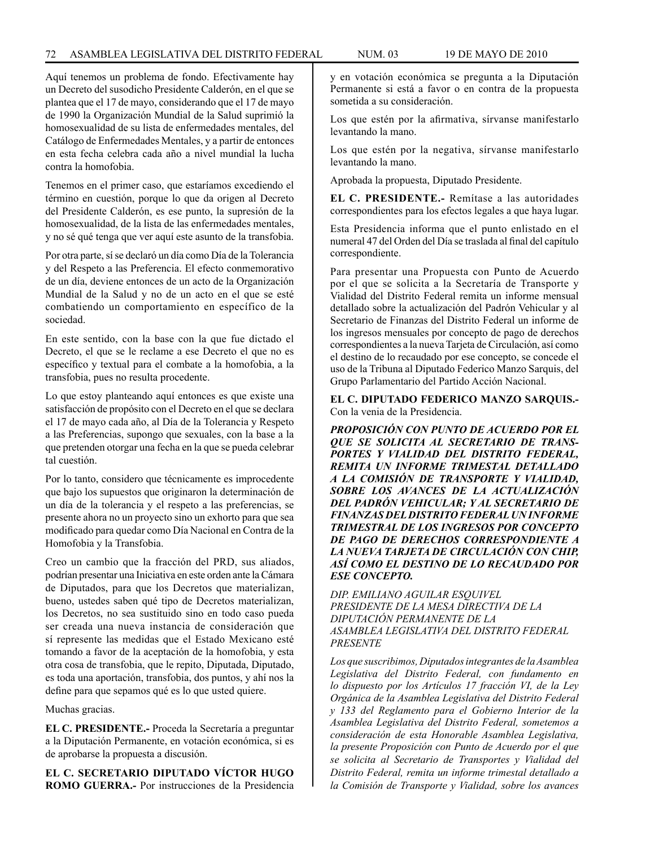Aquí tenemos un problema de fondo. Efectivamente hay un Decreto del susodicho Presidente Calderón, en el que se plantea que el 17 de mayo, considerando que el 17 de mayo de 1990 la Organización Mundial de la Salud suprimió la homosexualidad de su lista de enfermedades mentales, del Catálogo de Enfermedades Mentales, y a partir de entonces en esta fecha celebra cada año a nivel mundial la lucha contra la homofobia.

Tenemos en el primer caso, que estaríamos excediendo el término en cuestión, porque lo que da origen al Decreto del Presidente Calderón, es ese punto, la supresión de la homosexualidad, de la lista de las enfermedades mentales, y no sé qué tenga que ver aquí este asunto de la transfobia.

Por otra parte, sí se declaró un día como Día de la Tolerancia y del Respeto a las Preferencia. El efecto conmemorativo de un día, deviene entonces de un acto de la Organización Mundial de la Salud y no de un acto en el que se esté combatiendo un comportamiento en específico de la sociedad.

En este sentido, con la base con la que fue dictado el Decreto, el que se le reclame a ese Decreto el que no es específico y textual para el combate a la homofobia, a la transfobia, pues no resulta procedente.

Lo que estoy planteando aquí entonces es que existe una satisfacción de propósito con el Decreto en el que se declara el 17 de mayo cada año, al Día de la Tolerancia y Respeto a las Preferencias, supongo que sexuales, con la base a la que pretenden otorgar una fecha en la que se pueda celebrar tal cuestión.

Por lo tanto, considero que técnicamente es improcedente que bajo los supuestos que originaron la determinación de un día de la tolerancia y el respeto a las preferencias, se presente ahora no un proyecto sino un exhorto para que sea modificado para quedar como Día Nacional en Contra de la Homofobia y la Transfobia.

Creo un cambio que la fracción del PRD, sus aliados, podrían presentar una Iniciativa en este orden ante la Cámara de Diputados, para que los Decretos que materializan, bueno, ustedes saben qué tipo de Decretos materializan, los Decretos, no sea sustituido sino en todo caso pueda ser creada una nueva instancia de consideración que sí represente las medidas que el Estado Mexicano esté tomando a favor de la aceptación de la homofobia, y esta otra cosa de transfobia, que le repito, Diputada, Diputado, es toda una aportación, transfobia, dos puntos, y ahí nos la define para que sepamos qué es lo que usted quiere.

Muchas gracias.

**EL C. PRESIDENTE.-** Proceda la Secretaría a preguntar a la Diputación Permanente, en votación económica, si es de aprobarse la propuesta a discusión.

**EL C. SECRETARIO DIPUTADO VÍCTOR HUGO ROMO GUERRA.-** Por instrucciones de la Presidencia y en votación económica se pregunta a la Diputación Permanente si está a favor o en contra de la propuesta sometida a su consideración.

Los que estén por la afirmativa, sírvanse manifestarlo levantando la mano.

Los que estén por la negativa, sírvanse manifestarlo levantando la mano.

Aprobada la propuesta, Diputado Presidente.

**EL C. PRESIDENTE.-** Remítase a las autoridades correspondientes para los efectos legales a que haya lugar.

Esta Presidencia informa que el punto enlistado en el numeral 47 del Orden del Día se traslada al final del capítulo correspondiente.

Para presentar una Propuesta con Punto de Acuerdo por el que se solicita a la Secretaría de Transporte y Vialidad del Distrito Federal remita un informe mensual detallado sobre la actualización del Padrón Vehicular y al Secretario de Finanzas del Distrito Federal un informe de los ingresos mensuales por concepto de pago de derechos correspondientes a la nueva Tarjeta de Circulación, así como el destino de lo recaudado por ese concepto, se concede el uso de la Tribuna al Diputado Federico Manzo Sarquis, del Grupo Parlamentario del Partido Acción Nacional.

**EL C. DIPUTADO FEDERICO MANZO SARQUIS.-**  Con la venia de la Presidencia.

*PROPOSICIÓN CON PUNTO DE ACUERDO POR EL QUE SE SOLICITA AL SECRETARIO DE TRANS-PORTES Y VIALIDAD DEL DISTRITO FEDERAL, REMITA UN INFORME TRIMESTAL DETALLADO A LA COMISIÓN DE TRANSPORTE Y VIALIDAD, SOBRE LOS AVANCES DE LA ACTUALIZACIÓN DEL PADRÓN VEHICULAR; Y AL SECRETARIO DE FINANZAS DEL DISTRITO FEDERAL UN INFORME TRIMESTRAL DE LOS INGRESOS POR CONCEPTO DE PAGO DE DERECHOS CORRESPONDIENTE A LA NUEVA TARJETA DE CIRCULACIÓN CON CHIP, ASÍ COMO EL DESTINO DE LO RECAUDADO POR ESE CONCEPTO.*

*DIP. EMILIANO AGUILAR ESQUIVEL PRESIDENTE DE LA MESA DIRECTIVA DE LA DIPUTACIÓN PERMANENTE DE LA ASAMBLEA LEGISLATIVA DEL DISTRITO FEDERAL PRESENTE*

*Los que suscribimos, Diputados integrantes de la Asamblea Legislativa del Distrito Federal, con fundamento en lo dispuesto por los Artículos 17 fracción VI, de la Ley Orgánica de la Asamblea Legislativa del Distrito Federal y 133 del Reglamento para el Gobierno Interior de la Asamblea Legislativa del Distrito Federal, sometemos a consideración de esta Honorable Asamblea Legislativa, la presente Proposición con Punto de Acuerdo por el que se solicita al Secretario de Transportes y Vialidad del Distrito Federal, remita un informe trimestal detallado a la Comisión de Transporte y Vialidad, sobre los avances*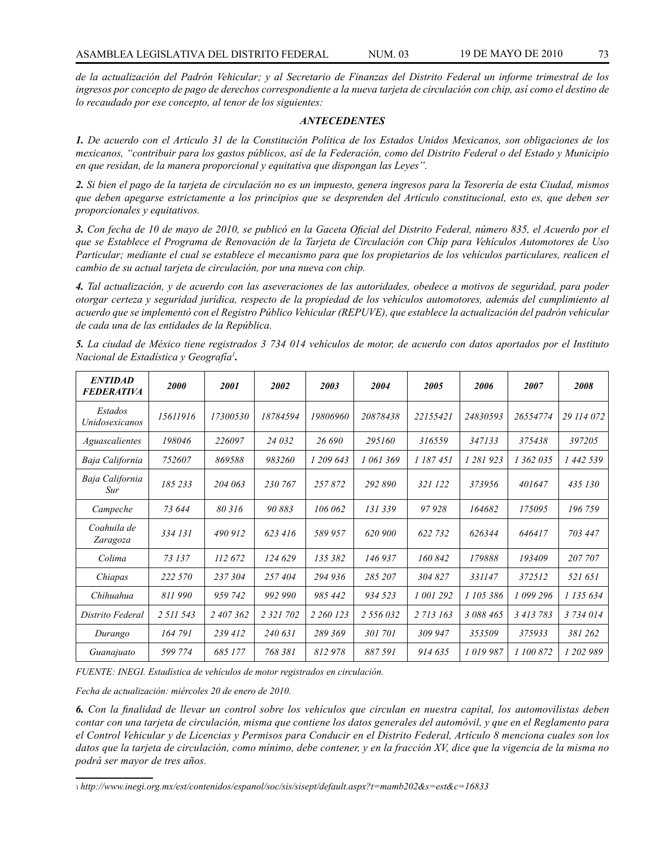*de la actualización del Padrón Vehicular; y al Secretario de Finanzas del Distrito Federal un informe trimestral de los ingresos por concepto de pago de derechos correspondiente a la nueva tarjeta de circulación con chip, así como el destino de lo recaudado por ese concepto, al tenor de los siguientes:* 

#### *ANTECEDENTES*

*1. De acuerdo con el Artículo 31 de la Constitución Política de los Estados Unidos Mexicanos, son obligaciones de los mexicanos, "contribuir para los gastos públicos, así de la Federación, como del Distrito Federal o del Estado y Municipio en que residan, de la manera proporcional y equitativa que dispongan las Leyes".* 

*2. Si bien el pago de la tarjeta de circulación no es un impuesto, genera ingresos para la Tesorería de esta Ciudad, mismos que deben apegarse estrictamente a los principios que se desprenden del Artículo constitucional, esto es, que deben ser proporcionales y equitativos.* 

*3. Con fecha de 10 de mayo de 2010, se publicó en la Gaceta Oficial del Distrito Federal, número 835, el Acuerdo por el que se Establece el Programa de Renovación de la Tarjeta de Circulación con Chip para Vehículos Automotores de Uso Particular; mediante el cual se establece el mecanismo para que los propietarios de los vehículos particulares, realicen el cambio de su actual tarjeta de circulación, por una nueva con chip.* 

*4. Tal actualización, y de acuerdo con las aseveraciones de las autoridades, obedece a motivos de seguridad, para poder otorgar certeza y seguridad jurídica, respecto de la propiedad de los vehículos automotores, además del cumplimiento al acuerdo que se implementó con el Registro Público Vehicular (REPUVE), que establece la actualización del padrón vehicular de cada una de las entidades de la República.* 

| <b>ENTIDAD</b><br><b>FEDERATIVA</b> | 2000      | 2001      | 2002      | 2003      | 2004      | 2005      | 2006      | 2007      | 2008       |
|-------------------------------------|-----------|-----------|-----------|-----------|-----------|-----------|-----------|-----------|------------|
| Estados<br><i>Unidosexicanos</i>    | 15611916  | 17300530  | 18784594  | 19806960  | 20878438  | 22155421  | 24830593  | 26554774  | 29 114 072 |
| Aguascalientes                      | 198046    | 226097    | 24 032    | 26.690    | 295160    | 316559    | 347133    | 375438    | 397205     |
| Baja California                     | 752607    | 869588    | 983260    | 1 209 643 | 1 061 369 | 1 187 451 | 1 281 923 | 1 362 035 | 1 442 539  |
| Baja California<br>Sur              | 185 233   | 204 063   | 230 767   | 257872    | 292890    | 321 122   | 373956    | 401647    | 435 130    |
| Campeche                            | 73 644    | 80 316    | 90883     | 106 062   | 131 339   | 97928     | 164682    | 175095    | 196759     |
| Coahuila de<br>Zaragoza             | 334 131   | 490 912   | 623 416   | 589 957   | 620 900   | 622 732   | 626344    | 646417    | 703 447    |
| Colima                              | 73 137    | 112 672   | 124 629   | 135 382   | 146 937   | 160842    | 179888    | 193409    | 207 707    |
| Chiapas                             | 222 570   | 237 304   | 257404    | 294 936   | 285 207   | 304 827   | 331147    | 372512    | 521 651    |
| Chihuahua                           | 811990    | 959 742   | 992 990   | 985 442   | 934 523   | 1 001 292 | 1 105 386 | 1 099 296 | 1 135 634  |
| Distrito Federal                    | 2 511 543 | 2 407 362 | 2 321 702 | 2 260 123 | 2 556 032 | 2 713 163 | 3 088 465 | 3 413 783 | 3 734 014  |
| Durango                             | 164 791   | 239 412   | 240 631   | 289 369   | 301 701   | 309 947   | 353509    | 375933    | 381 262    |
| Guanajuato                          | 599 774   | 685 177   | 768 381   | 812978    | 887591    | 914635    | 1019987   | 1 100 872 | 1 202 989  |

*5. La ciudad de México tiene registrados 3 734 014 vehículos de motor, de acuerdo con datos aportados por el Instituto Nacional de Estadística y Geografía1 .*

*FUENTE: INEGI. Estadística de vehículos de motor registrados en circulación.*

*Fecha de actualización: miércoles 20 de enero de 2010.*

*6. Con la finalidad de llevar un control sobre los vehículos que circulan en nuestra capital, los automovilistas deben contar con una tarjeta de circulación, misma que contiene los datos generales del automóvil, y que en el Reglamento para el Control Vehicular y de Licencias y Permisos para Conducir en el Distrito Federal, Artículo 8 menciona cuales son los datos que la tarjeta de circulación, como mínimo, debe contener, y en la fracción XV, dice que la vigencia de la misma no podrá ser mayor de tres años.*

<sup>1</sup> *http://www.inegi.org.mx/est/contenidos/espanol/soc/sis/sisept/default.aspx?t=mamb202&s=est&c=16833*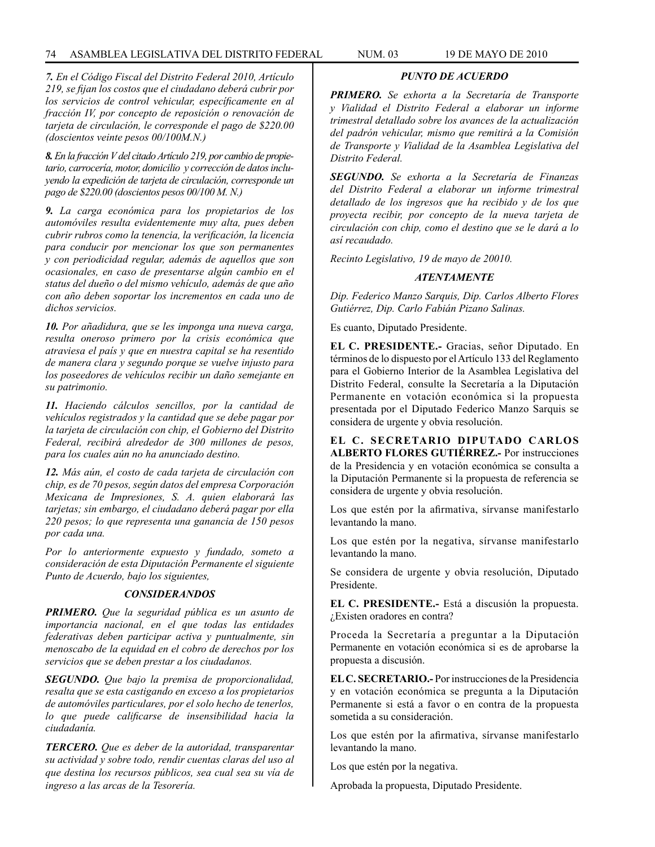## 74 ASAMBLEA LEGISLATIVA DEL DISTRITO FEDERAL NUM. 03 19 de mayo de 2010

*7. En el Código Fiscal del Distrito Federal 2010, Artículo 219, se fijan los costos que el ciudadano deberá cubrir por los servicios de control vehicular, específicamente en al fracción IV, por concepto de reposición o renovación de tarjeta de circulación, le corresponde el pago de \$220.00 (doscientos veinte pesos 00/100M.N.)*

*8. En la fracción V del citado Artículo 219, por cambio de propietario, carrocería, motor, domicilio y corrección de datos incluyendo la expedición de tarjeta de circulación, corresponde un pago de \$220.00 (doscientos pesos 00/100 M. N.)*

*9. La carga económica para los propietarios de los automóviles resulta evidentemente muy alta, pues deben cubrir rubros como la tenencia, la verificación, la licencia para conducir por mencionar los que son permanentes y con periodicidad regular, además de aquellos que son ocasionales, en caso de presentarse algún cambio en el status del dueño o del mismo vehículo, además de que año con año deben soportar los incrementos en cada uno de dichos servicios.* 

*10. Por añadidura, que se les imponga una nueva carga, resulta oneroso primero por la crisis económica que atraviesa el país y que en nuestra capital se ha resentido de manera clara y segundo porque se vuelve injusto para los poseedores de vehículos recibir un daño semejante en su patrimonio.*

*11. Haciendo cálculos sencillos, por la cantidad de vehículos registrados y la cantidad que se debe pagar por la tarjeta de circulación con chip, el Gobierno del Distrito Federal, recibirá alrededor de 300 millones de pesos, para los cuales aún no ha anunciado destino.*

*12. Más aún, el costo de cada tarjeta de circulación con chip, es de 70 pesos, según datos del empresa Corporación Mexicana de Impresiones, S. A. quien elaborará las tarjetas; sin embargo, el ciudadano deberá pagar por ella 220 pesos; lo que representa una ganancia de 150 pesos por cada una.*

*Por lo anteriormente expuesto y fundado, someto a consideración de esta Diputación Permanente el siguiente Punto de Acuerdo, bajo los siguientes,*

### *CONSIDERANDOS*

*PRIMERO. Que la seguridad pública es un asunto de importancia nacional, en el que todas las entidades federativas deben participar activa y puntualmente, sin menoscabo de la equidad en el cobro de derechos por los servicios que se deben prestar a los ciudadanos.*

*SEGUNDO. Que bajo la premisa de proporcionalidad, resalta que se esta castigando en exceso a los propietarios de automóviles particulares, por el solo hecho de tenerlos, lo que puede calificarse de insensibilidad hacia la ciudadanía.* 

*TERCERO. Que es deber de la autoridad, transparentar su actividad y sobre todo, rendir cuentas claras del uso al que destina los recursos públicos, sea cual sea su vía de ingreso a las arcas de la Tesorería.* 

# *PUNTO DE ACUERDO*

*PRIMERO. Se exhorta a la Secretaría de Transporte y Vialidad el Distrito Federal a elaborar un informe trimestral detallado sobre los avances de la actualización del padrón vehicular, mismo que remitirá a la Comisión de Transporte y Vialidad de la Asamblea Legislativa del Distrito Federal.* 

*SEGUNDO. Se exhorta a la Secretaría de Finanzas del Distrito Federal a elaborar un informe trimestral detallado de los ingresos que ha recibido y de los que proyecta recibir, por concepto de la nueva tarjeta de circulación con chip, como el destino que se le dará a lo así recaudado.*

*Recinto Legislativo, 19 de mayo de 20010.*

### *ATENTAMENTE*

*Dip. Federico Manzo Sarquis, Dip. Carlos Alberto Flores Gutiérrez, Dip. Carlo Fabián Pizano Salinas.*

Es cuanto, Diputado Presidente.

**EL C. PRESIDENTE.-** Gracias, señor Diputado. En términos de lo dispuesto por el Artículo 133 del Reglamento para el Gobierno Interior de la Asamblea Legislativa del Distrito Federal, consulte la Secretaría a la Diputación Permanente en votación económica si la propuesta presentada por el Diputado Federico Manzo Sarquis se considera de urgente y obvia resolución.

**EL C. SECRETARIO DIPUTADO CARLOS ALBERTO FLORES GUTIÉRREZ.-** Por instrucciones de la Presidencia y en votación económica se consulta a la Diputación Permanente si la propuesta de referencia se considera de urgente y obvia resolución.

Los que estén por la afirmativa, sírvanse manifestarlo levantando la mano.

Los que estén por la negativa, sírvanse manifestarlo levantando la mano.

Se considera de urgente y obvia resolución, Diputado Presidente.

**EL C. PRESIDENTE.-** Está a discusión la propuesta. ¿Existen oradores en contra?

Proceda la Secretaría a preguntar a la Diputación Permanente en votación económica si es de aprobarse la propuesta a discusión.

**EL C. SECRETARIO.-** Por instrucciones de la Presidencia y en votación económica se pregunta a la Diputación Permanente si está a favor o en contra de la propuesta sometida a su consideración.

Los que estén por la afirmativa, sírvanse manifestarlo levantando la mano.

Los que estén por la negativa.

Aprobada la propuesta, Diputado Presidente.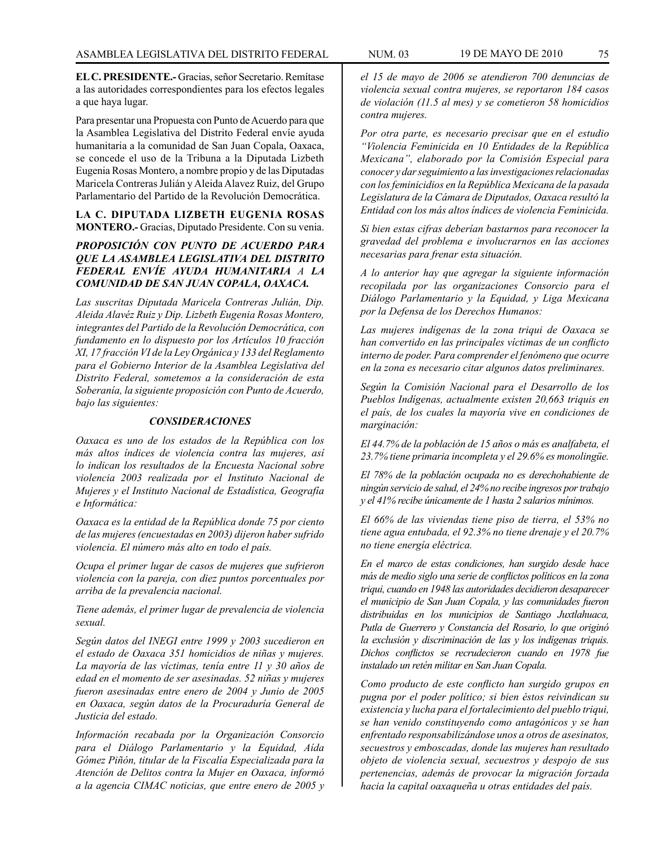**EL C. PRESIDENTE.-** Gracias, señor Secretario. Remítase a las autoridades correspondientes para los efectos legales a que haya lugar.

Para presentar una Propuesta con Punto de Acuerdo para que la Asamblea Legislativa del Distrito Federal envíe ayuda humanitaria a la comunidad de San Juan Copala, Oaxaca, se concede el uso de la Tribuna a la Diputada Lizbeth Eugenia Rosas Montero, a nombre propio y de las Diputadas Maricela Contreras Julián y Aleida Alavez Ruiz, del Grupo Parlamentario del Partido de la Revolución Democrática.

**LA C. DIPUTADA LIZBETH EUGENIA ROSAS MONTERO.-** Gracias, Diputado Presidente. Con su venia.

# *PROPOSICIÓN CON PUNTO DE ACUERDO PARA QUE LA ASAMBLEA LEGISLATIVA DEL DISTRITO FEDERAL ENVÍE AYUDA HUMANITARIA A LA COMUNIDAD DE SAN JUAN COPALA, OAXACA.*

*Las suscritas Diputada Maricela Contreras Julián, Dip. Aleida Alavéz Ruiz y Dip. Lizbeth Eugenia Rosas Montero, integrantes del Partido de la Revolución Democrática, con fundamento en lo dispuesto por los Artículos 10 fracción XI, 17 fracción VI de la Ley Orgánica y 133 del Reglamento para el Gobierno Interior de la Asamblea Legislativa del Distrito Federal, sometemos a la consideración de esta Soberanía, la siguiente proposición con Punto de Acuerdo, bajo las siguientes:* 

### *CONSIDERACIONES*

*Oaxaca es uno de los estados de la República con los más altos índices de violencia contra las mujeres, así lo indican los resultados de la Encuesta Nacional sobre violencia 2003 realizada por el Instituto Nacional de Mujeres y el Instituto Nacional de Estadística, Geografía e Informática:* 

*Oaxaca es la entidad de la República donde 75 por ciento de las mujeres (encuestadas en 2003) dijeron haber sufrido violencia. El número más alto en todo el país.* 

*Ocupa el primer lugar de casos de mujeres que sufrieron violencia con la pareja, con diez puntos porcentuales por arriba de la prevalencia nacional.* 

*Tiene además, el primer lugar de prevalencia de violencia sexual.*

*Según datos del INEGI entre 1999 y 2003 sucedieron en el estado de Oaxaca 351 homicidios de niñas y mujeres. La mayoría de las víctimas, tenía entre 11 y 30 años de edad en el momento de ser asesinadas. 52 niñas y mujeres fueron asesinadas entre enero de 2004 y Junio de 2005 en Oaxaca, según datos de la Procuraduría General de Justicia del estado.* 

*Información recabada por la Organización Consorcio para el Diálogo Parlamentario y la Equidad, Aída Gómez Piñón, titular de la Fiscalía Especializada para la Atención de Delitos contra la Mujer en Oaxaca, informó a la agencia CIMAC noticias, que entre enero de 2005 y*  *el 15 de mayo de 2006 se atendieron 700 denuncias de violencia sexual contra mujeres, se reportaron 184 casos de violación (11.5 al mes) y se cometieron 58 homicidios contra mujeres.* 

*Por otra parte, es necesario precisar que en el estudio "Violencia Feminicida en 10 Entidades de la República Mexicana", elaborado por la Comisión Especial para conocer y dar seguimiento a las investigaciones relacionadas con losfeminicidios en la República Mexicana de la pasada Legislatura de la Cámara de Diputados, Oaxaca resultó la Entidad con los más altos índices de violencia Feminicida.* 

*Si bien estas cifras deberían bastarnos para reconocer la gravedad del problema e involucrarnos en las acciones necesarias para frenar esta situación.* 

*A lo anterior hay que agregar la siguiente información recopilada por las organizaciones Consorcio para el Diálogo Parlamentario y la Equidad, y Liga Mexicana por la Defensa de los Derechos Humanos:* 

*Las mujeres indígenas de la zona triqui de Oaxaca se han convertido en las principales víctimas de un conflicto interno de poder. Para comprender el fenómeno que ocurre en la zona es necesario citar algunos datos preliminares.*

*Según la Comisión Nacional para el Desarrollo de los Pueblos Indígenas, actualmente existen 20,663 triquis en el país, de los cuales la mayoría vive en condiciones de marginación:* 

*El 44.7% de la población de 15 años o más es analfabeta, el 23.7% tiene primaria incompleta y el 29.6% es monolingüe.* 

*El 78% de la población ocupada no es derechohabiente de ningún servicio de salud, el 24% no recibe ingresos por trabajo y el 41% recibe únicamente de 1 hasta 2 salarios mínimos.* 

*El 66% de las viviendas tiene piso de tierra, el 53% no tiene agua entubada, el 92.3% no tiene drenaje y el 20.7% no tiene energía eléctrica.* 

*En el marco de estas condiciones, han surgido desde hace más de medio siglo una serie de conflictos políticos en la zona triqui, cuando en 1948 las autoridades decidieron desaparecer el municipio de San Juan Copala, y las comunidades fueron distribuidas en los municipios de Santiago Juxtlahuaca, Putla de Guerrero y Constancia del Rosario, lo que originó la exclusión y discriminación de las y los indígenas triquis. Dichos conflictos se recrudecieron cuando en 1978 fue instalado un retén militar en San Juan Copala.* 

*Como producto de este conflicto han surgido grupos en pugna por el poder político; si bien éstos reivindican su existencia y lucha para el fortalecimiento del pueblo triqui, se han venido constituyendo como antagónicos y se han enfrentado responsabilizándose unos a otros de asesinatos, secuestros y emboscadas, donde las mujeres han resultado objeto de violencia sexual, secuestros y despojo de sus pertenencias, además de provocar la migración forzada hacia la capital oaxaqueña u otras entidades del país.*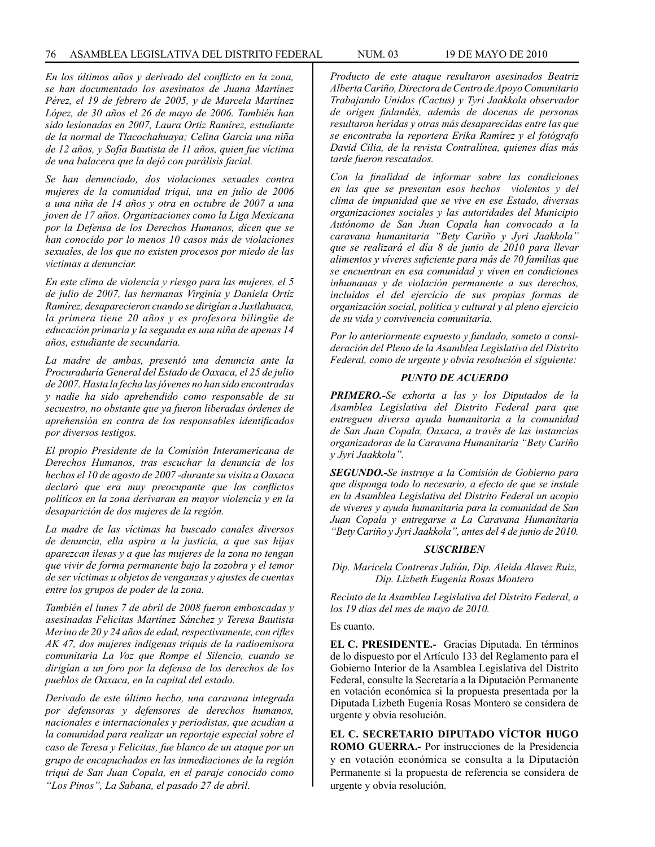*En los últimos años y derivado del conflicto en la zona, se han documentado los asesinatos de Juana Martínez Pérez, el 19 de febrero de 2005, y de Marcela Martínez López, de 30 años el 26 de mayo de 2006. También han sido lesionadas en 2007, Laura Ortiz Ramírez, estudiante de la normal de Tlacochahuaya; Celina García una niña de 12 años, y Sofía Bautista de 11 años, quien fue víctima de una balacera que la dejó con parálisis facial.* 

*Se han denunciado, dos violaciones sexuales contra mujeres de la comunidad triqui, una en julio de 2006 a una niña de 14 años y otra en octubre de 2007 a una joven de 17 años. Organizaciones como la Liga Mexicana por la Defensa de los Derechos Humanos, dicen que se han conocido por lo menos 10 casos más de violaciones sexuales, de los que no existen procesos por miedo de las víctimas a denunciar.*

*En este clima de violencia y riesgo para las mujeres, el 5 de julio de 2007, las hermanas Virginia y Daniela Ortiz Ramírez, desaparecieron cuando se dirigían a Juxtlahuaca, la primera tiene 20 años y es profesora bilingüe de educación primaria y la segunda es una niña de apenas 14 años, estudiante de secundaria.* 

*La madre de ambas, presentó una denuncia ante la Procuraduría General del Estado de Oaxaca, el 25 de julio de 2007. Hasta la fecha las jóvenes no han sido encontradas y nadie ha sido aprehendido como responsable de su secuestro, no obstante que ya fueron liberadas órdenes de aprehensión en contra de los responsables identificados por diversos testigos.* 

*El propio Presidente de la Comisión Interamericana de Derechos Humanos, tras escuchar la denuncia de los hechos el 10 de agosto de 2007 -durante su visita a Oaxaca declaró que era muy preocupante que los conflictos políticos en la zona derivaran en mayor violencia y en la desaparición de dos mujeres de la región.* 

*La madre de las víctimas ha buscado canales diversos de denuncia, ella aspira a la justicia, a que sus hijas aparezcan ilesas y a que las mujeres de la zona no tengan que vivir de forma permanente bajo la zozobra y el temor de ser víctimas u objetos de venganzas y ajustes de cuentas entre los grupos de poder de la zona.*

*También el lunes 7 de abril de 2008 fueron emboscadas y asesinadas Felicitas Martínez Sánchez y Teresa Bautista Merino de 20 y 24 años de edad, respectivamente, con rifles AK 47, dos mujeres indígenas triquis de la radioemisora comunitaria La Voz que Rompe el Silencio, cuando se dirigían a un foro por la defensa de los derechos de los pueblos de Oaxaca, en la capital del estado.*

*Derivado de este último hecho, una caravana integrada por defensoras y defensores de derechos humanos, nacionales e internacionales y periodistas, que acudían a la comunidad para realizar un reportaje especial sobre el caso de Teresa y Felicitas, fue blanco de un ataque por un grupo de encapuchados en las inmediaciones de la región triqui de San Juan Copala, en el paraje conocido como "Los Pinos", La Sabana, el pasado 27 de abril.*

*Producto de este ataque resultaron asesinados Beatriz Alberta Cariño, Directora de Centro de Apoyo Comunitario Trabajando Unidos (Cactus) y Tyri Jaakkola observador de origen finlandés, además de docenas de personas resultaron heridas y otras más desaparecidas entre las que se encontraba la reportera Erika Ramírez y el fotógrafo David Cilia, de la revista Contralínea, quienes días más tarde fueron rescatados.*

*Con la finalidad de informar sobre las condiciones en las que se presentan esos hechos violentos y del clima de impunidad que se vive en ese Estado, diversas organizaciones sociales y las autoridades del Municipio Autónomo de San Juan Copala han convocado a la caravana humanitaria "Bety Cariño y Jyri Jaakkola" que se realizará el día 8 de junio de 2010 para llevar alimentos y víveres suficiente para más de 70 familias que se encuentran en esa comunidad y viven en condiciones inhumanas y de violación permanente a sus derechos, incluidos el del ejercicio de sus propias formas de organización social, política y cultural y al pleno ejercicio de su vida y convivencia comunitaria.*

*Por lo anteriormente expuesto y fundado, someto a consideración del Pleno de la Asamblea Legislativa del Distrito Federal, como de urgente y obvia resolución el siguiente:*

### *PUNTO DE ACUERDO*

*PRIMERO.-Se exhorta a las y los Diputados de la Asamblea Legislativa del Distrito Federal para que entreguen diversa ayuda humanitaria a la comunidad de San Juan Copala, Oaxaca, a través de las instancias organizadoras de la Caravana Humanitaria "Bety Cariño y Jyri Jaakkola".* 

*SEGUNDO.-Se instruye a la Comisión de Gobierno para que disponga todo lo necesario, a efecto de que se instale en la Asamblea Legislativa del Distrito Federal un acopio de víveres y ayuda humanitaria para la comunidad de San Juan Copala y entregarse a La Caravana Humanitaria "Bety Cariño y Jyri Jaakkola", antes del 4 de junio de 2010.* 

#### *SUSCRIBEN*

*Dip. Maricela Contreras Julián, Dip. Aleida Alavez Ruiz, Dip. Lizbeth Eugenia Rosas Montero*

*Recinto de la Asamblea Legislativa del Distrito Federal, a los 19 días del mes de mayo de 2010.* 

Es cuanto.

**EL C. PRESIDENTE.-** Gracias Diputada. En términos de lo dispuesto por el Artículo 133 del Reglamento para el Gobierno Interior de la Asamblea Legislativa del Distrito Federal, consulte la Secretaría a la Diputación Permanente en votación económica si la propuesta presentada por la Diputada Lizbeth Eugenia Rosas Montero se considera de urgente y obvia resolución.

**EL C. SECRETARIO DIPUTADO VÍCTOR HUGO ROMO GUERRA.-** Por instrucciones de la Presidencia y en votación económica se consulta a la Diputación Permanente si la propuesta de referencia se considera de urgente y obvia resolución.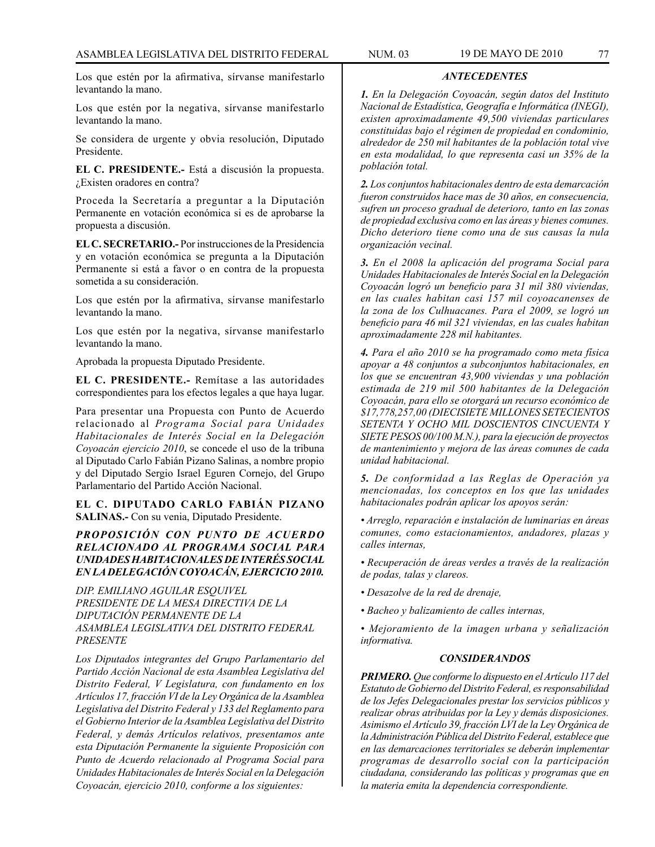Los que estén por la afirmativa, sírvanse manifestarlo levantando la mano.

Los que estén por la negativa, sírvanse manifestarlo levantando la mano.

Se considera de urgente y obvia resolución, Diputado Presidente.

**EL C. PRESIDENTE.-** Está a discusión la propuesta. ¿Existen oradores en contra?

Proceda la Secretaría a preguntar a la Diputación Permanente en votación económica si es de aprobarse la propuesta a discusión.

**EL C. SECRETARIO.-** Por instrucciones de la Presidencia y en votación económica se pregunta a la Diputación Permanente si está a favor o en contra de la propuesta sometida a su consideración.

Los que estén por la afirmativa, sírvanse manifestarlo levantando la mano.

Los que estén por la negativa, sírvanse manifestarlo levantando la mano.

Aprobada la propuesta Diputado Presidente.

**EL C. PRESIDENTE.-** Remítase a las autoridades correspondientes para los efectos legales a que haya lugar.

Para presentar una Propuesta con Punto de Acuerdo relacionado al *Programa Social para Unidades Habitacionales de Interés Social en la Delegación Coyoacán ejercicio 2010*, se concede el uso de la tribuna al Diputado Carlo Fabián Pizano Salinas, a nombre propio y del Diputado Sergio Israel Eguren Cornejo, del Grupo Parlamentario del Partido Acción Nacional.

# **EL C. DIPUTADO CARLO FABIÁN PIZANO SALINAS.-** Con su venia, Diputado Presidente.

# *PROPOSICIÓN CON PUNTO DE ACUERDO RELACIONADO AL PROGRAMA SOCIAL PARA UNIDADES HABITACIONALES DE INTERÉS SOCIAL EN LA DELEGACIÓN COYOACÁN, EJERCICIO 2010.*

*DIP. EMILIANO AGUILAR ESQUIVEL PRESIDENTE DE LA MESA DIRECTIVA DE LA DIPUTACIÓN PERMANENTE DE LA ASAMBLEA LEGISLATIVA DEL DISTRITO FEDERAL PRESENTE*

*Los Diputados integrantes del Grupo Parlamentario del Partido Acción Nacional de esta Asamblea Legislativa del Distrito Federal, V Legislatura, con fundamento en los Artículos 17, fracción VI de la Ley Orgánica de la Asamblea Legislativa del Distrito Federal y 133 del Reglamento para el Gobierno Interior de la Asamblea Legislativa del Distrito Federal, y demás Artículos relativos, presentamos ante esta Diputación Permanente la siguiente Proposición con Punto de Acuerdo relacionado al Programa Social para Unidades Habitacionales de Interés Social en la Delegación Coyoacán, ejercicio 2010, conforme a los siguientes:*

# *ANTECEDENTES*

*1. En la Delegación Coyoacán, según datos del Instituto Nacional de Estadística, Geografía e Informática (INEGI), existen aproximadamente 49,500 viviendas particulares constituidas bajo el régimen de propiedad en condominio, alrededor de 250 mil habitantes de la población total vive en esta modalidad, lo que representa casi un 35% de la población total.*

*2. Los conjuntos habitacionales dentro de esta demarcación fueron construidos hace mas de 30 años, en consecuencia, sufren un proceso gradual de deterioro, tanto en las zonas de propiedad exclusiva como en las áreas y bienes comunes. Dicho deterioro tiene como una de sus causas la nula organización vecinal.*

*3. En el 2008 la aplicación del programa Social para Unidades Habitacionales de Interés Social en la Delegación Coyoacán logró un beneficio para 31 mil 380 viviendas, en las cuales habitan casi 157 mil coyoacanenses de la zona de los Culhuacanes. Para el 2009, se logró un beneficio para 46 mil 321 viviendas, en las cuales habitan aproximadamente 228 mil habitantes.*

*4. Para el año 2010 se ha programado como meta física apoyar a 48 conjuntos a subconjuntos habitacionales, en los que se encuentran 43,900 viviendas y una población estimada de 219 mil 500 habitantes de la Delegación Coyoacán, para ello se otorgará un recurso económico de \$17,778,257,00 (DIECISIETE MILLONES SETECIENTOS SETENTA Y OCHO MIL DOSCIENTOS CINCUENTA Y SIETE PESOS 00/100 M.N.), para la ejecución de proyectos de mantenimiento y mejora de las áreas comunes de cada unidad habitacional.*

*5. De conformidad a las Reglas de Operación ya mencionadas, los conceptos en los que las unidades habitacionales podrán aplicar los apoyos serán:*

- *Arreglo, reparación e instalación de luminarias en áreas comunes, como estacionamientos, andadores, plazas y calles internas,*
- *Recuperación de áreas verdes a través de la realización de podas, talas y clareos.*
- *Desazolve de la red de drenaje,*
- *Bacheo y balizamiento de calles internas,*
- *Mejoramiento de la imagen urbana y señalización informativa.*

### *CONSIDERANDOS*

*PRIMERO. Que conforme lo dispuesto en el Artículo 117 del Estatuto de Gobierno del Distrito Federal, es responsabilidad de los Jefes Delegacionales prestar los servicios públicos y realizar obras atribuidas por la Ley y demás disposiciones. Asimismo el Artículo 39, fracción LVI de la Ley Orgánica de la Administración Pública del Distrito Federal, establece que en las demarcaciones territoriales se deberán implementar programas de desarrollo social con la participación ciudadana, considerando las políticas y programas que en la materia emita la dependencia correspondiente.*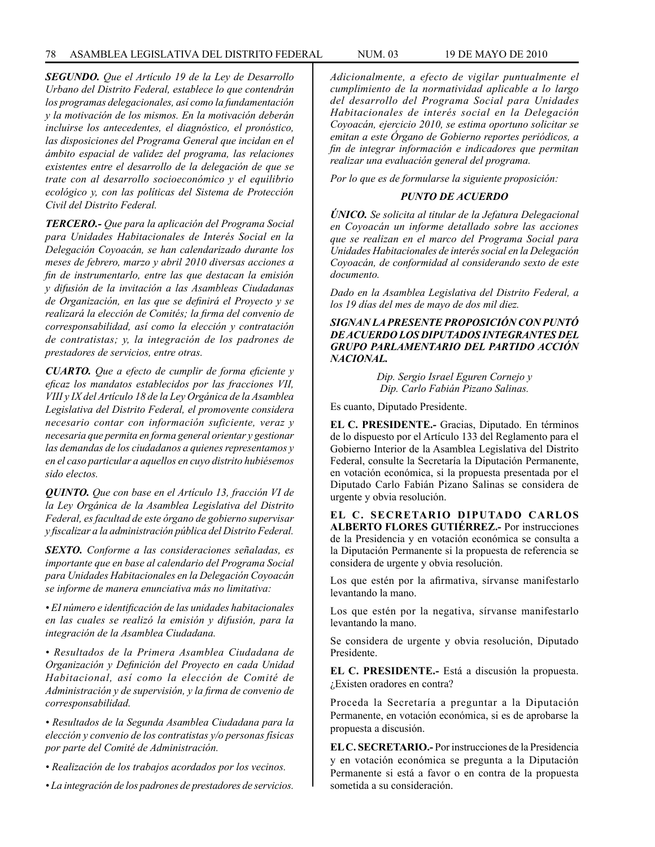*SEGUNDO. Que el Artículo 19 de la Ley de Desarrollo Urbano del Distrito Federal, establece lo que contendrán los programas delegacionales, así como la fundamentación y la motivación de los mismos. En la motivación deberán incluirse los antecedentes, el diagnóstico, el pronóstico, las disposiciones del Programa General que incidan en el ámbito espacial de validez del programa, las relaciones existentes entre el desarrollo de la delegación de que se trate con al desarrollo socioeconómico y el equilibrio ecológico y, con las políticas del Sistema de Protección Civil del Distrito Federal.*

*TERCERO.- Que para la aplicación del Programa Social para Unidades Habitacionales de Interés Social en la Delegación Coyoacán, se han calendarizado durante los meses de febrero, marzo y abril 2010 diversas acciones a fin de instrumentarlo, entre las que destacan la emisión y difusión de la invitación a las Asambleas Ciudadanas de Organización, en las que se definirá el Proyecto y se realizará la elección de Comités; la firma del convenio de corresponsabilidad, así como la elección y contratación de contratistas; y, la integración de los padrones de prestadores de servicios, entre otras.*

*CUARTO. Que a efecto de cumplir de forma eficiente y eficaz los mandatos establecidos por las fracciones VII, VIII y IX del Artículo 18 de la Ley Orgánica de la Asamblea Legislativa del Distrito Federal, el promovente considera necesario contar con información suficiente, veraz y necesaria que permita en forma general orientar y gestionar las demandas de los ciudadanos a quienes representamos y en el caso particular a aquellos en cuyo distrito hubiésemos sido electos.*

*QUINTO. Que con base en el Artículo 13, fracción VI de la Ley Orgánica de la Asamblea Legislativa del Distrito Federal, es facultad de este órgano de gobierno supervisar y fiscalizar a la administración pública del Distrito Federal.*

*SEXTO. Conforme a las consideraciones señaladas, es importante que en base al calendario del Programa Social para Unidades Habitacionales en la Delegación Coyoacán se informe de manera enunciativa más no limitativa:*

*• EI número e identificación de las unidades habitacionales en las cuales se realizó la emisión y difusión, para la integración de la Asamblea Ciudadana.*

*• Resultados de la Primera Asamblea Ciudadana de Organización y Definición del Proyecto en cada Unidad Habitacional, así como la elección de Comité de Administración y de supervisión, y la firma de convenio de corresponsabilidad.*

*• Resultados de la Segunda Asamblea Ciudadana para la elección y convenio de los contratistas y/o personas físicas por parte del Comité de Administración.*

- *Realización de los trabajos acordados por los vecinos.*
- *La integración de los padrones de prestadores de servicios.*

*Adicionalmente, a efecto de vigilar puntualmente el cumplimiento de la normatividad aplicable a lo largo del desarrollo del Programa Social para Unidades Habitacionales de interés social en la Delegación Coyoacán, ejercicio 2010, se estima oportuno solicitar se emitan a este Órgano de Gobierno reportes periódicos, a fin de integrar información e indicadores que permitan realizar una evaluación general del programa.*

*Por lo que es de formularse la siguiente proposición:*

### *PUNTO DE ACUERDO*

*ÚNICO. Se solicita al titular de la Jefatura Delegacional en Coyoacán un informe detallado sobre las acciones que se realizan en el marco del Programa Social para Unidades Habitacionales de interés social en la Delegación Coyoacán, de conformidad al considerando sexto de este documento.*

*Dado en la Asamblea Legislativa del Distrito Federal, a los 19 días del mes de mayo de dos mil diez.*

## *SIGNAN LA PRESENTE PROPOSICIÓN CON PUNTÓ DE ACUERDO LOS DIPUTADOS INTEGRANTES DEL GRUPO PARLAMENTARIO DEL PARTIDO ACCIÓN NACIONAL.*

*Dip. Sergio Israel Eguren Cornejo y Dip. Carlo Fabián Pizano Salinas.*

Es cuanto, Diputado Presidente.

**EL C. PRESIDENTE.-** Gracias, Diputado. En términos de lo dispuesto por el Artículo 133 del Reglamento para el Gobierno Interior de la Asamblea Legislativa del Distrito Federal, consulte la Secretaría la Diputación Permanente, en votación económica, si la propuesta presentada por el Diputado Carlo Fabián Pizano Salinas se considera de urgente y obvia resolución.

**EL C. SECRETARIO DIPUTADO CARLOS ALBERTO FLORES GUTIÉRREZ.-** Por instrucciones de la Presidencia y en votación económica se consulta a la Diputación Permanente si la propuesta de referencia se considera de urgente y obvia resolución.

Los que estén por la afirmativa, sírvanse manifestarlo levantando la mano.

Los que estén por la negativa, sírvanse manifestarlo levantando la mano.

Se considera de urgente y obvia resolución, Diputado Presidente.

**EL C. PRESIDENTE.-** Está a discusión la propuesta. ¿Existen oradores en contra?

Proceda la Secretaría a preguntar a la Diputación Permanente, en votación económica, si es de aprobarse la propuesta a discusión.

**EL C. SECRETARIO.-** Por instrucciones de la Presidencia y en votación económica se pregunta a la Diputación Permanente si está a favor o en contra de la propuesta sometida a su consideración.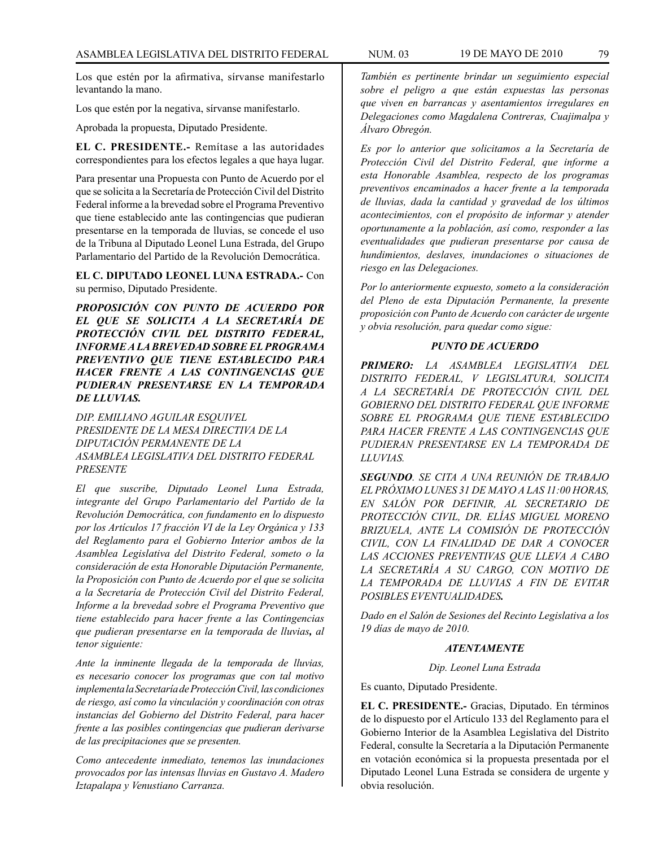Los que estén por la afirmativa, sírvanse manifestarlo levantando la mano.

Los que estén por la negativa, sírvanse manifestarlo.

Aprobada la propuesta, Diputado Presidente.

**EL C. PRESIDENTE.-** Remítase a las autoridades correspondientes para los efectos legales a que haya lugar.

Para presentar una Propuesta con Punto de Acuerdo por el que se solicita a la Secretaría de Protección Civil del Distrito Federal informe a la brevedad sobre el Programa Preventivo que tiene establecido ante las contingencias que pudieran presentarse en la temporada de lluvias, se concede el uso de la Tribuna al Diputado Leonel Luna Estrada, del Grupo Parlamentario del Partido de la Revolución Democrática.

**EL C. DIPUTADO LEONEL LUNA ESTRADA.-** Con su permiso, Diputado Presidente.

*PROPOSICIÓN CON PUNTO DE ACUERDO POR EL QUE SE SOLICITA A LA SECRETARÍA DE PROTECCIÓN CIVIL DEL DISTRITO FEDERAL, INFORME A LA BREVEDAD SOBRE EL PROGRAMA PREVENTIVO QUE TIENE ESTABLECIDO PARA HACER FRENTE A LAS CONTINGENCIAS QUE PUDIERAN PRESENTARSE EN LA TEMPORADA DE LLUVIAS.* 

*DIP. EMILIANO AGUILAR ESQUIVEL PRESIDENTE DE LA MESA DIRECTIVA DE LA DIPUTACIÓN PERMANENTE DE LA ASAMBLEA LEGISLATIVA DEL DISTRITO FEDERAL PRESENTE*

*El que suscribe, Diputado Leonel Luna Estrada, integrante del Grupo Parlamentario del Partido de la Revolución Democrática, con fundamento en lo dispuesto por los Artículos 17 fracción VI de la Ley Orgánica y 133 del Reglamento para el Gobierno Interior ambos de la Asamblea Legislativa del Distrito Federal, someto o la consideración de esta Honorable Diputación Permanente, la Proposición con Punto de Acuerdo por el que se solicita a la Secretaría de Protección Civil del Distrito Federal, Informe a la brevedad sobre el Programa Preventivo que tiene establecido para hacer frente a las Contingencias que pudieran presentarse en la temporada de lluvias, al tenor siguiente:* 

*Ante la inminente llegada de la temporada de lluvias, es necesario conocer los programas que con tal motivo implementa la Secretaría de Protección Civil, las condiciones de riesgo, así como la vinculación y coordinación con otras instancias del Gobierno del Distrito Federal, para hacer frente a las posibles contingencias que pudieran derivarse de las precipitaciones que se presenten.* 

*Como antecedente inmediato, tenemos las inundaciones provocados por las intensas lluvias en Gustavo A. Madero Iztapalapa y Venustiano Carranza.* 

*También es pertinente brindar un seguimiento especial sobre el peligro a que están expuestas las personas que viven en barrancas y asentamientos irregulares en Delegaciones como Magdalena Contreras, Cuajimalpa y Álvaro Obregón.* 

*Es por lo anterior que solicitamos a la Secretaría de Protección Civil del Distrito Federal, que informe a esta Honorable Asamblea, respecto de los programas preventivos encaminados a hacer frente a la temporada de lluvias, dada la cantidad y gravedad de los últimos acontecimientos, con el propósito de informar y atender oportunamente a la población, así como, responder a las eventualidades que pudieran presentarse por causa de hundimientos, deslaves, inundaciones o situaciones de riesgo en las Delegaciones.* 

*Por lo anteriormente expuesto, someto a la consideración del Pleno de esta Diputación Permanente, la presente proposición con Punto de Acuerdo con carácter de urgente y obvia resolución, para quedar como sigue:* 

### *PUNTO DE ACUERDO*

*PRIMERO: LA ASAMBLEA LEGISLATIVA DEL DISTRITO FEDERAL, V LEGISLATURA, SOLICITA A LA SECRETARÍA DE PROTECCIÓN CIVIL DEL GOBIERNO DEL DISTRITO FEDERAL QUE INFORME SOBRE EL PROGRAMA QUE TIENE ESTABLECIDO PARA HACER FRENTE A LAS CONTINGENCIAS QUE PUDIERAN PRESENTARSE EN LA TEMPORADA DE LLUVIAS.*

*SEGUNDO. SE CITA A UNA REUNIÓN DE TRABAJO EL PRÓXIMO LUNES 31 DE MAYO A LAS 11:00 HORAS, EN SALÓN POR DEFINIR, AL SECRETARIO DE PROTECCIÓN CIVIL, DR. ELÍAS MIGUEL MORENO BRIZUELA, ANTE LA COMISIÓN DE PROTECCIÓN CIVIL, CON LA FINALIDAD DE DAR A CONOCER LAS ACCIONES PREVENTIVAS QUE LLEVA A CABO LA SECRETARÍA A SU CARGO, CON MOTIVO DE LA TEMPORADA DE LLUVIAS A FIN DE EVITAR POSIBLES EVENTUALIDADES.*

*Dado en el Salón de Sesiones del Recinto Legislativa a los 19 días de mayo de 2010.*

### *ATENTAMENTE*

*Dip. Leonel Luna Estrada*

Es cuanto, Diputado Presidente.

**EL C. PRESIDENTE.-** Gracias, Diputado. En términos de lo dispuesto por el Artículo 133 del Reglamento para el Gobierno Interior de la Asamblea Legislativa del Distrito Federal, consulte la Secretaría a la Diputación Permanente en votación económica si la propuesta presentada por el Diputado Leonel Luna Estrada se considera de urgente y obvia resolución.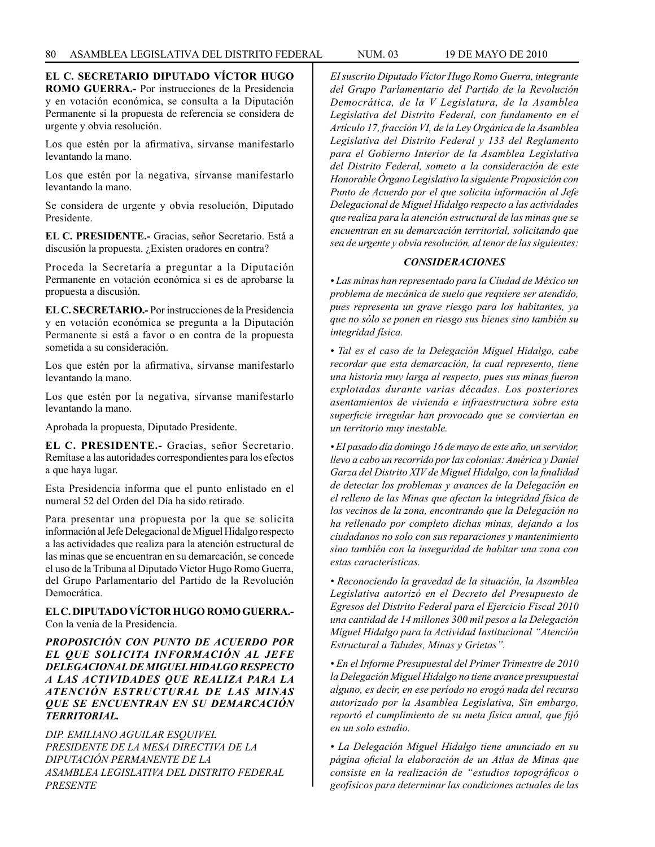**EL C. SECRETARIO DIPUTADO VÍCTOR HUGO ROMO GUERRA.-** Por instrucciones de la Presidencia y en votación económica, se consulta a la Diputación Permanente si la propuesta de referencia se considera de urgente y obvia resolución.

Los que estén por la afirmativa, sírvanse manifestarlo levantando la mano.

Los que estén por la negativa, sírvanse manifestarlo levantando la mano.

Se considera de urgente y obvia resolución, Diputado Presidente.

**EL C. PRESIDENTE.-** Gracias, señor Secretario. Está a discusión la propuesta. ¿Existen oradores en contra?

Proceda la Secretaría a preguntar a la Diputación Permanente en votación económica si es de aprobarse la propuesta a discusión.

**EL C. SECRETARIO.-** Por instrucciones de la Presidencia y en votación económica se pregunta a la Diputación Permanente si está a favor o en contra de la propuesta sometida a su consideración.

Los que estén por la afirmativa, sírvanse manifestarlo levantando la mano.

Los que estén por la negativa, sírvanse manifestarlo levantando la mano.

Aprobada la propuesta, Diputado Presidente.

**EL C. PRESIDENTE.-** Gracias, señor Secretario. Remítase a las autoridades correspondientes para los efectos a que haya lugar.

Esta Presidencia informa que el punto enlistado en el numeral 52 del Orden del Día ha sido retirado.

Para presentar una propuesta por la que se solicita información al Jefe Delegacional de Miguel Hidalgo respecto a las actividades que realiza para la atención estructural de las minas que se encuentran en su demarcación, se concede el uso de la Tribuna al Diputado Víctor Hugo Romo Guerra, del Grupo Parlamentario del Partido de la Revolución Democrática.

# **EL C. DIPUTADO VÍCTOR HUGO ROMO GUERRA.-**  Con la venia de la Presidencia.

*PROPOSICIÓN CON PUNTO DE ACUERDO POR EL QUE SOLICITA INFORMACIÓN AL JEFE DELEGACIONAL DE MIGUEL HIDALGO RESPECTO A LAS ACTIVIDADES QUE REALIZA PARA LA ATENCIÓN ESTRUCTURAL DE LAS MINAS QUE SE ENCUENTRAN EN SU DEMARCACIÓN TERRITORIAL.*

*DIP. EMILIANO AGUILAR ESQUIVEL PRESIDENTE DE LA MESA DIRECTIVA DE LA DIPUTACIÓN PERMANENTE DE LA ASAMBLEA LEGISLATIVA DEL DISTRITO FEDERAL PRESENTE*

*EI suscrito Diputado Víctor Hugo Romo Guerra, integrante del Grupo Parlamentario del Partido de la Revolución Democrática, de la V Legislatura, de la Asamblea Legislativa del Distrito Federal, con fundamento en el Artículo 17, fracción VI, de la Ley Orgánica de la Asamblea Legislativa del Distrito Federal y 133 del Reglamento para el Gobierno Interior de la Asamblea Legislativa del Distrito Federal, someto a la consideración de este Honorable Órgano Legislativo la siguiente Proposición con Punto de Acuerdo por el que solicita información al Jefe Delegacional de Miguel Hidalgo respecto a las actividades que realiza para la atención estructural de las minas que se encuentran en su demarcación territorial, solicitando que sea de urgente y obvia resolución, al tenor de las siguientes:*

# *CONSIDERACIONES*

*• Las minas han representado para la Ciudad de México un problema de mecánica de suelo que requiere ser atendido, pues representa un grave riesgo para los habitantes, ya que no sólo se ponen en riesgo sus bienes sino también su integridad física.*

*• Tal es el caso de la Delegación Miguel Hidalgo, cabe recordar que esta demarcación, la cual represento, tiene una historia muy larga al respecto, pues sus minas fueron explotadas durante varias décadas. Los posteriores asentamientos de vivienda e infraestructura sobre esta superficie irregular han provocado que se conviertan en un territorio muy inestable.*

*• EI pasado día domingo 16 de mayo de este año, un servidor, llevo a cabo un recorrido por las colonias: América y Daniel Garza del Distrito XIV de Miguel Hidalgo, con la finalidad de detectar los problemas y avances de la Delegación en el relleno de las Minas que afectan la integridad física de los vecinos de la zona, encontrando que la Delegación no ha rellenado por completo dichas minas, dejando a los ciudadanos no solo con sus reparaciones y mantenimiento sino también con la inseguridad de habitar una zona con estas características.*

*• Reconociendo la gravedad de la situación, la Asamblea Legislativa autorizó en el Decreto del Presupuesto de Egresos del Distrito Federal para el Ejercicio Fiscal 2010 una cantidad de 14 millones 300 mil pesos a la Delegación Miguel Hidalgo para la Actividad Institucional "Atención Estructural a Taludes, Minas y Grietas".*

*• En el Informe Presupuestal del Primer Trimestre de 2010 la Delegación Miguel Hidalgo no tiene avance presupuestal alguno, es decir, en ese período no erogó nada del recurso autorizado por la Asamblea Legislativa, Sin embargo, reportó el cumplimiento de su meta física anual, que fijó en un solo estudio.*

*• La Delegación Miguel Hidalgo tiene anunciado en su página oficial la elaboración de un Atlas de Minas que consiste en la realización de "estudios topográficos o geofísicos para determinar las condiciones actuales de las*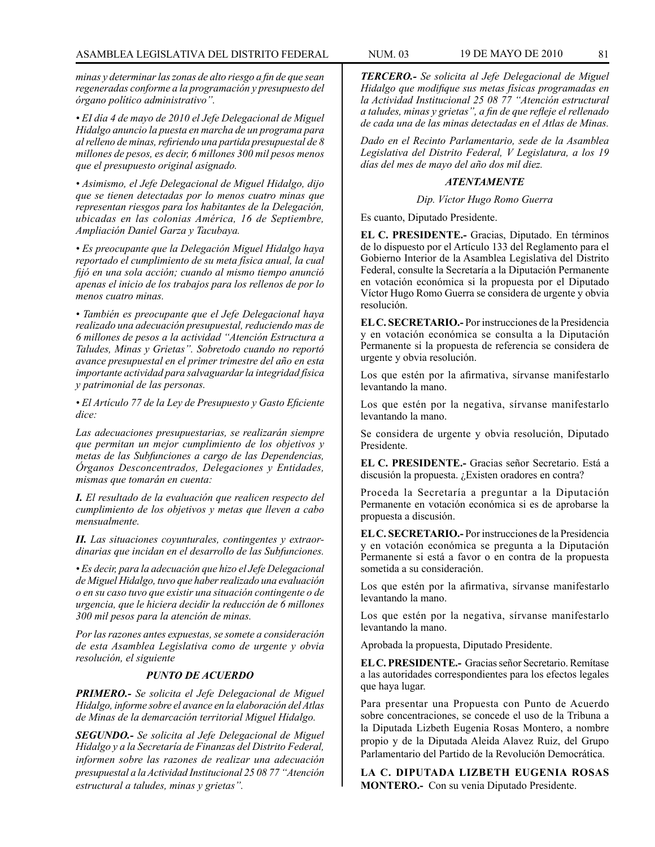*minas y determinar las zonas de alto riesgo a fin de que sean regeneradas conforme a la programación y presupuesto del órgano político administrativo".*

*• EI día 4 de mayo de 2010 el Jefe Delegacional de Miguel Hidalgo anuncio la puesta en marcha de un programa para al relleno de minas, refiriendo una partida presupuestal de 8 millones de pesos, es decir, 6 millones 300 mil pesos menos que el presupuesto original asignado.*

*• Asimismo, el Jefe Delegacional de Miguel Hidalgo, dijo que se tienen detectadas por lo menos cuatro minas que representan riesgos para los habitantes de la Delegación, ubicadas en las colonias América, 16 de Septiembre, Ampliación Daniel Garza y Tacubaya.*

*• Es preocupante que la Delegación Miguel Hidalgo haya reportado el cumplimiento de su meta física anual, la cual fijó en una sola acción; cuando al mismo tiempo anunció apenas el inicio de los trabajos para los rellenos de por lo menos cuatro minas.*

*• También es preocupante que el Jefe Delegacional haya realizado una adecuación presupuestal, reduciendo mas de 6 millones de pesos a la actividad "Atención Estructura a Taludes, Minas y Grietas". Sobretodo cuando no reportó avance presupuestal en el primer trimestre del año en esta importante actividad para salvaguardar la integridad física y patrimonial de las personas.*

*• El Artículo 77 de la Ley de Presupuesto y Gasto Eficiente dice:*

*Las adecuaciones presupuestarias, se realizarán siempre que permitan un mejor cumplimiento de los objetivos y metas de las Subfunciones a cargo de las Dependencias, Órganos Desconcentrados, Delegaciones y Entidades, mismas que tomarán en cuenta:*

*I. El resultado de la evaluación que realicen respecto del cumplimiento de los objetivos y metas que lleven a cabo mensualmente.*

*II. Las situaciones coyunturales, contingentes y extraordinarias que incidan en el desarrollo de las Subfunciones.*

*• Es decir, para la adecuación que hizo el Jefe Delegacional de Miguel Hidalgo, tuvo que haber realizado una evaluación o en su caso tuvo que existir una situación contingente o de urgencia, que le hiciera decidir la reducción de 6 millones 300 mil pesos para la atención de minas.*

*Por las razones antes expuestas, se somete a consideración de esta Asamblea Legislativa como de urgente y obvia resolución, el siguiente*

### *PUNTO DE ACUERDO*

*PRIMERO.- Se solicita el Jefe Delegacional de Miguel Hidalgo, informe sobre el avance en la elaboración del Atlas de Minas de la demarcación territorial Miguel Hidalgo.*

*SEGUNDO.- Se solicita al Jefe Delegacional de Miguel Hidalgo y a la Secretaría de Finanzas del Distrito Federal, informen sobre las razones de realizar una adecuación presupuestal a la Actividad Institucional 25 08 77 "Atención estructural a taludes, minas y grietas".*

*TERCERO.- Se solicita al Jefe Delegacional de Miguel Hidalgo que modifique sus metas físicas programadas en la Actividad Institucional 25 08 77 "Atención estructural a taludes, minas y grietas", a fin de que refleje el rellenado de cada una de las minas detectadas en el Atlas de Minas.*

*Dado en el Recinto Parlamentario, sede de la Asamblea Legislativa del Distrito Federal, V Legislatura, a los 19 días del mes de mayo del año dos mil diez.*

### *ATENTAMENTE*

*Dip. Víctor Hugo Romo Guerra*

Es cuanto, Diputado Presidente.

**EL C. PRESIDENTE.-** Gracias, Diputado. En términos de lo dispuesto por el Artículo 133 del Reglamento para el Gobierno Interior de la Asamblea Legislativa del Distrito Federal, consulte la Secretaría a la Diputación Permanente en votación económica si la propuesta por el Diputado Víctor Hugo Romo Guerra se considera de urgente y obvia resolución.

**EL C. SECRETARIO.-** Por instrucciones de la Presidencia y en votación económica se consulta a la Diputación Permanente si la propuesta de referencia se considera de urgente y obvia resolución.

Los que estén por la afirmativa, sírvanse manifestarlo levantando la mano.

Los que estén por la negativa, sírvanse manifestarlo levantando la mano.

Se considera de urgente y obvia resolución, Diputado Presidente.

**EL C. PRESIDENTE.-** Gracias señor Secretario. Está a discusión la propuesta. ¿Existen oradores en contra?

Proceda la Secretaría a preguntar a la Diputación Permanente en votación económica si es de aprobarse la propuesta a discusión.

**EL C. SECRETARIO.-** Por instrucciones de la Presidencia y en votación económica se pregunta a la Diputación Permanente si está a favor o en contra de la propuesta sometida a su consideración.

Los que estén por la afirmativa, sírvanse manifestarlo levantando la mano.

Los que estén por la negativa, sírvanse manifestarlo levantando la mano.

Aprobada la propuesta, Diputado Presidente.

**EL C. PRESIDENTE.-** Gracias señor Secretario. Remítase a las autoridades correspondientes para los efectos legales que haya lugar.

Para presentar una Propuesta con Punto de Acuerdo sobre concentraciones, se concede el uso de la Tribuna a la Diputada Lizbeth Eugenia Rosas Montero, a nombre propio y de la Diputada Aleida Alavez Ruiz, del Grupo Parlamentario del Partido de la Revolución Democrática.

**LA C. DIPUTADA LIZBETH EUGENIA ROSAS MONTERO.-** Con su venia Diputado Presidente.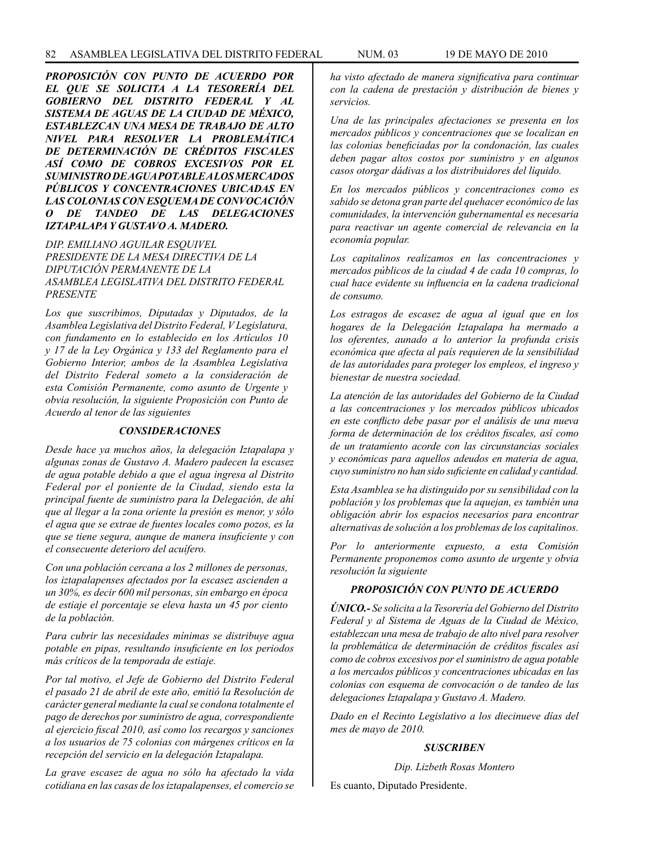*PROPOSICIÓN CON PUNTO DE ACUERDO POR EL QUE SE SOLICITA A LA TESORERÍA DEL GOBIERNO DEL DISTRITO FEDERAL Y AL SISTEMA DE AGUAS DE LA CIUDAD DE MÉXICO, ESTABLEZCAN UNA MESA DE TRABAJO DE ALTO NIVEL PARA RESOLVER LA PROBLEMÁTICA DE DETERMINACIÓN DE CRÉDITOS FISCALES ASÍ COMO DE COBROS EXCESIVOS POR EL SUMINISTRO DE AGUA POTABLE A LOS MERCADOS PÚBLICOS Y CONCENTRACIONES UBICADAS EN LAS COLONIAS CON ESQUEMA DE CONVOCACIÓN O DE TANDEO DE LAS DELEGACIONES IZTAPALAPA Y GUSTAVO A. MADERO.*

*DIP. EMILIANO AGUILAR ESQUIVEL PRESIDENTE DE LA MESA DIRECTIVA DE LA DIPUTACIÓN PERMANENTE DE LA ASAMBLEA LEGISLATIVA DEL DISTRITO FEDERAL PRESENTE*

*Los que suscribimos, Diputadas y Diputados, de la Asamblea Legislativa del Distrito Federal, V Legislatura, con fundamento en lo establecido en los Artículos 10 y 17 de la Ley Orgánica y 133 del Reglamento para el Gobierno Interior, ambos de la Asamblea Legislativa del Distrito Federal someto a la consideración de esta Comisión Permanente, como asunto de Urgente y obvia resolución, la siguiente Proposición con Punto de Acuerdo al tenor de las siguientes* 

### *CONSIDERACIONES*

*Desde hace ya muchos años, la delegación Iztapalapa y algunas zonas de Gustavo A. Madero padecen la escasez de agua potable debido a que el agua ingresa al Distrito Federal por el poniente de la Ciudad, siendo esta la principal fuente de suministro para la Delegación, de ahí que al llegar a la zona oriente la presión es menor, y sólo el agua que se extrae de fuentes locales como pozos, es la que se tiene segura, aunque de manera insuficiente y con el consecuente deterioro del acuífero.* 

*Con una población cercana a los 2 millones de personas, los iztapalapenses afectados por la escasez ascienden a un 30%, es decir 600 mil personas, sin embargo en época de estiaje el porcentaje se eleva hasta un 45 por ciento de la población.*

*Para cubrir las necesidades mínimas se distribuye agua potable en pipas, resultando insuficiente en los periodos más críticos de la temporada de estiaje.*

*Por tal motivo, el Jefe de Gobierno del Distrito Federal el pasado 21 de abril de este año, emitió la Resolución de carácter general mediante la cual se condona totalmente el pago de derechos por suministro de agua, correspondiente al ejercicio fiscal 2010, así como los recargos y sanciones a los usuarios de 75 colonias con márgenes críticos en la recepción del servicio en la delegación Iztapalapa.*

*La grave escasez de agua no sólo ha afectado la vida cotidiana en las casas de los iztapalapenses, el comercio se* 

*ha visto afectado de manera significativa para continuar con la cadena de prestación y distribución de bienes y servicios.*

*Una de las principales afectaciones se presenta en los mercados públicos y concentraciones que se localizan en las colonias beneficiadas por la condonación, las cuales deben pagar altos costos por suministro y en algunos casos otorgar dádivas a los distribuidores del líquido.*

*En los mercados públicos y concentraciones como es sabido se detona gran parte del quehacer económico de las comunidades, la intervención gubernamental es necesaria para reactivar un agente comercial de relevancia en la economía popular.*

*Los capitalinos realizamos en las concentraciones y mercados públicos de la ciudad 4 de cada 10 compras, lo cual hace evidente su influencia en la cadena tradicional de consumo.*

*Los estragos de escasez de agua al igual que en los hogares de la Delegación Iztapalapa ha mermado a los oferentes, aunado a lo anterior la profunda crisis económica que afecta al país requieren de la sensibilidad de las autoridades para proteger los empleos, el ingreso y bienestar de nuestra sociedad.*

*La atención de las autoridades del Gobierno de la Ciudad a las concentraciones y los mercados públicos ubicados en este conflicto debe pasar por el análisis de una nueva forma de determinación de los créditos fiscales, así como de un tratamiento acorde con las circunstancias sociales y económicas para aquellos adeudos en materia de agua, cuyo suministro no han sido suficiente en calidad y cantidad.*

*Esta Asamblea se ha distinguido por su sensibilidad con la población y los problemas que la aquejan, es también una obligación abrir los espacios necesarios para encontrar alternativas de solución a los problemas de los capitalinos.*

*Por lo anteriormente expuesto, a esta Comisión Permanente proponemos como asunto de urgente y obvia resolución la siguiente*

# *PROPOSICIÓN CON PUNTO DE ACUERDO*

*ÚNICO.- Se solicita a la Tesorería del Gobierno del Distrito Federal y al Sistema de Aguas de la Ciudad de México, establezcan una mesa de trabajo de alto nivel para resolver la problemática de determinación de créditos fiscales así como de cobros excesivos por el suministro de agua potable a los mercados públicos y concentraciones ubicadas en las colonias con esquema de convocación o de tandeo de las delegaciones Iztapalapa y Gustavo A. Madero.*

*Dado en el Recinto Legislativo a los diecinueve días del mes de mayo de 2010.*

### *SUSCRIBEN*

*Dip. Lizbeth Rosas Montero*

Es cuanto, Diputado Presidente.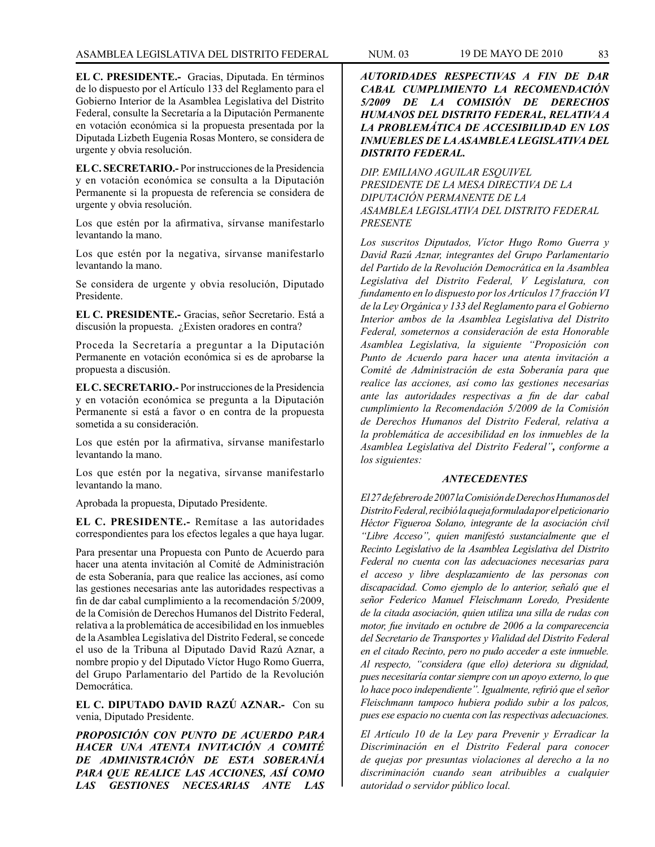**EL C. PRESIDENTE.-** Gracias, Diputada. En términos de lo dispuesto por el Artículo 133 del Reglamento para el Gobierno Interior de la Asamblea Legislativa del Distrito Federal, consulte la Secretaría a la Diputación Permanente en votación económica si la propuesta presentada por la Diputada Lizbeth Eugenia Rosas Montero, se considera de urgente y obvia resolución.

**EL C. SECRETARIO.-** Por instrucciones de la Presidencia y en votación económica se consulta a la Diputación Permanente si la propuesta de referencia se considera de urgente y obvia resolución.

Los que estén por la afirmativa, sírvanse manifestarlo levantando la mano.

Los que estén por la negativa, sírvanse manifestarlo levantando la mano.

Se considera de urgente y obvia resolución, Diputado Presidente.

**EL C. PRESIDENTE.-** Gracias, señor Secretario. Está a discusión la propuesta. ¿Existen oradores en contra?

Proceda la Secretaría a preguntar a la Diputación Permanente en votación económica si es de aprobarse la propuesta a discusión.

**EL C. SECRETARIO.-** Por instrucciones de la Presidencia y en votación económica se pregunta a la Diputación Permanente si está a favor o en contra de la propuesta sometida a su consideración.

Los que estén por la afirmativa, sírvanse manifestarlo levantando la mano.

Los que estén por la negativa, sírvanse manifestarlo levantando la mano.

Aprobada la propuesta, Diputado Presidente.

**EL C. PRESIDENTE.-** Remítase a las autoridades correspondientes para los efectos legales a que haya lugar.

Para presentar una Propuesta con Punto de Acuerdo para hacer una atenta invitación al Comité de Administración de esta Soberanía, para que realice las acciones, así como las gestiones necesarias ante las autoridades respectivas a fin de dar cabal cumplimiento a la recomendación 5/2009, de la Comisión de Derechos Humanos del Distrito Federal, relativa a la problemática de accesibilidad en los inmuebles de la Asamblea Legislativa del Distrito Federal, se concede el uso de la Tribuna al Diputado David Razú Aznar, a nombre propio y del Diputado Víctor Hugo Romo Guerra, del Grupo Parlamentario del Partido de la Revolución Democrática.

**EL C. DIPUTADO DAVID RAZÚ AZNAR.-** Con su venia, Diputado Presidente.

*PROPOSICIÓN CON PUNTO DE ACUERDO PARA HACER UNA ATENTA INVITACIÓN A COMITÉ DE ADMINISTRACIÓN DE ESTA SOBERANÍA PARA QUE REALICE LAS ACCIONES, ASÍ COMO LAS GESTIONES NECESARIAS ANTE LAS* 

*AUTORIDADES RESPECTIVAS A FIN DE DAR CABAL CUMPLIMIENTO LA RECOMENDACIÓN 5/2009 DE LA COMISIÓN DE DERECHOS HUMANOS DEL DISTRITO FEDERAL, RELATIVA A LA PROBLEMÁTICA DE ACCESIBILIDAD EN LOS INMUEBLES DE LA ASAMBLEA LEGISLATIVA DEL DISTRITO FEDERAL.*

*DIP. EMILIANO AGUILAR ESQUIVEL PRESIDENTE DE LA MESA DIRECTIVA DE LA DIPUTACIÓN PERMANENTE DE LA ASAMBLEA LEGISLATIVA DEL DISTRITO FEDERAL PRESENTE*

*Los suscritos Diputados, Víctor Hugo Romo Guerra y David Razú Aznar, integrantes del Grupo Parlamentario del Partido de la Revolución Democrática en la Asamblea Legislativa del Distrito Federal, V Legislatura, con fundamento en lo dispuesto por los Artículos 17 fracción VI de la Ley Orgánica y 133 del Reglamento para el Gobierno Interior ambos de la Asamblea Legislativa del Distrito Federal, someternos a consideración de esta Honorable Asamblea Legislativa, la siguiente "Proposición con Punto de Acuerdo para hacer una atenta invitación a Comité de Administración de esta Soberanía para que realice las acciones, así como las gestiones necesarias ante las autoridades respectivas a fin de dar cabal cumplimiento la Recomendación 5/2009 de la Comisión de Derechos Humanos del Distrito Federal, relativa a la problemática de accesibilidad en los inmuebles de la Asamblea Legislativa del Distrito Federal", conforme a los siguientes:*

### *ANTECEDENTES*

*El 27 de febrero de 2007 la Comisión de Derechos Humanos del Distrito Federal, recibió la queja formulada por el peticionario Héctor Figueroa Solano, integrante de la asociación civil "Libre Acceso", quien manifestó sustancialmente que el Recinto Legislativo de la Asamblea Legislativa del Distrito Federal no cuenta con las adecuaciones necesarias para el acceso y libre desplazamiento de las personas con discapacidad. Como ejemplo de lo anterior, señaló que el señor Federico Manuel Fleischmann Loredo, Presidente de la citada asociación, quien utiliza una silla de rudas con motor, fue invitado en octubre de 2006 a la comparecencia del Secretario de Transportes y Vialidad del Distrito Federal en el citado Recinto, pero no pudo acceder a este inmueble. Al respecto, "considera (que ello) deteriora su dignidad, pues necesitaría contar siempre con un apoyo externo, lo que lo hace poco independiente". Igualmente, refirió que el señor Fleischmann tampoco hubiera podido subir a los palcos, pues ese espacio no cuenta con las respectivas adecuaciones.*

*El Artículo 10 de la Ley para Prevenir y Erradicar la Discriminación en el Distrito Federal para conocer de quejas por presuntas violaciones al derecho a la no discriminación cuando sean atribuibles a cualquier autoridad o servidor público local.*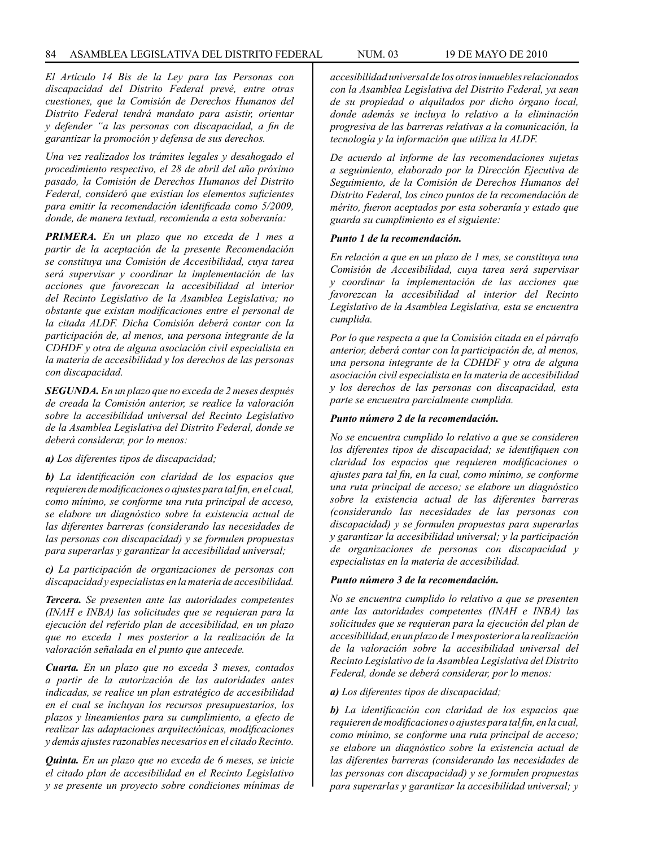*El Artículo 14 Bis de la Ley para las Personas con discapacidad del Distrito Federal prevé, entre otras cuestiones, que la Comisión de Derechos Humanos del Distrito Federal tendrá mandato para asistir, orientar y defender "a las personas con discapacidad, a fin de garantizar la promoción y defensa de sus derechos.*

*Una vez realizados los trámites legales y desahogado el procedimiento respectivo, el 28 de abril del año próximo pasado, la Comisión de Derechos Humanos del Distrito Federal, consideró que existían los elementos suficientes para emitir la recomendación identificada como 5/2009, donde, de manera textual, recomienda a esta soberanía:*

*PRIMERA. En un plazo que no exceda de 1 mes a partir de la aceptación de la presente Recomendación se constituya una Comisión de Accesibilidad, cuya tarea será supervisar y coordinar la implementación de las acciones que favorezcan la accesibilidad al interior del Recinto Legislativo de la Asamblea Legislativa; no obstante que existan modificaciones entre el personal de la citada ALDF. Dicha Comisión deberá contar con la participación de, al menos, una persona integrante de la CDHDF y otra de alguna asociación civil especialista en la materia de accesibilidad y los derechos de las personas con discapacidad.*

*SEGUNDA. En un plazo que no exceda de 2 meses después de creada la Comisión anterior, se realice la valoración sobre la accesibilidad universal del Recinto Legislativo de la Asamblea Legislativa del Distrito Federal, donde se deberá considerar, por lo menos:*

### *a) Los diferentes tipos de discapacidad;*

*b) La identificación con claridad de los espacios que requieren de modificaciones o ajustes para tal fin, en el cual, como mínimo, se conforme una ruta principal de acceso, se elabore un diagnóstico sobre la existencia actual de las diferentes barreras (considerando las necesidades de las personas con discapacidad) y se formulen propuestas para superarlas y garantizar la accesibilidad universal;*

*c) La participación de organizaciones de personas con discapacidad y especialistas en la materia de accesibilidad.*

*Tercera. Se presenten ante las autoridades competentes (INAH e INBA) las solicitudes que se requieran para la ejecución del referido plan de accesibilidad, en un plazo que no exceda 1 mes posterior a la realización de la valoración señalada en el punto que antecede.*

*Cuarta. En un plazo que no exceda 3 meses, contados a partir de la autorización de las autoridades antes indicadas, se realice un plan estratégico de accesibilidad en el cual se incluyan los recursos presupuestarios, los plazos y lineamientos para su cumplimiento, a efecto de realizar las adaptaciones arquitectónicas, modificaciones y demás ajustes razonables necesarios en el citado Recinto.*

*Quinta. En un plazo que no exceda de 6 meses, se inicie el citado plan de accesibilidad en el Recinto Legislativo y se presente un proyecto sobre condiciones mínimas de*  *accesibilidad universal de los otros inmuebles relacionados con la Asamblea Legislativa del Distrito Federal, ya sean de su propiedad o alquilados por dicho órgano local, donde además se incluya lo relativo a la eliminación progresiva de las barreras relativas a la comunicación, la tecnología y la información que utiliza la ALDF.* 

*De acuerdo al informe de las recomendaciones sujetas a seguimiento, elaborado por la Dirección Ejecutiva de Seguimiento, de la Comisión de Derechos Humanos del Distrito Federal, los cinco puntos de la recomendación de mérito, fueron aceptados por esta soberanía y estado que guarda su cumplimiento es el siguiente:* 

#### *Punto 1 de la recomendación.*

*En relación a que en un plazo de 1 mes, se constituya una Comisión de Accesibilidad, cuya tarea será supervisar y coordinar la implementación de las acciones que favorezcan la accesibilidad al interior del Recinto Legislativo de la Asamblea Legislativa, esta se encuentra cumplida.* 

*Por lo que respecta a que la Comisión citada en el párrafo anterior, deberá contar con la participación de, al menos, una persona integrante de la CDHDF y otra de alguna asociación civil especialista en la materia de accesibilidad y los derechos de las personas con discapacidad, esta parte se encuentra parcialmente cumplida.* 

# *Punto número 2 de la recomendación.*

*No se encuentra cumplido lo relativo a que se consideren los diferentes tipos de discapacidad; se identifiquen con claridad los espacios que requieren modificaciones o ajustes para tal fin, en la cual, como mínimo, se conforme una ruta principal de acceso; se elabore un diagnóstico sobre la existencia actual de las diferentes barreras (considerando las necesidades de las personas con discapacidad) y se formulen propuestas para superarlas y garantizar la accesibilidad universal; y la participación de organizaciones de personas con discapacidad y especialistas en la materia de accesibilidad.* 

#### *Punto número 3 de la recomendación.*

*No se encuentra cumplido lo relativo a que se presenten ante las autoridades competentes (INAH e INBA) las solicitudes que se requieran para la ejecución del plan de accesibilidad, en un plazo de 1 mes posterior a la realización de la valoración sobre la accesibilidad universal del Recinto Legislativo de la Asamblea Legislativa del Distrito Federal, donde se deberá considerar, por lo menos:* 

### *a) Los diferentes tipos de discapacidad;*

*b) La identificación con claridad de los espacios que requieren de modificaciones o ajustes para tal fin, en la cual, como mínimo, se conforme una ruta principal de acceso; se elabore un diagnóstico sobre la existencia actual de las diferentes barreras (considerando las necesidades de las personas con discapacidad) y se formulen propuestas para superarlas y garantizar la accesibilidad universal; y*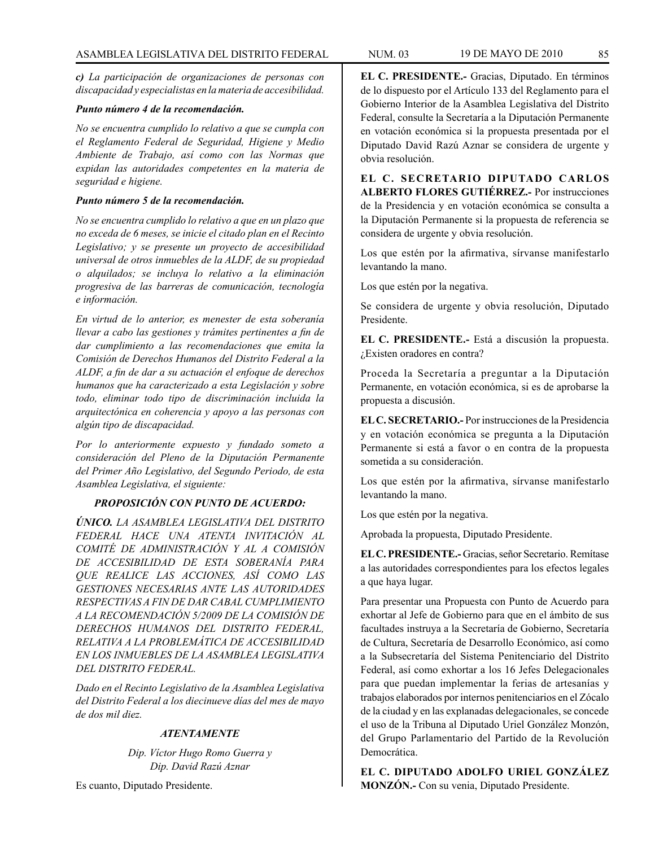*c) La participación de organizaciones de personas con discapacidad y especialistas en la materia de accesibilidad.* 

### *Punto número 4 de la recomendación.*

*No se encuentra cumplido lo relativo a que se cumpla con el Reglamento Federal de Seguridad, Higiene y Medio Ambiente de Trabajo, así como con las Normas que expidan las autoridades competentes en la materia de seguridad e higiene.* 

# *Punto número 5 de la recomendación.*

*No se encuentra cumplido lo relativo a que en un plazo que no exceda de 6 meses, se inicie el citado plan en el Recinto Legislativo; y se presente un proyecto de accesibilidad universal de otros inmuebles de la ALDF, de su propiedad o alquilados; se incluya lo relativo a la eliminación progresiva de las barreras de comunicación, tecnología e información.* 

*En virtud de lo anterior, es menester de esta soberanía llevar a cabo las gestiones y trámites pertinentes a fin de dar cumplimiento a las recomendaciones que emita la Comisión de Derechos Humanos del Distrito Federal a la ALDF, a fin de dar a su actuación el enfoque de derechos humanos que ha caracterizado a esta Legislación y sobre todo, eliminar todo tipo de discriminación incluida la arquitectónica en coherencia y apoyo a las personas con algún tipo de discapacidad.*

*Por lo anteriormente expuesto y fundado someto a consideración del Pleno de la Diputación Permanente del Primer Año Legislativo, del Segundo Periodo, de esta Asamblea Legislativa, el siguiente:*

# *PROPOSICIÓN CON PUNTO DE ACUERDO:*

*ÚNICO. LA ASAMBLEA LEGISLATIVA DEL DISTRITO FEDERAL HACE UNA ATENTA INVITACIÓN AL COMITÉ DE ADMINISTRACIÓN Y AL A COMISIÓN DE ACCESIBILIDAD DE ESTA SOBERANÍA PARA QUE REALICE LAS ACCIONES, ASÍ COMO LAS GESTIONES NECESARIAS ANTE LAS AUTORIDADES RESPECTIVAS A FIN DE DAR CABAL CUMPLIMIENTO A LA RECOMENDACIÓN 5/2009 DE LA COMISIÓN DE DERECHOS HUMANOS DEL DISTRITO FEDERAL, RELATIVA A LA PROBLEMÁTICA DE ACCESIBILIDAD EN LOS INMUEBLES DE LA ASAMBLEA LEGISLATIVA DEL DISTRITO FEDERAL.*

*Dado en el Recinto Legislativo de la Asamblea Legislativa del Distrito Federal a los diecinueve días del mes de mayo de dos mil diez.*

# *ATENTAMENTE*

*Dip. Víctor Hugo Romo Guerra y Dip. David Razú Aznar*

Es cuanto, Diputado Presidente.

**EL C. PRESIDENTE.-** Gracias, Diputado. En términos de lo dispuesto por el Artículo 133 del Reglamento para el Gobierno Interior de la Asamblea Legislativa del Distrito Federal, consulte la Secretaría a la Diputación Permanente en votación económica si la propuesta presentada por el Diputado David Razú Aznar se considera de urgente y obvia resolución.

**EL C. SECRETARIO DIPUTADO CARLOS ALBERTO FLORES GUTIÉRREZ.-** Por instrucciones de la Presidencia y en votación económica se consulta a la Diputación Permanente si la propuesta de referencia se considera de urgente y obvia resolución.

Los que estén por la afirmativa, sírvanse manifestarlo levantando la mano.

Los que estén por la negativa.

Se considera de urgente y obvia resolución, Diputado Presidente.

**EL C. PRESIDENTE.-** Está a discusión la propuesta. ¿Existen oradores en contra?

Proceda la Secretaría a preguntar a la Diputación Permanente, en votación económica, si es de aprobarse la propuesta a discusión.

**EL C. SECRETARIO.-** Por instrucciones de la Presidencia y en votación económica se pregunta a la Diputación Permanente si está a favor o en contra de la propuesta sometida a su consideración.

Los que estén por la afirmativa, sírvanse manifestarlo levantando la mano.

Los que estén por la negativa.

Aprobada la propuesta, Diputado Presidente.

**EL C. PRESIDENTE.-** Gracias, señor Secretario. Remítase a las autoridades correspondientes para los efectos legales a que haya lugar.

Para presentar una Propuesta con Punto de Acuerdo para exhortar al Jefe de Gobierno para que en el ámbito de sus facultades instruya a la Secretaría de Gobierno, Secretaría de Cultura, Secretaría de Desarrollo Económico, así como a la Subsecretaría del Sistema Penitenciario del Distrito Federal, así como exhortar a los 16 Jefes Delegacionales para que puedan implementar la ferias de artesanías y trabajos elaborados por internos penitenciarios en el Zócalo de la ciudad y en las explanadas delegacionales, se concede el uso de la Tribuna al Diputado Uriel González Monzón, del Grupo Parlamentario del Partido de la Revolución Democrática.

**EL C. DIPUTADO ADOLFO URIEL GONZÁLEZ MONZÓN.-** Con su venia, Diputado Presidente.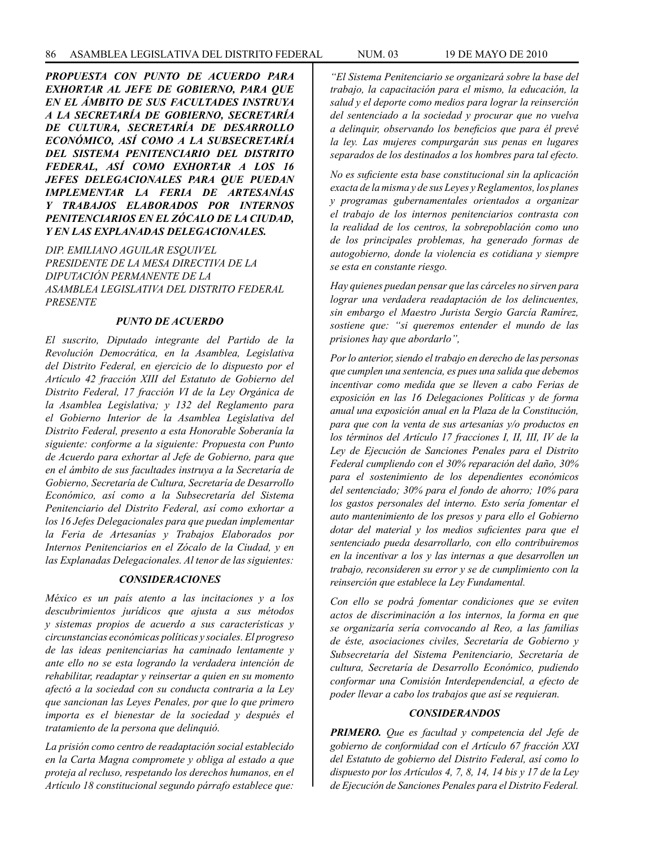*PROPUESTA CON PUNTO DE ACUERDO PARA EXHORTAR AL JEFE DE GOBIERNO, PARA QUE EN EL ÁMBITO DE SUS FACULTADES INSTRUYA A LA SECRETARÍA DE GOBIERNO, SECRETARÍA DE CULTURA, SECRETARÍA DE DESARROLLO ECONÓMICO, ASÍ COMO A LA SUBSECRETARÍA DEL SISTEMA PENITENCIARIO DEL DISTRITO FEDERAL, ASÍ COMO EXHORTAR A LOS 16 JEFES DELEGACIONALES PARA QUE PUEDAN IMPLEMENTAR LA FERIA DE ARTESANÍAS Y TRABAJOS ELABORADOS POR INTERNOS PENITENCIARIOS EN EL ZÓCALO DE LA CIUDAD, Y EN LAS EXPLANADAS DELEGACIONALES.*

*DIP. EMILIANO AGUILAR ESQUIVEL PRESIDENTE DE LA MESA DIRECTIVA DE LA DIPUTACIÓN PERMANENTE DE LA ASAMBLEA LEGISLATIVA DEL DISTRITO FEDERAL PRESENTE*

#### *PUNTO DE ACUERDO*

*El suscrito, Diputado integrante del Partido de la Revolución Democrática, en la Asamblea, Legislativa del Distrito Federal, en ejercicio de lo dispuesto por el Artículo 42 fracción XIII del Estatuto de Gobierno del Distrito Federal, 17 fracción VI de la Ley Orgánica de la Asamblea Legislativa; y 132 del Reglamento para el Gobierno Interior de la Asamblea Legislativa del Distrito Federal, presento a esta Honorable Soberanía la siguiente: conforme a la siguiente: Propuesta con Punto de Acuerdo para exhortar al Jefe de Gobierno, para que en el ámbito de sus facultades instruya a la Secretaría de Gobierno, Secretaría de Cultura, Secretaría de Desarrollo Económico, así como a la Subsecretaría del Sistema Penitenciario del Distrito Federal, así como exhortar a los 16 Jefes Delegacionales para que puedan implementar la Feria de Artesanías y Trabajos Elaborados por Internos Penitenciarios en el Zócalo de la Ciudad, y en las Explanadas Delegacionales. Al tenor de las siguientes:* 

# *CONSIDERACIONES*

*México es un país atento a las incitaciones y a los descubrimientos jurídicos que ajusta a sus métodos y sistemas propios de acuerdo a sus características y circunstancias económicas políticas y sociales. El progreso de las ideas penitenciarias ha caminado lentamente y ante ello no se esta logrando la verdadera intención de rehabilitar, readaptar y reinsertar a quien en su momento afectó a la sociedad con su conducta contraria a la Ley que sancionan las Leyes Penales, por que lo que primero importa es el bienestar de la sociedad y después el tratamiento de la persona que delinquió.* 

*La prisión como centro de readaptación social establecido en la Carta Magna compromete y obliga al estado a que proteja al recluso, respetando los derechos humanos, en el Artículo 18 constitucional segundo párrafo establece que:* 

*"El Sistema Penitenciario se organizará sobre la base del trabajo, la capacitación para el mismo, la educación, la salud y el deporte como medios para lograr la reinserción del sentenciado a la sociedad y procurar que no vuelva a delinquir, observando los beneficios que para él prevé la ley. Las mujeres compurgarán sus penas en lugares separados de los destinados a los hombres para tal efecto.* 

*No es suficiente esta base constitucional sin la aplicación exacta de la misma y de sus Leyes y Reglamentos, los planes y programas gubernamentales orientados a organizar el trabajo de los internos penitenciarios contrasta con la realidad de los centros, la sobrepoblación como uno de los principales problemas, ha generado formas de autogobierno, donde la violencia es cotidiana y siempre se esta en constante riesgo.* 

*Hay quienes puedan pensar que las cárceles no sirven para lograr una verdadera readaptación de los delincuentes, sin embargo el Maestro Jurista Sergio García Ramírez, sostiene que: "si queremos entender el mundo de las prisiones hay que abordarlo",* 

*Por lo anterior, siendo el trabajo en derecho de las personas que cumplen una sentencia, es pues una salida que debemos incentivar como medida que se lleven a cabo Ferias de exposición en las 16 Delegaciones Políticas y de forma anual una exposición anual en la Plaza de la Constitución, para que con la venta de sus artesanías y/o productos en los términos del Artículo 17 fracciones I, II, III, IV de la Ley de Ejecución de Sanciones Penales para el Distrito Federal cumpliendo con el 30% reparación del daño, 30% para el sostenimiento de los dependientes económicos del sentenciado; 30% para el fondo de ahorro; 10% para los gastos personales del interno. Esto sería fomentar el auto mantenimiento de los presos y para ello el Gobierno dotar del material y los medios suficientes para que el sentenciado pueda desarrollarlo, con ello contribuiremos en la incentivar a los y las internas a que desarrollen un trabajo, reconsideren su error y se de cumplimiento con la reinserción que establece la Ley Fundamental.*

*Con ello se podrá fomentar condiciones que se eviten actos de discriminación a los internos, la forma en que se organizaría sería convocando al Reo, a las familias de éste, asociaciones civiles, Secretaría de Gobierno y Subsecretaría del Sistema Penitenciario, Secretaría de cultura, Secretaría de Desarrollo Económico, pudiendo conformar una Comisión Interdependencial, a efecto de poder llevar a cabo los trabajos que así se requieran.*

# *CONSIDERANDOS*

*PRIMERO. Que es facultad y competencia del Jefe de gobierno de conformidad con el Artículo 67 fracción XXI del Estatuto de gobierno del Distrito Federal, así como lo dispuesto por los Artículos 4, 7, 8, 14, 14 bis y 17 de la Ley de Ejecución de Sanciones Penales para el Distrito Federal.*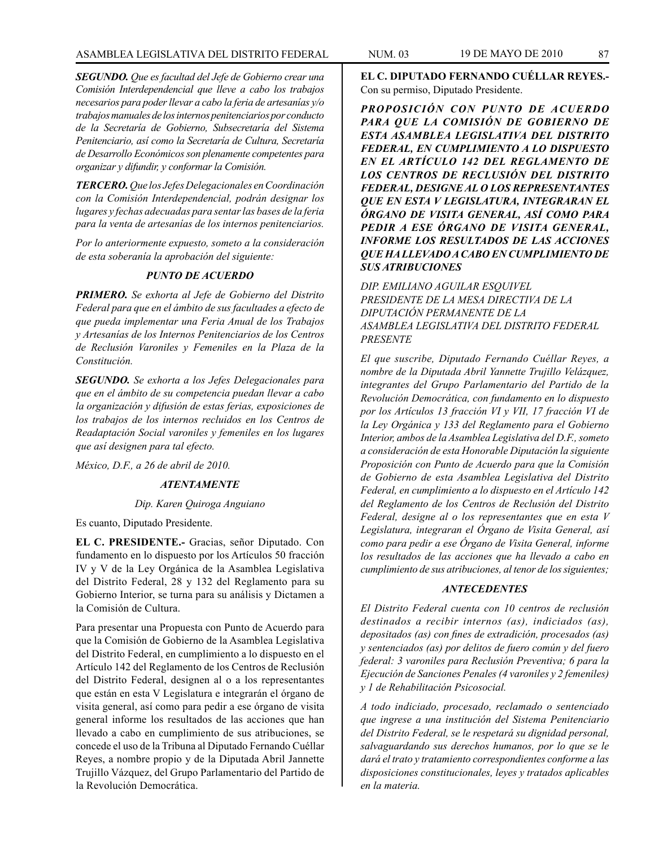*SEGUNDO. Que es facultad del Jefe de Gobierno crear una Comisión Interdependencial que lleve a cabo los trabajos necesarios para poder llevar a cabo la feria de artesanías y/o trabajos manuales de los internos penitenciarios por conducto de la Secretaría de Gobierno, Subsecretaría del Sistema Penitenciario, así como la Secretaría de Cultura, Secretaría de Desarrollo Económicos son plenamente competentes para organizar y difundir, y conformar la Comisión.* 

*TERCERO. Que los Jefes Delegacionales en Coordinación con la Comisión Interdependencial, podrán designar los lugares y fechas adecuadas para sentar las bases de la feria para la venta de artesanías de los internos penitenciarios.*

*Por lo anteriormente expuesto, someto a la consideración de esta soberanía la aprobación del siguiente:*

# *PUNTO DE ACUERDO*

*PRIMERO. Se exhorta al Jefe de Gobierno del Distrito Federal para que en el ámbito de sus facultades a efecto de que pueda implementar una Feria Anual de los Trabajos y Artesanías de los Internos Penitenciarios de los Centros de Reclusión Varoniles y Femeniles en la Plaza de la Constitución.*

*SEGUNDO. Se exhorta a los Jefes Delegacionales para que en el ámbito de su competencia puedan llevar a cabo la organización y difusión de estas ferias, exposiciones de los trabajos de los internos recluidos en los Centros de Readaptación Social varoniles y femeniles en los lugares que así designen para tal efecto.*

*México, D.F., a 26 de abril de 2010.*

# *ATENTAMENTE*

### *Dip. Karen Quiroga Anguiano*

Es cuanto, Diputado Presidente.

**EL C. PRESIDENTE.-** Gracias, señor Diputado. Con fundamento en lo dispuesto por los Artículos 50 fracción IV y V de la Ley Orgánica de la Asamblea Legislativa del Distrito Federal, 28 y 132 del Reglamento para su Gobierno Interior, se turna para su análisis y Dictamen a la Comisión de Cultura.

Para presentar una Propuesta con Punto de Acuerdo para que la Comisión de Gobierno de la Asamblea Legislativa del Distrito Federal, en cumplimiento a lo dispuesto en el Artículo 142 del Reglamento de los Centros de Reclusión del Distrito Federal, designen al o a los representantes que están en esta V Legislatura e integrarán el órgano de visita general, así como para pedir a ese órgano de visita general informe los resultados de las acciones que han llevado a cabo en cumplimiento de sus atribuciones, se concede el uso de la Tribuna al Diputado Fernando Cuéllar Reyes, a nombre propio y de la Diputada Abril Jannette Trujillo Vázquez, del Grupo Parlamentario del Partido de la Revolución Democrática.

**EL C. DIPUTADO FERNANDO CUÉLLAR REYES.-** Con su permiso, Diputado Presidente.

*PROPOSICIÓN CON PUNTO DE ACUERDO PARA QUE LA COMISIÓN DE GOBIERNO DE ESTA ASAMBLEA LEGISLATIVA DEL DISTRITO FEDERAL, EN CUMPLIMIENTO A LO DISPUESTO EN EL ARTÍCULO 142 DEL REGLAMENTO DE LOS CENTROS DE RECLUSIÓN DEL DISTRITO FEDERAL, DESIGNE AL O LOS REPRESENTANTES QUE EN ESTA V LEGISLATURA, INTEGRARAN EL ÓRGANO DE VISITA GENERAL, ASÍ COMO PARA PEDIR A ESE ÓRGANO DE VISITA GENERAL, INFORME LOS RESULTADOS DE LAS ACCIONES QUE HA LLEVADO A CABO EN CUMPLIMIENTO DE SUS ATRIBUCIONES*

*DIP. EMILIANO AGUILAR ESQUIVEL PRESIDENTE DE LA MESA DIRECTIVA DE LA DIPUTACIÓN PERMANENTE DE LA ASAMBLEA LEGISLATIVA DEL DISTRITO FEDERAL PRESENTE*

*El que suscribe, Diputado Fernando Cuéllar Reyes, a nombre de la Diputada Abril Yannette Trujillo Velázquez, integrantes del Grupo Parlamentario del Partido de la Revolución Democrática, con fundamento en lo dispuesto por los Artículos 13 fracción VI y VII, 17 fracción VI de la Ley Orgánica y 133 del Reglamento para el Gobierno Interior, ambos de la Asamblea Legislativa del D.F., someto a consideración de esta Honorable Diputación la siguiente Proposición con Punto de Acuerdo para que la Comisión de Gobierno de esta Asamblea Legislativa del Distrito Federal, en cumplimiento a lo dispuesto en el Artículo 142 del Reglamento de los Centros de Reclusión del Distrito Federal, designe al o los representantes que en esta V Legislatura, integraran el Órgano de Visita General, así como para pedir a ese Órgano de Visita General, informe los resultados de las acciones que ha llevado a cabo en cumplimiento de sus atribuciones, al tenor de los siguientes;*

### *ANTECEDENTES*

*El Distrito Federal cuenta con 10 centros de reclusión destinados a recibir internos (as), indiciados (as), depositados (as) con fines de extradición, procesados (as) y sentenciados (as) por delitos de fuero común y del fuero federal: 3 varoniles para Reclusión Preventiva; 6 para la Ejecución de Sanciones Penales (4 varoniles y 2 femeniles) y 1 de Rehabilitación Psicosocial.*

*A todo indiciado, procesado, reclamado o sentenciado que ingrese a una institución del Sistema Penitenciario del Distrito Federal, se le respetará su dignidad personal, salvaguardando sus derechos humanos, por lo que se le dará el trato y tratamiento correspondientes conforme a las disposiciones constitucionales, leyes y tratados aplicables en la materia.*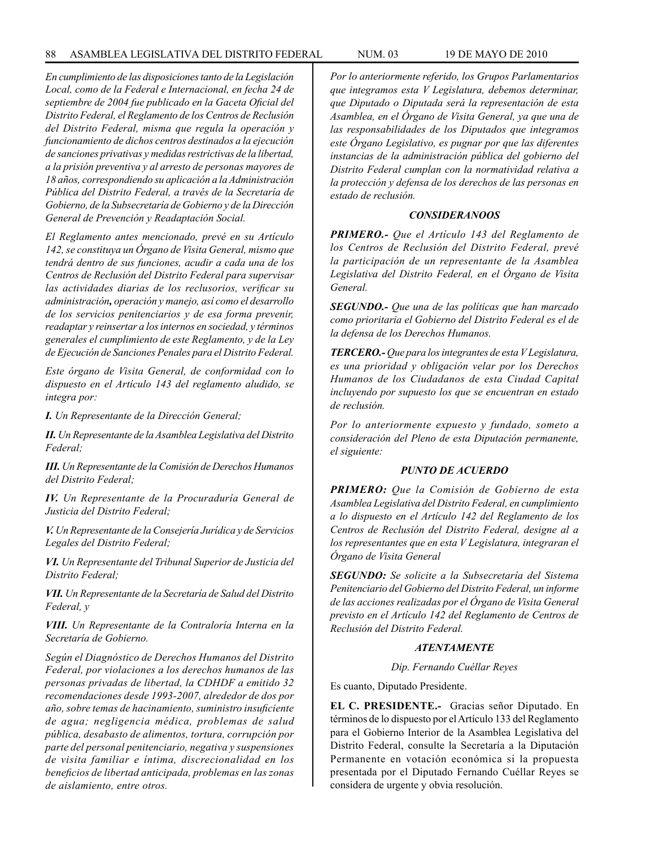*En cumplimiento de las disposiciones tanto de la Legislación Local, como de la Federal e Internacional, en fecha 24 de septiembre de 2004 fue publicado en la Gaceta Oficial del Distrito Federal, el Reglamento de los Centros de Reclusión del Distrito Federal, misma que regula la operación y funcionamiento de dichos centros destinados a la ejecución de sanciones privativas y medidas restrictivas de la libertad, a la prisión preventiva y al arresto de personas mayores de 18 años, correspondiendo su aplicación a la Administración Pública del Distrito Federal, a través de la Secretaría de Gobierno, de la Subsecretaría de Gobierno y de la Dirección General de Prevención y Readaptación Social.*

*El Reglamento antes mencionado, prevé en su Artículo 142, se constituya un Órgano de Visita General, mismo que tendrá dentro de sus funciones, acudir a cada una de los Centros de Reclusión del Distrito Federal para supervisar las actividades diarias de los reclusorios, verificar su administración, operación y manejo, así como el desarrollo de los servicios penitenciarios y de esa forma prevenir, readaptar y reinsertar a los internos en sociedad, y términos generales el cumplimiento de este Reglamento, y de la Ley de Ejecución de Sanciones Penales para el Distrito Federal.*

*Este órgano de Visita General, de conformidad con lo dispuesto en el Artículo 143 del reglamento aludido, se integra por:*

*I. Un Representante de la Dirección General;*

*II. Un Representante de la Asamblea Legislativa del Distrito Federal;*

*III. Un Representante de la Comisión de Derechos Humanos del Distrito Federal;*

*IV. Un Representante de la Procuraduría General de Justicia del Distrito Federal;*

*V. Un Representante de la Consejería Jurídica y de Servicios Legales del Distrito Federal;*

*VI. Un Representante del Tribunal Superior de Justicia del Distrito Federal;*

*VII. Un Representante de la Secretaría de Salud del Distrito Federal, y*

*VIII. Un Representante de la Contraloría Interna en la Secretaría de Gobierno.*

*Según el Diagnóstico de Derechos Humanos del Distrito Federal, por violaciones a los derechos humanos de las personas privadas de libertad, la CDHDF a emitido 32 recomendaciones desde 1993-2007, alrededor de dos por año, sobre temas de hacinamiento, suministro insuficiente de agua; negligencia médica, problemas de salud pública, desabasto de alimentos, tortura, corrupción por parte del personal penitenciario, negativa y suspensiones de visita familiar e íntima, discrecionalidad en los beneficios de libertad anticipada, problemas en las zonas de aislamiento, entre otros.*

*Por lo anteriormente referido, los Grupos Parlamentarios que integramos esta V Legislatura, debemos determinar, que Diputado o Diputada será la representación de esta Asamblea, en el Órgano de Visita General, ya que una de las responsabilidades de los Diputados que integramos este Órgano Legislativo, es pugnar por que las diferentes instancias de la administración pública del gobierno del Distrito Federal cumplan con la normatividad relativa a la protección y defensa de los derechos de las personas en estado de reclusión.*

#### *CONSIDERANOOS*

*PRIMERO.- Que el Artículo 143 del Reglamento de los Centros de Reclusión del Distrito Federal, prevé la participación de un representante de la Asamblea Legislativa del Distrito Federal, en el Órgano de Visita General.*

*SEGUNDO.- Que una de las políticas que han marcado como prioritaria el Gobierno del Distrito Federal es el de la defensa de los Derechos Humanos.*

*TERCERO.- Que para los integrantes de esta V Legislatura, es una prioridad y obligación velar por los Derechos Humanos de los Ciudadanos de esta Ciudad Capital incluyendo por supuesto los que se encuentran en estado de reclusión.*

*Por lo anteriormente expuesto y fundado, someto a consideración del Pleno de esta Diputación permanente, el siguiente:*

# *PUNTO DE ACUERDO*

*PRIMERO: Que la Comisión de Gobierno de esta Asamblea Legislativa del Distrito Federal, en cumplimiento a lo dispuesto en el Artículo 142 del Reglamento de los Centros de Reclusión del Distrito Federal, designe al a los representantes que en esta V Legislatura, integraran el Órgano de Visita General*

*SEGUNDO: Se solicite a la Subsecretaría del Sistema Penitenciario del Gobierno del Distrito Federal, un informe de las acciones realizadas por el Órgano de Visita General previsto en el Artículo 142 del Reglamento de Centros de Reclusión del Distrito Federal.*

# *ATENTAMENTE*

#### *Dip. Fernando Cuéllar Reyes*

Es cuanto, Diputado Presidente.

**EL C. PRESIDENTE.-** Gracias señor Diputado. En términos de lo dispuesto por el Artículo 133 del Reglamento para el Gobierno Interior de la Asamblea Legislativa del Distrito Federal, consulte la Secretaría a la Diputación Permanente en votación económica si la propuesta presentada por el Diputado Fernando Cuéllar Reyes se considera de urgente y obvia resolución.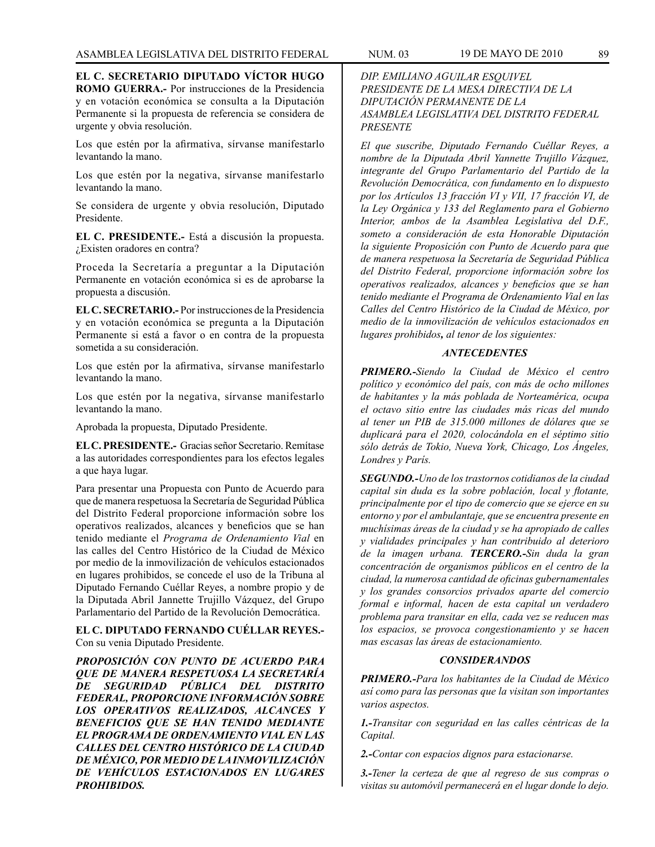**EL C. SECRETARIO DIPUTADO VÍCTOR HUGO ROMO GUERRA.-** Por instrucciones de la Presidencia y en votación económica se consulta a la Diputación Permanente si la propuesta de referencia se considera de urgente y obvia resolución.

Los que estén por la afirmativa, sírvanse manifestarlo levantando la mano.

Los que estén por la negativa, sírvanse manifestarlo levantando la mano.

Se considera de urgente y obvia resolución, Diputado Presidente.

**EL C. PRESIDENTE.-** Está a discusión la propuesta. ¿Existen oradores en contra?

Proceda la Secretaría a preguntar a la Diputación Permanente en votación económica si es de aprobarse la propuesta a discusión.

**EL C. SECRETARIO.-** Por instrucciones de la Presidencia y en votación económica se pregunta a la Diputación Permanente si está a favor o en contra de la propuesta sometida a su consideración.

Los que estén por la afirmativa, sírvanse manifestarlo levantando la mano.

Los que estén por la negativa, sírvanse manifestarlo levantando la mano.

Aprobada la propuesta, Diputado Presidente.

**EL C. PRESIDENTE.-** Gracias señor Secretario. Remítase a las autoridades correspondientes para los efectos legales a que haya lugar.

Para presentar una Propuesta con Punto de Acuerdo para que de manera respetuosa la Secretaría de Seguridad Pública del Distrito Federal proporcione información sobre los operativos realizados, alcances y beneficios que se han tenido mediante el *Programa de Ordenamiento Vial* en las calles del Centro Histórico de la Ciudad de México por medio de la inmovilización de vehículos estacionados en lugares prohibidos, se concede el uso de la Tribuna al Diputado Fernando Cuéllar Reyes, a nombre propio y de la Diputada Abril Jannette Trujillo Vázquez, del Grupo Parlamentario del Partido de la Revolución Democrática.

**EL C. DIPUTADO FERNANDO CUÉLLAR REYES.-** Con su venia Diputado Presidente.

*PROPOSICIÓN CON PUNTO DE ACUERDO PARA QUE DE MANERA RESPETUOSA LA SECRETARÍA DE SEGURIDAD PÚBLICA DEL DISTRITO FEDERAL, PROPORCIONE INFORMACIÓN SOBRE LOS OPERATIVOS REALIZADOS, ALCANCES Y BENEFICIOS QUE SE HAN TENIDO MEDIANTE EL PROGRAMA DE ORDENAMIENTO VIAL EN LAS CALLES DEL CENTRO HISTÓRICO DE LA CIUDAD DE MÉXICO, POR MEDIO DE LA INMOVILIZACIÓN DE VEHÍCULOS ESTACIONADOS EN LUGARES PROHIBIDOS.*

# *DIP. EMILIANO AGUILAR ESQUIVEL PRESIDENTE DE LA MESA DIRECTIVA DE LA DIPUTACIÓN PERMANENTE DE LA ASAMBLEA LEGISLATIVA DEL DISTRITO FEDERAL PRESENTE*

*El que suscribe, Diputado Fernando Cuéllar Reyes, a nombre de la Diputada Abril Yannette Trujillo Vázquez, integrante del Grupo Parlamentario del Partido de la Revolución Democrática, con fundamento en lo dispuesto por los Artículos 13 fracción VI y VII, 17 fracción VI, de la Ley Orgánica y 133 del Reglamento para el Gobierno Interior, ambos de la Asamblea Legislativa del D.F., someto a consideración de esta Honorable Diputación la siguiente Proposición con Punto de Acuerdo para que de manera respetuosa la Secretaría de Seguridad Pública del Distrito Federal, proporcione información sobre los operativos realizados, alcances y beneficios que se han tenido mediante el Programa de Ordenamiento Vial en las Calles del Centro Histórico de la Ciudad de México, por medio de la inmovilización de vehículos estacionados en lugares prohibidos, al tenor de los siguientes:* 

# *ANTECEDENTES*

*PRIMERO.-Siendo la Ciudad de México el centro político y económico del país, con más de ocho millones de habitantes y la más poblada de Norteamérica, ocupa el octavo sitio entre las ciudades más ricas del mundo al tener un PIB de 315.000 millones de dólares que se duplicará para el 2020, colocándola en el séptimo sitio sólo detrás de Tokio, Nueva York, Chicago, Los Ángeles, Londres y París.* 

*SEGUNDO.-Uno de los trastornos cotidianos de la ciudad capital sin duda es la sobre población, local y flotante, principalmente por el tipo de comercio que se ejerce en su entorno y por el ambulantaje, que se encuentra presente en muchísimas áreas de la ciudad y se ha apropiado de calles y vialidades principales y han contribuido al deterioro de la imagen urbana. TERCERO.-Sin duda la gran concentración de organismos públicos en el centro de la ciudad, la numerosa cantidad de oficinas gubernamentales y los grandes consorcios privados aparte del comercio formal e informal, hacen de esta capital un verdadero problema para transitar en ella, cada vez se reducen mas los espacios, se provoca congestionamiento y se hacen mas escasas las áreas de estacionamiento.* 

### *CONSIDERANDOS*

*PRIMERO.-Para los habitantes de la Ciudad de México así como para las personas que la visitan son importantes varios aspectos.* 

*1.-Transitar con seguridad en las calles céntricas de la Capital.* 

*2.-Contar con espacios dignos para estacionarse.* 

*3.-Tener la certeza de que al regreso de sus compras o visitas su automóvil permanecerá en el lugar donde lo dejo.*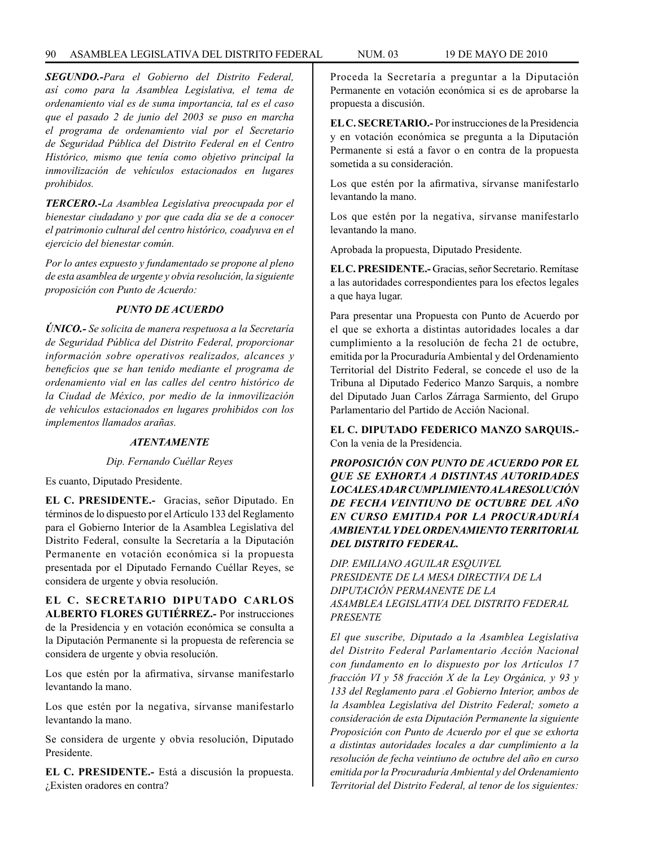# 90 ASAMBLEA LEGISLATIVA DEL DISTRITO FEDERAL NUM. 03 19 de mayo de 2010

*SEGUNDO.-Para el Gobierno del Distrito Federal, así como para la Asamblea Legislativa, el tema de ordenamiento vial es de suma importancia, tal es el caso que el pasado 2 de junio del 2003 se puso en marcha el programa de ordenamiento vial por el Secretario de Seguridad Pública del Distrito Federal en el Centro Histórico, mismo que tenía como objetivo principal la inmovilización de vehículos estacionados en lugares prohibidos.* 

*TERCERO.-La Asamblea Legislativa preocupada por el bienestar ciudadano y por que cada día se de a conocer el patrimonio cultural del centro histórico, coadyuva en el ejercicio del bienestar común.*

*Por lo antes expuesto y fundamentado se propone al pleno de esta asamblea de urgente y obvia resolución, la siguiente proposición con Punto de Acuerdo:*

# *PUNTO DE ACUERDO*

*ÚNICO.- Se solicita de manera respetuosa a la Secretaría de Seguridad Pública del Distrito Federal, proporcionar información sobre operativos realizados, alcances y beneficios que se han tenido mediante el programa de ordenamiento vial en las calles del centro histórico de la Ciudad de México, por medio de la inmovilización de vehículos estacionados en lugares prohibidos con los implementos llamados arañas.*

### *ATENTAMENTE*

### *Dip. Fernando Cuéllar Reyes*

Es cuanto, Diputado Presidente.

**EL C. PRESIDENTE.-** Gracias, señor Diputado. En términos de lo dispuesto por el Artículo 133 del Reglamento para el Gobierno Interior de la Asamblea Legislativa del Distrito Federal, consulte la Secretaría a la Diputación Permanente en votación económica si la propuesta presentada por el Diputado Fernando Cuéllar Reyes, se considera de urgente y obvia resolución.

**EL C. SECRETARIO DIPUTADO CARLOS ALBERTO FLORES GUTIÉRREZ.-** Por instrucciones de la Presidencia y en votación económica se consulta a la Diputación Permanente si la propuesta de referencia se considera de urgente y obvia resolución.

Los que estén por la afirmativa, sírvanse manifestarlo levantando la mano.

Los que estén por la negativa, sírvanse manifestarlo levantando la mano.

Se considera de urgente y obvia resolución, Diputado Presidente.

**EL C. PRESIDENTE.-** Está a discusión la propuesta. ¿Existen oradores en contra?

Proceda la Secretaría a preguntar a la Diputación Permanente en votación económica si es de aprobarse la propuesta a discusión.

**EL C. SECRETARIO.-** Por instrucciones de la Presidencia y en votación económica se pregunta a la Diputación Permanente si está a favor o en contra de la propuesta sometida a su consideración.

Los que estén por la afirmativa, sírvanse manifestarlo levantando la mano.

Los que estén por la negativa, sírvanse manifestarlo levantando la mano.

Aprobada la propuesta, Diputado Presidente.

**EL C. PRESIDENTE.-** Gracias, señor Secretario. Remítase a las autoridades correspondientes para los efectos legales a que haya lugar.

Para presentar una Propuesta con Punto de Acuerdo por el que se exhorta a distintas autoridades locales a dar cumplimiento a la resolución de fecha 21 de octubre, emitida por la Procuraduría Ambiental y del Ordenamiento Territorial del Distrito Federal, se concede el uso de la Tribuna al Diputado Federico Manzo Sarquis, a nombre del Diputado Juan Carlos Zárraga Sarmiento, del Grupo Parlamentario del Partido de Acción Nacional.

**EL C. DIPUTADO FEDERICO MANZO SARQUIS.-** Con la venia de la Presidencia.

*PROPOSICIÓN CON PUNTO DE ACUERDO POR EL QUE SE EXHORTA A DISTINTAS AUTORIDADES LOCALES A DAR CUMPLIMIENTO A LA RESOLUCIÓN DE FECHA VEINTIUNO DE OCTUBRE DEL AÑO EN CURSO EMITIDA POR LA PROCURADURÍA AMBIENTAL Y DEL ORDENAMIENTO TERRITORIAL DEL DISTRITO FEDERAL.*

*DIP. EMILIANO AGUILAR ESQUIVEL PRESIDENTE DE LA MESA DIRECTIVA DE LA DIPUTACIÓN PERMANENTE DE LA ASAMBLEA LEGISLATIVA DEL DISTRITO FEDERAL PRESENTE*

*El que suscribe, Diputado a la Asamblea Legislativa del Distrito Federal Parlamentario Acción Nacional con fundamento en lo dispuesto por los Artículos 17 fracción VI y 58 fracción X de la Ley Orgánica, y 93 y 133 del Reglamento para .el Gobierno Interior, ambos de la Asamblea Legislativa del Distrito Federal; someto a consideración de esta Diputación Permanente la siguiente Proposición con Punto de Acuerdo por el que se exhorta a distintas autoridades locales a dar cumplimiento a la resolución de fecha veintiuno de octubre del año en curso emitida por la Procuraduría Ambiental y del Ordenamiento Territorial del Distrito Federal, al tenor de los siguientes:*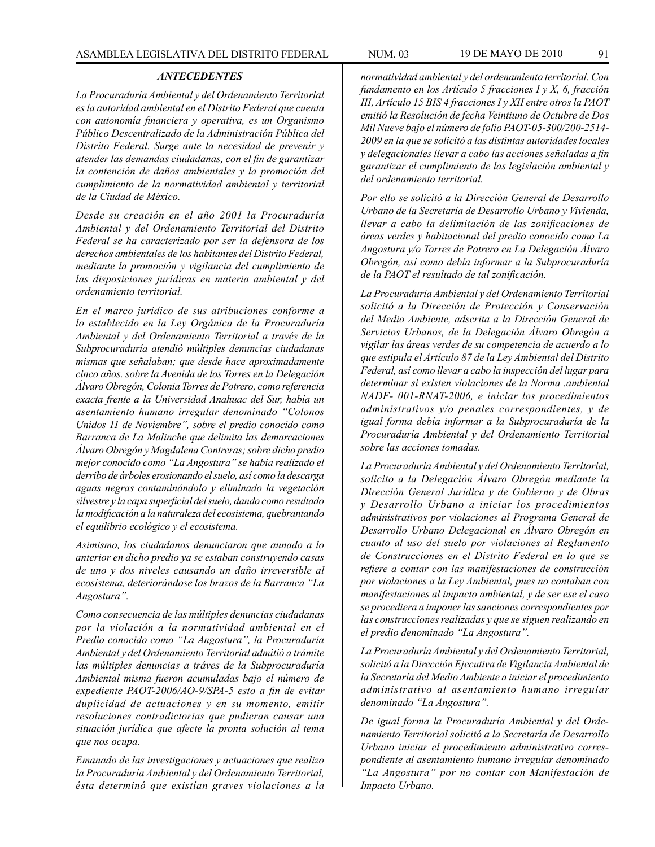## *ANTECEDENTES*

*La Procuraduría Ambiental y del Ordenamiento Territorial es la autoridad ambiental en el Distrito Federal que cuenta con autonomía financiera y operativa, es un Organismo Público Descentralizado de la Administración Pública del Distrito Federal. Surge ante la necesidad de prevenir y atender las demandas ciudadanas, con el fin de garantizar la contención de daños ambientales y la promoción del cumplimiento de la normatividad ambiental y territorial de la Ciudad de México.*

*Desde su creación en el año 2001 la Procuraduría Ambiental y del Ordenamiento Territorial del Distrito Federal se ha caracterizado por ser la defensora de los derechos ambientales de los habitantes del Distrito Federal, mediante la promoción y vigilancia del cumplimiento de las disposiciones jurídicas en materia ambiental y del ordenamiento territorial.*

*En el marco jurídico de sus atribuciones conforme a lo establecido en la Ley Orgánica de la Procuraduría Ambiental y del Ordenamiento Territorial a través de la Subprocuraduría atendió múltiples denuncias ciudadanas mismas que señalaban; que desde hace aproximadamente cinco años. sobre la Avenida de los Torres en la Delegación Álvaro Obregón, Colonia Torres de Potrero, como referencia exacta frente a la Universidad Anahuac del Sur, había un asentamiento humano irregular denominado "Colonos Unidos 11 de Noviembre", sobre el predio conocido como Barranca de La Malinche que delimita las demarcaciones Álvaro Obregón y Magdalena Contreras; sobre dicho predio mejor conocido como "La Angostura" se había realizado el derribo de árboles erosionando el suelo, así como la descarga aguas negras contaminándolo y eliminado la vegetación silvestre y la capa superficial del suelo, dando como resultado la modificación a la naturaleza del ecosistema, quebrantando el equilibrio ecológico y el ecosistema.*

*Asimismo, los ciudadanos denunciaron que aunado a lo anterior en dicho predio ya se estaban construyendo casas de uno y dos niveles causando un daño irreversible al ecosistema, deteriorándose los brazos de la Barranca "La Angostura".*

*Como consecuencia de las múltiples denuncias ciudadanas por la violación a la normatividad ambiental en el Predio conocido como "La Angostura", la Procuraduría Ambiental y del Ordenamiento Territorial admitió a trámite las múltiples denuncias a tráves de la Subprocuraduría Ambiental misma fueron acumuladas bajo el número de expediente PAOT-2006/AO-9/SPA-5 esto a fin de evitar duplicidad de actuaciones y en su momento, emitir resoluciones contradictorias que pudieran causar una situación jurídica que afecte la pronta solución al tema que nos ocupa.*

*Emanado de las investigaciones y actuaciones que realizo la Procuraduría Ambiental y del Ordenamiento Territorial, ésta determinó que existían graves violaciones a la* 

*normatividad ambiental y del ordenamiento territorial. Con fundamento en los Artículo 5 fracciones I y X, 6, fracción III, Artículo 15 BIS 4 fracciones I y XII entre otros la PAOT emitió la Resolución de fecha Veintiuno de Octubre de Dos Mil Nueve bajo el número de folio PAOT-05-300/200-2514- 2009 en la que se solicitó a las distintas autoridades locales y delegacionales llevar a cabo las acciones señaladas a fin garantizar el cumplimiento de las legislación ambiental y del ordenamiento territorial.*

*Por ello se solicitó a la Dirección General de Desarrollo Urbano de la Secretaría de Desarrollo Urbano y Vivienda, llevar a cabo la delimitación de las zonificaciones de áreas verdes y habitacional del predio conocido como La Angostura y/o Torres de Potrero en La Delegación Álvaro Obregón, así como debía informar a la Subprocuraduría de la PAOT el resultado de tal zonificación.*

*La Procuraduría Ambiental y del Ordenamiento Territorial solicitó a la Dirección de Protección y Conservación del Medio Ambiente, adscrita a la Dirección General de Servicios Urbanos, de la Delegación Álvaro Obregón a vigilar las áreas verdes de su competencia de acuerdo a lo que estipula el Artículo 87 de la Ley Ambiental del Distrito Federal, así como llevar a cabo la inspección del lugar para determinar si existen violaciones de la Norma .ambiental NADF- 001-RNAT-2006, e iniciar los procedimientos administrativos y/o penales correspondientes, y de igual forma debía informar a la Subprocuraduría de la Procuraduría Ambiental y del Ordenamiento Territorial sobre las acciones tomadas.*

*La Procuraduría Ambiental y del Ordenamiento Territorial, solicito a la Delegación Álvaro Obregón mediante la Dirección General Jurídica y de Gobierno y de Obras y Desarrollo Urbano a iniciar los procedimientos administrativos por violaciones al Programa General de Desarrollo Urbano Delegacional en Álvaro Obregón en cuanto al uso del suelo por violaciones al Reglamento de Construcciones en el Distrito Federal en lo que se refiere a contar con las manifestaciones de construcción por violaciones a la Ley Ambiental, pues no contaban con manifestaciones al impacto ambiental, y de ser ese el caso se procediera a imponer las sanciones correspondientes por las construcciones realizadas y que se siguen realizando en el predio denominado "La Angostura".*

*La Procuraduría Ambiental y del Ordenamiento Territorial, solicitó a la Dirección Ejecutiva de Vigilancia Ambiental de la Secretaría del Medio Ambiente a iniciar el procedimiento administrativo al asentamiento humano irregular denominado "La Angostura".*

*De igual forma la Procuraduría Ambiental y del Ordenamiento Territorial solicitó a la Secretaría de Desarrollo Urbano iniciar el procedimiento administrativo correspondiente al asentamiento humano irregular denominado "La Angostura" por no contar con Manifestación de Impacto Urbano.*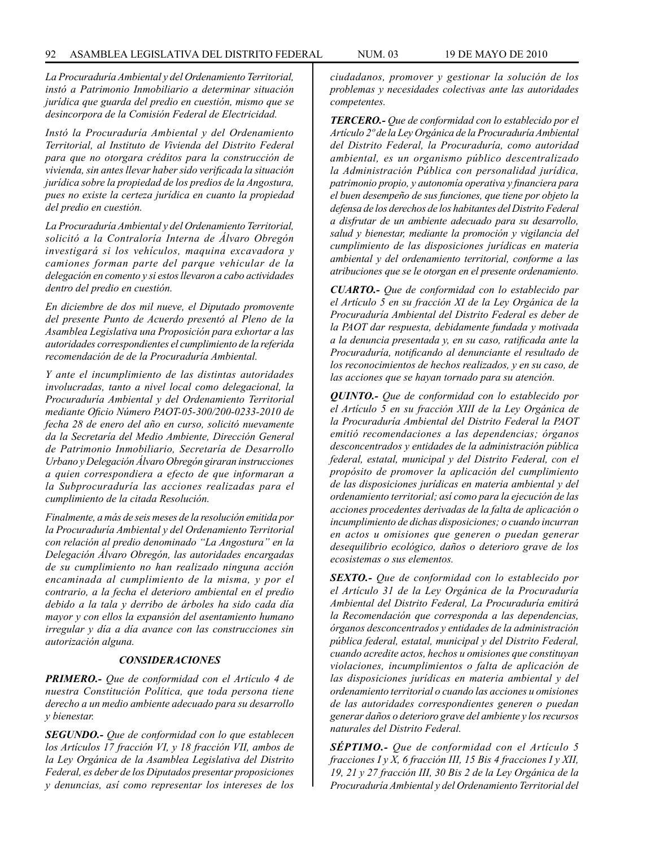*La Procuraduría Ambiental y del Ordenamiento Territorial, instó a Patrimonio Inmobiliario a determinar situación jurídica que guarda del predio en cuestión, mismo que se desincorpora de la Comisión Federal de Electricidad.*

*Instó la Procuraduría Ambiental y del Ordenamiento Territorial, al Instituto de Vivienda del Distrito Federal para que no otorgara créditos para la construcción de vivienda, sin antes llevar haber sido verificada la situación jurídica sobre la propiedad de los predios de la Angostura, pues no existe la certeza jurídica en cuanto la propiedad del predio en cuestión.*

*La Procuraduría Ambiental y del Ordenamiento Territorial, solicitó a la Contraloría Interna de Álvaro Obregón investigará si los vehículos, maquina excavadora y camiones forman parte del parque vehicular de la delegación en comento y si estos llevaron a cabo actividades dentro del predio en cuestión.*

*En diciembre de dos mil nueve, el Diputado promovente del presente Punto de Acuerdo presentó al Pleno de la Asamblea Legislativa una Proposición para exhortar a las autoridades correspondientes el cumplimiento de la referida recomendación de de la Procuraduría Ambiental.*

*Y ante el incumplimiento de las distintas autoridades involucradas, tanto a nivel local como delegacional, la Procuraduría Ambiental y del Ordenamiento Territorial mediante Oficio Número PAOT-05-300/200-0233-2010 de fecha 28 de enero del año en curso, solicitó nuevamente da la Secretaría del Medio Ambiente, Dirección General de Patrimonio Inmobiliario, Secretaría de Desarrollo Urbano y Delegación Álvaro Obregón giraran instrucciones a quien correspondiera a efecto de que informaran a la Subprocuraduría las acciones realizadas para el cumplimiento de la citada Resolución.*

*Finalmente, a más de seis meses de la resolución emitida por la Procuraduría Ambiental y del Ordenamiento Territorial con relación al predio denominado "La Angostura" en la Delegación Álvaro Obregón, las autoridades encargadas de su cumplimiento no han realizado ninguna acción encaminada al cumplimiento de la misma, y por el contrario, a la fecha el deterioro ambiental en el predio debido a la tala y derribo de árboles ha sido cada día mayor y con ellos la expansión del asentamiento humano irregular y día a día avance con las construcciones sin autorización alguna.*

#### *CONSIDERACIONES*

*PRIMERO.- Que de conformidad con el Artículo 4 de nuestra Constitución Política, que toda persona tiene derecho a un medio ambiente adecuado para su desarrollo y bienestar.*

*SEGUNDO.- Que de conformidad con lo que establecen los Artículos 17 fracción VI, y 18 fracción VII, ambos de la Ley Orgánica de la Asamblea Legislativa del Distrito Federal, es deber de los Diputados presentar proposiciones y denuncias, así como representar los intereses de los*  *ciudadanos, promover y gestionar la solución de los problemas y necesidades colectivas ante las autoridades competentes.*

*TERCERO.- Que de conformidad con lo establecido por el Artículo 2º de la Ley Orgánica de la Procuraduría Ambiental del Distrito Federal, la Procuraduría, como autoridad ambiental, es un organismo público descentralizado la Administración Pública con personalidad jurídica, patrimonio propio, y autonomía operativa y financiera para el buen desempeño de sus funciones, que tiene por objeto la defensa de los derechos de los habitantes del Distrito Federal a disfrutar de un ambiente adecuado para su desarrollo, salud y bienestar, mediante la promoción y vigilancia del cumplimiento de las disposiciones jurídicas en materia ambiental y del ordenamiento territorial, conforme a las atribuciones que se le otorgan en el presente ordenamiento.*

*CUARTO.- Que de conformidad con lo establecido par el Artículo 5 en su fracción XI de la Ley Orgánica de la Procuraduría Ambiental del Distrito Federal es deber de la PAOT dar respuesta, debidamente fundada y motivada a la denuncia presentada y, en su caso, ratificada ante la Procuraduría, notificando al denunciante el resultado de los reconocimientos de hechos realizados, y en su caso, de las acciones que se hayan tornado para su atención.*

*QUINTO.- Que de conformidad con lo establecido por el Artículo 5 en su fracción XIII de la Ley Orgánica de la Procuraduría Ambiental del Distrito Federal la PAOT emitió recomendaciones a las dependencias; órganos desconcentrados y entidades de la administración pública federal, estatal, municipal y del Distrito Federal, con el propósito de promover la aplicación del cumplimiento de las disposiciones jurídicas en materia ambiental y del ordenamiento territorial; así como para la ejecución de las acciones procedentes derivadas de la falta de aplicación o incumplimiento de dichas disposiciones; o cuando incurran en actos u omisiones que generen o puedan generar desequilibrio ecológico, daños o deterioro grave de los ecosistemas o sus elementos.*

*SEXTO.- Que de conformidad con lo establecido por el Artículo 31 de la Ley Orgánica de la Procuraduría Ambiental del Distrito Federal, La Procuraduría emitirá la Recomendación que corresponda a las dependencias, órganos desconcentrados y entidades de la administración pública federal, estatal, municipal y del Distrito Federal, cuando acredite actos, hechos u omisiones que constituyan violaciones, incumplimientos o falta de aplicación de las disposiciones jurídicas en materia ambiental y del ordenamiento territorial o cuando las acciones u omisiones de las autoridades correspondientes generen o puedan generar daños o deterioro grave del ambiente y los recursos naturales del Distrito Federal.*

*SÉPTIMO.- Que de conformidad con el Artículo 5 fracciones I y X, 6 fracción III, 15 Bis 4 fracciones I y XII, 19, 21 y 27 fracción III, 30 Bis 2 de la Ley Orgánica de la Procuraduría Ambiental y del Ordenamiento Territorial del*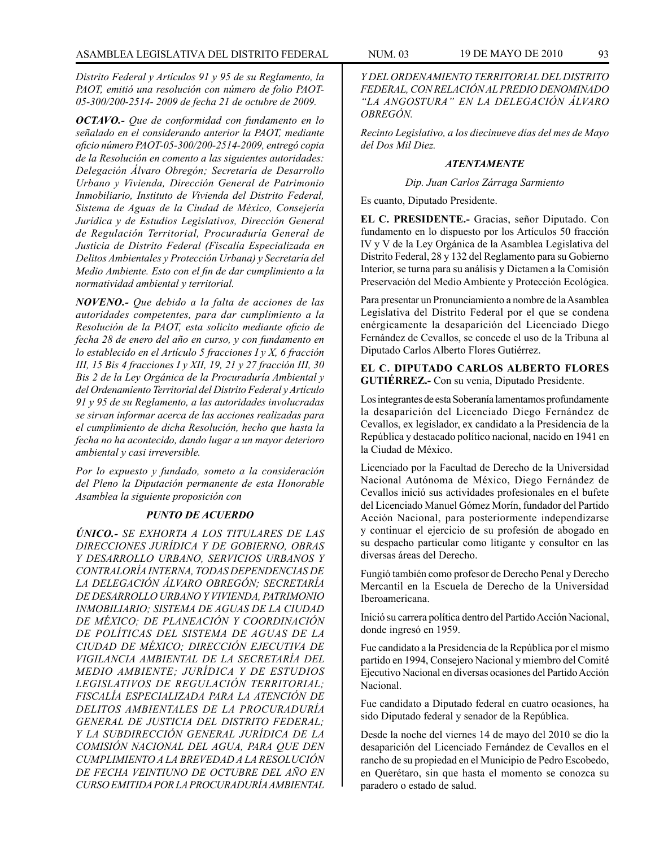*Distrito Federal y Artículos 91 y 95 de su Reglamento, la PAOT, emitió una resolución con número de folio PAOT-05-300/200-2514- 2009 de fecha 21 de octubre de 2009.*

*OCTAVO.- Que de conformidad con fundamento en lo señalado en el considerando anterior la PAOT, mediante oficio número PAOT-05-300/200-2514-2009, entregó copia de la Resolución en comento a las siguientes autoridades: Delegación Álvaro Obregón; Secretaría de Desarrollo Urbano y Vivienda, Dirección General de Patrimonio Inmobiliario, Instituto de Vivienda del Distrito Federal, Sistema de Aguas de la Ciudad de México, Consejería Jurídica y de Estudios Legislativos, Dirección General de Regulación Territorial, Procuraduría General de Justicia de Distrito Federal (Fiscalía Especializada en Delitos Ambientales y Protección Urbana) y Secretaría del Medio Ambiente. Esto con el fin de dar cumplimiento a la normatividad ambiental y territorial.*

*NOVENO.- Que debido a la falta de acciones de las autoridades competentes, para dar cumplimiento a la Resolución de la PAOT, esta solicito mediante oficio de fecha 28 de enero del año en curso, y con fundamento en lo establecido en el Artículo 5 fracciones I y X, 6 fracción III, 15 Bis 4 fracciones I y XII, 19, 21 y 27 fracción III, 30 Bis 2 de la Ley Orgánica de la Procuraduría Ambiental y del Ordenamiento Territorial del Distrito Federal y Artículo 91 y 95 de su Reglamento, a las autoridades involucradas se sirvan informar acerca de las acciones realizadas para el cumplimiento de dicha Resolución, hecho que hasta la fecha no ha acontecido, dando lugar a un mayor deterioro ambiental y casi irreversible.*

*Por lo expuesto y fundado, someto a la consideración del Pleno la Diputación permanente de esta Honorable Asamblea la siguiente proposición con*

### *PUNTO DE ACUERDO*

*ÚNICO.- SE EXHORTA A LOS TITULARES DE LAS DIRECCIONES JURÍDICA Y DE GOBIERNO, OBRAS Y DESARROLLO URBANO, SERVICIOS URBANOS Y CONTRALORÍA INTERNA, TODAS DEPENDENCIAS DE LA DELEGACIÓN ÁLVARO OBREGÓN; SECRETARÍA DE DESARROLLO URBANO Y VIVIENDA, PATRIMONIO INMOBILIARIO; SISTEMA DE AGUAS DE LA CIUDAD DE MÉXICO; DE PLANEACIÓN Y COORDINACIÓN DE POLÍTICAS DEL SISTEMA DE AGUAS DE LA CIUDAD DE MÉXICO; DIRECCIÓN EJECUTIVA DE VIGILANCIA AMBIENTAL DE LA SECRETARÍA DEL MEDIO AMBIENTE; JURÍDICA Y DE ESTUDIOS LEGISLATIVOS DE REGULACIÓN TERRITORIAL; FISCALÍA ESPECIALIZADA PARA LA ATENCIÓN DE DELITOS AMBIENTALES DE LA PROCURADURÍA GENERAL DE JUSTICIA DEL DISTRITO FEDERAL; Y LA SUBDIRECCIÓN GENERAL JURÍDICA DE LA COMISIÓN NACIONAL DEL AGUA, PARA QUE DEN CUMPLIMIENTO A LA BREVEDAD A LA RESOLUCIÓN DE FECHA VEINTIUNO DE OCTUBRE DEL AÑO EN CURSO EMITIDA POR LA PROCURADURÍA AMBIENTAL* 

*Y DEL ORDENAMIENTO TERRITORIAL DEL DISTRITO FEDERAL, CON RELACIÓN AL PREDIO DENOMINADO "LA ANGOSTURA" EN LA DELEGACIÓN ÁLVARO OBREGÓN.*

*Recinto Legislativo, a los diecinueve días del mes de Mayo del Dos Mil Diez.*

### *ATENTAMENTE*

*Dip. Juan Carlos Zárraga Sarmiento*

Es cuanto, Diputado Presidente.

**EL C. PRESIDENTE.-** Gracias, señor Diputado. Con fundamento en lo dispuesto por los Artículos 50 fracción IV y V de la Ley Orgánica de la Asamblea Legislativa del Distrito Federal, 28 y 132 del Reglamento para su Gobierno Interior, se turna para su análisis y Dictamen a la Comisión Preservación del Medio Ambiente y Protección Ecológica.

Para presentar un Pronunciamiento a nombre de la Asamblea Legislativa del Distrito Federal por el que se condena enérgicamente la desaparición del Licenciado Diego Fernández de Cevallos, se concede el uso de la Tribuna al Diputado Carlos Alberto Flores Gutiérrez.

## **EL C. DIPUTADO CARLOS ALBERTO FLORES GUTIÉRREZ.-** Con su venia, Diputado Presidente.

Los integrantes de esta Soberanía lamentamos profundamente la desaparición del Licenciado Diego Fernández de Cevallos, ex legislador, ex candidato a la Presidencia de la República y destacado político nacional, nacido en 1941 en la Ciudad de México.

Licenciado por la Facultad de Derecho de la Universidad Nacional Autónoma de México, Diego Fernández de Cevallos inició sus actividades profesionales en el bufete del Licenciado Manuel Gómez Morín, fundador del Partido Acción Nacional, para posteriormente independizarse y continuar el ejercicio de su profesión de abogado en su despacho particular como litigante y consultor en las diversas áreas del Derecho.

Fungió también como profesor de Derecho Penal y Derecho Mercantil en la Escuela de Derecho de la Universidad Iberoamericana.

Inició su carrera política dentro del Partido Acción Nacional, donde ingresó en 1959.

Fue candidato a la Presidencia de la República por el mismo partido en 1994, Consejero Nacional y miembro del Comité Ejecutivo Nacional en diversas ocasiones del Partido Acción Nacional.

Fue candidato a Diputado federal en cuatro ocasiones, ha sido Diputado federal y senador de la República.

Desde la noche del viernes 14 de mayo del 2010 se dio la desaparición del Licenciado Fernández de Cevallos en el rancho de su propiedad en el Municipio de Pedro Escobedo, en Querétaro, sin que hasta el momento se conozca su paradero o estado de salud.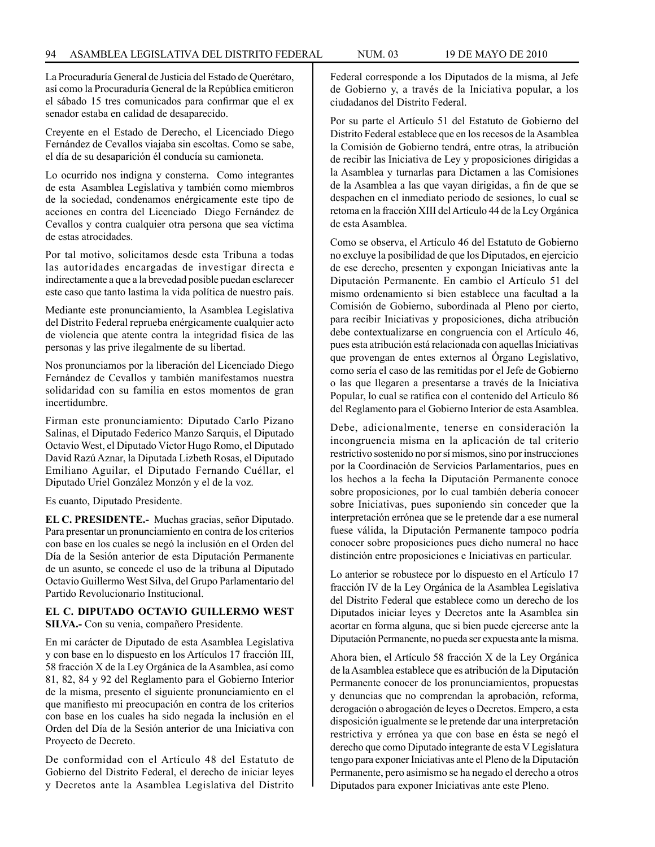La Procuraduría General de Justicia del Estado de Querétaro, así como la Procuraduría General de la República emitieron el sábado 15 tres comunicados para confirmar que el ex senador estaba en calidad de desaparecido.

Creyente en el Estado de Derecho, el Licenciado Diego Fernández de Cevallos viajaba sin escoltas. Como se sabe, el día de su desaparición él conducía su camioneta.

Lo ocurrido nos indigna y consterna. Como integrantes de esta Asamblea Legislativa y también como miembros de la sociedad, condenamos enérgicamente este tipo de acciones en contra del Licenciado Diego Fernández de Cevallos y contra cualquier otra persona que sea víctima de estas atrocidades.

Por tal motivo, solicitamos desde esta Tribuna a todas las autoridades encargadas de investigar directa e indirectamente a que a la brevedad posible puedan esclarecer este caso que tanto lastima la vida política de nuestro país.

Mediante este pronunciamiento, la Asamblea Legislativa del Distrito Federal reprueba enérgicamente cualquier acto de violencia que atente contra la integridad física de las personas y las prive ilegalmente de su libertad.

Nos pronunciamos por la liberación del Licenciado Diego Fernández de Cevallos y también manifestamos nuestra solidaridad con su familia en estos momentos de gran incertidumbre.

Firman este pronunciamiento: Diputado Carlo Pizano Salinas, el Diputado Federico Manzo Sarquis, el Diputado Octavio West, el Diputado Víctor Hugo Romo, el Diputado David Razú Aznar, la Diputada Lizbeth Rosas, el Diputado Emiliano Aguilar, el Diputado Fernando Cuéllar, el Diputado Uriel González Monzón y el de la voz.

Es cuanto, Diputado Presidente.

**EL C. PRESIDENTE.-** Muchas gracias, señor Diputado. Para presentar un pronunciamiento en contra de los criterios con base en los cuales se negó la inclusión en el Orden del Día de la Sesión anterior de esta Diputación Permanente de un asunto, se concede el uso de la tribuna al Diputado Octavio Guillermo West Silva, del Grupo Parlamentario del Partido Revolucionario Institucional.

### **EL C. DIPUTADO OCTAVIO GUILLERMO WEST SILVA.-** Con su venia, compañero Presidente.

En mi carácter de Diputado de esta Asamblea Legislativa y con base en lo dispuesto en los Artículos 17 fracción III, 58 fracción X de la Ley Orgánica de la Asamblea, así como 81, 82, 84 y 92 del Reglamento para el Gobierno Interior de la misma, presento el siguiente pronunciamiento en el que manifiesto mi preocupación en contra de los criterios con base en los cuales ha sido negada la inclusión en el Orden del Día de la Sesión anterior de una Iniciativa con Proyecto de Decreto.

De conformidad con el Artículo 48 del Estatuto de Gobierno del Distrito Federal, el derecho de iniciar leyes y Decretos ante la Asamblea Legislativa del Distrito Federal corresponde a los Diputados de la misma, al Jefe de Gobierno y, a través de la Iniciativa popular, a los ciudadanos del Distrito Federal.

Por su parte el Artículo 51 del Estatuto de Gobierno del Distrito Federal establece que en los recesos de la Asamblea la Comisión de Gobierno tendrá, entre otras, la atribución de recibir las Iniciativa de Ley y proposiciones dirigidas a la Asamblea y turnarlas para Dictamen a las Comisiones de la Asamblea a las que vayan dirigidas, a fin de que se despachen en el inmediato periodo de sesiones, lo cual se retoma en la fracción XIII del Artículo 44 de la Ley Orgánica de esta Asamblea.

Como se observa, el Artículo 46 del Estatuto de Gobierno no excluye la posibilidad de que los Diputados, en ejercicio de ese derecho, presenten y expongan Iniciativas ante la Diputación Permanente. En cambio el Artículo 51 del mismo ordenamiento si bien establece una facultad a la Comisión de Gobierno, subordinada al Pleno por cierto, para recibir Iniciativas y proposiciones, dicha atribución debe contextualizarse en congruencia con el Artículo 46, pues esta atribución está relacionada con aquellas Iniciativas que provengan de entes externos al Órgano Legislativo, como sería el caso de las remitidas por el Jefe de Gobierno o las que llegaren a presentarse a través de la Iniciativa Popular, lo cual se ratifica con el contenido del Artículo 86 del Reglamento para el Gobierno Interior de esta Asamblea.

Debe, adicionalmente, tenerse en consideración la incongruencia misma en la aplicación de tal criterio restrictivo sostenido no por sí mismos, sino por instrucciones por la Coordinación de Servicios Parlamentarios, pues en los hechos a la fecha la Diputación Permanente conoce sobre proposiciones, por lo cual también debería conocer sobre Iniciativas, pues suponiendo sin conceder que la interpretación errónea que se le pretende dar a ese numeral fuese válida, la Diputación Permanente tampoco podría conocer sobre proposiciones pues dicho numeral no hace distinción entre proposiciones e Iniciativas en particular.

Lo anterior se robustece por lo dispuesto en el Artículo 17 fracción IV de la Ley Orgánica de la Asamblea Legislativa del Distrito Federal que establece como un derecho de los Diputados iniciar leyes y Decretos ante la Asamblea sin acortar en forma alguna, que si bien puede ejercerse ante la Diputación Permanente, no pueda ser expuesta ante la misma.

Ahora bien, el Artículo 58 fracción X de la Ley Orgánica de la Asamblea establece que es atribución de la Diputación Permanente conocer de los pronunciamientos, propuestas y denuncias que no comprendan la aprobación, reforma, derogación o abrogación de leyes o Decretos. Empero, a esta disposición igualmente se le pretende dar una interpretación restrictiva y errónea ya que con base en ésta se negó el derecho que como Diputado integrante de esta V Legislatura tengo para exponer Iniciativas ante el Pleno de la Diputación Permanente, pero asimismo se ha negado el derecho a otros Diputados para exponer Iniciativas ante este Pleno.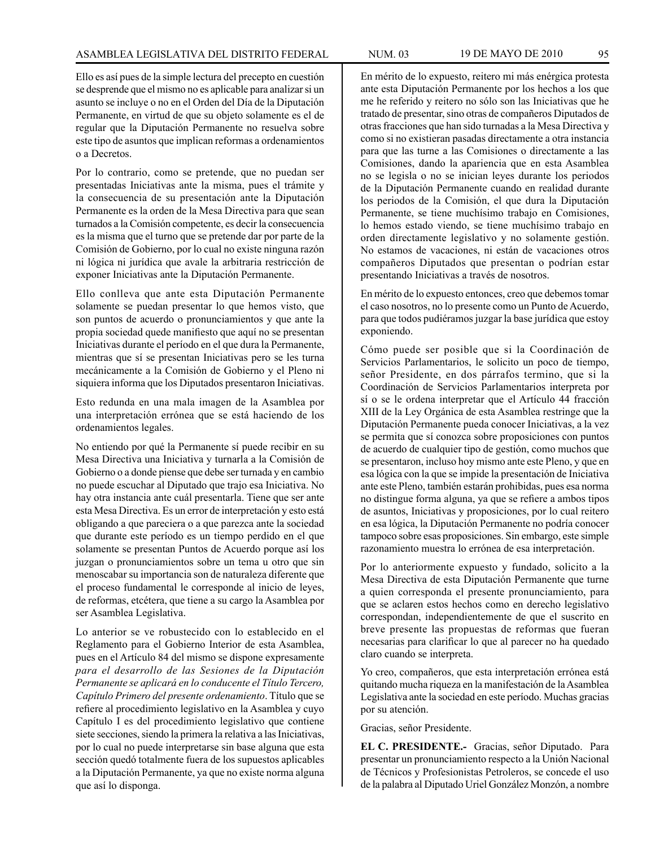Ello es así pues de la simple lectura del precepto en cuestión se desprende que el mismo no es aplicable para analizar si un asunto se incluye o no en el Orden del Día de la Diputación Permanente, en virtud de que su objeto solamente es el de regular que la Diputación Permanente no resuelva sobre este tipo de asuntos que implican reformas a ordenamientos o a Decretos.

Por lo contrario, como se pretende, que no puedan ser presentadas Iniciativas ante la misma, pues el trámite y la consecuencia de su presentación ante la Diputación Permanente es la orden de la Mesa Directiva para que sean turnados a la Comisión competente, es decir la consecuencia es la misma que el turno que se pretende dar por parte de la Comisión de Gobierno, por lo cual no existe ninguna razón ni lógica ni jurídica que avale la arbitraria restricción de exponer Iniciativas ante la Diputación Permanente.

Ello conlleva que ante esta Diputación Permanente solamente se puedan presentar lo que hemos visto, que son puntos de acuerdo o pronunciamientos y que ante la propia sociedad quede manifiesto que aquí no se presentan Iniciativas durante el período en el que dura la Permanente, mientras que sí se presentan Iniciativas pero se les turna mecánicamente a la Comisión de Gobierno y el Pleno ni siquiera informa que los Diputados presentaron Iniciativas.

Esto redunda en una mala imagen de la Asamblea por una interpretación errónea que se está haciendo de los ordenamientos legales.

No entiendo por qué la Permanente sí puede recibir en su Mesa Directiva una Iniciativa y turnarla a la Comisión de Gobierno o a donde piense que debe ser turnada y en cambio no puede escuchar al Diputado que trajo esa Iniciativa. No hay otra instancia ante cuál presentarla. Tiene que ser ante esta Mesa Directiva. Es un error de interpretación y esto está obligando a que pareciera o a que parezca ante la sociedad que durante este período es un tiempo perdido en el que solamente se presentan Puntos de Acuerdo porque así los juzgan o pronunciamientos sobre un tema u otro que sin menoscabar su importancia son de naturaleza diferente que el proceso fundamental le corresponde al inicio de leyes, de reformas, etcétera, que tiene a su cargo la Asamblea por ser Asamblea Legislativa.

Lo anterior se ve robustecido con lo establecido en el Reglamento para el Gobierno Interior de esta Asamblea, pues en el Artículo 84 del mismo se dispone expresamente *para el desarrollo de las Sesiones de la Diputación Permanente se aplicará en lo conducente el Título Tercero, Capítulo Primero del presente ordenamiento*. Título que se refiere al procedimiento legislativo en la Asamblea y cuyo Capítulo I es del procedimiento legislativo que contiene siete secciones, siendo la primera la relativa a las Iniciativas, por lo cual no puede interpretarse sin base alguna que esta sección quedó totalmente fuera de los supuestos aplicables a la Diputación Permanente, ya que no existe norma alguna que así lo disponga.

En mérito de lo expuesto, reitero mi más enérgica protesta ante esta Diputación Permanente por los hechos a los que me he referido y reitero no sólo son las Iniciativas que he tratado de presentar, sino otras de compañeros Diputados de otras fracciones que han sido turnadas a la Mesa Directiva y como si no existieran pasadas directamente a otra instancia para que las turne a las Comisiones o directamente a las Comisiones, dando la apariencia que en esta Asamblea no se legisla o no se inician leyes durante los periodos de la Diputación Permanente cuando en realidad durante los periodos de la Comisión, el que dura la Diputación Permanente, se tiene muchísimo trabajo en Comisiones, lo hemos estado viendo, se tiene muchísimo trabajo en orden directamente legislativo y no solamente gestión. No estamos de vacaciones, ni están de vacaciones otros compañeros Diputados que presentan o podrían estar presentando Iniciativas a través de nosotros.

En mérito de lo expuesto entonces, creo que debemos tomar el caso nosotros, no lo presente como un Punto de Acuerdo, para que todos pudiéramos juzgar la base jurídica que estoy exponiendo.

Cómo puede ser posible que si la Coordinación de Servicios Parlamentarios, le solicito un poco de tiempo, señor Presidente, en dos párrafos termino, que si la Coordinación de Servicios Parlamentarios interpreta por sí o se le ordena interpretar que el Artículo 44 fracción XIII de la Ley Orgánica de esta Asamblea restringe que la Diputación Permanente pueda conocer Iniciativas, a la vez se permita que sí conozca sobre proposiciones con puntos de acuerdo de cualquier tipo de gestión, como muchos que se presentaron, incluso hoy mismo ante este Pleno, y que en esa lógica con la que se impide la presentación de Iniciativa ante este Pleno, también estarán prohibidas, pues esa norma no distingue forma alguna, ya que se refiere a ambos tipos de asuntos, Iniciativas y proposiciones, por lo cual reitero en esa lógica, la Diputación Permanente no podría conocer tampoco sobre esas proposiciones. Sin embargo, este simple razonamiento muestra lo errónea de esa interpretación.

Por lo anteriormente expuesto y fundado, solicito a la Mesa Directiva de esta Diputación Permanente que turne a quien corresponda el presente pronunciamiento, para que se aclaren estos hechos como en derecho legislativo correspondan, independientemente de que el suscrito en breve presente las propuestas de reformas que fueran necesarias para clarificar lo que al parecer no ha quedado claro cuando se interpreta.

Yo creo, compañeros, que esta interpretación errónea está quitando mucha riqueza en la manifestación de la Asamblea Legislativa ante la sociedad en este período. Muchas gracias por su atención.

Gracias, señor Presidente.

**EL C. PRESIDENTE.-** Gracias, señor Diputado. Para presentar un pronunciamiento respecto a la Unión Nacional de Técnicos y Profesionistas Petroleros, se concede el uso de la palabra al Diputado Uriel González Monzón, a nombre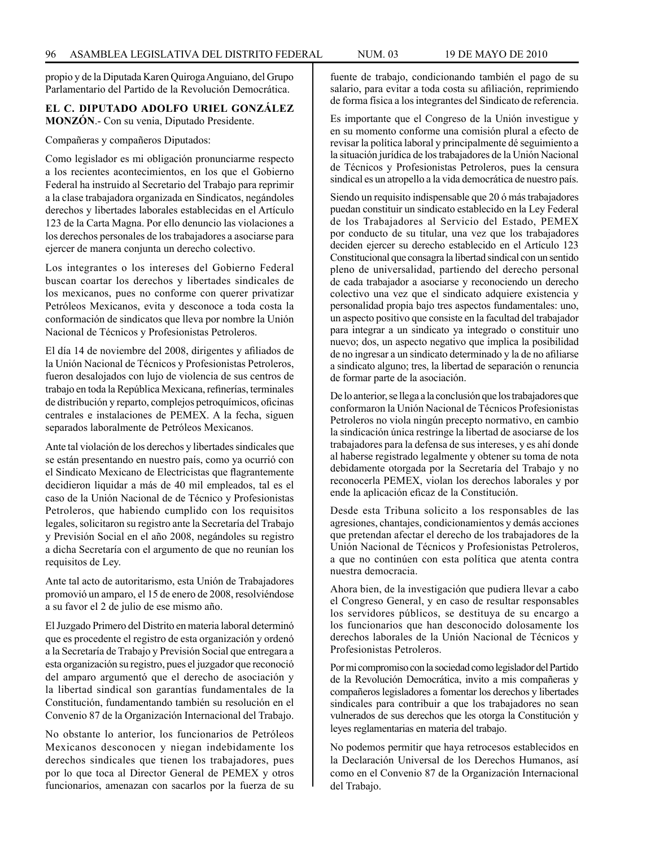propio y de la Diputada Karen Quiroga Anguiano, del Grupo Parlamentario del Partido de la Revolución Democrática.

### **EL C. DIPUTADO ADOLFO URIEL GONZÁLEZ MONZÓN**.- Con su venia, Diputado Presidente.

Compañeras y compañeros Diputados:

Como legislador es mi obligación pronunciarme respecto a los recientes acontecimientos, en los que el Gobierno Federal ha instruido al Secretario del Trabajo para reprimir a la clase trabajadora organizada en Sindicatos, negándoles derechos y libertades laborales establecidas en el Artículo 123 de la Carta Magna. Por ello denuncio las violaciones a los derechos personales de los trabajadores a asociarse para ejercer de manera conjunta un derecho colectivo.

Los integrantes o los intereses del Gobierno Federal buscan coartar los derechos y libertades sindicales de los mexicanos, pues no conforme con querer privatizar Petróleos Mexicanos, evita y desconoce a toda costa la conformación de sindicatos que lleva por nombre la Unión Nacional de Técnicos y Profesionistas Petroleros.

El día 14 de noviembre del 2008, dirigentes y afiliados de la Unión Nacional de Técnicos y Profesionistas Petroleros, fueron desalojados con lujo de violencia de sus centros de trabajo en toda la República Mexicana, refinerías, terminales de distribución y reparto, complejos petroquímicos, oficinas centrales e instalaciones de PEMEX. A la fecha, siguen separados laboralmente de Petróleos Mexicanos.

Ante tal violación de los derechos y libertades sindicales que se están presentando en nuestro país, como ya ocurrió con el Sindicato Mexicano de Electricistas que flagrantemente decidieron liquidar a más de 40 mil empleados, tal es el caso de la Unión Nacional de de Técnico y Profesionistas Petroleros, que habiendo cumplido con los requisitos legales, solicitaron su registro ante la Secretaría del Trabajo y Previsión Social en el año 2008, negándoles su registro a dicha Secretaría con el argumento de que no reunían los requisitos de Ley.

Ante tal acto de autoritarismo, esta Unión de Trabajadores promovió un amparo, el 15 de enero de 2008, resolviéndose a su favor el 2 de julio de ese mismo año.

El Juzgado Primero del Distrito en materia laboral determinó que es procedente el registro de esta organización y ordenó a la Secretaría de Trabajo y Previsión Social que entregara a esta organización su registro, pues el juzgador que reconoció del amparo argumentó que el derecho de asociación y la libertad sindical son garantías fundamentales de la Constitución, fundamentando también su resolución en el Convenio 87 de la Organización Internacional del Trabajo.

No obstante lo anterior, los funcionarios de Petróleos Mexicanos desconocen y niegan indebidamente los derechos sindicales que tienen los trabajadores, pues por lo que toca al Director General de PEMEX y otros funcionarios, amenazan con sacarlos por la fuerza de su fuente de trabajo, condicionando también el pago de su salario, para evitar a toda costa su afiliación, reprimiendo de forma física a los integrantes del Sindicato de referencia.

Es importante que el Congreso de la Unión investigue y en su momento conforme una comisión plural a efecto de revisar la política laboral y principalmente dé seguimiento a la situación jurídica de los trabajadores de la Unión Nacional de Técnicos y Profesionistas Petroleros, pues la censura sindical es un atropello a la vida democrática de nuestro país.

Siendo un requisito indispensable que 20 ó más trabajadores puedan constituir un sindicato establecido en la Ley Federal de los Trabajadores al Servicio del Estado, PEMEX por conducto de su titular, una vez que los trabajadores deciden ejercer su derecho establecido en el Artículo 123 Constitucional que consagra la libertad sindical con un sentido pleno de universalidad, partiendo del derecho personal de cada trabajador a asociarse y reconociendo un derecho colectivo una vez que el sindicato adquiere existencia y personalidad propia bajo tres aspectos fundamentales: uno, un aspecto positivo que consiste en la facultad del trabajador para integrar a un sindicato ya integrado o constituir uno nuevo; dos, un aspecto negativo que implica la posibilidad de no ingresar a un sindicato determinado y la de no afiliarse a sindicato alguno; tres, la libertad de separación o renuncia de formar parte de la asociación.

De lo anterior, se llega a la conclusión que los trabajadores que conformaron la Unión Nacional de Técnicos Profesionistas Petroleros no viola ningún precepto normativo, en cambio la sindicación única restringe la libertad de asociarse de los trabajadores para la defensa de sus intereses, y es ahí donde al haberse registrado legalmente y obtener su toma de nota debidamente otorgada por la Secretaría del Trabajo y no reconocerla PEMEX, violan los derechos laborales y por ende la aplicación eficaz de la Constitución.

Desde esta Tribuna solicito a los responsables de las agresiones, chantajes, condicionamientos y demás acciones que pretendan afectar el derecho de los trabajadores de la Unión Nacional de Técnicos y Profesionistas Petroleros, a que no continúen con esta política que atenta contra nuestra democracia.

Ahora bien, de la investigación que pudiera llevar a cabo el Congreso General, y en caso de resultar responsables los servidores públicos, se destituya de su encargo a los funcionarios que han desconocido dolosamente los derechos laborales de la Unión Nacional de Técnicos y Profesionistas Petroleros.

Por mi compromiso con la sociedad como legislador del Partido de la Revolución Democrática, invito a mis compañeras y compañeros legisladores a fomentar los derechos y libertades sindicales para contribuir a que los trabajadores no sean vulnerados de sus derechos que les otorga la Constitución y leyes reglamentarias en materia del trabajo.

No podemos permitir que haya retrocesos establecidos en la Declaración Universal de los Derechos Humanos, así como en el Convenio 87 de la Organización Internacional del Trabajo.